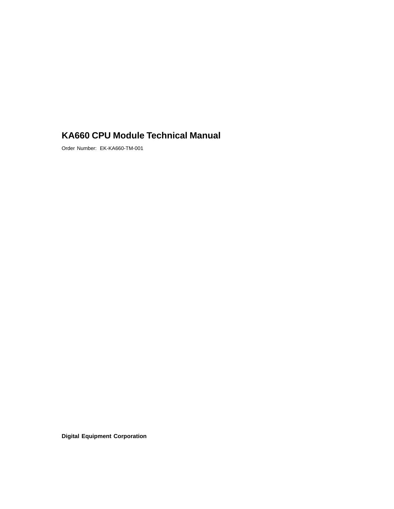# **KA660 CPU Module Technical Manual**

Order Number: EK-KA660-TM-001

**Digital Equipment Corporation**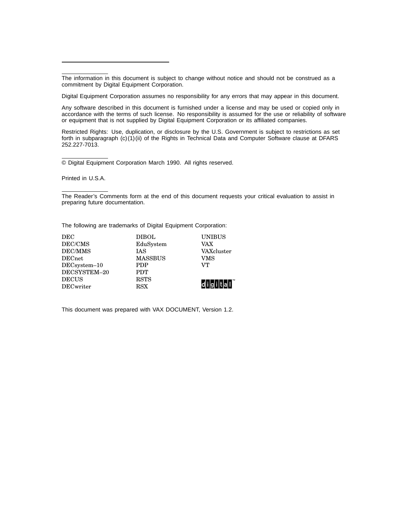The information in this document is subject to change without notice and should not be construed as a commitment by Digital Equipment Corporation.

Digital Equipment Corporation assumes no responsibility for any errors that may appear in this document.

Any software described in this document is furnished under a license and may be used or copied only in accordance with the terms of such license. No responsibility is assumed for the use or reliability of software or equipment that is not supplied by Digital Equipment Corporation or its affiliated companies.

Restricted Rights: Use, duplication, or disclosure by the U.S. Government is subject to restrictions as set forth in subparagraph (c)(1)(ii) of the Rights in Technical Data and Computer Software clause at DFARS 252.227-7013.

© Digital Equipment Corporation March 1990. All rights reserved.

Printed in U.S.A.

The Reader's Comments form at the end of this document requests your critical evaluation to assist in preparing future documentation.

The following are trademarks of Digital Equipment Corporation:

| DEC              | <b>DIBOL</b>   | <b>UNIBUS</b>          |
|------------------|----------------|------------------------|
| DEC/CMS          | EduSystem      | VAX                    |
| <b>DEC/MMS</b>   | <b>IAS</b>     | VAXcluster             |
| <b>DECnet</b>    | <b>MASSBUS</b> | VMS                    |
| DECsystem-10     | <b>PDP</b>     | VТ                     |
| DECSYSTEM-20     | <b>PDT</b>     |                        |
| <b>DECUS</b>     | <b>RSTS</b>    |                        |
| <b>DECwriter</b> | <b>RSX</b>     | ldl i lal i lt lal i l |

This document was prepared with VAX DOCUMENT, Version 1.2.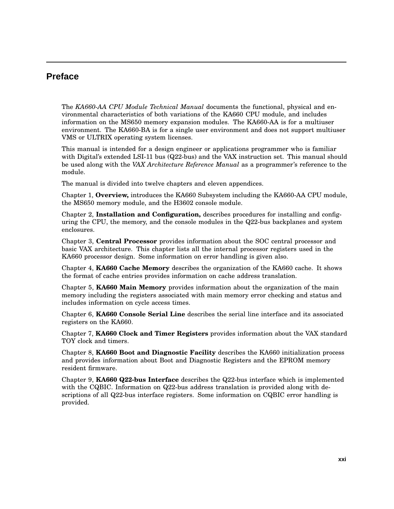# **Preface**

The *KA660-AA CPU Module Technical Manual* documents the functional, physical and environmental characteristics of both variations of the KA660 CPU module, and includes information on the MS650 memory expansion modules. The KA660-AA is for a multiuser environment. The KA660-BA is for a single user environment and does not support multiuser VMS or ULTRIX operating system licenses.

This manual is intended for a design engineer or applications programmer who is familiar with Digital's extended LSI-11 bus (Q22-bus) and the VAX instruction set. This manual should be used along with the *VAX Architecture Reference Manual* as a programmer's reference to the module.

The manual is divided into twelve chapters and eleven appendices.

Chapter 1, **Overview,** introduces the KA660 Subsystem including the KA660-AA CPU module, the MS650 memory module, and the H3602 console module.

Chapter 2, **Installation and Configuration,** describes procedures for installing and configuring the CPU, the memory, and the console modules in the Q22-bus backplanes and system enclosures.

Chapter 3, **Central Processor** provides information about the SOC central processor and basic VAX architecture. This chapter lists all the internal processor registers used in the KA660 processor design. Some information on error handling is given also.

Chapter 4, **KA660 Cache Memory** describes the organization of the KA660 cache. It shows the format of cache entries provides information on cache address translation.

Chapter 5, **KA660 Main Memory** provides information about the organization of the main memory including the registers associated with main memory error checking and status and includes information on cycle access times.

Chapter 6, **KA660 Console Serial Line** describes the serial line interface and its associated registers on the KA660.

Chapter 7, **KA660 Clock and Timer Registers** provides information about the VAX standard TOY clock and timers.

Chapter 8, **KA660 Boot and Diagnostic Facility** describes the KA660 initialization process and provides information about Boot and Diagnostic Registers and the EPROM memory resident firmware.

Chapter 9, **KA660 Q22-bus Interface** describes the Q22-bus interface which is implemented with the CQBIC. Information on Q22-bus address translation is provided along with descriptions of all Q22-bus interface registers. Some information on CQBIC error handling is provided.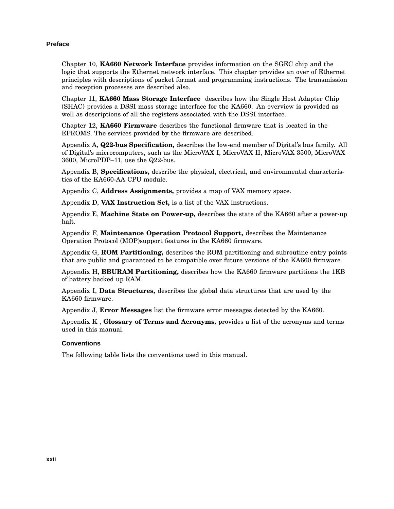#### **Preface**

Chapter 10, **KA660 Network Interface** provides information on the SGEC chip and the logic that supports the Ethernet network interface. This chapter provides an over of Ethernet principles with descriptions of packet format and programming instructions. The transmission and reception processes are described also.

Chapter 11, **KA660 Mass Storage Interface** describes how the Single Host Adapter Chip (SHAC) provides a DSSI mass storage interface for the KA660. An overview is provided as well as descriptions of all the registers associated with the DSSI interface.

Chapter 12, **KA660 Firmware** describes the functional firmware that is located in the EPROMS. The services provided by the firmware are described.

Appendix A, **Q22-bus Specification,** describes the low-end member of Digital's bus family. All of Digital's microcomputers, such as the MicroVAX I, MicroVAX II, MicroVAX 3500, MicroVAX 3600, MicroPDP–11, use the Q22-bus.

Appendix B, **Specifications,** describe the physical, electrical, and environmental characteristics of the KA660-AA CPU module.

Appendix C, **Address Assignments,** provides a map of VAX memory space.

Appendix D, **VAX Instruction Set,** is a list of the VAX instructions.

Appendix E, **Machine State on Power-up,** describes the state of the KA660 after a power-up halt.

Appendix F, **Maintenance Operation Protocol Support,** describes the Maintenance Operation Protocol (MOP)support features in the KA660 firmware.

Appendix G, **ROM Partitioning,** describes the ROM partitioning and subroutine entry points that are public and guaranteed to be compatible over future versions of the KA660 firmware.

Appendix H, **BBURAM Partitioning,** describes how the KA660 firmware partitions the 1KB of battery backed up RAM.

Appendix I, **Data Structures,** describes the global data structures that are used by the KA660 firmware.

Appendix J, **Error Messages** list the firmware error messages detected by the KA660.

Appendix K , **Glossary of Terms and Acronyms,** provides a list of the acronyms and terms used in this manual.

#### **Conventions**

The following table lists the conventions used in this manual.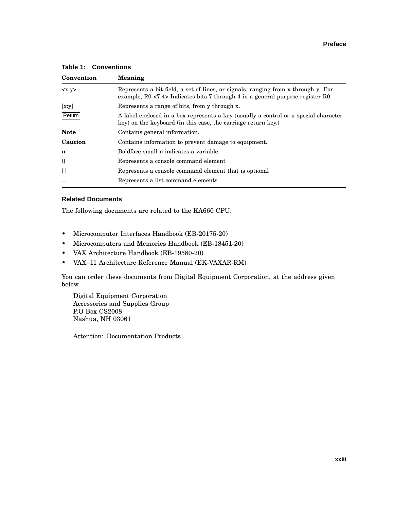| Convention     | Meaning                                                                                                                                                             |
|----------------|---------------------------------------------------------------------------------------------------------------------------------------------------------------------|
| < x: y>        | Represents a bit field, a set of lines, or signals, ranging from x through y. For<br>example, R0 <7:4> Indicates bits 7 through 4 in a general purpose register R0. |
| [x:y]          | Represents a range of bits, from y through x.                                                                                                                       |
| Return         | A label enclosed in a box represents a key (usually a control or a special character<br>key) on the keyboard (in this case, the carriage return key.)               |
| <b>Note</b>    | Contains general information.                                                                                                                                       |
| Caution        | Contains information to prevent damage to equipment.                                                                                                                |
| n              | Boldface small n indicates a variable.                                                                                                                              |
| $\{\}$         | Represents a console command element                                                                                                                                |
| $\mathfrak{g}$ | Represents a console command element that is optional                                                                                                               |
| $\cdots$       | Represents a list command elements                                                                                                                                  |

**Table 1: Conventions**

#### **Related Documents**

The following documents are related to the KA660 CPU.

- Microcomputer Interfaces Handbook (EB-20175-20)
- Microcomputers and Memories Handbook (EB-18451-20)
- VAX Architecture Handbook (EB-19580-20)
- VAX–11 Architecture Reference Manual (EK-VAXAR-RM)

You can order these documents from Digital Equipment Corporation, at the address given below.

Digital Equipment Corporation Accessories and Supplies Group P.O Box CS2008 Nashua, NH 03061

Attention: Documentation Products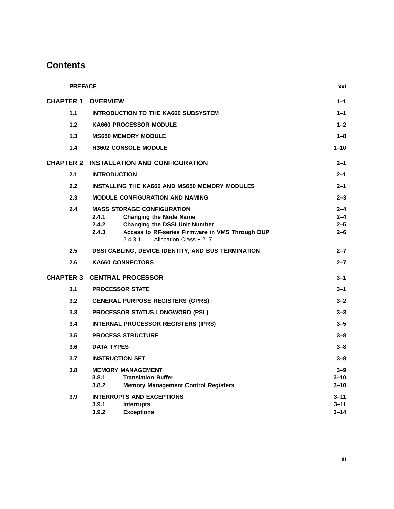|     | <b>PREFACE</b>                                                                                            | xxi                |
|-----|-----------------------------------------------------------------------------------------------------------|--------------------|
|     | <b>CHAPTER 1 OVERVIEW</b>                                                                                 | $1 - 1$            |
| 1.1 | <b>INTRODUCTION TO THE KA660 SUBSYSTEM</b>                                                                | $1 - 1$            |
| 1.2 | <b>KA660 PROCESSOR MODULE</b>                                                                             | $1 - 2$            |
| 1.3 | <b>MS650 MEMORY MODULE</b>                                                                                | $1 - 8$            |
| 1.4 | <b>H3602 CONSOLE MODULE</b>                                                                               | $1 - 10$           |
|     | <b>CHAPTER 2 INSTALLATION AND CONFIGURATION</b>                                                           | $2 - 1$            |
| 2.1 | <b>INTRODUCTION</b>                                                                                       | $2 - 1$            |
| 2.2 | <b>INSTALLING THE KA660 AND MS650 MEMORY MODULES</b>                                                      | $2 - 1$            |
| 2.3 | <b>MODULE CONFIGURATION AND NAMING</b>                                                                    | $2 - 3$            |
| 2.4 | <b>MASS STORAGE CONFIGURATION</b>                                                                         | $2 - 4$            |
|     | 2.4.1<br><b>Changing the Node Name</b>                                                                    | $2 - 4$            |
|     | 2.4.2<br><b>Changing the DSSI Unit Number</b><br>2.4.3<br>Access to RF-series Firmware in VMS Through DUP | $2 - 5$<br>$2 - 6$ |
|     | Allocation Class • 2-7<br>2.4.3.1                                                                         |                    |
| 2.5 | DSSI CABLING, DEVICE IDENTITY, AND BUS TERMINATION                                                        | $2 - 7$            |
| 2.6 | <b>KA660 CONNECTORS</b>                                                                                   | $2 - 7$            |
|     | <b>CHAPTER 3 CENTRAL PROCESSOR</b>                                                                        | $3 - 1$            |
| 3.1 | <b>PROCESSOR STATE</b>                                                                                    | $3 - 1$            |
| 3.2 | <b>GENERAL PURPOSE REGISTERS (GPRS)</b>                                                                   | $3 - 2$            |
| 3.3 | PROCESSOR STATUS LONGWORD (PSL)                                                                           | $3 - 3$            |
| 3.4 | INTERNAL PROCESSOR REGISTERS (IPRS)                                                                       | $3 - 5$            |
| 3.5 | <b>PROCESS STRUCTURE</b>                                                                                  | $3 - 8$            |
| 3.6 | <b>DATA TYPES</b>                                                                                         | $3 - 8$            |
| 3.7 | <b>INSTRUCTION SET</b>                                                                                    | $3 - 8$            |
| 3.8 | <b>MEMORY MANAGEMENT</b>                                                                                  | $3 - 9$            |
|     | 3.8.1<br><b>Translation Buffer</b>                                                                        | $3 - 10$           |
|     | 3.8.2<br><b>Memory Management Control Registers</b>                                                       | $3 - 10$           |
| 3.9 | <b>INTERRUPTS AND EXCEPTIONS</b>                                                                          | $3 - 11$           |
|     | 3.9.1<br><b>Interrupts</b>                                                                                | $3 - 11$           |
|     | 3.9.2<br><b>Exceptions</b>                                                                                | $3 - 14$           |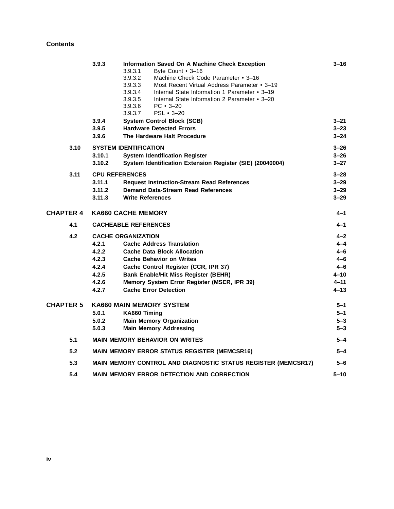|                  | 3.9.3                 | Information Saved On A Machine Check Exception<br>3.9.3.1<br>Byte Count • 3-16<br>3.9.3.2<br>Machine Check Code Parameter • 3-16<br>Most Recent Virtual Address Parameter • 3-19<br>3.9.3.3<br>3.9.3.4<br>Internal State Information 1 Parameter • 3-19<br>Internal State Information 2 Parameter • 3-20<br>3.9.3.5<br>3.9.3.6<br>$PC \cdot 3 - 20$<br>3.9.3.7<br>PSL • 3-20 | $3 - 16$             |
|------------------|-----------------------|------------------------------------------------------------------------------------------------------------------------------------------------------------------------------------------------------------------------------------------------------------------------------------------------------------------------------------------------------------------------------|----------------------|
|                  | 3.9.4<br>3.9.5        | <b>System Control Block (SCB)</b><br><b>Hardware Detected Errors</b>                                                                                                                                                                                                                                                                                                         | $3 - 21$<br>$3 - 23$ |
|                  | 3.9.6                 | The Hardware Halt Procedure                                                                                                                                                                                                                                                                                                                                                  | $3 - 24$             |
| 3.10             |                       | <b>SYSTEM IDENTIFICATION</b>                                                                                                                                                                                                                                                                                                                                                 | $3 - 26$             |
|                  | 3.10.1                | <b>System Identification Register</b>                                                                                                                                                                                                                                                                                                                                        | $3 - 26$             |
|                  | 3.10.2                | System Identification Extension Register (SIE) (20040004)                                                                                                                                                                                                                                                                                                                    | $3 - 27$             |
| 3.11             | <b>CPU REFERENCES</b> |                                                                                                                                                                                                                                                                                                                                                                              | $3 - 28$             |
|                  | 3.11.1                | <b>Request Instruction-Stream Read References</b>                                                                                                                                                                                                                                                                                                                            | $3 - 29$             |
|                  | 3.11.2                | <b>Demand Data-Stream Read References</b>                                                                                                                                                                                                                                                                                                                                    | $3 - 29$             |
|                  | 3.11.3                | <b>Write References</b>                                                                                                                                                                                                                                                                                                                                                      | $3 - 29$             |
| <b>CHAPTER 4</b> |                       | <b>KA660 CACHE MEMORY</b>                                                                                                                                                                                                                                                                                                                                                    | 4–1                  |
| 4.1              |                       | <b>CACHEABLE REFERENCES</b>                                                                                                                                                                                                                                                                                                                                                  | $4 - 1$              |
| 4.2              |                       | <b>CACHE ORGANIZATION</b>                                                                                                                                                                                                                                                                                                                                                    | $4 - 2$              |
|                  | 4.2.1                 | <b>Cache Address Translation</b>                                                                                                                                                                                                                                                                                                                                             | $4 - 4$              |
|                  | 4.2.2                 | <b>Cache Data Block Allocation</b>                                                                                                                                                                                                                                                                                                                                           | $4 - 6$              |
|                  | 4.2.3                 | <b>Cache Behavior on Writes</b>                                                                                                                                                                                                                                                                                                                                              | $4 - 6$              |
|                  | 4.2.4                 | Cache Control Register (CCR, IPR 37)                                                                                                                                                                                                                                                                                                                                         | $4 - 6$              |
|                  | 4.2.5                 | <b>Bank Enable/Hit Miss Register (BEHR)</b>                                                                                                                                                                                                                                                                                                                                  | $4 - 10$             |
|                  | 4.2.6                 | Memory System Error Register (MSER, IPR 39)                                                                                                                                                                                                                                                                                                                                  | $4 - 11$             |
|                  | 4.2.7                 | <b>Cache Error Detection</b>                                                                                                                                                                                                                                                                                                                                                 | $4 - 13$             |
| <b>CHAPTER 5</b> |                       | <b>KA660 MAIN MEMORY SYSTEM</b>                                                                                                                                                                                                                                                                                                                                              | $5 - 1$              |
|                  | 5.0.1                 | KA660 Timing                                                                                                                                                                                                                                                                                                                                                                 | $5 - 1$              |
|                  | 5.0.2                 | <b>Main Memory Organization</b>                                                                                                                                                                                                                                                                                                                                              | $5 - 3$              |
|                  | 5.0.3                 | <b>Main Memory Addressing</b>                                                                                                                                                                                                                                                                                                                                                | $5 - 3$              |
| 5.1              |                       | <b>MAIN MEMORY BEHAVIOR ON WRITES</b>                                                                                                                                                                                                                                                                                                                                        | $5 - 4$              |
| 5.2              |                       | <b>MAIN MEMORY ERROR STATUS REGISTER (MEMCSR16)</b>                                                                                                                                                                                                                                                                                                                          | $5 - 4$              |
| 5.3              |                       | MAIN MEMORY CONTROL AND DIAGNOSTIC STATUS REGISTER (MEMCSR17)                                                                                                                                                                                                                                                                                                                | 5-6                  |
| 5.4              |                       | <b>MAIN MEMORY ERROR DETECTION AND CORRECTION</b>                                                                                                                                                                                                                                                                                                                            | $5 - 10$             |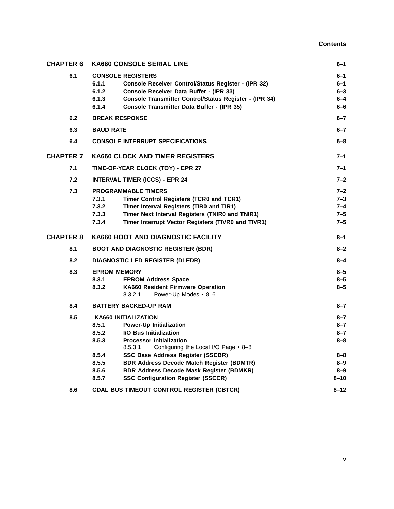| <b>CHAPTER 6</b> | <b>KA660 CONSOLE SERIAL LINE</b>                                                                                                                                                                                                                                                                                                                                                                                                             | $6 - 1$                                                               |
|------------------|----------------------------------------------------------------------------------------------------------------------------------------------------------------------------------------------------------------------------------------------------------------------------------------------------------------------------------------------------------------------------------------------------------------------------------------------|-----------------------------------------------------------------------|
| 6.1              | <b>CONSOLE REGISTERS</b><br>6.1.1<br>Console Receiver Control/Status Register - (IPR 32)<br>6.1.2<br>Console Receiver Data Buffer - (IPR 33)<br>6.1.3<br>Console Transmitter Control/Status Register - (IPR 34)<br>6.1.4<br>Console Transmitter Data Buffer - (IPR 35)                                                                                                                                                                       | 6–1<br>6–1<br>$6 - 3$<br>$6 - 4$<br>6–6                               |
| 6.2              | <b>BREAK RESPONSE</b>                                                                                                                                                                                                                                                                                                                                                                                                                        | $6 - 7$                                                               |
| 6.3              | <b>BAUD RATE</b>                                                                                                                                                                                                                                                                                                                                                                                                                             | $6 - 7$                                                               |
| 6.4              | <b>CONSOLE INTERRUPT SPECIFICATIONS</b>                                                                                                                                                                                                                                                                                                                                                                                                      | $6 - 8$                                                               |
| <b>CHAPTER 7</b> | <b>KA660 CLOCK AND TIMER REGISTERS</b>                                                                                                                                                                                                                                                                                                                                                                                                       | 7–1                                                                   |
| 7.1              | TIME-OF-YEAR CLOCK (TOY) - EPR 27                                                                                                                                                                                                                                                                                                                                                                                                            | $7 - 1$                                                               |
| 7.2              | <b>INTERVAL TIMER (ICCS) - EPR 24</b>                                                                                                                                                                                                                                                                                                                                                                                                        | $7 - 2$                                                               |
| 7.3              | <b>PROGRAMMABLE TIMERS</b><br>7.3.1<br>Timer Control Registers (TCR0 and TCR1)<br>7.3.2<br>Timer Interval Registers (TIR0 and TIR1)<br>7.3.3<br>Timer Next Interval Registers (TNIR0 and TNIR1)<br>Timer Interrupt Vector Registers (TIVR0 and TIVR1)<br>7.3.4                                                                                                                                                                               | $7 - 2$<br>$7 - 3$<br>$7 - 4$<br>$7 - 5$<br>$7 - 5$                   |
|                  |                                                                                                                                                                                                                                                                                                                                                                                                                                              |                                                                       |
| <b>CHAPTER 8</b> | KA660 BOOT AND DIAGNOSTIC FACILITY                                                                                                                                                                                                                                                                                                                                                                                                           | $8 - 1$                                                               |
| 8.1              | <b>BOOT AND DIAGNOSTIC REGISTER (BDR)</b>                                                                                                                                                                                                                                                                                                                                                                                                    | 8–2                                                                   |
| 8.2              | <b>DIAGNOSTIC LED REGISTER (DLEDR)</b>                                                                                                                                                                                                                                                                                                                                                                                                       | $8 - 4$                                                               |
| 8.3              | <b>EPROM MEMORY</b><br>8.3.1<br><b>EPROM Address Space</b><br>8.3.2<br><b>KA660 Resident Firmware Operation</b><br>8.3.2.1<br>Power-Up Modes • 8-6                                                                                                                                                                                                                                                                                           | 8–5<br>8-5<br>$8 - 5$                                                 |
| 8.4              | <b>BATTERY BACKED-UP RAM</b>                                                                                                                                                                                                                                                                                                                                                                                                                 | $8 - 7$                                                               |
| 8.5              | <b>KA660 INITIALIZATION</b><br>8.5.1<br><b>Power-Up Initialization</b><br>8.5.2<br><b>I/O Bus Initialization</b><br>8.5.3<br><b>Processor Initialization</b><br>8.5.3.1<br>Configuring the Local I/O Page • 8-8<br>8.5.4<br>SSC Base Address Register (SSCBR)<br>8.5.5<br><b>BDR Address Decode Match Register (BDMTR)</b><br>8.5.6<br><b>BDR Address Decode Mask Register (BDMKR)</b><br>8.5.7<br><b>SSC Configuration Register (SSCCR)</b> | 8–7<br>$8 - 7$<br>$8 - 7$<br>8–8<br>8–8<br>8–9<br>$8 - 9$<br>$8 - 10$ |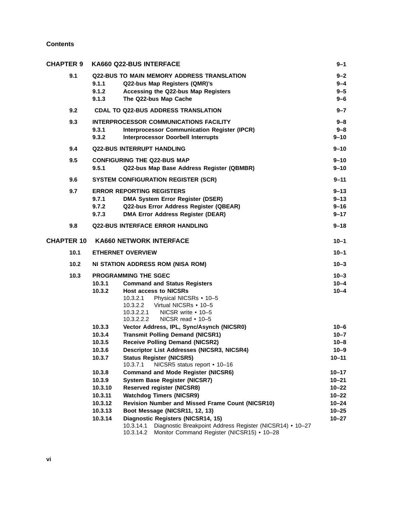| <b>CHAPTER 9</b>  | <b>KA660 Q22-BUS INTERFACE</b>                                                                                                   | 9–1       |
|-------------------|----------------------------------------------------------------------------------------------------------------------------------|-----------|
| 9.1               | <b>Q22-BUS TO MAIN MEMORY ADDRESS TRANSLATION</b>                                                                                | $9 - 2$   |
|                   | 9.1.1<br>Q22-bus Map Registers (QMR)'s                                                                                           | $9 - 4$   |
|                   | 9.1.2<br>Accessing the Q22-bus Map Registers                                                                                     | $9 - 5$   |
|                   | 9.1.3<br>The Q22-bus Map Cache                                                                                                   | $9 - 6$   |
| 9.2               | <b>CDAL TO Q22-BUS ADDRESS TRANSLATION</b>                                                                                       | $9 - 7$   |
| 9.3               | <b>INTERPROCESSOR COMMUNICATIONS FACILITY</b>                                                                                    | $9 - 8$   |
|                   | 9.3.1<br><b>Interprocessor Communication Register (IPCR)</b>                                                                     | $9 - 8$   |
|                   | 9.3.2<br><b>Interprocessor Doorbell Interrupts</b>                                                                               | $9 - 10$  |
| 9.4               | <b>Q22-BUS INTERRUPT HANDLING</b>                                                                                                | $9 - 10$  |
| 9.5               | <b>CONFIGURING THE Q22-BUS MAP</b>                                                                                               | $9 - 10$  |
|                   | 9.5.1<br>Q22-bus Map Base Address Register (QBMBR)                                                                               | 9–10      |
| 9.6               | <b>SYSTEM CONFIGURATION REGISTER (SCR)</b>                                                                                       | $9 - 11$  |
| 9.7               | <b>ERROR REPORTING REGISTERS</b>                                                                                                 | $9 - 13$  |
|                   | 9.7.1<br><b>DMA System Error Register (DSER)</b>                                                                                 | $9 - 13$  |
|                   | 9.7.2<br>Q22-bus Error Address Register (QBEAR)                                                                                  | 9–16      |
|                   | 9.7.3<br><b>DMA Error Address Register (DEAR)</b>                                                                                | $9 - 17$  |
| 9.8               | <b>Q22-BUS INTERFACE ERROR HANDLING</b>                                                                                          | $9 - 18$  |
| <b>CHAPTER 10</b> | <b>KA660 NETWORK INTERFACE</b>                                                                                                   |           |
| 10.1              | <b>ETHERNET OVERVIEW</b>                                                                                                         | $10 - 1$  |
| 10.2              | NI STATION ADDRESS ROM (NISA ROM)                                                                                                | $10 - 3$  |
| 10.3              | <b>PROGRAMMING THE SGEC</b>                                                                                                      | $10 - 3$  |
|                   | 10.3.1<br><b>Command and Status Registers</b>                                                                                    | $10 - 4$  |
|                   | 10.3.2<br><b>Host access to NICSRs</b>                                                                                           | $10 - 4$  |
|                   | Physical NICSRs • 10-5<br>10.3.2.1                                                                                               |           |
|                   | Virtual NICSRs • 10-5<br>10.3.2.2                                                                                                |           |
|                   | 10.3.2.2.1<br>NICSR write • 10-5                                                                                                 |           |
|                   | NICSR read $\cdot$ 10-5<br>10.3.2.2.2                                                                                            |           |
|                   | 10.3.3<br>Vector Address, IPL, Sync/Asynch (NICSR0)                                                                              | $10 - 6$  |
|                   | <b>Transmit Polling Demand (NICSR1)</b><br>10.3.4                                                                                | $10 - 7$  |
|                   | <b>Receive Polling Demand (NICSR2)</b><br>10.3.5                                                                                 | $10 - 8$  |
|                   | 10.3.6<br><b>Descriptor List Addresses (NICSR3, NICSR4)</b>                                                                      | 10–9      |
|                   | 10.3.7<br><b>Status Register (NICSR5)</b>                                                                                        | $10 - 11$ |
|                   | NICSR5 status report • 10-16<br>10.3.7.1                                                                                         |           |
|                   | <b>Command and Mode Register (NICSR6)</b><br>10.3.8                                                                              | $10 - 17$ |
|                   | 10.3.9<br><b>System Base Register (NICSR7)</b>                                                                                   | $10 - 21$ |
|                   | 10.3.10<br><b>Reserved register (NICSR8)</b>                                                                                     | $10 - 22$ |
|                   | <b>Watchdog Timers (NICSR9)</b><br>10.3.11                                                                                       | $10 - 22$ |
|                   | 10.3.12<br><b>Revision Number and Missed Frame Count (NICSR10)</b>                                                               | $10 - 24$ |
|                   | 10.3.13<br>Boot Message (NICSR11, 12, 13)                                                                                        | $10 - 25$ |
|                   | 10.3.14<br>Diagnostic Registers (NICSR14, 15)                                                                                    | $10 - 27$ |
|                   | 10.3.14.1<br>Diagnostic Breakpoint Address Register (NICSR14) • 10-27<br>Monitor Command Register (NICSR15) • 10-28<br>10.3.14.2 |           |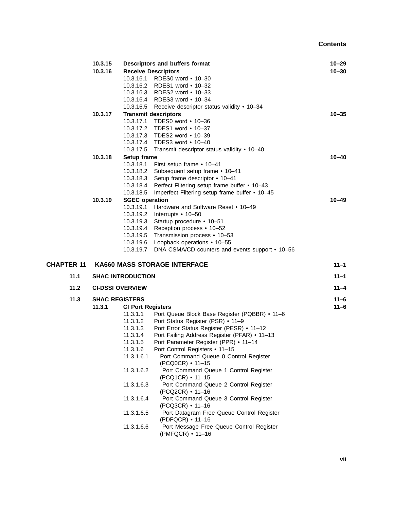|                   | 10.3.15<br>Descriptors and buffers format |                          | $10 - 29$                                                     |           |
|-------------------|-------------------------------------------|--------------------------|---------------------------------------------------------------|-----------|
|                   | 10.3.16                                   |                          | <b>Receive Descriptors</b>                                    | $10 - 30$ |
|                   |                                           |                          | 10.3.16.1 RDES0 word • 10-30                                  |           |
|                   |                                           |                          | 10.3.16.2 RDES1 word • 10-32                                  |           |
|                   |                                           |                          | 10.3.16.3 RDES2 word • 10-33                                  |           |
|                   |                                           |                          | 10.3.16.4 RDES3 word • 10-34                                  |           |
|                   |                                           |                          | 10.3.16.5 Receive descriptor status validity • 10-34          |           |
|                   | 10.3.17                                   |                          | <b>Transmit descriptors</b>                                   | $10 - 35$ |
|                   |                                           |                          | 10.3.17.1 TDES0 word • 10-36                                  |           |
|                   |                                           |                          | 10.3.17.2 TDES1 word • 10-37                                  |           |
|                   |                                           |                          | 10.3.17.3 TDES2 word • 10-39                                  |           |
|                   |                                           |                          | 10.3.17.4 TDES3 word • 10-40                                  |           |
|                   |                                           | 10.3.17.5                | Transmit descriptor status validity • 10-40                   |           |
|                   | 10.3.18                                   | Setup frame              |                                                               | $10 - 40$ |
|                   |                                           | 10.3.18.1                | First setup frame • 10-41                                     |           |
|                   |                                           | 10.3.18.2                | Subsequent setup frame • 10-41                                |           |
|                   |                                           | 10.3.18.3                | Setup frame descriptor • 10-41                                |           |
|                   |                                           | 10.3.18.4                | Perfect Filtering setup frame buffer • 10-43                  |           |
|                   |                                           | 10.3.18.5                | Imperfect Filtering setup frame buffer • 10-45                |           |
|                   | 10.3.19                                   | <b>SGEC</b> operation    |                                                               | $10 - 49$ |
|                   |                                           | 10.3.19.1                | Hardware and Software Reset • 10–49                           |           |
|                   |                                           |                          | 10.3.19.2 Interrupts • 10-50                                  |           |
|                   |                                           | 10.3.19.3                | Startup procedure • 10-51                                     |           |
|                   |                                           | 10.3.19.4                | Reception process • 10-52                                     |           |
|                   |                                           |                          | 10.3.19.5 Transmission process • 10-53                        |           |
|                   |                                           | 10.3.19.6                | Loopback operations • 10-55                                   |           |
|                   |                                           | 10.3.19.7                | DNA CSMA/CD counters and events support • 10-56               |           |
| <b>CHAPTER 11</b> |                                           |                          | <b>KA660 MASS STORAGE INTERFACE</b>                           | $11 - 1$  |
|                   |                                           |                          |                                                               |           |
| 11.1              |                                           | <b>SHAC INTRODUCTION</b> |                                                               | $11 - 1$  |
| 11.2              |                                           | <b>CI-DSSI OVERVIEW</b>  |                                                               | $11 - 4$  |
| 11.3              |                                           | <b>SHAC REGISTERS</b>    |                                                               | $11 - 6$  |
|                   | 11.3.1                                    | <b>CI Port Registers</b> |                                                               | $11 - 6$  |
|                   |                                           | 11.3.1.1                 | Port Queue Block Base Register (PQBBR) • 11-6                 |           |
|                   |                                           | 11.3.1.2                 | Port Status Register (PSR) • 11-9                             |           |
|                   |                                           | 11.3.1.3                 | Port Error Status Register (PESR) • 11-12                     |           |
|                   |                                           | 11.3.1.4                 | Port Failing Address Register (PFAR) • 11-13                  |           |
|                   |                                           | 11.3.1.5                 | Port Parameter Register (PPR) • 11-14                         |           |
|                   |                                           | 11.3.1.6                 | Port Control Registers • 11-15                                |           |
|                   |                                           | 11.3.1.6.1               | Port Command Queue 0 Control Register<br>(PCQ0CR) • 11-15     |           |
|                   |                                           | 11.3.1.6.2               | Port Command Queue 1 Control Register<br>(PCQ1CR) • 11-15     |           |
|                   |                                           | 11.3.1.6.3               | Port Command Queue 2 Control Register<br>(PCQ2CR) • 11-16     |           |
|                   |                                           | 11.3.1.6.4               | Port Command Queue 3 Control Register<br>(PCQ3CR) • 11-16     |           |
|                   |                                           | 11.3.1.6.5               | Port Datagram Free Queue Control Register<br>(PDFQCR) • 11-16 |           |
|                   |                                           | 11.3.1.6.6               | Port Message Free Queue Control Register                      |           |

(PMFQCR) • 11–16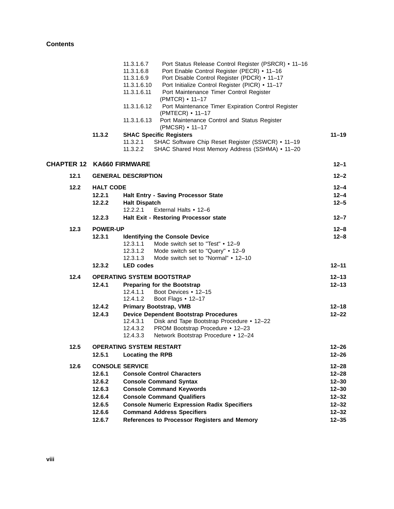|                                  |                                                                                              | 11.3.1.6.7<br>11.3.1.6.8<br>11.3.1.6.9<br>11.3.1.6.10<br>11.3.1.6.11<br>11.3.1.6.12<br>11.3.1.6.13 | Port Status Release Control Register (PSRCR) • 11-16<br>Port Enable Control Register (PECR) • 11-16<br>Port Disable Control Register (PDCR) • 11-17<br>Port Initialize Control Register (PICR) • 11-17<br>Port Maintenance Timer Control Register<br>(PMTCR) • 11-17<br>Port Maintenance Timer Expiration Control Register<br>(PMTECR) • 11-17<br>Port Maintenance Control and Status Register<br>$(PMCSR)$ • 11–17 |                                                                                                      |
|----------------------------------|----------------------------------------------------------------------------------------------|----------------------------------------------------------------------------------------------------|---------------------------------------------------------------------------------------------------------------------------------------------------------------------------------------------------------------------------------------------------------------------------------------------------------------------------------------------------------------------------------------------------------------------|------------------------------------------------------------------------------------------------------|
|                                  | 11.3.2                                                                                       | 11.3.2.1<br>11.3.2.2                                                                               | <b>SHAC Specific Registers</b><br>SHAC Software Chip Reset Register (SSWCR) • 11-19<br>SHAC Shared Host Memory Address (SSHMA) • 11-20                                                                                                                                                                                                                                                                              | $11 - 19$                                                                                            |
| <b>CHAPTER 12 KA660 FIRMWARE</b> |                                                                                              |                                                                                                    |                                                                                                                                                                                                                                                                                                                                                                                                                     | $12 - 1$                                                                                             |
| 12.1                             |                                                                                              | <b>GENERAL DESCRIPTION</b>                                                                         |                                                                                                                                                                                                                                                                                                                                                                                                                     | $12 - 2$                                                                                             |
| 12.2                             | <b>HALT CODE</b><br>12.2.1<br>12.2.2                                                         | <b>Halt Dispatch</b><br>12.2.2.1                                                                   | Halt Entry - Saving Processor State<br>External Halts • 12-6                                                                                                                                                                                                                                                                                                                                                        | $12 - 4$<br>$12 - 4$<br>$12 - 5$                                                                     |
|                                  | 12.2.3                                                                                       |                                                                                                    | Halt Exit - Restoring Processor state                                                                                                                                                                                                                                                                                                                                                                               | $12 - 7$                                                                                             |
| 12.3                             | <b>POWER-UP</b><br>12.3.1                                                                    | 12.3.1.1<br>12.3.1.2<br>12.3.1.3                                                                   | <b>Identifying the Console Device</b><br>Mode switch set to "Test" • 12-9<br>Mode switch set to "Query" • 12-9<br>Mode switch set to "Normal" • 12-10                                                                                                                                                                                                                                                               | $12 - 8$<br>$12 - 8$                                                                                 |
|                                  | 12.3.2                                                                                       | <b>LED</b> codes                                                                                   |                                                                                                                                                                                                                                                                                                                                                                                                                     | $12 - 11$                                                                                            |
| 12.4                             | 12.4.1                                                                                       | 12.4.1.1<br>12.4.1.2                                                                               | <b>OPERATING SYSTEM BOOTSTRAP</b><br><b>Preparing for the Bootstrap</b><br>Boot Devices • 12-15<br>Boot Flags • 12-17                                                                                                                                                                                                                                                                                               | $12 - 13$<br>$12 - 13$                                                                               |
|                                  | 12.4.2<br>12.4.3                                                                             | 12.4.3.1<br>12.4.3.2<br>12.4.3.3                                                                   | <b>Primary Bootstrap, VMB</b><br><b>Device Dependent Bootstrap Procedures</b><br>Disk and Tape Bootstrap Procedure • 12-22<br>PROM Bootstrap Procedure • 12-23<br>Network Bootstrap Procedure • 12-24                                                                                                                                                                                                               | $12 - 18$<br>$12 - 22$                                                                               |
| 12.5                             | 12.5.1                                                                                       | <b>OPERATING SYSTEM RESTART</b><br><b>Locating the RPB</b>                                         |                                                                                                                                                                                                                                                                                                                                                                                                                     | $12 - 26$<br>$12 - 26$                                                                               |
| 12.6                             | <b>CONSOLE SERVICE</b><br>12.6.1<br>12.6.2<br>12.6.3<br>12.6.4<br>12.6.5<br>12.6.6<br>12.6.7 |                                                                                                    | <b>Console Control Characters</b><br><b>Console Command Syntax</b><br><b>Console Command Keywords</b><br><b>Console Command Qualifiers</b><br><b>Console Numeric Expression Radix Specifiers</b><br><b>Command Address Specifiers</b><br>References to Processor Registers and Memory                                                                                                                               | $12 - 28$<br>$12 - 28$<br>$12 - 30$<br>$12 - 30$<br>$12 - 32$<br>$12 - 32$<br>$12 - 32$<br>$12 - 35$ |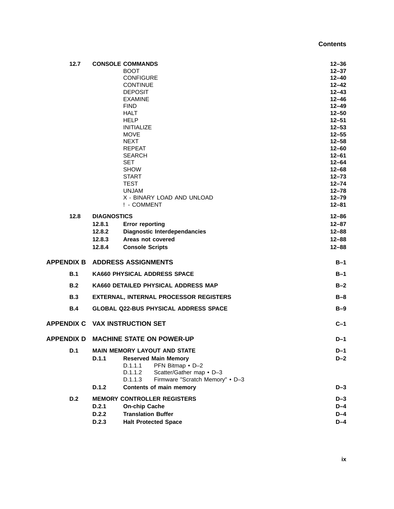| 12.7       |                    | <b>CONSOLE COMMANDS</b>                       | $12 - 36$              |
|------------|--------------------|-----------------------------------------------|------------------------|
|            |                    | <b>BOOT</b>                                   | $12 - 37$              |
|            |                    | <b>CONFIGURE</b>                              | $12 - 40$              |
|            |                    | <b>CONTINUE</b>                               | $12 - 42$              |
|            |                    | <b>DEPOSIT</b>                                | $12 - 43$              |
|            |                    | <b>EXAMINE</b>                                | $12 - 46$              |
|            |                    | <b>FIND</b>                                   | $12 - 49$              |
|            |                    | <b>HALT</b><br><b>HELP</b>                    | $12 - 50$<br>$12 - 51$ |
|            |                    | <b>INITIALIZE</b>                             | $12 - 53$              |
|            |                    | <b>MOVE</b>                                   | $12 - 55$              |
|            |                    | <b>NEXT</b>                                   | $12 - 58$              |
|            |                    | <b>REPEAT</b>                                 | $12 - 60$              |
|            |                    | <b>SEARCH</b>                                 | $12 - 61$              |
|            |                    | <b>SET</b>                                    | $12 - 64$              |
|            |                    | <b>SHOW</b>                                   | $12 - 68$              |
|            |                    | <b>START</b>                                  | $12 - 73$              |
|            |                    | <b>TEST</b>                                   | $12 - 74$              |
|            |                    | <b>UNJAM</b>                                  | $12 - 78$              |
|            |                    | X - BINARY LOAD AND UNLOAD                    | $12 - 79$              |
|            |                    | ! - COMMENT                                   | $12 - 81$              |
| 12.8       | <b>DIAGNOSTICS</b> |                                               | $12 - 86$              |
|            | 12.8.1             | <b>Error reporting</b>                        | $12 - 87$              |
|            | 12.8.2             | <b>Diagnostic Interdependancies</b>           | $12 - 88$              |
|            | 12.8.3             | Areas not covered                             | $12 - 88$              |
|            | 12.8.4             | <b>Console Scripts</b>                        | $12 - 88$              |
|            |                    | <b>APPENDIX B ADDRESS ASSIGNMENTS</b>         | $B-1$                  |
| B.1        |                    | <b>KA660 PHYSICAL ADDRESS SPACE</b>           | $B-1$                  |
| B.2        |                    | KA660 DETAILED PHYSICAL ADDRESS MAP           | $B-2$                  |
| B.3        |                    | <b>EXTERNAL, INTERNAL PROCESSOR REGISTERS</b> | $B-8$                  |
|            |                    |                                               |                        |
| <b>B.4</b> |                    | <b>GLOBAL Q22-BUS PHYSICAL ADDRESS SPACE</b>  | $B-9$                  |
|            |                    | <b>APPENDIX C VAX INSTRUCTION SET</b>         | $C-1$                  |
|            |                    | <b>APPENDIX D MACHINE STATE ON POWER-UP</b>   | $D-1$                  |
| D.1        |                    | <b>MAIN MEMORY LAYOUT AND STATE</b>           | D-1                    |
|            | D.1.1              | <b>Reserved Main Memory</b>                   | $D-2$                  |
|            |                    | D.1.1.1<br>PFN Bitmap • D-2                   |                        |
|            |                    | D.1.1.2<br>Scatter/Gather map • D-3           |                        |
|            |                    | Firmware "Scratch Memory" . D-3<br>D.1.1.3    |                        |
|            | D.1.2              | Contents of main memory                       | $D-3$                  |
| D.2        |                    | <b>MEMORY CONTROLLER REGISTERS</b>            | $D-3$                  |
|            | D.2.1              | <b>On-chip Cache</b>                          | $D-4$                  |
|            | D.2.2              | <b>Translation Buffer</b>                     | $D-4$                  |
|            | D.2.3              | <b>Halt Protected Space</b>                   | $D-4$                  |
|            |                    |                                               |                        |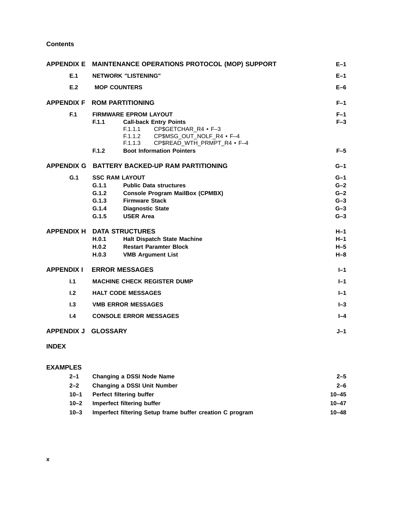|                     | APPENDIX E MAINTENANCE OPERATIONS PROTOCOL (MOP) SUPPORT                                                                                                                                                                              |                                                    |  |
|---------------------|---------------------------------------------------------------------------------------------------------------------------------------------------------------------------------------------------------------------------------------|----------------------------------------------------|--|
| E.1                 | <b>NETWORK "LISTENING"</b>                                                                                                                                                                                                            | $E-1$                                              |  |
| E.2                 | <b>MOP COUNTERS</b>                                                                                                                                                                                                                   | $E-6$                                              |  |
|                     | APPENDIX F ROM PARTITIONING                                                                                                                                                                                                           | $F-1$                                              |  |
| F.1                 | <b>FIRMWARE EPROM LAYOUT</b><br>F.1.1<br><b>Call-back Entry Points</b><br>CP\$GETCHAR R4 · F-3<br>F.1.1.1<br>F.1.1.2 CP\$MSG_OUT_NOLF_R4 · F-4<br>F.1.1.3<br>CP\$READ_WTH_PRMPT_R4 . F-4<br><b>Boot Information Pointers</b><br>F.1.2 | $F-1$<br>$F-3$<br>$F-5$                            |  |
| <b>APPENDIX G</b>   | <b>BATTERY BACKED-UP RAM PARTITIONING</b>                                                                                                                                                                                             | $G-1$                                              |  |
| G.1                 | <b>SSC RAM LAYOUT</b><br>G.1.1<br><b>Public Data structures</b><br>G.1.2<br><b>Console Program MailBox (CPMBX)</b><br>G.1.3<br><b>Firmware Stack</b><br>G.1.4<br><b>Diagnostic State</b><br><b>USER Area</b><br>G.1.5                 | $G-1$<br>$G-2$<br>$G-2$<br>$G-3$<br>$G-3$<br>$G-3$ |  |
|                     | <b>APPENDIX H DATA STRUCTURES</b><br>H.0.1<br>Halt Dispatch State Machine<br><b>Restart Paramter Block</b><br>H.0.2<br>H.0.3<br><b>VMB Argument List</b>                                                                              | $H-1$<br>$H-1$<br>$H-5$<br>$H - 8$                 |  |
| <b>APPENDIX I</b>   | <b>ERROR MESSAGES</b>                                                                                                                                                                                                                 | $I - 1$                                            |  |
| 1.1                 | <b>MACHINE CHECK REGISTER DUMP</b><br>$I - 1$                                                                                                                                                                                         |                                                    |  |
| 1.2                 | <b>HALT CODE MESSAGES</b>                                                                                                                                                                                                             |                                                    |  |
| 1.3                 | <b>VMB ERROR MESSAGES</b>                                                                                                                                                                                                             |                                                    |  |
| 1.4                 | <b>CONSOLE ERROR MESSAGES</b>                                                                                                                                                                                                         | $I - 4$                                            |  |
| APPENDIX J GLOSSARY |                                                                                                                                                                                                                                       |                                                    |  |
| <b>INDEX</b>        |                                                                                                                                                                                                                                       |                                                    |  |

#### **EXAMPLES**

| $2 - 1$  | Changing a DSSI Node Name                                 | $2 - 5$   |
|----------|-----------------------------------------------------------|-----------|
| $2 - 2$  | <b>Changing a DSSI Unit Number</b>                        | $2 - 6$   |
| $10 - 1$ | Perfect filtering buffer                                  | $10 - 45$ |
| $10 - 2$ | Imperfect filtering buffer                                | $10 - 47$ |
| $10 - 3$ | Imperfect filtering Setup frame buffer creation C program | $10 - 48$ |
|          |                                                           |           |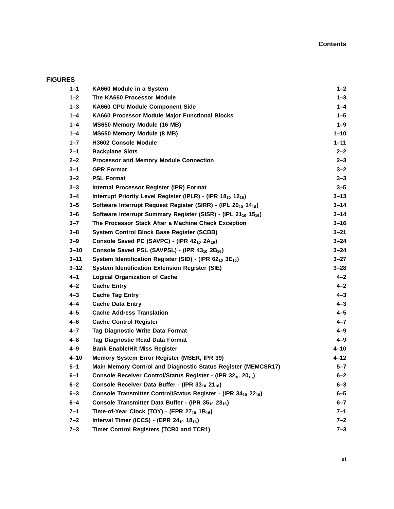# **FIGURES**

| $1 - 1$  | KA660 Module in a System                                                               | $1 - 2$  |
|----------|----------------------------------------------------------------------------------------|----------|
| $1 - 2$  | The KA660 Processor Module                                                             | $1 - 3$  |
| $1 - 3$  | KA660 CPU Module Component Side                                                        | $1 - 4$  |
| $1 - 4$  | KA660 Processor Module Major Functional Blocks                                         | $1 - 5$  |
| $1 - 4$  | MS650 Memory Module (16 MB)                                                            | $1 - 9$  |
| $1 - 4$  | MS650 Memory Module (8 MB)                                                             | $1 - 10$ |
| $1 - 7$  | H3602 Console Module                                                                   | $1 - 11$ |
| $2 - 1$  | <b>Backplane Slots</b>                                                                 | $2 - 2$  |
| $2 - 2$  | <b>Processor and Memory Module Connection</b>                                          | $2 - 3$  |
| $3 - 1$  | <b>GPR Format</b>                                                                      | $3 - 2$  |
| $3 - 2$  | <b>PSL Format</b>                                                                      | $3 - 3$  |
| $3 - 3$  | Internal Processor Register (IPR) Format                                               | $3 - 5$  |
| $3 - 4$  | Interrupt Priority Level Register (IPLR) - (IPR 18 <sub>10</sub> 12 <sub>16</sub> )    | $3 - 13$ |
| $3 - 5$  | Software Interrupt Request Register (SIRR) - (IPL 20 <sub>10</sub> 14 <sub>16</sub> )  | $3 - 14$ |
| $3 - 6$  | Software Interrupt Summary Register (SISR) - (IPL 21 <sub>10</sub> 15 <sub>16</sub> )  | $3 - 14$ |
| $3 - 7$  | The Processor Stack After a Machine Check Exception                                    | $3 - 16$ |
| $3 - 8$  | System Control Block Base Register (SCBB)                                              | $3 - 21$ |
| $3 - 9$  | Console Saved PC (SAVPC) - (IPR 42 <sub>10</sub> 2A <sub>16</sub> )                    | $3 - 24$ |
| $3 - 10$ | Console Saved PSL (SAVPSL) - (IPR 43 <sub>10</sub> 2B <sub>16</sub> )                  | $3 - 24$ |
| $3 - 11$ | System Identification Register (SID) - (IPR 62 <sub>10</sub> 3E <sub>16</sub> )        | $3 - 27$ |
| $3 - 12$ | <b>System Identification Extension Register (SIE)</b>                                  | $3 - 28$ |
| $4 - 1$  | <b>Logical Organization of Cache</b>                                                   | $4 - 2$  |
| 4–2      | <b>Cache Entry</b>                                                                     | $4 - 2$  |
| $4 - 3$  | <b>Cache Tag Entry</b>                                                                 | $4 - 3$  |
| 4-4      | <b>Cache Data Entry</b>                                                                | $4 - 3$  |
| 4–5      | <b>Cache Address Translation</b>                                                       | $4 - 5$  |
| $4 - 6$  | <b>Cache Control Register</b>                                                          | $4 - 7$  |
| $4 - 7$  | Tag Diagnostic Write Data Format                                                       | $4 - 9$  |
| $4 - 8$  | Tag Diagnostic Read Data Format                                                        | 4–9      |
| $4 - 9$  | <b>Bank Enable/Hit Miss Register</b>                                                   | 4-10     |
| $4 - 10$ | Memory System Error Register (MSER, IPR 39)                                            | $4 - 12$ |
| $5 - 1$  | Main Memory Control and Diagnostic Status Register (MEMCSR17)                          | $5 - 7$  |
| 6–1      | Console Receiver Control/Status Register - (IPR 32 <sub>10</sub> 20 <sub>16</sub> )    | $6 - 2$  |
| $6 - 2$  | Console Receiver Data Buffer - (IPR 3310 2116)                                         | $6 - 3$  |
| $6 - 3$  | Console Transmitter Control/Status Register - (IPR 34 <sub>10</sub> 22 <sub>16</sub> ) | $6 - 5$  |
| $6 - 4$  | Console Transmitter Data Buffer - (IPR 35 <sub>10</sub> 23 <sub>16</sub> )             | $6 - 7$  |
| $7 - 1$  | Time-of-Year Clock (TOY) - (EPR 27 <sub>10</sub> 1B <sub>16</sub> )                    | $7 - 1$  |
| $7 - 2$  | Interval Timer (ICCS) - (EPR 24 <sub>10</sub> 18 <sub>16</sub> )                       | 7–2      |
| $7 - 3$  | Timer Control Registers (TCR0 and TCR1)                                                | $7 - 3$  |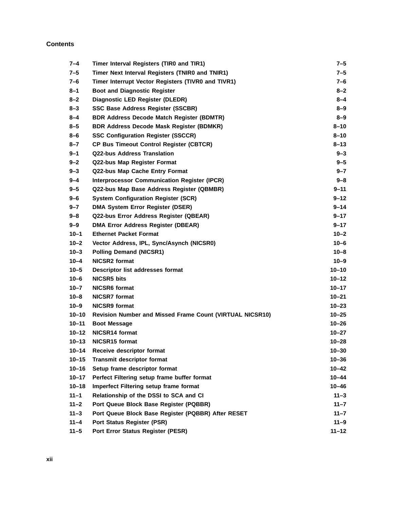| $7 - 4$   | Timer Interval Registers (TIR0 and TIR1)                        | 7–5       |
|-----------|-----------------------------------------------------------------|-----------|
| $7 - 5$   | Timer Next Interval Registers (TNIR0 and TNIR1)                 | 7–5       |
| 7–6       | Timer Interrupt Vector Registers (TIVR0 and TIVR1)              | 7–6       |
| $8 - 1$   | <b>Boot and Diagnostic Register</b>                             | 8–2       |
| $8 - 2$   | Diagnostic LED Register (DLEDR)                                 | 8–4       |
| $8 - 3$   | <b>SSC Base Address Register (SSCBR)</b>                        | 8–9       |
| $8 - 4$   | <b>BDR Address Decode Match Register (BDMTR)</b>                | $8 - 9$   |
| $8 - 5$   | <b>BDR Address Decode Mask Register (BDMKR)</b>                 | $8 - 10$  |
| 8-6       | <b>SSC Configuration Register (SSCCR)</b>                       | $8 - 10$  |
| $8 - 7$   | <b>CP Bus Timeout Control Register (CBTCR)</b>                  | $8 - 13$  |
| $9 - 1$   | <b>Q22-bus Address Translation</b>                              | 9–3       |
| $9 - 2$   | Q22-bus Map Register Format                                     | $9 - 5$   |
| $9 - 3$   | Q22-bus Map Cache Entry Format                                  | $9 - 7$   |
| $9 - 4$   | <b>Interprocessor Communication Register (IPCR)</b>             | 9–8       |
| $9 - 5$   | Q22-bus Map Base Address Register (QBMBR)                       | 9–11      |
| $9 - 6$   | <b>System Configuration Register (SCR)</b>                      | 9–12      |
| $9 - 7$   | <b>DMA System Error Register (DSER)</b>                         | $9 - 14$  |
| $9 - 8$   | Q22-bus Error Address Register (QBEAR)                          | $9 - 17$  |
| $9 - 9$   | <b>DMA Error Address Register (DBEAR)</b>                       | $9 - 17$  |
| $10 - 1$  | <b>Ethernet Packet Format</b>                                   | $10 - 2$  |
| $10 - 2$  | Vector Address, IPL, Sync/Asynch (NICSR0)                       | $10 - 6$  |
| $10 - 3$  | <b>Polling Demand (NICSR1)</b>                                  | $10 - 8$  |
| 10–4      | <b>NICSR2</b> format                                            | $10 - 9$  |
| $10 - 5$  | Descriptor list addresses format                                | $10 - 10$ |
| $10 - 6$  | <b>NICSR5 bits</b>                                              | $10 - 12$ |
| $10 - 7$  | <b>NICSR6 format</b>                                            | $10 - 17$ |
| $10 - 8$  | <b>NICSR7</b> format                                            | $10 - 21$ |
| $10 - 9$  | <b>NICSR9</b> format                                            | $10 - 23$ |
| $10 - 10$ | <b>Revision Number and Missed Frame Count (VIRTUAL NICSR10)</b> | $10 - 25$ |
| $10 - 11$ | <b>Boot Message</b>                                             | $10 - 26$ |
| $10 - 12$ | NICSR14 format                                                  | $10 - 27$ |
| $10 - 13$ | NICSR15 format                                                  | $10 - 28$ |
| $10 - 14$ | Receive descriptor format                                       | $10 - 30$ |
| $10 - 15$ | <b>Transmit descriptor format</b>                               | $10 - 36$ |
| $10 - 16$ | Setup frame descriptor format                                   | $10 - 42$ |
| $10 - 17$ | Perfect Filtering setup frame buffer format                     | $10 - 44$ |
| $10 - 18$ | Imperfect Filtering setup frame format                          | $10 - 46$ |
| $11 - 1$  | Relationship of the DSSI to SCA and CI                          | $11 - 3$  |
| $11 - 2$  | Port Queue Block Base Register (PQBBR)                          | $11 - 7$  |
| $11 - 3$  | Port Queue Block Base Register (PQBBR) After RESET              | $11 - 7$  |
| $11 - 4$  | <b>Port Status Register (PSR)</b>                               | $11 - 9$  |
| $11 - 5$  | Port Error Status Register (PESR)                               | $11 - 12$ |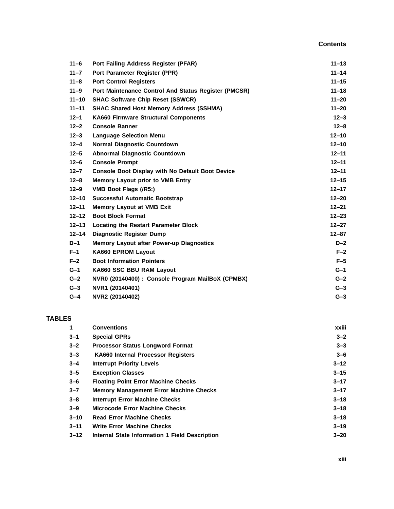| $11 - 6$  | Port Failing Address Register (PFAR)                    | $11 - 13$ |
|-----------|---------------------------------------------------------|-----------|
| $11 - 7$  | Port Parameter Register (PPR)                           | $11 - 14$ |
| $11 - 8$  | <b>Port Control Registers</b>                           | $11 - 15$ |
| $11 - 9$  | Port Maintenance Control And Status Register (PMCSR)    | $11 - 18$ |
| $11 - 10$ | <b>SHAC Software Chip Reset (SSWCR)</b>                 | $11 - 20$ |
| $11 - 11$ | <b>SHAC Shared Host Memory Address (SSHMA)</b>          | $11 - 20$ |
| $12 - 1$  | <b>KA660 Firmware Structural Components</b>             | $12 - 3$  |
| $12 - 2$  | <b>Console Banner</b>                                   | $12 - 8$  |
| $12 - 3$  | <b>Language Selection Menu</b>                          | $12 - 10$ |
| $12 - 4$  | <b>Normal Diagnostic Countdown</b>                      | $12 - 10$ |
| $12 - 5$  | <b>Abnormal Diagnostic Countdown</b>                    | $12 - 11$ |
| $12 - 6$  | <b>Console Prompt</b>                                   | $12 - 11$ |
| $12 - 7$  | <b>Console Boot Display with No Default Boot Device</b> | $12 - 11$ |
| $12 - 8$  | <b>Memory Layout prior to VMB Entry</b>                 | $12 - 15$ |
| $12 - 9$  | VMB Boot Flags (/R5:)                                   | $12 - 17$ |
| $12 - 10$ | <b>Successful Automatic Bootstrap</b>                   | $12 - 20$ |
| $12 - 11$ | <b>Memory Layout at VMB Exit</b>                        | $12 - 21$ |
| $12 - 12$ | <b>Boot Block Format</b>                                | $12 - 23$ |
| $12 - 13$ | <b>Locating the Restart Parameter Block</b>             | $12 - 27$ |
| $12 - 14$ | <b>Diagnostic Register Dump</b>                         | $12 - 87$ |
| $D-1$     | <b>Memory Layout after Power-up Diagnostics</b>         | $D-2$     |
| $F-1$     | <b>KA660 EPROM Layout</b>                               | $F-2$     |
| $F-2$     | <b>Boot Information Pointers</b>                        | $F-5$     |
| $G-1$     | KA660 SSC BBU RAM Layout                                | $G-1$     |
| $G-2$     | NVR0 (20140400) : Console Program MailBoX (CPMBX)       | $G-2$     |
| $G-3$     | NVR1 (20140401)                                         | $G-3$     |
| $G-4$     | NVR2 (20140402)                                         | $G-3$     |

## **TABLES**

| 1        | <b>Conventions</b>                             | xxiii    |
|----------|------------------------------------------------|----------|
| $3 - 1$  | <b>Special GPRs</b>                            | $3 - 2$  |
| $3 - 2$  | <b>Processor Status Longword Format</b>        | $3 - 3$  |
| $3 - 3$  | <b>KA660 Internal Processor Registers</b>      | $3 - 6$  |
| $3 - 4$  | <b>Interrupt Priority Levels</b>               | $3 - 12$ |
| $3 - 5$  | <b>Exception Classes</b>                       | $3 - 15$ |
| $3 - 6$  | <b>Floating Point Error Machine Checks</b>     | $3 - 17$ |
| $3 - 7$  | <b>Memory Management Error Machine Checks</b>  | $3 - 17$ |
| $3 - 8$  | <b>Interrupt Error Machine Checks</b>          | $3 - 18$ |
| $3 - 9$  | <b>Microcode Error Machine Checks</b>          | $3 - 18$ |
| $3 - 10$ | <b>Read Error Machine Checks</b>               | $3 - 18$ |
| $3 - 11$ | <b>Write Error Machine Checks</b>              | $3 - 19$ |
| $3 - 12$ | Internal State Information 1 Field Description | $3 - 20$ |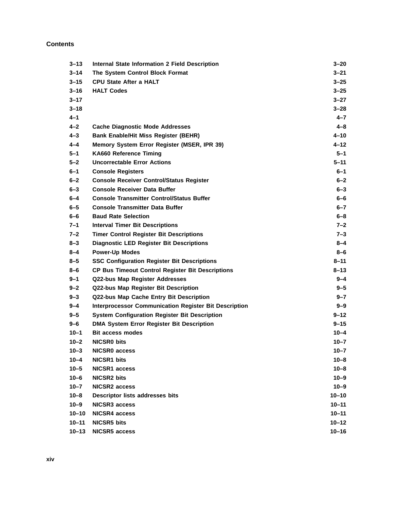| $3 - 13$  | <b>Internal State Information 2 Field Description</b>        | 3–20      |
|-----------|--------------------------------------------------------------|-----------|
| $3 - 14$  | The System Control Block Format                              | 3–21      |
| $3 - 15$  | <b>CPU State After a HALT</b>                                | $3 - 25$  |
| $3 - 16$  | <b>HALT Codes</b>                                            | $3 - 25$  |
| $3 - 17$  |                                                              | $3 - 27$  |
| $3 - 18$  |                                                              | $3 - 28$  |
| $4 - 1$   |                                                              | $4 - 7$   |
| $4 - 2$   | <b>Cache Diagnostic Mode Addresses</b>                       | $4 - 8$   |
| $4 - 3$   | <b>Bank Enable/Hit Miss Register (BEHR)</b>                  | 4-10      |
| $4 - 4$   | Memory System Error Register (MSER, IPR 39)                  | $4 - 12$  |
| $5 - 1$   | KA660 Reference Timing                                       | $5 - 1$   |
| $5 - 2$   | <b>Uncorrectable Error Actions</b>                           | $5 - 11$  |
| 6–1       | <b>Console Registers</b>                                     | 6–1       |
| $6 - 2$   | <b>Console Receiver Control/Status Register</b>              | $6 - 2$   |
| $6 - 3$   | <b>Console Receiver Data Buffer</b>                          | $6 - 3$   |
| 6–4       | <b>Console Transmitter Control/Status Buffer</b>             | 6–6       |
| $6 - 5$   | <b>Console Transmitter Data Buffer</b>                       | $6 - 7$   |
| 6–6       | <b>Baud Rate Selection</b>                                   | $6 - 8$   |
| 7–1       | <b>Interval Timer Bit Descriptions</b>                       | $7 - 2$   |
| $7 - 2$   | <b>Timer Control Register Bit Descriptions</b>               | $7 - 3$   |
| $8 - 3$   | <b>Diagnostic LED Register Bit Descriptions</b>              | $8 - 4$   |
| $8 - 4$   | <b>Power-Up Modes</b>                                        | 8-6       |
| $8 - 5$   | <b>SSC Configuration Register Bit Descriptions</b>           | $8 - 11$  |
| 8-6       | <b>CP Bus Timeout Control Register Bit Descriptions</b>      | 8–13      |
| 9–1       | Q22-bus Map Register Addresses                               | $9 - 4$   |
| $9 - 2$   | Q22-bus Map Register Bit Description                         | $9 - 5$   |
| $9 - 3$   | Q22-bus Map Cache Entry Bit Description                      | $9 - 7$   |
| $9 - 4$   | <b>Interprocessor Communication Register Bit Description</b> | $9 - 9$   |
| $9 - 5$   | <b>System Configuration Register Bit Description</b>         | $9 - 12$  |
| $9 - 6$   | <b>DMA System Error Register Bit Description</b>             | $9 - 15$  |
| $10 - 1$  | Bit access modes                                             | $10 - 4$  |
| $10 - 2$  | <b>NICSRO bits</b>                                           | $10 - 7$  |
| $10 - 3$  | NICSR0 access                                                | $10 - 7$  |
| $10 - 4$  | <b>NICSR1 bits</b>                                           | $10 - 8$  |
| $10 - 5$  | <b>NICSR1 access</b>                                         | $10 - 8$  |
| $10 - 6$  | <b>NICSR2 bits</b>                                           | $10 - 9$  |
| $10 - 7$  | <b>NICSR2 access</b>                                         | $10 - 9$  |
| $10 - 8$  | Descriptor lists addresses bits                              | $10 - 10$ |
| $10 - 9$  | <b>NICSR3 access</b>                                         | $10 - 11$ |
| $10 - 10$ | <b>NICSR4 access</b>                                         | $10 - 11$ |
| $10 - 11$ | <b>NICSR5</b> bits                                           | $10 - 12$ |
| $10 - 13$ | <b>NICSR5 access</b>                                         | $10 - 16$ |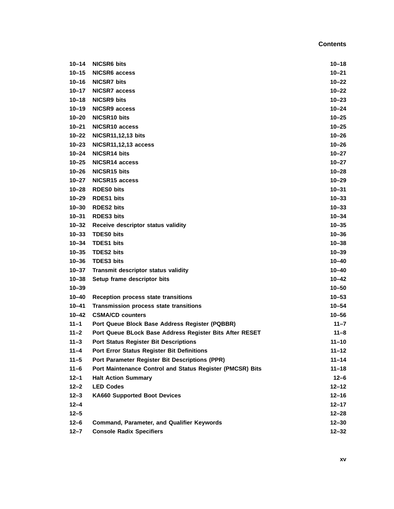| $10 - 14$ | <b>NICSR6 bits</b>                                        | $10 - 18$ |
|-----------|-----------------------------------------------------------|-----------|
| $10 - 15$ | NICSR6 access                                             | $10 - 21$ |
| $10 - 16$ | <b>NICSR7 bits</b>                                        | $10 - 22$ |
| 10–17     | <b>NICSR7 access</b>                                      | $10 - 22$ |
| $10 - 18$ | <b>NICSR9 bits</b>                                        | $10 - 23$ |
| $10 - 19$ | <b>NICSR9 access</b>                                      | $10 - 24$ |
| $10 - 20$ | <b>NICSR10 bits</b>                                       | $10 - 25$ |
| $10 - 21$ | NICSR10 access                                            | $10 - 25$ |
| 10–22     | <b>NICSR11,12,13 bits</b>                                 | $10 - 26$ |
| $10 - 23$ | <b>NICSR11,12,13 access</b>                               | $10 - 26$ |
| $10 - 24$ | NICSR14 bits                                              | $10 - 27$ |
| $10 - 25$ | NICSR14 access                                            | $10 - 27$ |
| $10 - 26$ | NICSR15 bits                                              | $10 - 28$ |
| $10 - 27$ | NICSR <sub>15</sub> access                                | $10 - 29$ |
| 10–28     | <b>RDES0 bits</b>                                         | $10 - 31$ |
| $10 - 29$ | <b>RDES1 bits</b>                                         | $10 - 33$ |
| $10 - 30$ | <b>RDES2 bits</b>                                         | $10 - 33$ |
| $10 - 31$ | <b>RDES3 bits</b>                                         | $10 - 34$ |
| $10 - 32$ | Receive descriptor status validity                        | $10 - 35$ |
| $10 - 33$ | <b>TDES0 bits</b>                                         | $10 - 36$ |
| $10 - 34$ | <b>TDES1 bits</b>                                         | $10 - 38$ |
| $10 - 35$ | <b>TDES2 bits</b>                                         | $10 - 39$ |
| $10 - 36$ | <b>TDES3 bits</b>                                         | $10 - 40$ |
| $10 - 37$ | Transmit descriptor status validity                       | $10 - 40$ |
| $10 - 38$ | Setup frame descriptor bits                               | $10 - 42$ |
| $10 - 39$ |                                                           | $10 - 50$ |
| $10 - 40$ | Reception process state transitions                       | $10 - 53$ |
| $10 - 41$ | Transmission process state transitions                    | $10 - 54$ |
| $10 - 42$ | <b>CSMA/CD counters</b>                                   | $10 - 56$ |
| $11 - 1$  | Port Queue Block Base Address Register (PQBBR)            | $11 - 7$  |
| $11 - 2$  | Port Queue BLock Base Address Register Bits After RESET   | $11 - 8$  |
| $11 - 3$  | <b>Port Status Register Bit Descriptions</b>              | $11 - 10$ |
| $11 - 4$  | <b>Port Error Status Register Bit Definitions</b>         | $11 - 12$ |
| $11 - 5$  | Port Parameter Register Bit Descriptions (PPR)            | $11 - 14$ |
| $11 - 6$  | Port Maintenance Control and Status Register (PMCSR) Bits | $11 - 18$ |
| $12 - 1$  | <b>Halt Action Summary</b>                                | $12 - 6$  |
| $12 - 2$  | <b>LED Codes</b>                                          | $12 - 12$ |
| $12 - 3$  | <b>KA660 Supported Boot Devices</b>                       | $12 - 16$ |
| $12 - 4$  |                                                           | $12 - 17$ |
| $12 - 5$  |                                                           | $12 - 28$ |
| $12 - 6$  | Command, Parameter, and Qualifier Keywords                | $12 - 30$ |
| $12 - 7$  | <b>Console Radix Specifiers</b>                           | $12 - 32$ |
|           |                                                           |           |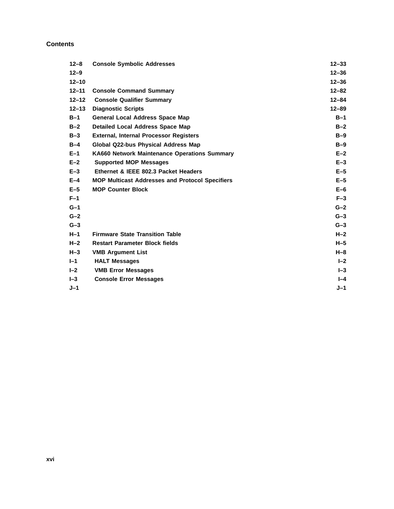| $12 - 8$  | <b>Console Symbolic Addresses</b>                      | $12 - 33$ |
|-----------|--------------------------------------------------------|-----------|
| $12 - 9$  |                                                        | $12 - 36$ |
| $12 - 10$ |                                                        | $12 - 36$ |
| $12 - 11$ | <b>Console Command Summary</b>                         | $12 - 82$ |
| $12 - 12$ | <b>Console Qualifier Summary</b>                       | $12 - 84$ |
| $12 - 13$ | <b>Diagnostic Scripts</b>                              | $12 - 89$ |
| $B-1$     | <b>General Local Address Space Map</b>                 | $B-1$     |
| $B-2$     | <b>Detailed Local Address Space Map</b>                | $B-2$     |
| $B-3$     | <b>External, Internal Processor Registers</b>          | $B-9$     |
| $B-4$     | Global Q22-bus Physical Address Map                    | $B-9$     |
| $E-1$     | <b>KA660 Network Maintenance Operations Summary</b>    | $E-2$     |
| $E-2$     | <b>Supported MOP Messages</b>                          | $E-3$     |
| $E-3$     | Ethernet & IEEE 802.3 Packet Headers                   | $E-5$     |
| $E-4$     | <b>MOP Multicast Addresses and Protocol Specifiers</b> | $E-5$     |
| $E-5$     | <b>MOP Counter Block</b>                               | $E-6$     |
| $F-1$     |                                                        | $F-3$     |
| $G-1$     |                                                        | $G-2$     |
| $G-2$     |                                                        | $G-3$     |
| $G-3$     |                                                        | $G-3$     |
| $H-1$     | <b>Firmware State Transition Table</b>                 | $H-2$     |
| $H-2$     | <b>Restart Parameter Block fields</b>                  | $H-5$     |
| $H-3$     | <b>VMB Argument List</b>                               | $H - 8$   |
| $I-1$     | <b>HALT Messages</b>                                   | $I - 2$   |
| $I - 2$   | <b>VMB Error Messages</b>                              | $I - 3$   |
| $-3$      | <b>Console Error Messages</b>                          | $I - 4$   |
| $J-1$     |                                                        | $J-1$     |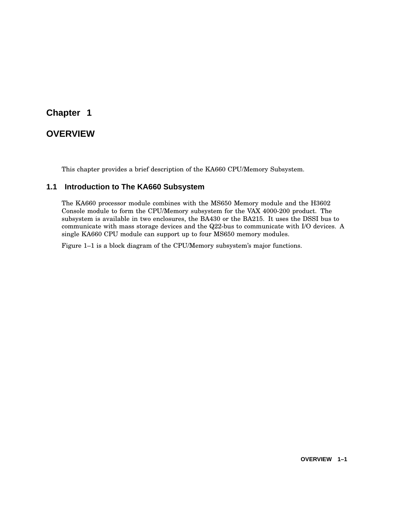# **Chapter 1**

# **OVERVIEW**

This chapter provides a brief description of the KA660 CPU/Memory Subsystem.

## **1.1 Introduction to The KA660 Subsystem**

The KA660 processor module combines with the MS650 Memory module and the H3602 Console module to form the CPU/Memory subsystem for the VAX 4000-200 product. The subsystem is available in two enclosures, the BA430 or the BA215. It uses the DSSI bus to communicate with mass storage devices and the Q22-bus to communicate with I/O devices. A single KA660 CPU module can support up to four MS650 memory modules.

Figure 1–1 is a block diagram of the CPU/Memory subsystem's major functions.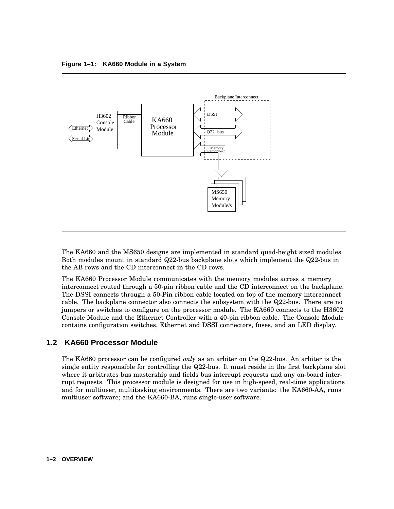

The KA660 and the MS650 designs are implemented in standard quad-height sized modules. Both modules mount in standard Q22-bus backplane slots which implement the Q22-bus in the AB rows and the CD interconnect in the CD rows.

The KA660 Processor Module communicates with the memory modules across a memory interconnect routed through a 50-pin ribbon cable and the CD interconnect on the backplane. The DSSI connects through a 50-Pin ribbon cable located on top of the memory interconnect cable. The backplane connector also connects the subsystem with the Q22-bus. There are no jumpers or switches to configure on the processor module. The KA660 connects to the H3602 Console Module and the Ethernet Controller with a 40-pin ribbon cable. The Console Module contains configuration switches, Ethernet and DSSI connectors, fuses, and an LED display.

#### **1.2 KA660 Processor Module**

The KA660 processor can be configured *only* as an arbiter on the Q22-bus. An arbiter is the single entity responsible for controlling the Q22-bus. It must reside in the first backplane slot where it arbitrates bus mastership and fields bus interrupt requests and any on-board interrupt requests. This processor module is designed for use in high-speed, real-time applications and for multiuser, multitasking environments. There are two variants: the KA660-AA, runs multiuser software; and the KA660-BA, runs single-user software.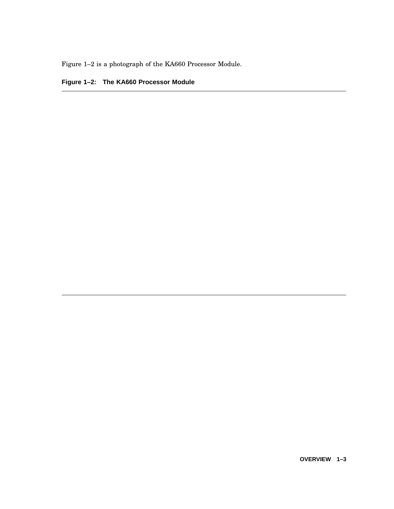Figure 1–2 is a photograph of the KA660 Processor Module.

# **Figure 1–2: The KA660 Processor Module**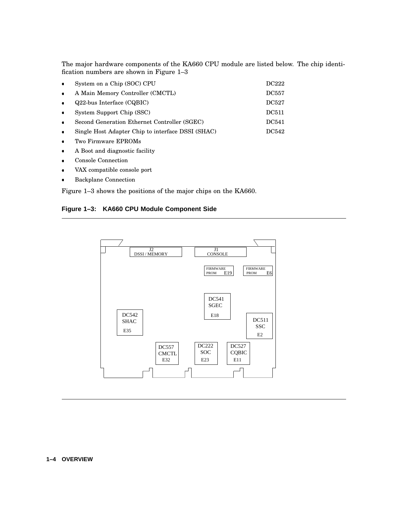The major hardware components of the KA660 CPU module are listed below. The chip identification numbers are shown in Figure 1–3

| $\bullet$ | System on a Chip (SOC) CPU                        | <b>DC222</b> |
|-----------|---------------------------------------------------|--------------|
| $\bullet$ | A Main Memory Controller (CMCTL)                  | <b>DC557</b> |
| $\bullet$ | $Q22$ -bus Interface (CQBIC)                      | DC527        |
| $\bullet$ | System Support Chip (SSC)                         | <b>DC511</b> |
| $\bullet$ | Second Generation Ethernet Controller (SGEC)      | <b>DC541</b> |
| $\bullet$ | Single Host Adapter Chip to interface DSSI (SHAC) | DC542        |
| $\bullet$ | Two Firmware EPROMs                               |              |
|           |                                                   |              |

- A Boot and diagnostic facility
- Console Connection
- VAX compatible console port
- Backplane Connection

Figure 1–3 shows the positions of the major chips on the KA660.

#### **Figure 1–3: KA660 CPU Module Component Side**

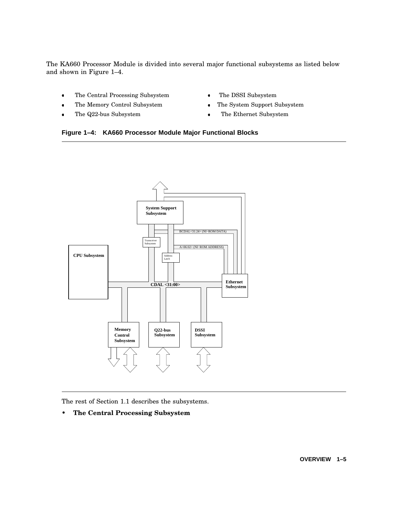The KA660 Processor Module is divided into several major functional subsystems as listed below and shown in Figure 1–4.

- The Central Processing Subsystem The
- The Memory Control Subsystem The
- The Q22-bus Subsystem
- The DSSI Subsystem
- The System Support Subsystem
- The Ethernet Subsystem





The rest of Section 1.1 describes the subsystems.

• **The Central Processing Subsystem**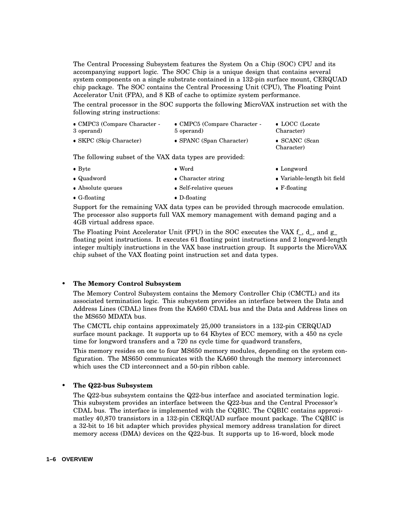The Central Processing Subsystem features the System On a Chip (SOC) CPU and its accompanying support logic. The SOC Chip is a unique design that contains several system components on a single substrate contained in a 132-pin surface mount, CERQUAD chip package. The SOC contains the Central Processing Unit (CPU), The Floating Point Accelerator Unit (FPA), and 8 KB of cache to optimize system performance.

The central processor in the SOC supports the following MicroVAX instruction set with the following string instructions:

| $\bullet$ CMPC3 (Compare Character - | $\bullet$ CMPC5 (Compare Character - | • LOCC (Locate                      |
|--------------------------------------|--------------------------------------|-------------------------------------|
| 3 operand)                           | 5 operand)                           | Character)                          |
| • SKPC (Skip Character)              | • SPANC (Span Character)             | $\bullet$ SCANC (Scan<br>Character) |

The following subset of the VAX data types are provided:

| • Longword<br>$\bullet$ Byte<br>$\bullet$ Word |  |
|------------------------------------------------|--|
|------------------------------------------------|--|

- Quadword Character string
- Absolute queues Self-relative queues F-floating
- G-floating **b** D-floa D-floating

Support for the remaining VAX data types can be provided through macrocode emulation. The processor also supports full VAX memory management with demand paging and a 4GB virtual address space.

Variable-length bit field

The Floating Point Accelerator Unit (FPU) in the SOC executes the VAX f , d , and g floating point instructions. It executes 61 floating point instructions and 2 longword-length integer multiply instructions in the VAX base instruction group. It supports the MicroVAX chip subset of the VAX floating point instruction set and data types.

#### • **The Memory Control Subsystem**

The Memory Control Subsystem contains the Memory Controller Chip (CMCTL) and its associated termination logic. This subsystem provides an interface between the Data and Address Lines (CDAL) lines from the KA660 CDAL bus and the Data and Address lines on the MS650 MDATA bus.

The CMCTL chip contains approximately 25,000 transistors in a 132-pin CERQUAD surface mount package. It supports up to 64 Kbytes of ECC memory, with a 450 ns cycle time for longword transfers and a 720 ns cycle time for quadword transfers,

This memory resides on one to four MS650 memory modules, depending on the system configuration. The MS650 communicates with the KA660 through the memory interconnect which uses the CD interconnect and a 50-pin ribbon cable.

#### • **The Q22-bus Subsystem**

The Q22-bus subsystem contains the Q22-bus interface and asociated termination logic. This subsystem provides an interface between the Q22-bus and the Central Processor's CDAL bus. The interface is implemented with the CQBIC. The CQBIC contains approximatley 40,870 transistors in a 132-pin CERQUAD surface mount package. The CQBIC is a 32-bit to 16 bit adapter which provides physical memory address translation for direct memory access (DMA) devices on the Q22-bus. It supports up to 16-word, block mode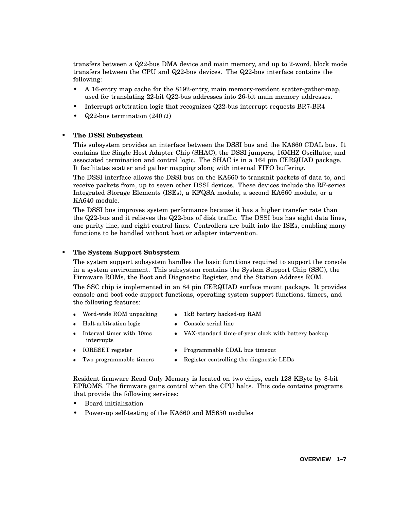transfers between a Q22-bus DMA device and main memory, and up to 2-word, block mode transfers between the CPU and Q22-bus devices. The Q22-bus interface contains the following:

- A 16-entry map cache for the 8192-entry, main memory-resident scatter-gather-map, used for translating 22-bit Q22-bus addresses into 26-bit main memory addresses.
- Interrupt arbitration logic that recognizes Q22-bus interrupt requests BR7-BR4
- $Q22$ -bus termination  $(240 \Omega)$

#### • **The DSSI Subsystem**

This subsystem provides an interface between the DSSI bus and the KA660 CDAL bus. It contains the Single Host Adapter Chip (SHAC), the DSSI jumpers, 16MHZ Oscillator, and associated termination and control logic. The SHAC is in a 164 pin CERQUAD package. It facilitates scatter and gather mapping along with internal FIFO buffering.

The DSSI interface allows the DSSI bus on the KA660 to transmit packets of data to, and receive packets from, up to seven other DSSI devices. These devices include the RF-series Integrated Storage Elements (ISEs), a KFQSA module, a second KA660 module, or a KA640 module.

The DSSI bus improves system performance because it has a higher transfer rate than the Q22-bus and it relieves the Q22-bus of disk traffic. The DSSI bus has eight data lines, one parity line, and eight control lines. Controllers are built into the ISEs, enabling many functions to be handled without host or adapter intervention.

#### • **The System Support Subsystem**

The system support subsystem handles the basic functions required to support the console in a system environment. This subsystem contains the System Support Chip (SSC), the Firmware ROMs, the Boot and Diagnostic Register, and the Station Address ROM.

The SSC chip is implemented in an 84 pin CERQUAD surface mount package. It provides console and boot code support functions, operating system support functions, timers, and the following features:

Console serial line

- Word-wide ROM unpacking 1kB 1kB battery backed-up RAM
- Halt-arbitration logic Cons
	- VAX-standard time-of-year clock with battery backup
- Interval timer with 10ms interrupts IORESET register Programmable CDAL bus timeout
- Two programmable timers Regi Register controlling the diagnostic LEDs

Resident firmware Read Only Memory is located on two chips, each 128 KByte by 8-bit EPROMS. The firmware gains control when the CPU halts. This code contains programs that provide the following services:

- Board initialization
- Power-up self-testing of the KA660 and MS650 modules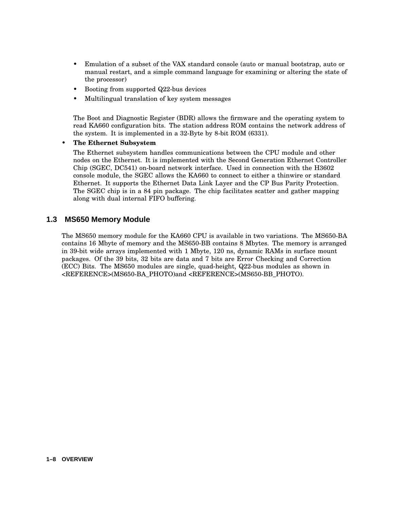- Emulation of a subset of the VAX standard console (auto or manual bootstrap, auto or manual restart, and a simple command language for examining or altering the state of the processor)
- Booting from supported Q22-bus devices
- Multilingual translation of key system messages

The Boot and Diagnostic Register (BDR) allows the firmware and the operating system to read KA660 configuration bits. The station address ROM contains the network address of the system. It is implemented in a 32-Byte by 8-bit ROM (6331).

#### • **The Ethernet Subsystem**

The Ethernet subsystem handles communications between the CPU module and other nodes on the Ethernet. It is implemented with the Second Generation Ethernet Controller Chip (SGEC, DC541) on-board network interface. Used in connection with the H3602 console module, the SGEC allows the KA660 to connect to either a thinwire or standard Ethernet. It supports the Ethernet Data Link Layer and the CP Bus Parity Protection. The SGEC chip is in a 84 pin package. The chip facilitates scatter and gather mapping along with dual internal FIFO buffering.

#### **1.3 MS650 Memory Module**

The MS650 memory module for the KA660 CPU is available in two variations. The MS650-BA contains 16 Mbyte of memory and the MS650-BB contains 8 Mbytes. The memory is arranged in 39-bit wide arrays implemented with 1 Mbyte, 120 ns, dynamic RAMs in surface mount packages. Of the 39 bits, 32 bits are data and 7 bits are Error Checking and Correction (ECC) Bits. The MS650 modules are single, quad-height, Q22-bus modules as shown in <REFERENCE>(MS650-BA\_PHOTO)and <REFERENCE>(MS650-BB\_PHOTO).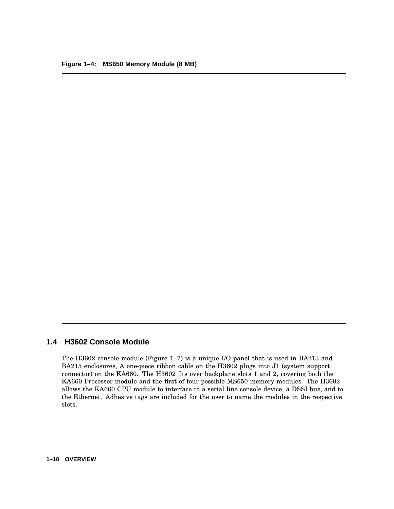### **1.4 H3602 Console Module**

The H3602 console module (Figure 1–7) is a unique I/O panel that is used in BA213 and BA215 enclosures, A one-piece ribbon cable on the H3602 plugs into J1 (system support connector) on the KA660. The H3602 fits over backplane slots 1 and 2, covering both the KA660 Processor module and the first of four possible MS650 memory modules. The H3602 allows the KA660 CPU module to interface to a serial line console device, a DSSI bus, and to the Ethernet. Adhesive tags are included for the user to name the modules in the respective slots.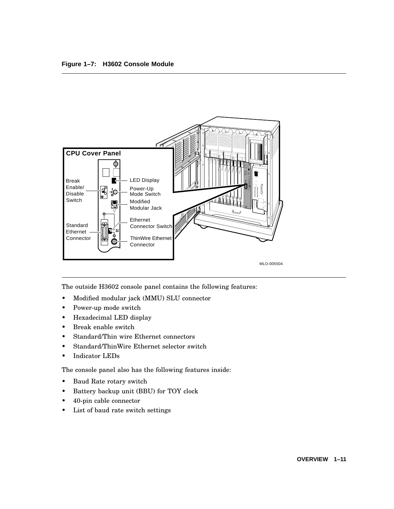

The outside H3602 console panel contains the following features:

- Modified modular jack (MMU) SLU connector
- Power-up mode switch
- Hexadecimal LED display
- Break enable switch
- Standard/Thin wire Ethernet connectors
- Standard/ThinWire Ethernet selector switch
- Indicator LEDs

The console panel also has the following features inside:

- Baud Rate rotary switch
- Battery backup unit (BBU) for TOY clock
- 40-pin cable connector
- List of baud rate switch settings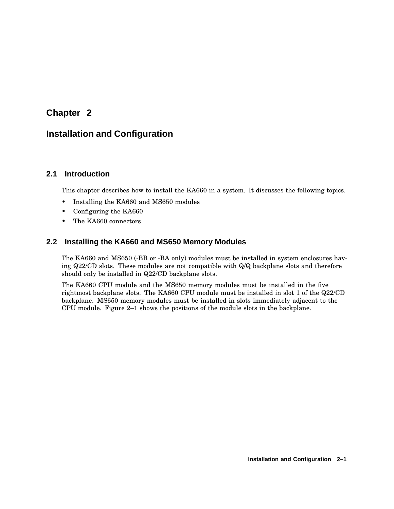# **Chapter 2**

# **Installation and Configuration**

## **2.1 Introduction**

This chapter describes how to install the KA660 in a system. It discusses the following topics.

- Installing the KA660 and MS650 modules
- Configuring the KA660
- The KA660 connectors

## **2.2 Installing the KA660 and MS650 Memory Modules**

The KA660 and MS650 (-BB or -BA only) modules must be installed in system enclosures having Q22/CD slots. These modules are not compatible with Q/Q backplane slots and therefore should only be installed in Q22/CD backplane slots.

The KA660 CPU module and the MS650 memory modules must be installed in the five rightmost backplane slots. The KA660 CPU module must be installed in slot 1 of the Q22/CD backplane. MS650 memory modules must be installed in slots immediately adjacent to the CPU module. Figure 2–1 shows the positions of the module slots in the backplane.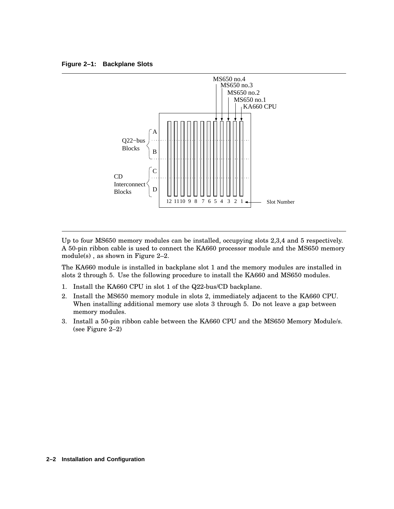**Figure 2–1: Backplane Slots**



Up to four MS650 memory modules can be installed, occupying slots 2,3,4 and 5 respectively. A 50-pin ribbon cable is used to connect the KA660 processor module and the MS650 memory module(s) , as shown in Figure 2–2.

The KA660 module is installed in backplane slot 1 and the memory modules are installed in slots 2 through 5. Use the following procedure to install the KA660 and MS650 modules.

- 1. Install the KA660 CPU in slot 1 of the Q22-bus/CD backplane.
- 2. Install the MS650 memory module in slots 2, immediately adjacent to the KA660 CPU. When installing additional memory use slots 3 through 5. Do not leave a gap between memory modules.
- 3. Install a 50-pin ribbon cable between the KA660 CPU and the MS650 Memory Module/s. (see Figure 2–2)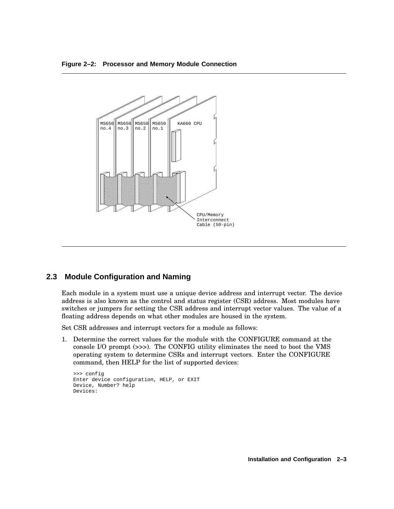



#### **2.3 Module Configuration and Naming**

Each module in a system must use a unique device address and interrupt vector. The device address is also known as the control and status register (CSR) address. Most modules have switches or jumpers for setting the CSR address and interrupt vector values. The value of a floating address depends on what other modules are housed in the system.

Set CSR addresses and interrupt vectors for a module as follows:

1. Determine the correct values for the module with the CONFIGURE command at the console I/O prompt (>>>). The CONFIG utility eliminates the need to boot the VMS operating system to determine CSRs and interrupt vectors. Enter the CONFIGURE command, then HELP for the list of supported devices:

```
>>> config
Enter device configuration, HELP, or EXIT
Device, Number? help
Devices:
```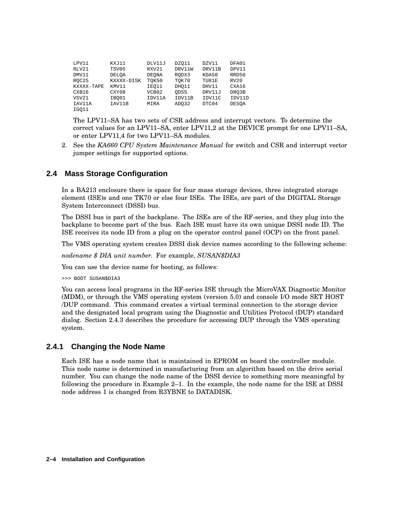| LPV11      | KXJ11        | DLV11J       | DZ011  | DZV11  | DFA01        |
|------------|--------------|--------------|--------|--------|--------------|
| RLV21      | TSV05        | RXV21        | DRV11W | DRV11B | DPV11        |
| DMV11      | <b>DELOA</b> | <b>DEONA</b> | RODX3  | KDA50  | RRD50        |
| ROC25      | KXXXX-DISK   | TOK50        | TOK70  | TU81E  | RV20         |
| KXXXX-TAPE | KMV11        | IEO11        | DHO11  | DHV11  | CXA16        |
| CXB16      | CXY08        | VCB02        | ODSS   | DRV11J | DRO3B        |
| VSV21      | IBO01        | IDV11A       | IDV11B | IDV11C | IDV11D       |
| IAV11A     | IAV11B       | MIRA         | ADO32  | DTC04  | <b>DESOA</b> |
| IGO11      |              |              |        |        |              |

The LPV11–SA has two sets of CSR address and interrupt vectors. To determine the correct values for an LPV11–SA, enter LPV11,2 at the DEVICE prompt for one LPV11–SA, or enter LPV11,4 for two LPV11–SA modules.

2. See the *KA660 CPU System Maintenance Manual* for switch and CSR and interrupt vector jumper settings for supported options.

## **2.4 Mass Storage Configuration**

In a BA213 enclosure there is space for four mass storage devices, three integrated storage element (ISE)s and one TK70 or else four ISEs. The ISEs, are part of the DIGITAL Storage System Interconnect (DSSI) bus.

The DSSI bus is part of the backplane. The ISEs are of the RF-series, and they plug into the backplane to become part of the bus. Each ISE must have its own unique DSSI node ID. The ISE receives its node ID from a plug on the operator control panel (OCP) on the front panel.

The VMS operating system creates DSSI disk device names according to the following scheme:

*nodename \$ DIA unit number.* For example, *SUSAN\$DIA3*

You can use the device name for booting, as follows:

>>> BOOT SUSAN\$DIA3

You can access local programs in the RF-series ISE through the MicroVAX Diagnostic Monitor (MDM), or through the VMS operating system (version 5.0) and console I/O mode SET HOST /DUP command. This command creates a virtual terminal connection to the storage device and the designated local program using the Diagnostic and Utilities Protocol (DUP) standard dialog. Section 2.4.3 describes the procedure for accessing DUP through the VMS operating system.

#### **2.4.1 Changing the Node Name**

Each ISE has a node name that is maintained in EPROM on board the controller module. This node name is determined in manufacturing from an algorithm based on the drive serial number. You can change the node name of the DSSI device to something more meaningful by following the procedure in Example 2–1. In the example, the node name for the ISE at DSSI node address 1 is changed from R3YBNE to DATADISK.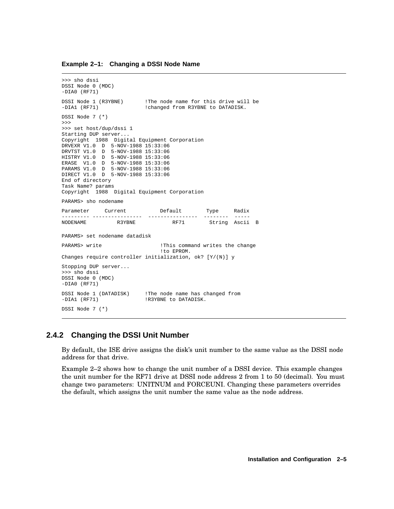#### **Example 2–1: Changing a DSSI Node Name**

```
>>> sho dssi
DSSI Node 0 (MDC)
-DIA0 (RF71)
DSSI Node 1 (R3YBNE) !The node name for this drive will be -DIA1 (RF71) !changed from R3YBNE to DATADISK.
                          ! changed from R3YBNE to DATADISK.
DSSI Node 7 (*)
>>>
>>> set host/dup/dssi 1
Starting DUP server...
Copyright 1988 Digital Equipment Corporation
DRVEXR V1.0 D 5-NOV-1988 15:33:06
DRVTST V1.0 D 5-NOV-1988 15:33:06
HISTRY V1.0 D 5-NOV-1988 15:33:06
ERASE V1.0 D 5-NOV-1988 15:33:06
PARAMS V1.0 D 5-NOV-1988 15:33:06
DIRECT V1.0 D 5-NOV-1988 15:33:06
End of directory
Task Name? params
Copyright 1988 Digital Equipment Corporation
PARAMS> sho nodename
Parameter Current Default Type Radix
--------- ---------------- ---------------- -------- -----
                                              String Ascii B
PARAMS> set nodename datadisk
PARAMS> write \qquad \qquad !This command writes the change
                               !to EPROM.
Changes require controller initialization, ok? [Y/(N)] y
Stopping DUP server...
>>> sho dssi
DSSI Node 0 (MDC)
-DIA0 (RF71)
DSSI Node 1 (DATADISK) !The node name has changed from
-DIA1 (RF71) | IR3YBNE to DATADISK.
DSSI Node 7 (*)
```
#### **2.4.2 Changing the DSSI Unit Number**

By default, the ISE drive assigns the disk's unit number to the same value as the DSSI node address for that drive.

Example 2–2 shows how to change the unit number of a DSSI device. This example changes the unit number for the RF71 drive at DSSI node address 2 from 1 to 50 (decimal). You must change two parameters: UNITNUM and FORCEUNI. Changing these parameters overrides the default, which assigns the unit number the same value as the node address.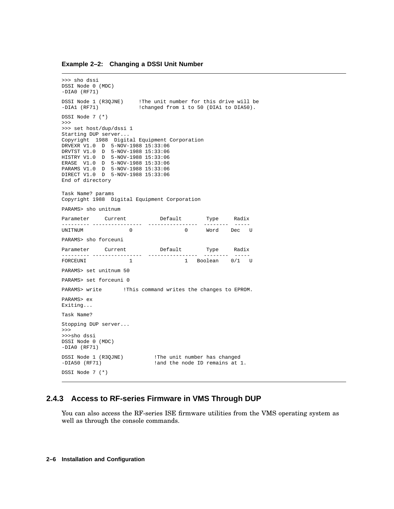#### **Example 2–2: Changing a DSSI Unit Number**

```
>>> sho dssi
DSSI Node 0 (MDC)
-DIA0 (RF71)
DSSI Node 1 (R3QJNE) !The unit number for this drive will be
-DIA1 (RF71) : !changed from 1 to 50 (DIA1 to DIA50).
DSSI Node 7 (*)
>>>
>>> set host/dup/dssi 1
Starting DUP server...
Copyright 1988 Digital Equipment Corporation
DRVEXR V1.0 D 5-NOV-1988 15:33:06
DRVTST V1.0 D 5-NOV-1988 15:33:06
HISTRY V1.0 D 5-NOV-1988 15:33:06
ERASE V1.0 D 5-NOV-1988 15:33:06
PARAMS V1.0 D 5-NOV-1988 15:33:06
DIRECT V1.0 D 5-NOV-1988 15:33:06
End of directory
Task Name? params
Copyright 1988 Digital Equipment Corporation
PARAMS> sho unitnum
Parameter Current Default Type Radix
--------- ---------------- ---------------- -------- -----
UNITNUM 0 0 Word Dec U
PARAMS> sho forceuni
Parameter Current Default Type Radix
--------- ---------------- ---------------- -------- -----
                          1 Boolean 0/1 U
PARAMS> set unitnum 50
PARAMS> set forceuni 0
PARAMS> write : !This command writes the changes to EPROM.
PARAMS> ex
Exiting...
Task Name?
Stopping DUP server...
>>>
>>>sho dssi
DSSI Node 0 (MDC)
-DIA0 (RF71)
DSSI Node 1 (R3QJNE) !The unit number has changed
-DIA50 (RF71) \qquad \qquad ! and the node ID remains at 1.
DSSI Node 7 (*)
```
#### **2.4.3 Access to RF-series Firmware in VMS Through DUP**

You can also access the RF-series ISE firmware utilities from the VMS operating system as well as through the console commands.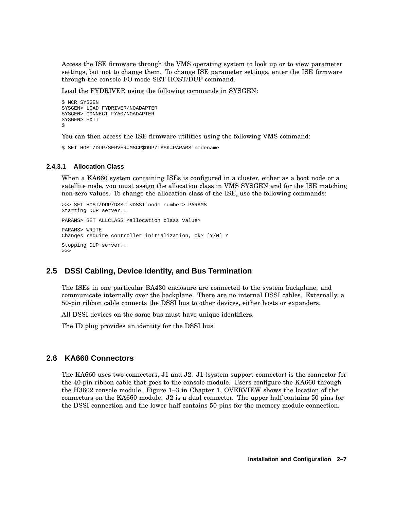Access the ISE firmware through the VMS operating system to look up or to view parameter settings, but not to change them. To change ISE parameter settings, enter the ISE firmware through the console I/O mode SET HOST/DUP command.

Load the FYDRIVER using the following commands in SYSGEN:

```
$ MCR SYSGEN
SYSGEN> LOAD FYDRIVER/NOADAPTER
SYSGEN> CONNECT FYA0/NOADAPTER
SYSGEN> EXIT
\ddot{\rm S}
```
You can then access the ISE firmware utilities using the following VMS command:

\$ SET HOST/DUP/SERVER=MSCP\$DUP/TASK=PARAMS nodename

#### **2.4.3.1 Allocation Class**

When a KA660 system containing ISEs is configured in a cluster, either as a boot node or a satellite node, you must assign the allocation class in VMS SYSGEN and for the ISE matching non-zero values. To change the allocation class of the ISE, use the following commands:

```
>>> SET HOST/DUP/DSSI <DSSI node number> PARAMS
Starting DUP server..
PARAMS> SET ALLCLASS <allocation class value>
PARAMS> WRITE
Changes require controller initialization, ok? [Y/N] Y
Stopping DUP server..
>>>
```
### **2.5 DSSI Cabling, Device Identity, and Bus Termination**

The ISEs in one particular BA430 enclosure are connected to the system backplane, and communicate internally over the backplane. There are no internal DSSI cables. Externally, a 50-pin ribbon cable connects the DSSI bus to other devices, either hosts or expanders.

All DSSI devices on the same bus must have unique identifiers.

The ID plug provides an identity for the DSSI bus.

### **2.6 KA660 Connectors**

The KA660 uses two connectors, J1 and J2. J1 (system support connector) is the connector for the 40-pin ribbon cable that goes to the console module. Users configure the KA660 through the H3602 console module. Figure 1–3 in Chapter 1, OVERVIEW shows the location of the connectors on the KA660 module. J2 is a dual connector. The upper half contains 50 pins for the DSSI connection and the lower half contains 50 pins for the memory module connection.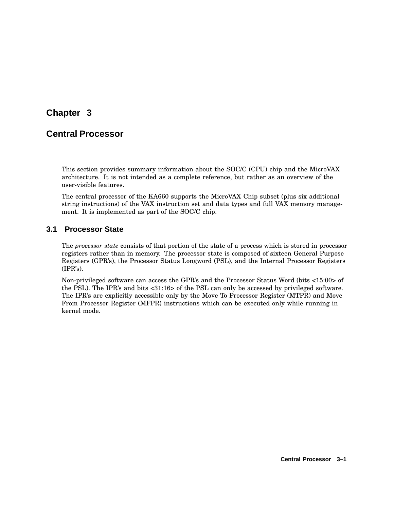# **Chapter 3**

# **Central Processor**

This section provides summary information about the SOC/C (CPU) chip and the MicroVAX architecture. It is not intended as a complete reference, but rather as an overview of the user-visible features.

The central processor of the KA660 supports the MicroVAX Chip subset (plus six additional string instructions) of the VAX instruction set and data types and full VAX memory management. It is implemented as part of the SOC/C chip.

## **3.1 Processor State**

The *processor state* consists of that portion of the state of a process which is stored in processor registers rather than in memory. The processor state is composed of sixteen General Purpose Registers (GPR's), the Processor Status Longword (PSL), and the Internal Processor Registers (IPR's).

Non-privileged software can access the GPR's and the Processor Status Word (bits <15:00> of the PSL). The IPR's and bits <31:16> of the PSL can only be accessed by privileged software. The IPR's are explicitly accessible only by the Move To Processor Register (MTPR) and Move From Processor Register (MFPR) instructions which can be executed only while running in kernel mode.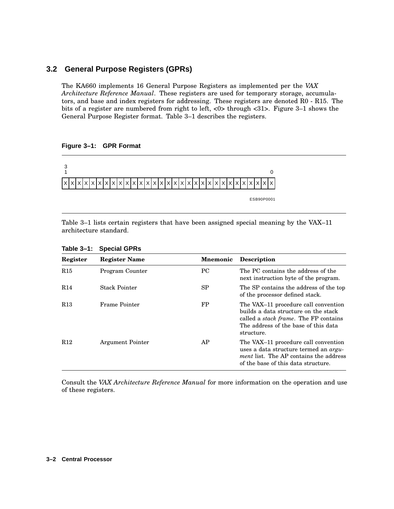## **3.2 General Purpose Registers (GPRs)**

The KA660 implements 16 General Purpose Registers as implemented per the *VAX Architecture Reference Manual*. These registers are used for temporary storage, accumulators, and base and index registers for addressing. These registers are denoted R0 - R15. The bits of a register are numbered from right to left, <0> through <31>. Figure 3–1 shows the General Purpose Register format. Table 3–1 describes the registers.





Table 3–1 lists certain registers that have been assigned special meaning by the VAX–11 architecture standard.

| Register        | <b>Register Name</b>    | <b>Mnemonic</b> | <b>Description</b>                                                                                                                                                                   |
|-----------------|-------------------------|-----------------|--------------------------------------------------------------------------------------------------------------------------------------------------------------------------------------|
| R <sub>15</sub> | Program Counter         | <b>PC</b>       | The PC contains the address of the<br>next instruction byte of the program.                                                                                                          |
| R14             | <b>Stack Pointer</b>    | SP              | The SP contains the address of the top<br>of the processor defined stack.                                                                                                            |
| R <sub>13</sub> | Frame Pointer           | FP              | The VAX-11 procedure call convention<br>builds a data structure on the stack.<br>called a <i>stack frame</i> . The FP contains<br>The address of the base of this data<br>structure. |
| R <sub>12</sub> | <b>Argument Pointer</b> | AP              | The VAX-11 procedure call convention<br>uses a data structure termed an <i>argu</i> -<br><i>ment</i> list. The AP contains the address<br>of the base of this data structure.        |

**Table 3–1: Special GPRs**

Consult the *VAX Architecture Reference Manual* for more information on the operation and use of these registers.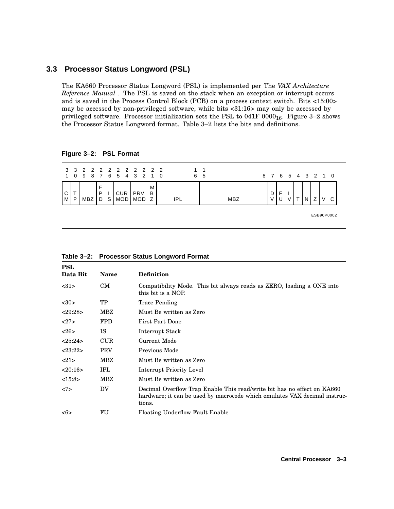### **3.3 Processor Status Longword (PSL)**

The KA660 Processor Status Longword (PSL) is implemented per The *VAX Architecture Reference Manual* . The PSL is saved on the stack when an exception or interrupt occurs and is saved in the Process Control Block (PCB) on a process context switch. Bits <15:00> may be accessed by non-privileged software, while bits <31:16> may only be accessed by privileged software. Processor initialization sets the PSL to  $041F\ 0000_{16}$ . Figure 3–2 shows the Processor Status Longword format. Table 3–2 lists the bits and definitions.

**Figure 3–2: PSL Format**

| -1     |   | 3 3 2 2 2 2 2 2 2 2 2 2<br>0 9 8 7 6 5 4 3 2 1 0 |        |   |            |                          |        |     | 6 | - 5 |     |   |  |  | 8 7 6 5 4 3 2 1 0 |            |
|--------|---|--------------------------------------------------|--------|---|------------|--------------------------|--------|-----|---|-----|-----|---|--|--|-------------------|------------|
| C<br>м | P | MBZ                                              | P<br>D | S | CUR<br>MOD | <b>PRV</b><br><b>MOD</b> | м<br>B | IPL |   |     | MBZ | D |  |  |                   |            |
|        |   |                                                  |        |   |            |                          |        |     |   |     |     |   |  |  |                   | ESB90P0002 |

**PSL Data Bit Name Definition** <31> CM Compatibility Mode. This bit always reads as ZERO, loading a ONE into this bit is a NOP. <30> TP Trace Pending <29:28> MBZ Must Be written as Zero <27> FPD First Part Done <26> IS Interrupt Stack <25:24> CUR Current Mode <23:22> PRV Previous Mode <21> MBZ Must Be written as Zero <20:16> IPL Interrupt Priority Level <15:8> MBZ Must Be written as Zero <7> DV Decimal Overflow Trap Enable This read/write bit has no effect on KA660 hardware; it can be used by macrocode which emulates VAX decimal instructions. <6> FU Floating Underflow Fault Enable

| Table 3-2: Processor Status Longword Format |
|---------------------------------------------|
|---------------------------------------------|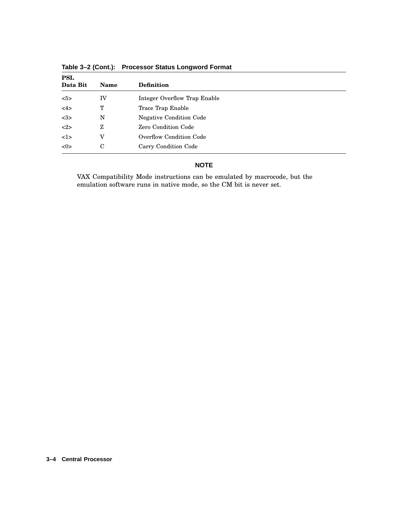| <b>PSL</b><br>Data Bit | <b>Name</b> | <b>Definition</b>              |
|------------------------|-------------|--------------------------------|
| 5>                     | IV          | Integer Overflow Trap Enable   |
| <4>                    | т           | Trace Trap Enable              |
| <3>                    | N           | <b>Negative Condition Code</b> |
| <2>                    | Z           | Zero Condition Code            |
| 1>                     | v           | <b>Overflow Condition Code</b> |
| <0>                    | C           | Carry Condition Code           |

**Table 3–2 (Cont.): Processor Status Longword Format**

### **NOTE**

VAX Compatibility Mode instructions can be emulated by macrocode, but the emulation software runs in native mode, so the CM bit is never set.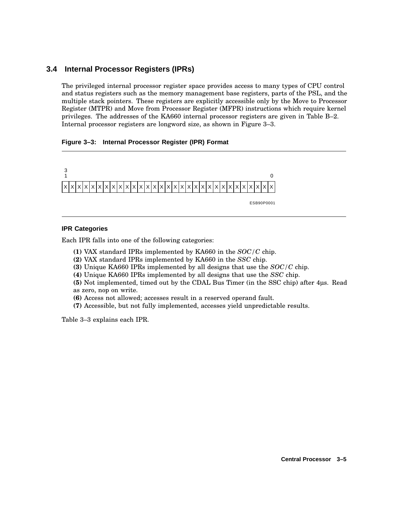## **3.4 Internal Processor Registers (IPRs)**

The privileged internal processor register space provides access to many types of CPU control and status registers such as the memory management base registers, parts of the PSL, and the multiple stack pointers. These registers are explicitly accessible only by the Move to Processor Register (MTPR) and Move from Processor Register (MFPR) instructions which require kernel privileges. The addresses of the KA660 internal processor registers are given in Table B–2. Internal processor registers are longword size, as shown in Figure 3–3.

### **Figure 3–3: Internal Processor Register (IPR) Format**



#### **IPR Categories**

Each IPR falls into one of the following categories:

- **(1)** VAX standard IPRs implemented by KA660 in the *SOC/C* chip.
- **(2)** VAX standard IPRs implemented by KA660 in the *SSC* chip.
- **(3)** Unique KA660 IPRs implemented by all designs that use the *SOC/C* chip.
- **(4)** Unique KA660 IPRs implemented by all designs that use the *SSC* chip.

**(5)** Not implemented, timed out by the CDAL Bus Timer (in the SSC chip) after 4µs. Read as zero, nop on write.

- **(6)** Access not allowed; accesses result in a reserved operand fault.
- **(7)** Accessible, but not fully implemented, accesses yield unpredictable results.

Table 3–3 explains each IPR.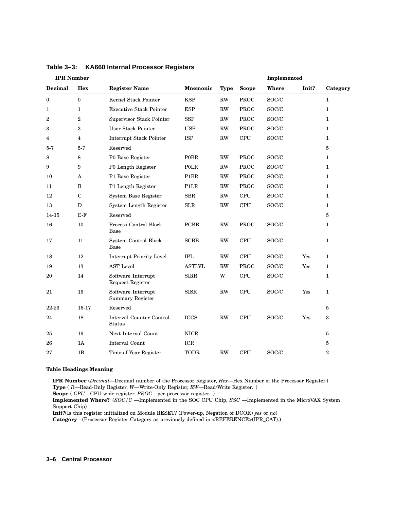| <b>IPR</b> Number |                |                                               |                   |               |              | Implemented |       |                |
|-------------------|----------------|-----------------------------------------------|-------------------|---------------|--------------|-------------|-------|----------------|
| Decimal           | <b>Hex</b>     | <b>Register Name</b>                          | <b>Mnemonic</b>   | <b>Type</b>   | <b>Scope</b> | Where       | Init? | Category       |
| $\bf{0}$          | $\mathbf{0}$   | Kernel Stack Pointer                          | <b>KSP</b>        | RW            | <b>PROC</b>  | SOC/C       |       | $\mathbf{1}$   |
| 1                 | 1              | <b>Executive Stack Pointer</b>                | <b>ESP</b>        | <b>RW</b>     | <b>PROC</b>  | SOC/C       |       | $\mathbf{1}$   |
| $\overline{2}$    | $\overline{2}$ | Supervisor Stack Pointer                      | <b>SSP</b>        | <b>RW</b>     | <b>PROC</b>  | SOC/C       |       | $\mathbf{1}$   |
| 3                 | 3              | User Stack Pointer                            | <b>USP</b>        | RW            | <b>PROC</b>  | SOC/C       |       | $\mathbf{1}$   |
| 4                 | 4              | <b>Interrupt Stack Pointer</b>                | <b>ISP</b>        | <b>RW</b>     | <b>CPU</b>   | SOC/C       |       | 1              |
| $5 - 7$           | $5 - 7$        | Reserved                                      |                   |               |              |             |       | $\overline{5}$ |
| 8                 | 8              | P0 Base Register                              | <b>POBR</b>       | RW            | PROC         | SOC/C       |       | $\mathbf{1}$   |
| 9                 | 9              | P0 Length Register                            | POLR              | <b>RW</b>     | PROC         | SOC/C       |       | $\mathbf{1}$   |
| 10                | A              | P1 Base Register                              | P <sub>1</sub> BR | RW            | <b>PROC</b>  | SOC/C       |       | $\mathbf{1}$   |
| 11                | B              | P1 Length Register                            | P1LR              | RW            | PROC         | SOC/C       |       | $\mathbf{1}$   |
| 12                | $\mathbf C$    | System Base Register                          | <b>SBR</b>        | RW            | <b>CPU</b>   | SOC/C       |       | 1              |
| 13                | $\mathbf D$    | System Length Register                        | <b>SLR</b>        | RW            | <b>CPU</b>   | SOC/C       |       | 1              |
| 14-15             | $E-F$          | Reserved                                      |                   |               |              |             |       | 5              |
| 16                | 10             | Process Control Block<br>Base                 | <b>PCBB</b>       | RW            | <b>PROC</b>  | SOC/C       |       | $\mathbf{1}$   |
| 17                | 11             | System Control Block<br>Base                  | <b>SCBB</b>       | $\mathbf{RW}$ | <b>CPU</b>   | SOC/C       |       | $\mathbf{1}$   |
| 18                | 12             | <b>Interrupt Priority Level</b>               | <b>IPL</b>        | RW            | <b>CPU</b>   | SOC/C       | Yes   | $\mathbf{1}$   |
| 19                | 13             | <b>AST Level</b>                              | <b>ASTLVL</b>     | <b>RW</b>     | <b>PROC</b>  | SOC/C       | Yes   | $\mathbf{1}$   |
| 20                | 14             | Software Interrupt<br><b>Request Register</b> | <b>SIRR</b>       | W             | <b>CPU</b>   | SOC/C       |       | $\mathbf{1}$   |
| 21                | 15             | Software Interrupt<br>Summary Register        | <b>SISR</b>       | RW            | ${\rm CPU}$  | SOC/C       | Yes   | $\mathbf{1}$   |
| 22-23             | $16-17$        | Reserved                                      |                   |               |              |             |       | 5              |
| 24                | 18             | Interval Counter Control<br>Status            | <b>ICCS</b>       | RW            | <b>CPU</b>   | SOC/C       | Yes   | 3              |
| 25                | 19             | Next Interval Count                           | <b>NICR</b>       |               |              |             |       | $\overline{5}$ |
| 26                | 1A             | <b>Interval Count</b>                         | ICR               |               |              |             |       | $\overline{5}$ |
| 27                | 1B             | Time of Year Register                         | <b>TODR</b>       | <b>RW</b>     | <b>CPU</b>   | SOC/C       |       | $\overline{2}$ |

**Table 3–3: KA660 Internal Processor Registers**

#### **Table Headings Meaning**

**IPR Number** (*Decimal*—Decimal number of the Processor Register, *Hex*—Hex Number of the Processor Register.) **Type** ( *R*—Read-Only Register, *W*—Write-Only Register, *RW*—Read/Write Register. )

**Scope** ( *CPU*—CPU wide register, *PROC*—per processor register. )

**Implemented Where?** (*SOC/C* —Implemented in the SOC CPU Chip, *SSC* —Implemented in the MicroVAX System Support Chip)

**Init?**(Is this register initialized on Module RESET? (Power-up, Negation of DCOK) *yes* or *no*)

**Category**—(Processor Register Category as previously defined in <REFERENCE>(IPR\_CAT).)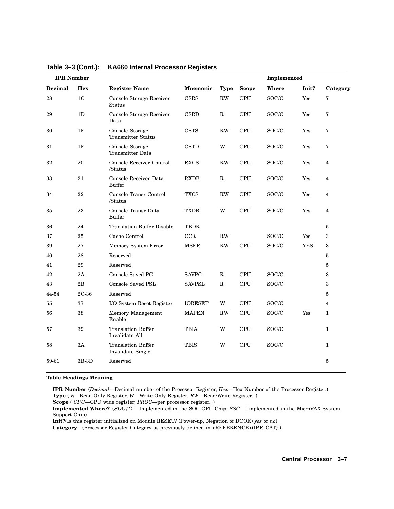| <b>IPR</b> Number |                |                                              |                |             |              | Implemented               |            |                |
|-------------------|----------------|----------------------------------------------|----------------|-------------|--------------|---------------------------|------------|----------------|
| Decimal           | Hex            | <b>Register Name</b>                         | Mnemonic       | <b>Type</b> | <b>Scope</b> | Where                     | Init?      | Category       |
| 28                | 1 <sub>C</sub> | Console Storage Receiver<br>Status           | CSRS           | RW          | <b>CPU</b>   | $\mathrm{SOC}/\mathrm{C}$ | Yes        | $\sqrt{7}$     |
| 29                | 1D             | Console Storage Receiver<br>Data             | <b>CSRD</b>    | ${\bf R}$   | CPU          | SOC/C                     | Yes        | 7              |
| 30                | 1E             | Console Storage<br><b>Transmitter Status</b> | <b>CSTS</b>    | <b>RW</b>   | CPU          | SOC/C                     | Yes        | 7              |
| 31                | 1F             | Console Storage<br><b>Transmitter Data</b>   | <b>CSTD</b>    | W           | <b>CPU</b>   | SOC/C                     | Yes        | $\overline{7}$ |
| 32                | 20             | Console Receiver Control<br>/Status          | <b>RXCS</b>    | <b>RW</b>   | <b>CPU</b>   | SOC/C                     | Yes        | 4              |
| 33                | $21\,$         | Console Receiver Data<br><b>Buffer</b>       | <b>RXDB</b>    | ${\bf R}$   | <b>CPU</b>   | SOC/C                     | Yes        | $\overline{4}$ |
| 34                | 22             | Console Transr Control<br>/Status            | <b>TXCS</b>    | <b>RW</b>   | <b>CPU</b>   | SOC/C                     | Yes        | 4              |
| 35                | 23             | Console Transr Data<br><b>Buffer</b>         | <b>TXDB</b>    | W           | <b>CPU</b>   | SOC/C                     | Yes        | 4              |
| 36                | 24             | <b>Translation Buffer Disable</b>            | <b>TBDR</b>    |             |              |                           |            | 5              |
| 37                | 25             | Cache Control                                | CCR            | <b>RW</b>   |              | SOC/C                     | Yes        | 3              |
| 39                | 27             | Memory System Error                          | <b>MSER</b>    | RW          | <b>CPU</b>   | $\mathrm{SOC}/\mathrm{C}$ | <b>YES</b> | $\,3\,$        |
| 40                | 28             | Reserved                                     |                |             |              |                           |            | $\bf 5$        |
| 41                | 29             | Reserved                                     |                |             |              |                           |            | $\bf 5$        |
| 42                | 2A             | <b>Console Saved PC</b>                      | <b>SAVPC</b>   | $\mathbf R$ | CPU          | SOC/C                     |            | 3              |
| 43                | 2B             | <b>Console Saved PSL</b>                     | <b>SAVPSL</b>  | $\mathbb R$ | <b>CPU</b>   | SOC/C                     |            | $\,3\,$        |
| 44-54             | $2C-36$        | Reserved                                     |                |             |              |                           |            | $\bf 5$        |
| 55                | 37             | I/O System Reset Register                    | <b>IORESET</b> | W           | <b>CPU</b>   | SOC/C                     |            | $\overline{4}$ |
| 56                | 38             | Memory Management<br>Enable                  | <b>MAPEN</b>   | <b>RW</b>   | <b>CPU</b>   | SOC/C                     | Yes        | $\mathbf{1}$   |
| 57                | 39             | <b>Translation Buffer</b><br>Invalidate All  | <b>TBIA</b>    | W           | <b>CPU</b>   | SOC/C                     |            | $\mathbf{1}$   |
| 58                | 3A             | Translation Buffer<br>Invalidate Single      | <b>TBIS</b>    | W           | <b>CPU</b>   | SOC/C                     |            | $\mathbf{1}$   |
| 59-61             | 3B-3D          | Reserved                                     |                |             |              |                           |            | 5              |

**Table 3–3 (Cont.): KA660 Internal Processor Registers**

#### **Table Headings Meaning**

**IPR Number** (*Decimal*—Decimal number of the Processor Register, *Hex*—Hex Number of the Processor Register.) **Type** ( *R*—Read-Only Register, *W*—Write-Only Register, *RW*—Read/Write Register. )

**Scope** ( *CPU*—CPU wide register, *PROC*—per processor register. )

**Implemented Where?** (*SOC/C* —Implemented in the SOC CPU Chip, *SSC* —Implemented in the MicroVAX System Support Chip)

**Init?**(Is this register initialized on Module RESET? (Power-up, Negation of DCOK) *yes* or *no*)

**Category**—(Processor Register Category as previously defined in <REFERENCE>(IPR\_CAT).)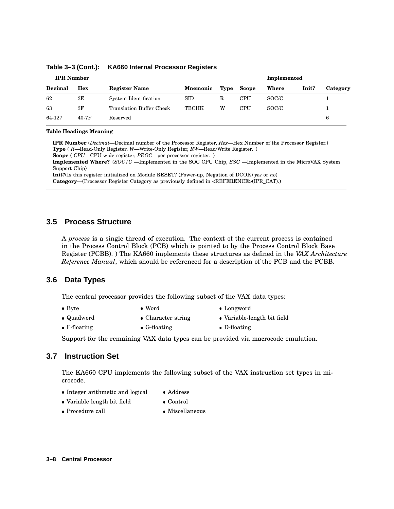| <b>IPR</b> Number |       |                                 |                 |      |            | Implemented |       |          |
|-------------------|-------|---------------------------------|-----------------|------|------------|-------------|-------|----------|
| Decimal           | Hex   | <b>Register Name</b>            | <b>Mnemonic</b> | Type | Scope      | Where       | Init? | Category |
| 62                | ЗE    | System Identification           | <b>SID</b>      | R    | <b>CPU</b> | SOC/C       |       |          |
| 63                | 3F    | <b>Translation Buffer Check</b> | <b>TBCHK</b>    | W    | <b>CPU</b> | SOC/C       |       |          |
| 64-127            | 40-7F | Reserved                        |                 |      |            |             |       | 6        |

**Table 3–3 (Cont.): KA660 Internal Processor Registers**

#### **Table Headings Meaning**

**IPR Number** (*Decimal*—Decimal number of the Processor Register, *Hex*—Hex Number of the Processor Register.) **Type** ( *R*—Read-Only Register, *W*—Write-Only Register, *RW*—Read/Write Register. ) **Scope** ( *CPU*—CPU wide register, *PROC*—per processor register. )

**Implemented Where?** (*SOC/C* —Implemented in the SOC CPU Chip, *SSC* —Implemented in the MicroVAX System Support Chip)

**Init?**(Is this register initialized on Module RESET? (Power-up, Negation of DCOK) *yes* or *no*) **Category**—(Processor Register Category as previously defined in <REFERENCE>(IPR\_CAT).)

### **3.5 Process Structure**

A *process* is a single thread of execution. The context of the current process is contained in the Process Control Block (PCB) which is pointed to by the Process Control Block Base Register (PCBB). ) The KA660 implements these structures as defined in the *VAX Architecture Reference Manual*, which should be referenced for a description of the PCB and the PCBB.

### **3.6 Data Types**

The central processor provides the following subset of the VAX data types:

- $\bullet$  Byte
- Word Longword
	-
- Quadword
- Character string

• Word

- Variable-length bit field
- F-floating G-floating
- D-floating

Support for the remaining VAX data types can be provided via macrocode emulation.

## **3.7 Instruction Set**

The KA660 CPU implements the following subset of the VAX instruction set types in microcode.

- Integer arithmetic and logical Addre Address
	-
- Variable length bit field Contro Control
- Procedure call Miscellaneous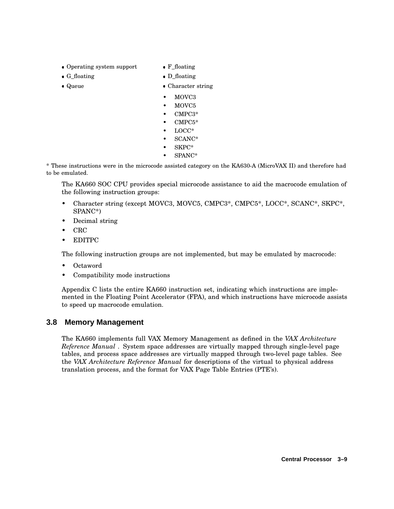- Operating system support F\_floa
- $\bullet$  G\_floating  $\bullet$  D\_floa
- Queue
- F\_floating
- D\_floating
- Queue Character string
	- MOVC3
	- MOVC5
	- CMPC3\*
	- CMPC5\*
	- LOCC\*
	- SCANC\*
	- SKPC\*
	- SPANC\*

\* These instructions were in the microcode assisted category on the KA630-A (MicroVAX II) and therefore had to be emulated.

The KA660 SOC CPU provides special microcode assistance to aid the macrocode emulation of the following instruction groups:

- Character string (except MOVC3, MOVC5, CMPC3\*, CMPC5\*, LOCC\*, SCANC\*, SKPC\*, SPANC\*)
- Decimal string
- CRC
- EDITPC

The following instruction groups are not implemented, but may be emulated by macrocode:

- Octaword
- Compatibility mode instructions

Appendix C lists the entire KA660 instruction set, indicating which instructions are implemented in the Floating Point Accelerator (FPA), and which instructions have microcode assists to speed up macrocode emulation.

## **3.8 Memory Management**

The KA660 implements full VAX Memory Management as defined in the *VAX Architecture Reference Manual* . System space addresses are virtually mapped through single-level page tables, and process space addresses are virtually mapped through two-level page tables. See the *VAX Architecture Reference Manual* for descriptions of the virtual to physical address translation process, and the format for VAX Page Table Entries (PTE's).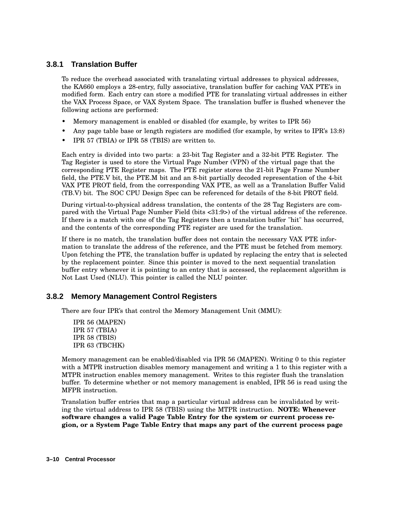## **3.8.1 Translation Buffer**

To reduce the overhead associated with translating virtual addresses to physical addresses, the KA660 employs a 28-entry, fully associative, translation buffer for caching VAX PTE's in modified form. Each entry can store a modified PTE for translating virtual addresses in either the VAX Process Space, or VAX System Space. The translation buffer is flushed whenever the following actions are performed:

- Memory management is enabled or disabled (for example, by writes to IPR 56)
- Any page table base or length registers are modified (for example, by writes to IPR's 13:8)
- IPR 57 (TBIA) or IPR 58 (TBIS) are written to.

Each entry is divided into two parts: a 23-bit Tag Register and a 32-bit PTE Register. The Tag Register is used to store the Virtual Page Number (VPN) of the virtual page that the corresponding PTE Register maps. The PTE register stores the 21-bit Page Frame Number field, the PTE.V bit, the PTE.M bit and an 8-bit partially decoded representation of the 4-bit VAX PTE PROT field, from the corresponding VAX PTE, as well as a Translation Buffer Valid (TB.V) bit. The SOC CPU Design Spec can be referenced for details of the 8-bit PROT field.

During virtual-to-physical address translation, the contents of the 28 Tag Registers are compared with the Virtual Page Number Field (bits <31:9>) of the virtual address of the reference. If there is a match with one of the Tag Registers then a translation buffer "hit" has occurred, and the contents of the corresponding PTE register are used for the translation.

If there is no match, the translation buffer does not contain the necessary VAX PTE information to translate the address of the reference, and the PTE must be fetched from memory. Upon fetching the PTE, the translation buffer is updated by replacing the entry that is selected by the replacement pointer. Since this pointer is moved to the next sequential translation buffer entry whenever it is pointing to an entry that is accessed, the replacement algorithm is Not Last Used (NLU). This pointer is called the NLU pointer.

## **3.8.2 Memory Management Control Registers**

There are four IPR's that control the Memory Management Unit (MMU):

IPR 56 (MAPEN) IPR 57 (TBIA) IPR 58 (TBIS) IPR 63 (TBCHK)

Memory management can be enabled/disabled via IPR 56 (MAPEN). Writing 0 to this register with a MTPR instruction disables memory management and writing a 1 to this register with a MTPR instruction enables memory management. Writes to this register flush the translation buffer. To determine whether or not memory management is enabled, IPR 56 is read using the MFPR instruction.

Translation buffer entries that map a particular virtual address can be invalidated by writing the virtual address to IPR 58 (TBIS) using the MTPR instruction. **NOTE: Whenever software changes a valid Page Table Entry for the system or current process region, or a System Page Table Entry that maps any part of the current process page**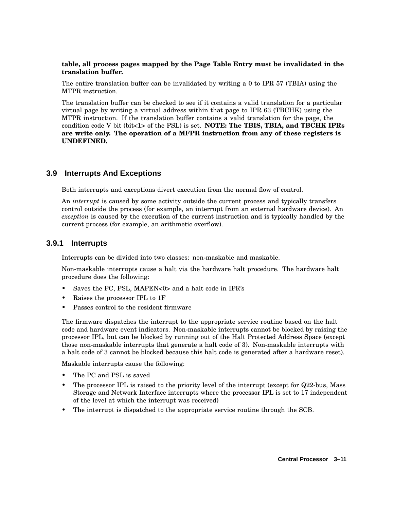### **table, all process pages mapped by the Page Table Entry must be invalidated in the translation buffer.**

The entire translation buffer can be invalidated by writing a 0 to IPR 57 (TBIA) using the MTPR instruction.

The translation buffer can be checked to see if it contains a valid translation for a particular virtual page by writing a virtual address within that page to IPR 63 (TBCHK) using the MTPR instruction. If the translation buffer contains a valid translation for the page, the condition code V bit (bit<1> of the PSL) is set. **NOTE: The TBIS, TBIA, and TBCHK IPRs are write only. The operation of a MFPR instruction from any of these registers is UNDEFINED.**

## **3.9 Interrupts And Exceptions**

Both interrupts and exceptions divert execution from the normal flow of control.

An *interrupt* is caused by some activity outside the current process and typically transfers control outside the process (for example, an interrupt from an external hardware device). An *exception* is caused by the execution of the current instruction and is typically handled by the current process (for example, an arithmetic overflow).

### **3.9.1 Interrupts**

Interrupts can be divided into two classes: non-maskable and maskable.

Non-maskable interrupts cause a halt via the hardware halt procedure. The hardware halt procedure does the following:

- Saves the PC, PSL, MAPEN<0> and a halt code in IPR's
- Raises the processor IPL to 1F
- Passes control to the resident firmware

The firmware dispatches the interrupt to the appropriate service routine based on the halt code and hardware event indicators. Non-maskable interrupts cannot be blocked by raising the processor IPL, but can be blocked by running out of the Halt Protected Address Space (except those non-maskable interrupts that generate a halt code of 3). Non-maskable interrupts with a halt code of 3 cannot be blocked because this halt code is generated after a hardware reset).

Maskable interrupts cause the following:

- The PC and PSL is saved
- The processor IPL is raised to the priority level of the interrupt (except for Q22-bus, Mass Storage and Network Interface interrupts where the processor IPL is set to 17 independent of the level at which the interrupt was received)
- The interrupt is dispatched to the appropriate service routine through the SCB.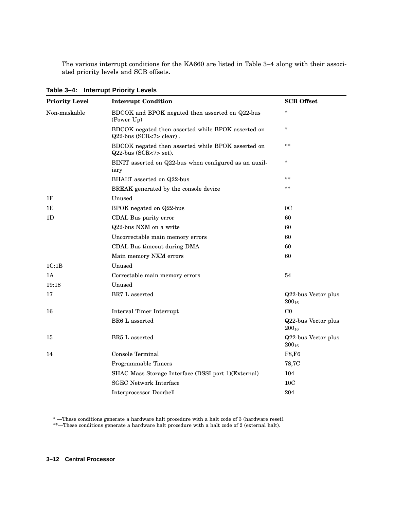The various interrupt conditions for the KA660 are listed in Table 3–4 along with their associated priority levels and SCB offsets.

| <b>Priority Level</b> | <b>Interrupt Condition</b>                                                    | <b>SCB</b> Offset                 |
|-----------------------|-------------------------------------------------------------------------------|-----------------------------------|
| Non-maskable          | BDCOK and BPOK negated then asserted on Q22-bus<br>(Power Up)                 | *                                 |
|                       | BDCOK negated then asserted while BPOK asserted on<br>Q22-bus (SCR<7> clear). | *                                 |
|                       | BDCOK negated then asserted while BPOK asserted on<br>Q22-bus (SCR<7> set).   | **                                |
|                       | BINIT asserted on Q22-bus when configured as an auxil-<br>iary                | *                                 |
|                       | BHALT asserted on Q22-bus                                                     | **                                |
|                       | BREAK generated by the console device                                         | **                                |
| 1F                    | Unused                                                                        |                                   |
| 1E                    | BPOK negated on Q22-bus                                                       | 0 <sup>C</sup>                    |
| 1D                    | CDAL Bus parity error                                                         | 60                                |
|                       | Q22-bus NXM on a write                                                        | 60                                |
|                       | Uncorrectable main memory errors                                              | 60                                |
|                       | CDAL Bus timeout during DMA                                                   | 60                                |
|                       | Main memory NXM errors                                                        | 60                                |
| 1C:1B                 | Unused                                                                        |                                   |
| 1A                    | Correctable main memory errors                                                | 54                                |
| 19:18                 | Unused                                                                        |                                   |
| 17                    | BR7 L asserted                                                                | Q22-bus Vector plus<br>$200_{16}$ |
| 16                    | Interval Timer Interrupt                                                      | C <sub>0</sub>                    |
|                       | BR6 L asserted                                                                | Q22-bus Vector plus<br>$200_{16}$ |
| 15                    | BR5 L asserted                                                                | Q22-bus Vector plus<br>$200_{16}$ |
| 14                    | Console Terminal                                                              | F8,F6                             |
|                       | Programmable Timers                                                           | 78,7C                             |
|                       | SHAC Mass Storage Interface (DSSI port 1)(External)                           | 104                               |
|                       | <b>SGEC Network Interface</b>                                                 | 10 <sub>C</sub>                   |
|                       | <b>Interprocessor Doorbell</b>                                                | 204                               |
|                       |                                                                               |                                   |

**Table 3–4: Interrupt Priority Levels**

\* —These conditions generate a hardware halt procedure with a halt code of 3 (hardware reset).

\*\*—These conditions generate a hardware halt procedure with a halt code of 2 (external halt).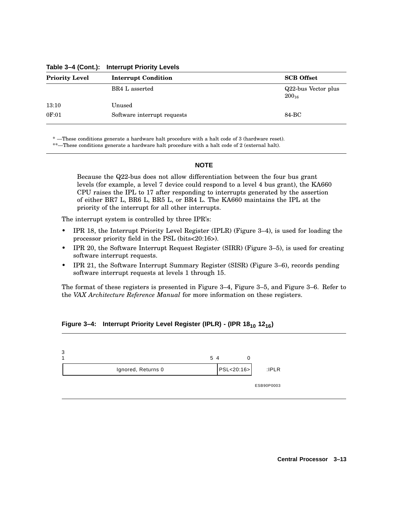| <b>Priority Level</b> | <b>Interrupt Condition</b>  | <b>SCB</b> Offset                 |
|-----------------------|-----------------------------|-----------------------------------|
|                       | BR4 L asserted              | Q22-bus Vector plus<br>$200_{16}$ |
| 13:10                 | Unused                      |                                   |
| 0F:01                 | Software interrupt requests | 84-BC                             |

**Table 3–4 (Cont.): Interrupt Priority Levels**

\* —These conditions generate a hardware halt procedure with a halt code of 3 (hardware reset).

\*\*—These conditions generate a hardware halt procedure with a halt code of 2 (external halt).

### **NOTE**

Because the Q22-bus does not allow differentiation between the four bus grant levels (for example, a level 7 device could respond to a level 4 bus grant), the KA660 CPU raises the IPL to 17 after responding to interrupts generated by the assertion of either BR7 L, BR6 L, BR5 L, or BR4 L. The KA660 maintains the IPL at the priority of the interrupt for all other interrupts.

The interrupt system is controlled by three IPR's:

- IPR 18, the Interrupt Priority Level Register (IPLR) (Figure 3–4), is used for loading the processor priority field in the PSL (bits<20:16>).
- IPR 20, the Software Interrupt Request Register (SIRR) (Figure 3–5), is used for creating software interrupt requests.
- IPR 21, the Software Interrupt Summary Register (SISR) (Figure 3–6), records pending software interrupt requests at levels 1 through 15.

The format of these registers is presented in Figure 3–4, Figure 3–5, and Figure 3–6. Refer to the *VAX Architecture Reference Manual* for more information on these registers.

### **Figure 3–4: Interrupt Priority Level Register (IPLR) - (IPR 18<sup>10</sup> 1216)**

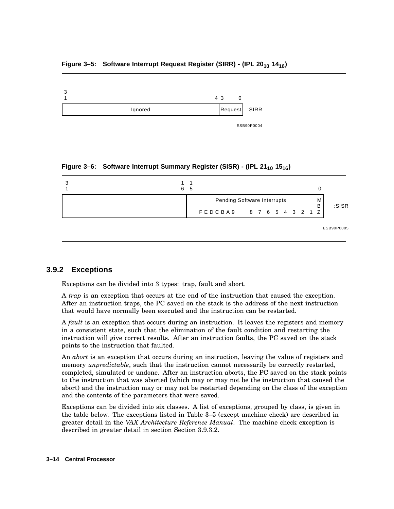### **Figure 3–5: Software Interrupt Request Register (SIRR) - (IPL 20<sup>10</sup> 1416)**



**Figure 3–6: Software Interrupt Summary Register (SISR) - (IPL 21<sup>10</sup> 1516)**



## **3.9.2 Exceptions**

Exceptions can be divided into 3 types: trap, fault and abort.

A *trap* is an exception that occurs at the end of the instruction that caused the exception. After an instruction traps, the PC saved on the stack is the address of the next instruction that would have normally been executed and the instruction can be restarted.

A *fault* is an exception that occurs during an instruction. It leaves the registers and memory in a consistent state, such that the elimination of the fault condition and restarting the instruction will give correct results. After an instruction faults, the PC saved on the stack points to the instruction that faulted.

An *abort* is an exception that occurs during an instruction, leaving the value of registers and memory *unpredictable*, such that the instruction cannot necessarily be correctly restarted, completed, simulated or undone. After an instruction aborts, the PC saved on the stack points to the instruction that was aborted (which may or may not be the instruction that caused the abort) and the instruction may or may not be restarted depending on the class of the exception and the contents of the parameters that were saved.

Exceptions can be divided into six classes. A list of exceptions, grouped by class, is given in the table below. The exceptions listed in Table 3–5 (except machine check) are described in greater detail in the *VAX Architecture Reference Manual*. The machine check exception is described in greater detail in section Section 3.9.3.2.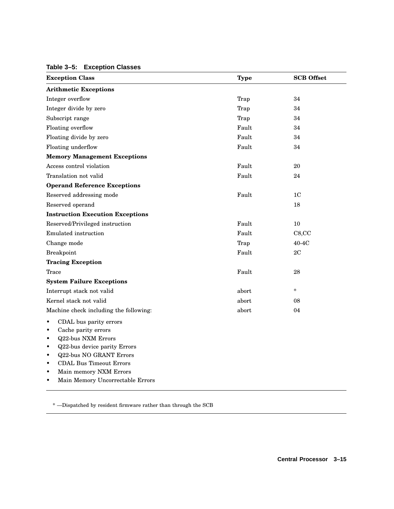### **Table 3–5: Exception Classes**

| <b>Exception Class</b>                                                                                                                                                                                                                                                                                                                               | <b>Type</b> | <b>SCB</b> Offset |
|------------------------------------------------------------------------------------------------------------------------------------------------------------------------------------------------------------------------------------------------------------------------------------------------------------------------------------------------------|-------------|-------------------|
| <b>Arithmetic Exceptions</b>                                                                                                                                                                                                                                                                                                                         |             |                   |
| Integer overflow                                                                                                                                                                                                                                                                                                                                     | Trap        | 34                |
| Integer divide by zero                                                                                                                                                                                                                                                                                                                               | Trap        | 34                |
| Subscript range                                                                                                                                                                                                                                                                                                                                      | Trap        | 34                |
| Floating overflow                                                                                                                                                                                                                                                                                                                                    | Fault       | 34                |
| Floating divide by zero                                                                                                                                                                                                                                                                                                                              | Fault       | 34                |
| Floating underflow                                                                                                                                                                                                                                                                                                                                   | Fault       | 34                |
| <b>Memory Management Exceptions</b>                                                                                                                                                                                                                                                                                                                  |             |                   |
| Access control violation                                                                                                                                                                                                                                                                                                                             | Fault       | 20                |
| Translation not valid                                                                                                                                                                                                                                                                                                                                | Fault       | 24                |
| <b>Operand Reference Exceptions</b>                                                                                                                                                                                                                                                                                                                  |             |                   |
| Reserved addressing mode                                                                                                                                                                                                                                                                                                                             | Fault       | 1 <sup>C</sup>    |
| Reserved operand                                                                                                                                                                                                                                                                                                                                     |             | 18                |
| <b>Instruction Execution Exceptions</b>                                                                                                                                                                                                                                                                                                              |             |                   |
| Reserved/Privileged instruction                                                                                                                                                                                                                                                                                                                      | Fault       | 10                |
| Emulated instruction                                                                                                                                                                                                                                                                                                                                 | Fault       | C8, CC            |
| Change mode                                                                                                                                                                                                                                                                                                                                          | Trap        | $40-4C$           |
| <b>Breakpoint</b>                                                                                                                                                                                                                                                                                                                                    | Fault       | 2C                |
| <b>Tracing Exception</b>                                                                                                                                                                                                                                                                                                                             |             |                   |
| Trace                                                                                                                                                                                                                                                                                                                                                | Fault       | 28                |
| <b>System Failure Exceptions</b>                                                                                                                                                                                                                                                                                                                     |             |                   |
| Interrupt stack not valid                                                                                                                                                                                                                                                                                                                            | abort       | $\ast$            |
| Kernel stack not valid                                                                                                                                                                                                                                                                                                                               | abort       | 08                |
| Machine check including the following:                                                                                                                                                                                                                                                                                                               | abort       | 04                |
| CDAL bus parity errors<br>$\bullet$<br>Cache parity errors<br>$\bullet$<br><b>Q22-bus NXM Errors</b><br>$\bullet$<br>Q22-bus device parity Errors<br>$\bullet$<br><b>Q22-bus NO GRANT Errors</b><br>$\bullet$<br><b>CDAL Bus Timeout Errors</b><br>$\bullet$<br>Main memory NXM Errors<br>$\bullet$<br>Main Memory Uncorrectable Errors<br>$\bullet$ |             |                   |

 $^\ast$  —Dispatched by resident firmware rather than through the SCB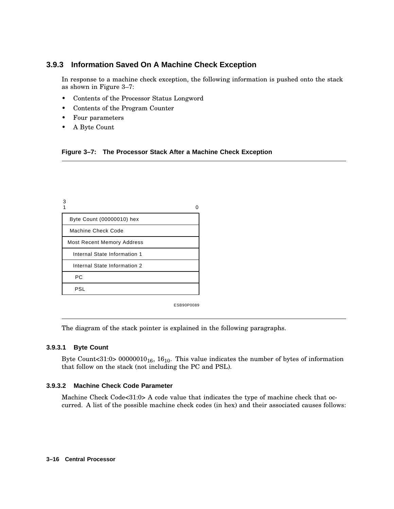## **3.9.3 Information Saved On A Machine Check Exception**

In response to a machine check exception, the following information is pushed onto the stack as shown in Figure 3–7:

- Contents of the Processor Status Longword
- Contents of the Program Counter
- Four parameters
- A Byte Count

|  | Figure 3-7: The Processor Stack After a Machine Check Exception |  |  |  |  |
|--|-----------------------------------------------------------------|--|--|--|--|
|--|-----------------------------------------------------------------|--|--|--|--|

| З                                 |  |
|-----------------------------------|--|
| Byte Count (00000010) hex         |  |
| Machine Check Code                |  |
| <b>Most Recent Memory Address</b> |  |
| Internal State Information 1      |  |
| Internal State Information 2      |  |
| РC                                |  |
| PSL                               |  |

ESB90P0089

The diagram of the stack pointer is explained in the following paragraphs.

### **3.9.3.1 Byte Count**

Byte Count<31:0>  $00000010_{16}$ , 16<sub>10</sub>. This value indicates the number of bytes of information that follow on the stack (not including the PC and PSL).

### **3.9.3.2 Machine Check Code Parameter**

Machine Check Code<31:0> A code value that indicates the type of machine check that occurred. A list of the possible machine check codes (in hex) and their associated causes follows: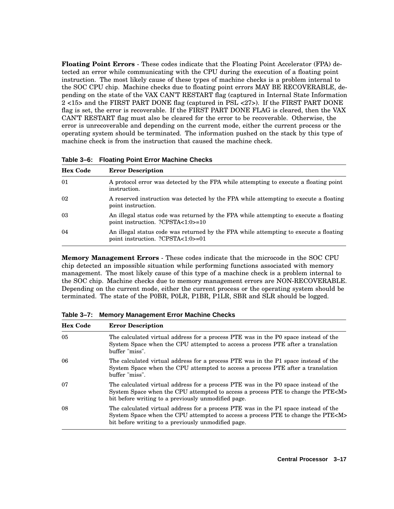**Floating Point Errors** - These codes indicate that the Floating Point Accelerator (FPA) detected an error while communicating with the CPU during the execution of a floating point instruction. The most likely cause of these types of machine checks is a problem internal to the SOC CPU chip. Machine checks due to floating point errors MAY BE RECOVERABLE, depending on the state of the VAX CAN'T RESTART flag (captured in Internal State Information 2 <15> and the FIRST PART DONE flag (captured in PSL <27>). If the FIRST PART DONE flag is set, the error is recoverable. If the FIRST PART DONE FLAG is cleared, then the VAX CAN'T RESTART flag must also be cleared for the error to be recoverable. Otherwise, the error is unrecoverable and depending on the current mode, either the current process or the operating system should be terminated. The information pushed on the stack by this type of machine check is from the instruction that caused the machine check.

| <b>Hex Code</b> | <b>Error Description</b>                                                                                                   |
|-----------------|----------------------------------------------------------------------------------------------------------------------------|
| 01              | A protocol error was detected by the FPA while attempting to execute a floating point<br>instruction.                      |
| 02              | A reserved instruction was detected by the FPA while attempting to execute a floating<br>point instruction.                |
| 03              | An illegal status code was returned by the FPA while attempting to execute a floating<br>point instruction. ?CPSTA<1:0>=10 |
| 04              | An illegal status code was returned by the FPA while attempting to execute a floating<br>point instruction. ?CPSTA<1:0>=01 |

**Table 3–6: Floating Point Error Machine Checks**

**Memory Management Errors** - These codes indicate that the microcode in the SOC CPU chip detected an impossible situation while performing functions associated with memory management. The most likely cause of this type of a machine check is a problem internal to the SOC chip. Machine checks due to memory management errors are NON-RECOVERABLE. Depending on the current mode, either the current process or the operating system should be terminated. The state of the P0BR, P0LR, P1BR, P1LR, SBR and SLR should be logged.

| <b>Hex Code</b> | <b>Error Description</b>                                                                                                                                                                                                             |  |  |  |  |
|-----------------|--------------------------------------------------------------------------------------------------------------------------------------------------------------------------------------------------------------------------------------|--|--|--|--|
| 05              | The calculated virtual address for a process PTE was in the P0 space instead of the<br>System Space when the CPU attempted to access a process PTE after a translation<br>buffer "miss".                                             |  |  |  |  |
| 06              | The calculated virtual address for a process PTE was in the P1 space instead of the<br>System Space when the CPU attempted to access a process PTE after a translation<br>buffer "miss".                                             |  |  |  |  |
| 07              | The calculated virtual address for a process PTE was in the P0 space instead of the<br>System Space when the CPU attempted to access a process PTE to change the PTE <m><br/>bit before writing to a previously unmodified page.</m> |  |  |  |  |
| 08              | The calculated virtual address for a process PTE was in the P1 space instead of the<br>System Space when the CPU attempted to access a process PTE to change the PTE <m><br/>bit before writing to a previously unmodified page.</m> |  |  |  |  |

**Table 3–7: Memory Management Error Machine Checks**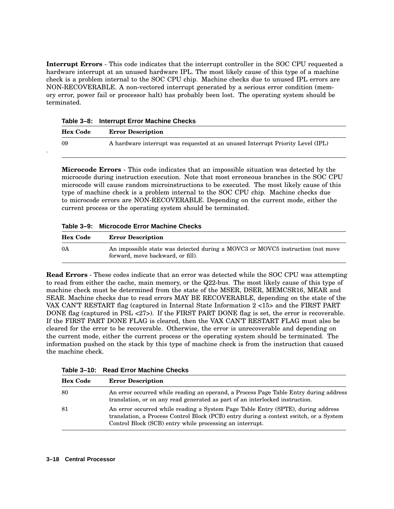**Interrupt Errors** - This code indicates that the interrupt controller in the SOC CPU requested a hardware interrupt at an unused hardware IPL. The most likely cause of this type of a machine check is a problem internal to the SOC CPU chip. Machine checks due to unused IPL errors are NON-RECOVERABLE. A non-vectored interrupt generated by a serious error condition (memory error, power fail or processor halt) has probably been lost. The operating system should be terminated.

| Table 3–8: Interrupt Error Machine Checks |
|-------------------------------------------|
|-------------------------------------------|

.

| <b>Hex Code</b> | <b>Error Description</b>                                                       |
|-----------------|--------------------------------------------------------------------------------|
| 09              | A hardware interrupt was requested at an unused Interrupt Priority Level (IPL) |

**Microcode Errors** - This code indicates that an impossible situation was detected by the microcode during instruction execution. Note that most erroneous branches in the SOC CPU microcode will cause random microinstructions to be executed. The most likely cause of this type of machine check is a problem internal to the SOC CPU chip. Machine checks due to microcode errors are NON-RECOVERABLE. Depending on the current mode, either the current process or the operating system should be terminated.

**Table 3–9: Microcode Error Machine Checks**

| <b>Hex Code</b> | <b>Error Description</b>                                                                                            |  |  |
|-----------------|---------------------------------------------------------------------------------------------------------------------|--|--|
| 0A              | An impossible state was detected during a MOVC3 or MOVC5 instruction (not move<br>forward, move backward, or fill). |  |  |

**Read Errors** - These codes indicate that an error was detected while the SOC CPU was attempting to read from either the cache, main memory, or the Q22-bus. The most likely cause of this type of machine check must be determined from the state of the MSER, DSER, MEMCSR16, MEAR and SEAR. Machine checks due to read errors MAY BE RECOVERABLE, depending on the state of the VAX CAN'T RESTART flag (captured in Internal State Information 2 <15> and the FIRST PART DONE flag (captured in PSL <27>). If the FIRST PART DONE flag is set, the error is recoverable. If the FIRST PART DONE FLAG is cleared, then the VAX CAN'T RESTART FLAG must also be cleared for the error to be recoverable. Otherwise, the error is unrecoverable and depending on the current mode, either the current process or the operating system should be terminated. The information pushed on the stack by this type of machine check is from the instruction that caused the machine check.

| Table 3–10: Read Error Machine Checks |  |  |
|---------------------------------------|--|--|
|                                       |  |  |

| <b>Hex Code</b><br><b>Error Description</b> |                                                                                                                                                                                                                                       |  |
|---------------------------------------------|---------------------------------------------------------------------------------------------------------------------------------------------------------------------------------------------------------------------------------------|--|
| 80                                          | An error occurred while reading an operand, a Process Page Table Entry during address<br>translation, or on any read generated as part of an interlocked instruction.                                                                 |  |
| -81                                         | An error occurred while reading a System Page Table Entry (SPTE), during address<br>translation, a Process Control Block (PCB) entry during a context switch, or a System<br>Control Block (SCB) entry while processing an interrupt. |  |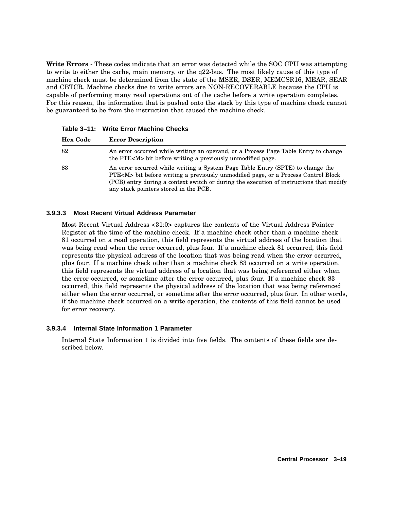**Write Errors** - These codes indicate that an error was detected while the SOC CPU was attempting to write to either the cache, main memory, or the q22-bus. The most likely cause of this type of machine check must be determined from the state of the MSER, DSER, MEMCSR16, MEAR, SEAR and CBTCR. Machine checks due to write errors are NON-RECOVERABLE because the CPU is capable of performing many read operations out of the cache before a write operation completes. For this reason, the information that is pushed onto the stack by this type of machine check cannot be guaranteed to be from the instruction that caused the machine check.

| <b>Hex Code</b> | <b>Error Description</b>                                                                                                                                                                                                                                                                                        |  |  |  |
|-----------------|-----------------------------------------------------------------------------------------------------------------------------------------------------------------------------------------------------------------------------------------------------------------------------------------------------------------|--|--|--|
| 82              | An error occurred while writing an operand, or a Process Page Table Entry to change<br>the PTE <m> bit before writing a previously unmodified page.</m>                                                                                                                                                         |  |  |  |
| 83              | An error occurred while writing a System Page Table Entry (SPTE) to change the<br>PTE <m> bit before writing a previously unmodified page, or a Process Control Block<br/>(PCB) entry during a context switch or during the execution of instructions that modify<br/>any stack pointers stored in the PCB.</m> |  |  |  |

**Table 3–11: Write Error Machine Checks**

### **3.9.3.3 Most Recent Virtual Address Parameter**

Most Recent Virtual Address <31:0> captures the contents of the Virtual Address Pointer Register at the time of the machine check. If a machine check other than a machine check 81 occurred on a read operation, this field represents the virtual address of the location that was being read when the error occurred, plus four. If a machine check 81 occurred, this field represents the physical address of the location that was being read when the error occurred, plus four. If a machine check other than a machine check 83 occurred on a write operation, this field represents the virtual address of a location that was being referenced either when the error occurred, or sometime after the error occurred, plus four. If a machine check 83 occurred, this field represents the physical address of the location that was being referenced either when the error occurred, or sometime after the error occurred, plus four. In other words, if the machine check occurred on a write operation, the contents of this field cannot be used for error recovery.

### **3.9.3.4 Internal State Information 1 Parameter**

Internal State Information 1 is divided into five fields. The contents of these fields are described below.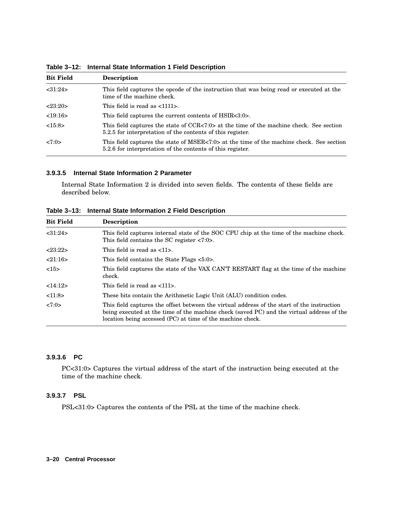| <b>Bit Field</b>                                                                                                                   | <b>Description</b>                                                                                                                                     |  |  |  |
|------------------------------------------------------------------------------------------------------------------------------------|--------------------------------------------------------------------------------------------------------------------------------------------------------|--|--|--|
| < 31:24><br>This field captures the opcode of the instruction that was being read or executed at the<br>time of the machine check. |                                                                                                                                                        |  |  |  |
| <23:20>                                                                                                                            | This field is read as $\langle 1111 \rangle$ .                                                                                                         |  |  |  |
| <19:16>                                                                                                                            | This field captures the current contents of HSIR<3:0>.                                                                                                 |  |  |  |
| <15:8>                                                                                                                             | This field captures the state of CCR<7:0> at the time of the machine check. See section<br>5.2.5 for interpretation of the contents of this register.  |  |  |  |
| 27:0>                                                                                                                              | This field captures the state of MSER<7:0> at the time of the machine check. See section<br>5.2.6 for interpretation of the contents of this register. |  |  |  |

**Table 3–12: Internal State Information 1 Field Description**

### **3.9.3.5 Internal State Information 2 Parameter**

Internal State Information 2 is divided into seven fields. The contents of these fields are described below.

**Table 3–13: Internal State Information 2 Field Description**

| <b>Bit Field</b> | <b>Description</b>                                                                                                                                                                                                                                    |  |  |  |
|------------------|-------------------------------------------------------------------------------------------------------------------------------------------------------------------------------------------------------------------------------------------------------|--|--|--|
| <31:24>          | This field captures internal state of the SOC CPU chip at the time of the machine check.<br>This field contains the SC register $\langle 7:0 \rangle$ .                                                                                               |  |  |  |
| <23:22>          | This field is read as $\langle 11 \rangle$ .                                                                                                                                                                                                          |  |  |  |
| 21:16>           | This field contains the State Flags <5:0>.                                                                                                                                                                                                            |  |  |  |
| <15>             | This field captures the state of the VAX CAN'T RESTART flag at the time of the machine<br>check.                                                                                                                                                      |  |  |  |
| <14:12>          | This field is read as <111>.                                                                                                                                                                                                                          |  |  |  |
| <11:8>           | These bits contain the Arithmetic Logic Unit (ALU) condition codes.                                                                                                                                                                                   |  |  |  |
| <7:0>            | This field captures the offset between the virtual address of the start of the instruction<br>being executed at the time of the machine check (saved PC) and the virtual address of the<br>location being accessed (PC) at time of the machine check. |  |  |  |

### **3.9.3.6 PC**

PC<31:0> Captures the virtual address of the start of the instruction being executed at the time of the machine check.

#### **3.9.3.7 PSL**

PSL<31:0> Captures the contents of the PSL at the time of the machine check.

#### **3–20 Central Processor**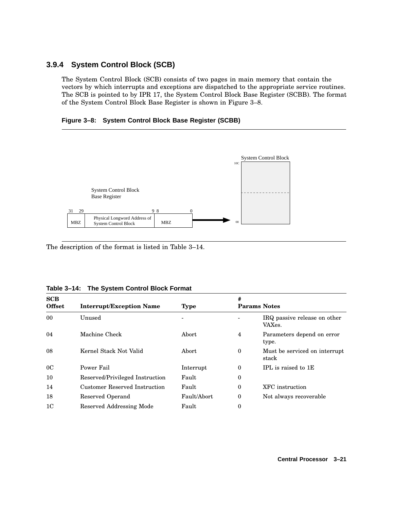## **3.9.4 System Control Block (SCB)**

The System Control Block (SCB) consists of two pages in main memory that contain the vectors by which interrupts and exceptions are dispatched to the appropriate service routines. The SCB is pointed to by IPR 17, the System Control Block Base Register (SCBB). The format of the System Control Block Base Register is shown in Figure 3–8.

**Figure 3–8: System Control Block Base Register (SCBB)**



The description of the format is listed in Table 3–14.

| Table 3-14: The System Control Block Format |  |  |
|---------------------------------------------|--|--|
|                                             |  |  |

| SCB<br><b>Offset</b> | <b>Interrupt/Exception Name</b> | <b>Type</b> | #                | <b>Params Notes</b>                    |
|----------------------|---------------------------------|-------------|------------------|----------------------------------------|
| 00 <sup>°</sup>      | Unused                          |             |                  | IRQ passive release on other<br>VAXes. |
| 04                   | Machine Check                   | Abort       | 4                | Parameters depend on error<br>type.    |
| 08                   | Kernel Stack Not Valid          | Abort       | $\bf{0}$         | Must be serviced on interrupt<br>stack |
| 0 <sup>C</sup>       | Power Fail                      | Interrupt   | $\boldsymbol{0}$ | IPL is raised to 1E                    |
| 10                   | Reserved/Privileged Instruction | Fault       | $\bf{0}$         |                                        |
| 14                   | Customer Reserved Instruction   | Fault       | 0                | XFC instruction                        |
| 18                   | Reserved Operand                | Fault/Abort | 0                | Not always recoverable                 |
| 1 <sup>C</sup>       | Reserved Addressing Mode        | Fault       | 0                |                                        |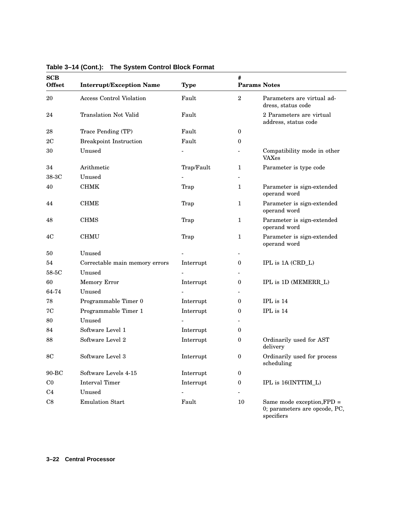| SCB<br><b>Offset</b> | <b>Interrupt/Exception Name</b> | <b>Type</b> | #<br><b>Params Notes</b> |                                                                           |
|----------------------|---------------------------------|-------------|--------------------------|---------------------------------------------------------------------------|
| 20                   | <b>Access Control Violation</b> | Fault       | $\sqrt{2}$               | Parameters are virtual ad-<br>dress, status code                          |
| 24                   | <b>Translation Not Valid</b>    | Fault       |                          | 2 Parameters are virtual<br>address, status code                          |
| 28                   | Trace Pending (TP)              | Fault       | $\boldsymbol{0}$         |                                                                           |
| 2 <sub>C</sub>       | <b>Breakpoint Instruction</b>   | Fault       | $\boldsymbol{0}$         |                                                                           |
| 30                   | Unused                          |             |                          | Compatibility mode in other<br><b>VAXes</b>                               |
| 34                   | Arithmetic                      | Trap/Fault  | $\mathbf{1}$             | Parameter is type code                                                    |
| 38-3C                | Unused                          |             |                          |                                                                           |
| 40                   | <b>CHMK</b>                     | Trap        | $\mathbf{1}$             | Parameter is sign-extended<br>operand word                                |
| 44                   | <b>CHME</b>                     | Trap        | $\mathbf{1}$             | Parameter is sign-extended<br>operand word                                |
| 48                   | <b>CHMS</b>                     | Trap        | $\mathbf{1}$             | Parameter is sign-extended<br>operand word                                |
| 4C                   | <b>CHMU</b>                     | Trap        | $\mathbf{1}$             | Parameter is sign-extended<br>operand word                                |
| 50                   | Unused                          |             | $\overline{\phantom{a}}$ |                                                                           |
| 54                   | Correctable main memory errors  | Interrupt   | $\boldsymbol{0}$         | IPL is 1A (CRD_L)                                                         |
| 58-5C                | Unused                          |             | $\overline{\phantom{a}}$ |                                                                           |
| 60                   | <b>Memory Error</b>             | Interrupt   | $\boldsymbol{0}$         | IPL is 1D (MEMERR_L)                                                      |
| 64-74                | Unused                          |             |                          |                                                                           |
| 78                   | Programmable Timer 0            | Interrupt   | $\boldsymbol{0}$         | IPL is 14                                                                 |
| 7C                   | Programmable Timer 1            | Interrupt   | 0                        | $\rm IPL$ is $14$                                                         |
| 80                   | Unused                          |             |                          |                                                                           |
| 84                   | Software Level 1                | Interrupt   | 0                        |                                                                           |
| 88                   | Software Level 2                | Interrupt   | $\boldsymbol{0}$         | Ordinarily used for AST<br>delivery                                       |
| 8C                   | Software Level 3                | Interrupt   | $\bf{0}$                 | Ordinarily used for process<br>scheduling                                 |
| 90-BC                | Software Levels 4-15            | Interrupt   | $\bf{0}$                 |                                                                           |
| $_{\rm CO}$          | Interval Timer                  | Interrupt   | $\boldsymbol{0}$         | IPL is 16(INTTIM_L)                                                       |
| C <sub>4</sub>       | Unused                          |             |                          |                                                                           |
| C8                   | <b>Emulation Start</b>          | Fault       | 10                       | Same mode exception, FPD =<br>0; parameters are opcode, PC,<br>specifiers |

**Table 3–14 (Cont.): The System Control Block Format**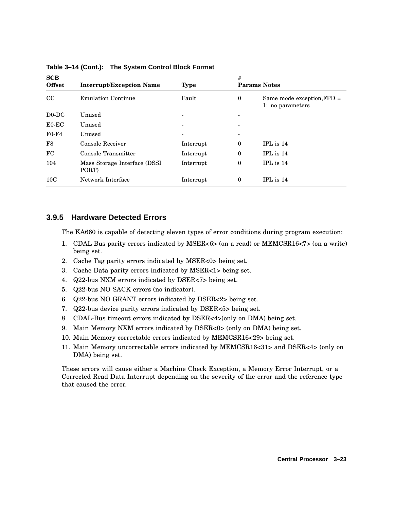| SCB<br><b>Offset</b> | <b>Interrupt/Exception Name</b>       | <b>Type</b> | #                        | <b>Params Notes</b>                              |
|----------------------|---------------------------------------|-------------|--------------------------|--------------------------------------------------|
| $_{\rm CC}$          | <b>Emulation Continue</b>             | Fault       | $\bf{0}$                 | Same mode exception, $FPD =$<br>1: no parameters |
| $D0-DC$              | Unused                                | -           | $\overline{\phantom{0}}$ |                                                  |
| $E0-EC$              | Unused                                |             | ۰                        |                                                  |
| $F0-F4$              | Unused                                | -           | -                        |                                                  |
| F8                   | Console Receiver                      | Interrupt   | $\bf{0}$                 | $IPL$ is $14$                                    |
| FC                   | Console Transmitter                   | Interrupt   | $\mathbf{0}$             | $IPL$ is $14$                                    |
| 104                  | Mass Storage Interface (DSSI<br>PORT) | Interrupt   | $\mathbf{0}$             | IPL is 14                                        |
| 10 <sub>C</sub>      | Network Interface                     | Interrupt   | $\mathbf{0}$             | $IPL$ is $14$                                    |

**Table 3–14 (Cont.): The System Control Block Format**

### **3.9.5 Hardware Detected Errors**

The KA660 is capable of detecting eleven types of error conditions during program execution:

- 1. CDAL Bus parity errors indicated by MSER<6> (on a read) or MEMCSR16<7> (on a write) being set.
- 2. Cache Tag parity errors indicated by MSER<0> being set.
- 3. Cache Data parity errors indicated by MSER<1> being set.
- 4. Q22-bus NXM errors indicated by DSER<7> being set.
- 5. Q22-bus NO SACK errors (no indicator).
- 6. Q22-bus NO GRANT errors indicated by DSER<2> being set.
- 7. Q22-bus device parity errors indicated by DSER<5> being set.
- 8. CDAL-Bus timeout errors indicated by DSER<4>(only on DMA) being set.
- 9. Main Memory NXM errors indicated by DSER<0> (only on DMA) being set.
- 10. Main Memory correctable errors indicated by MEMCSR16<29> being set.
- 11. Main Memory uncorrectable errors indicated by MEMCSR16<31> and DSER<4> (only on DMA) being set.

These errors will cause either a Machine Check Exception, a Memory Error Interrupt, or a Corrected Read Data Interrupt depending on the severity of the error and the reference type that caused the error.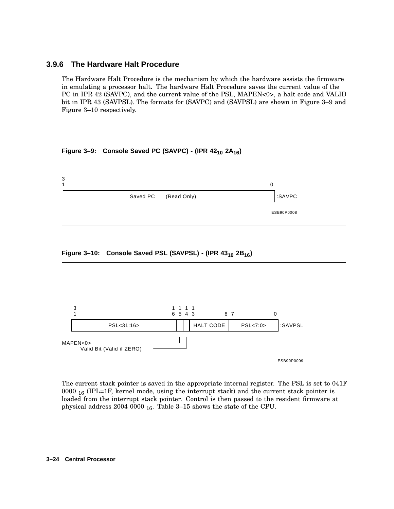### **3.9.6 The Hardware Halt Procedure**

The Hardware Halt Procedure is the mechanism by which the hardware assists the firmware in emulating a processor halt. The hardware Halt Procedure saves the current value of the PC in IPR 42 (SAVPC), and the current value of the PSL, MAPEN<0>, a halt code and VALID bit in IPR 43 (SAVPSL). The formats for (SAVPC) and (SAVPSL) are shown in Figure 3–9 and Figure 3–10 respectively.

### **Figure 3–9: Console Saved PC (SAVPC) - (IPR 42<sup>10</sup> 2A16)**







The current stack pointer is saved in the appropriate internal register. The PSL is set to 041F 0000  $_{16}$  (IPL=1F, kernel mode, using the interrupt stack) and the current stack pointer is loaded from the interrupt stack pointer. Control is then passed to the resident firmware at physical address 2004 0000  $_{16}$ . Table 3-15 shows the state of the CPU.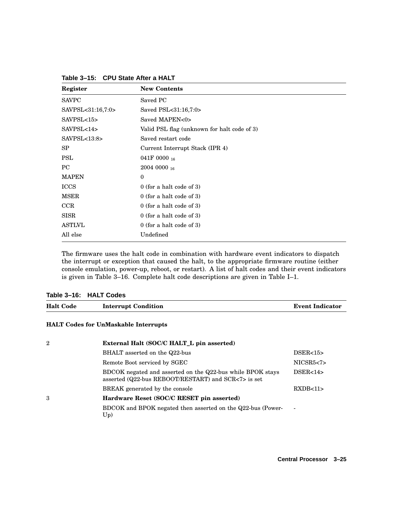| Register             | <b>New Contents</b>                         |
|----------------------|---------------------------------------------|
| <b>SAVPC</b>         | Saved PC                                    |
| SAVPSL<31:16,7:0>    | Saved PSL<31:16,7:0>                        |
| SAVPSL <sub>15</sub> | Saved MAPEN<0>                              |
| SAVPSL<14            | Valid PSL flag (unknown for halt code of 3) |
| SAVPSL < 13:8>       | Saved restart code                          |
| SP                   | Current Interrupt Stack (IPR 4)             |
| <b>PSL</b>           | 041F 0000 $_{16}$                           |
| PC                   | $20040000_{16}$                             |
| <b>MAPEN</b>         | $\theta$                                    |
| <b>ICCS</b>          | $0$ (for a halt code of 3)                  |
| <b>MSER</b>          | $0$ (for a halt code of 3)                  |
| CCR                  | $0$ (for a halt code of 3)                  |
| <b>SISR</b>          | $0$ (for a halt code of 3)                  |
| <b>ASTLVL</b>        | $0$ (for a halt code of 3)                  |
| All else             | Undefined                                   |

**Table 3–15: CPU State After a HALT**

The firmware uses the halt code in combination with hardware event indicators to dispatch the interrupt or exception that caused the halt, to the appropriate firmware routine (either console emulation, power-up, reboot, or restart). A list of halt codes and their event indicators is given in Table 3–16. Complete halt code descriptions are given in Table I–1.

#### **Table 3–16: HALT Codes**

| <b>Halt Code</b> | <b>Interrupt Condition</b>                  | <b>Event Indicator</b> |
|------------------|---------------------------------------------|------------------------|
|                  | <b>HALT Codes for UnMaskable Interrupts</b> |                        |

| $\overline{2}$ | External Halt (SOC/C HALT_L pin asserted)                                                                         |            |  |  |  |  |  |
|----------------|-------------------------------------------------------------------------------------------------------------------|------------|--|--|--|--|--|
|                | BHALT asserted on the Q22-bus                                                                                     | DSER<15>   |  |  |  |  |  |
|                | Remote Boot serviced by SGEC                                                                                      | NICSR5 < 7 |  |  |  |  |  |
|                | BDCOK negated and asserted on the Q22-bus while BPOK stays<br>asserted (Q22-bus REBOOT/RESTART) and SCR<7> is set | DSER<14>   |  |  |  |  |  |
|                | BREAK generated by the console                                                                                    | RXDB<11    |  |  |  |  |  |
| 3              | Hardware Reset (SOC/C RESET pin asserted)                                                                         |            |  |  |  |  |  |
|                | BDCOK and BPOK negated then asserted on the Q22-bus (Power-<br>Up)                                                |            |  |  |  |  |  |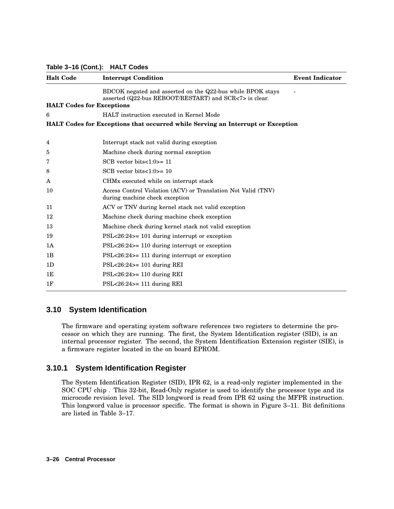#### **Table 3–16 (Cont.): HALT Codes**

| <b>Halt Code</b>                 | <b>Interrupt Condition</b>                                                                                           | <b>Event Indicator</b> |
|----------------------------------|----------------------------------------------------------------------------------------------------------------------|------------------------|
|                                  | BDCOK negated and asserted on the Q22-bus while BPOK stays<br>asserted (Q22-bus REBOOT/RESTART) and SCR<7> is clear. |                        |
| <b>HALT</b> Codes for Exceptions |                                                                                                                      |                        |
| 6                                | HALT instruction executed in Kernel Mode                                                                             |                        |
|                                  | <b>HALT</b> Codes for Exceptions that occurred while Serving an Interrupt or Exception                               |                        |
| 4                                | Interrupt stack not valid during exception                                                                           |                        |
| 5                                | Machine check during normal exception                                                                                |                        |
| 7                                | SCB vector bits $<1:0>=11$                                                                                           |                        |
| 8                                | SCB vector bits $<1:0>=10$                                                                                           |                        |
| A                                | CHM <sub>x</sub> executed while on interrupt stack                                                                   |                        |
| 10                               | Access Control Violation (ACV) or Translation Not Valid (TNV)<br>during machine check exception                      |                        |
| 11                               | ACV or TNV during kernel stack not valid exception                                                                   |                        |
| 12                               | Machine check during machine check exception                                                                         |                        |
| 13                               | Machine check during kernel stack not valid exception                                                                |                        |
| 19                               | $PSL < 26:24$ = 101 during interrupt or exception                                                                    |                        |
| 1A                               | $PSL < 26:24$ = 110 during interrupt or exception                                                                    |                        |
| 1B                               | $PSL < 26:24$ = 111 during interrupt or exception                                                                    |                        |
| 1 <sub>D</sub>                   | $PSL < 26:24$ > = 101 during REI                                                                                     |                        |
| 1E                               | $PSL < 26:24$ > = 110 during REI                                                                                     |                        |
| 1F                               | $PSL < 26:24$ = 111 during REI                                                                                       |                        |

### **3.10 System Identification**

The firmware and operating system software references two registers to determine the processor on which they are running. The first, the System Identification register (SID), is an internal processor register. The second, the System Identification Extension register (SIE), is a firmware register located in the on board EPROM.

### **3.10.1 System Identification Register**

The System Identification Register (SID), IPR 62, is a read-only register implemented in the SOC CPU chip . This 32-bit, Read-Only register is used to identify the processor type and its microcode revision level. The SID longword is read from IPR 62 using the MFPR instruction. This longword value is processor specific. The format is shown in Figure 3–11. Bit definitions are listed in Table 3–17.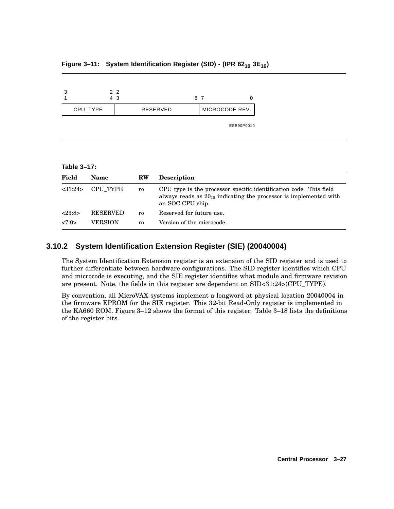|          | 22<br>43 | 87 |                |
|----------|----------|----|----------------|
| CPU_TYPE | RESERVED |    | MICROCODE REV. |
|          |          |    | ESB90P0010     |

### **Figure 3–11: System Identification Register (SID) - (IPR 62<sup>10</sup> 3E16)**

**Table 3–17:**

| Field   | <b>Name</b>     | <b>RW</b> | <b>Description</b>                                                                                                                                               |
|---------|-----------------|-----------|------------------------------------------------------------------------------------------------------------------------------------------------------------------|
| <31:24> | CPU TYPE        | ro        | CPU type is the processor specific identification code. This field<br>always reads as $20_{10}$ indicating the processor is implemented with<br>an SOC CPU chip. |
| <23:8>  | <b>RESERVED</b> | ro        | Reserved for future use.                                                                                                                                         |
| <7:0>   | VERSION         | ro        | Version of the microcode.                                                                                                                                        |

## **3.10.2 System Identification Extension Register (SIE) (20040004)**

The System Identification Extension register is an extension of the SID register and is used to further differentiate between hardware configurations. The SID register identifies which CPU and microcode is executing, and the SIE register identifies what module and firmware revision are present. Note, the fields in this register are dependent on SID<31:24>(CPU\_TYPE).

By convention, all MicroVAX systems implement a longword at physical location 20040004 in the firmware EPROM for the SIE register. This 32-bit Read-Only register is implemented in the KA660 ROM. Figure 3–12 shows the format of this register. Table 3–18 lists the definitions of the register bits.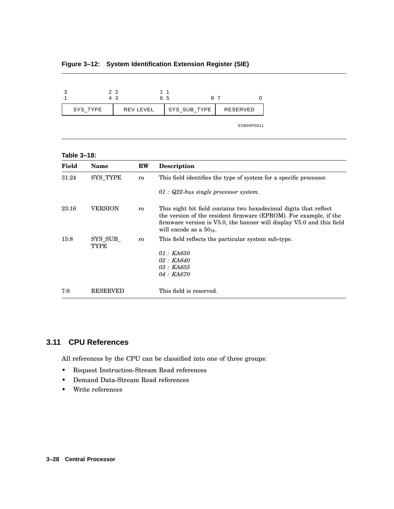|          | 2 2<br>4 3       | 11<br>65 |              | 87         |  |
|----------|------------------|----------|--------------|------------|--|
| SYS TYPE | <b>REV LEVEL</b> |          | SYS_SUB_TYPE | RESERVED   |  |
|          |                  |          |              | ESB90P0011 |  |

## **Figure 3–12: System Identification Extension Register (SIE)**

#### **Table 3–18:**

| Field | <b>Name</b>            | $RW$ | <b>Description</b>                                                                                                                                                                                                                                   |
|-------|------------------------|------|------------------------------------------------------------------------------------------------------------------------------------------------------------------------------------------------------------------------------------------------------|
| 31:24 | <b>SYS TYPE</b>        | ro   | This field identifies the type of system for a specific processor.                                                                                                                                                                                   |
|       |                        |      | 01 : $Q22$ -bus single processor system.                                                                                                                                                                                                             |
| 23:16 | <b>VERSION</b>         | ro   | This eight bit field contains two hexadecimal digits that reflect<br>the version of the resident firmware (EPROM). For example, if the<br>firmware version is $V5.0$ , the banner will display $V5.0$ and this field<br>will encode as a $50_{16}$ . |
| 15:8  | SYS SUB<br><b>TYPE</b> | ro   | This field reflects the particular system sub-type.<br>$01: K\text{A}650$<br>02 : KA640<br><i>03 : KA655</i><br><i>04 : KA670</i>                                                                                                                    |
| 7:0   | <b>RESERVED</b>        |      | This field is reserved.                                                                                                                                                                                                                              |

## **3.11 CPU References**

All references by the CPU can be classified into one of three groups:

- Request Instruction-Stream Read references
- Demand Data-Stream Read references
- Write references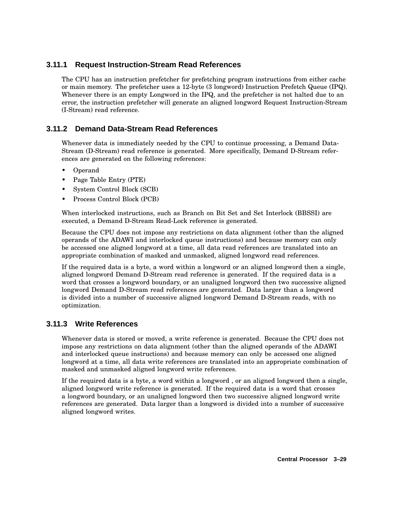## **3.11.1 Request Instruction-Stream Read References**

The CPU has an instruction prefetcher for prefetching program instructions from either cache or main memory. The prefetcher uses a 12-byte (3 longword) Instruction Prefetch Queue (IPQ). Whenever there is an empty Longword in the IPQ, and the prefetcher is not halted due to an error, the instruction prefetcher will generate an aligned longword Request Instruction-Stream (I-Stream) read reference.

## **3.11.2 Demand Data-Stream Read References**

Whenever data is immediately needed by the CPU to continue processing, a Demand Data-Stream (D-Stream) read reference is generated. More specifically, Demand D-Stream references are generated on the following references:

- Operand
- Page Table Entry (PTE)
- System Control Block (SCB)
- Process Control Block (PCB)

When interlocked instructions, such as Branch on Bit Set and Set Interlock (BBSSI) are executed, a Demand D-Stream Read-Lock reference is generated.

Because the CPU does not impose any restrictions on data alignment (other than the aligned operands of the ADAWI and interlocked queue instructions) and because memory can only be accessed one aligned longword at a time, all data read references are translated into an appropriate combination of masked and unmasked, aligned longword read references.

If the required data is a byte, a word within a longword or an aligned longword then a single, aligned longword Demand D-Stream read reference is generated. If the required data is a word that crosses a longword boundary, or an unaligned longword then two successive aligned longword Demand D-Stream read references are generated. Data larger than a longword is divided into a number of successive aligned longword Demand D-Stream reads, with no optimization.

## **3.11.3 Write References**

Whenever data is stored or moved, a write reference is generated. Because the CPU does not impose any restrictions on data alignment (other than the aligned operands of the ADAWI and interlocked queue instructions) and because memory can only be accessed one aligned longword at a time, all data write references are translated into an appropriate combination of masked and unmasked aligned longword write references.

If the required data is a byte, a word within a longword , or an aligned longword then a single, aligned longword write reference is generated. If the required data is a word that crosses a longword boundary, or an unaligned longword then two successive aligned longword write references are generated. Data larger than a longword is divided into a number of successive aligned longword writes.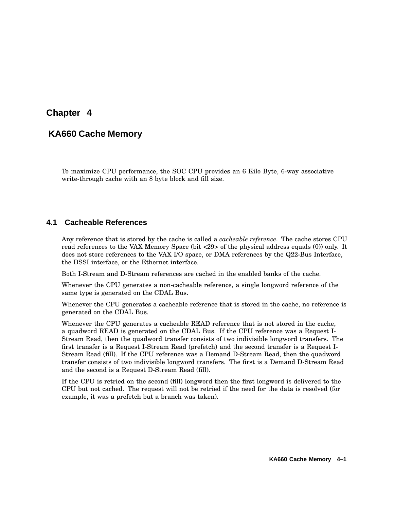# **Chapter 4**

## **KA660 Cache Memory**

To maximize CPU performance, the SOC CPU provides an 6 Kilo Byte, 6-way associative write-through cache with an 8 byte block and fill size.

## **4.1 Cacheable References**

Any reference that is stored by the cache is called a *cacheable reference*. The cache stores CPU read references to the VAX Memory Space (bit <29> of the physical address equals (0)) only. It does not store references to the VAX I/O space, or DMA references by the Q22-Bus Interface, the DSSI interface, or the Ethernet interface.

Both I-Stream and D-Stream references are cached in the enabled banks of the cache.

Whenever the CPU generates a non-cacheable reference, a single longword reference of the same type is generated on the CDAL Bus.

Whenever the CPU generates a cacheable reference that is stored in the cache, no reference is generated on the CDAL Bus.

Whenever the CPU generates a cacheable READ reference that is not stored in the cache, a quadword READ is generated on the CDAL Bus. If the CPU reference was a Request I-Stream Read, then the quadword transfer consists of two indivisible longword transfers. The first transfer is a Request I-Stream Read (prefetch) and the second transfer is a Request I-Stream Read (fill). If the CPU reference was a Demand D-Stream Read, then the quadword transfer consists of two indivisible longword transfers. The first is a Demand D-Stream Read and the second is a Request D-Stream Read (fill).

If the CPU is retried on the second (fill) longword then the first longword is delivered to the CPU but not cached. The request will not be retried if the need for the data is resolved (for example, it was a prefetch but a branch was taken).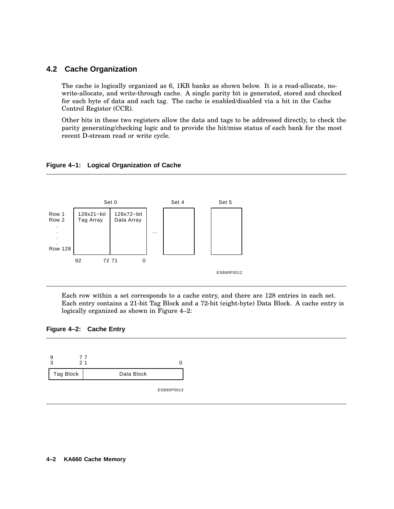## **4.2 Cache Organization**

The cache is logically organized as 6, 1KB banks as shown below. It is a read-allocate, nowrite-allocate, and write-through cache. A single parity bit is generated, stored and checked for each byte of data and each tag. The cache is enabled/disabled via a bit in the Cache Control Register (CCR).

Other bits in these two registers allow the data and tags to be addressed directly, to check the parity generating/checking logic and to provide the hit/miss status of each bank for the most recent D-stream read or write cycle.

#### **Figure 4–1: Logical Organization of Cache**



Each row within a set corresponds to a cache entry, and there are 128 entries in each set. Each entry contains a 21-bit Tag Block and a 72-bit (eight-byte) Data Block. A cache entry is logically organized as shown in Figure 4–2:





ESB90P0013

#### **4–2 KA660 Cache Memory**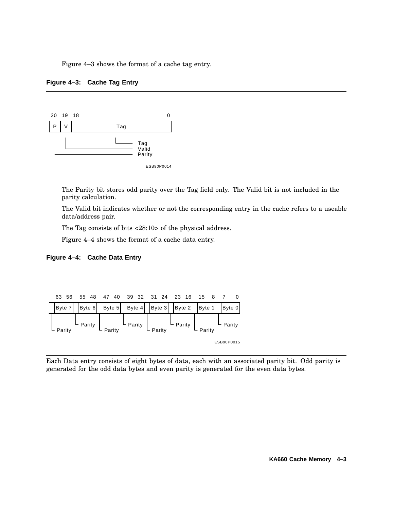Figure 4–3 shows the format of a cache tag entry.





The Parity bit stores odd parity over the Tag field only. The Valid bit is not included in the parity calculation.

The Valid bit indicates whether or not the corresponding entry in the cache refers to a useable data/address pair.

The Tag consists of bits <28:10> of the physical address.

Figure 4–4 shows the format of a cache data entry.

### **Figure 4–4: Cache Data Entry**



Each Data entry consists of eight bytes of data, each with an associated parity bit. Odd parity is generated for the odd data bytes and even parity is generated for the even data bytes.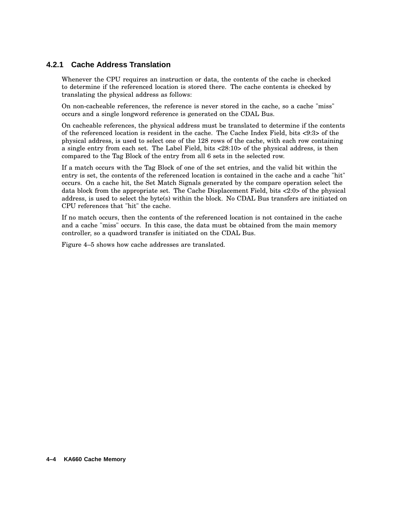## **4.2.1 Cache Address Translation**

Whenever the CPU requires an instruction or data, the contents of the cache is checked to determine if the referenced location is stored there. The cache contents is checked by translating the physical address as follows:

On non-cacheable references, the reference is never stored in the cache, so a cache "miss" occurs and a single longword reference is generated on the CDAL Bus.

On cacheable references, the physical address must be translated to determine if the contents of the referenced location is resident in the cache. The Cache Index Field, bits <9:3> of the physical address, is used to select one of the 128 rows of the cache, with each row containing a single entry from each set. The Label Field, bits <28:10> of the physical address, is then compared to the Tag Block of the entry from all 6 sets in the selected row.

If a match occurs with the Tag Block of one of the set entries, and the valid bit within the entry is set, the contents of the referenced location is contained in the cache and a cache "hit" occurs. On a cache hit, the Set Match Signals generated by the compare operation select the data block from the appropriate set. The Cache Displacement Field, bits <2:0> of the physical address, is used to select the byte(s) within the block. No CDAL Bus transfers are initiated on CPU references that "hit" the cache.

If no match occurs, then the contents of the referenced location is not contained in the cache and a cache "miss" occurs. In this case, the data must be obtained from the main memory controller, so a quadword transfer is initiated on the CDAL Bus.

Figure 4–5 shows how cache addresses are translated.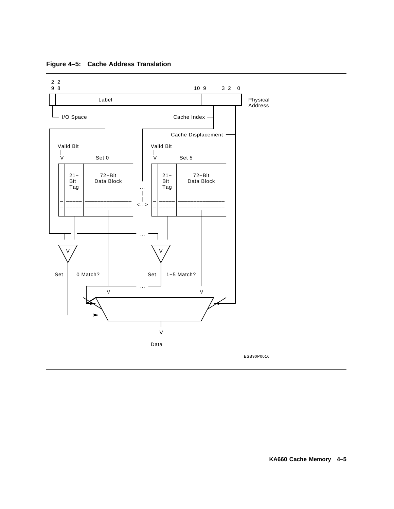

**Figure 4–5: Cache Address Translation**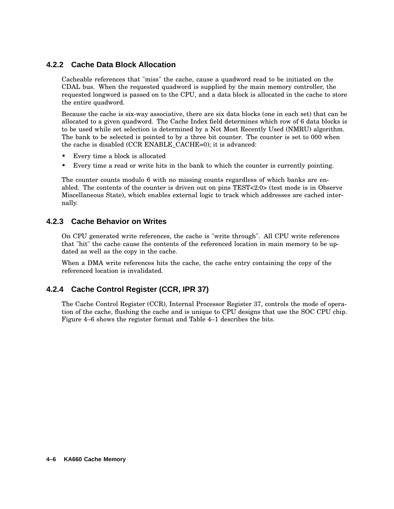## **4.2.2 Cache Data Block Allocation**

Cacheable references that "miss" the cache, cause a quadword read to be initiated on the CDAL bus. When the requested quadword is supplied by the main memory controller, the requested longword is passed on to the CPU, and a data block is allocated in the cache to store the entire quadword.

Because the cache is six-way associative, there are six data blocks (one in each set) that can be allocated to a given quadword. The Cache Index field determines which row of 6 data blocks is to be used while set selection is determined by a Not Most Recently Used (NMRU) algorithm. The bank to be selected is pointed to by a three bit counter. The counter is set to 000 when the cache is disabled (CCR ENABLE\_CACHE=0); it is advanced:

- Every time a block is allocated
- Every time a read or write hits in the bank to which the counter is currently pointing.

The counter counts modulo 6 with no missing counts regardless of which banks are enabled. The contents of the counter is driven out on pins TEST<2:0> (test mode is in Observe Miscellaneous State), which enables external logic to track which addresses are cached internally.

### **4.2.3 Cache Behavior on Writes**

On CPU generated write references, the cache is "write through". All CPU write references that "hit" the cache cause the contents of the referenced location in main memory to be updated as well as the copy in the cache.

When a DMA write references hits the cache, the cache entry containing the copy of the referenced location is invalidated.

## **4.2.4 Cache Control Register (CCR, IPR 37)**

The Cache Control Register (CCR), Internal Processor Register 37, controls the mode of operation of the cache, flushing the cache and is unique to CPU designs that use the SOC CPU chip. Figure 4–6 shows the register format and Table 4–1 describes the bits.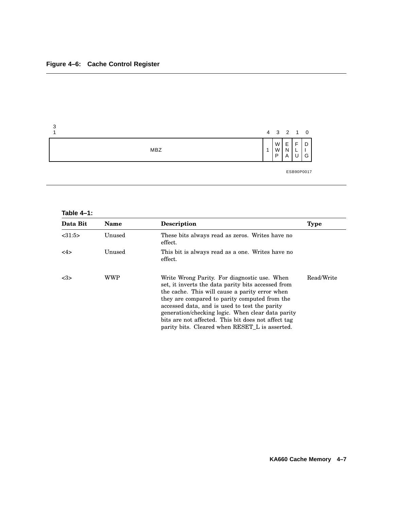

## **Table 4–1:**

| Data Bit | <b>Name</b> | <b>Description</b>                                                                                                                                                                                                                                                                                                                                                                                                              | <b>Type</b> |
|----------|-------------|---------------------------------------------------------------------------------------------------------------------------------------------------------------------------------------------------------------------------------------------------------------------------------------------------------------------------------------------------------------------------------------------------------------------------------|-------------|
| < 31:5>  | Unused      | These bits always read as zeros. Writes have no<br>effect.                                                                                                                                                                                                                                                                                                                                                                      |             |
| <4>      | Unused      | This bit is always read as a one. Writes have no<br>effect.                                                                                                                                                                                                                                                                                                                                                                     |             |
| <3>      | <b>WWP</b>  | Write Wrong Parity. For diagnostic use. When<br>set, it inverts the data parity bits accessed from<br>the cache. This will cause a parity error when<br>they are compared to parity computed from the<br>accessed data, and is used to test the parity<br>generation/checking logic. When clear data parity<br>bits are not affected. This bit does not affect tag<br>parity bits. Cleared when RESET <sub>L</sub> is asserted. | Read/Write  |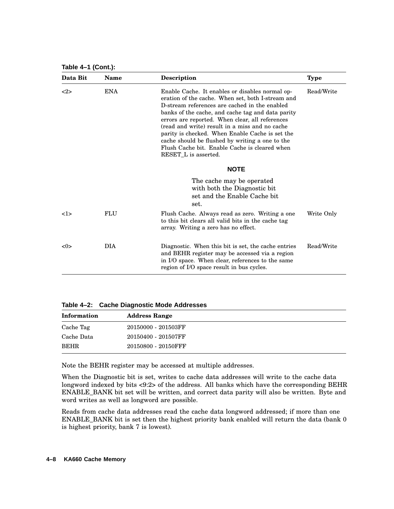**Table 4–1 (Cont.):**

| Data Bit                           | <b>Name</b> | <b>Description</b>                                                                                                                                                                                                                                                                                                                                                                                                                                                     | <b>Type</b> |
|------------------------------------|-------------|------------------------------------------------------------------------------------------------------------------------------------------------------------------------------------------------------------------------------------------------------------------------------------------------------------------------------------------------------------------------------------------------------------------------------------------------------------------------|-------------|
| ENA<br><2><br>RESET_L is asserted. |             | Enable Cache. It enables or disables normal op-<br>eration of the cache. When set, both I-stream and<br>D-stream references are cached in the enabled<br>banks of the cache, and cache tag and data parity<br>errors are reported. When clear, all references<br>(read and write) result in a miss and no cache<br>parity is checked. When Enable Cache is set the<br>cache should be flushed by writing a one to the<br>Flush Cache bit. Enable Cache is cleared when | Read/Write  |
|                                    |             | <b>NOTE</b>                                                                                                                                                                                                                                                                                                                                                                                                                                                            |             |
|                                    |             | The cache may be operated<br>with both the Diagnostic bit.<br>set and the Enable Cache bit<br>set.                                                                                                                                                                                                                                                                                                                                                                     |             |
| 1>                                 | FLU         | Flush Cache. Always read as zero. Writing a one<br>to this bit clears all valid bits in the cache tag<br>array. Writing a zero has no effect.                                                                                                                                                                                                                                                                                                                          | Write Only  |
| <0>                                | <b>DIA</b>  | Diagnostic. When this bit is set, the cache entries<br>and BEHR register may be accessed via a region<br>in I/O space. When clear, references to the same<br>region of I/O space result in bus cycles.                                                                                                                                                                                                                                                                 | Read/Write  |

**Table 4–2: Cache Diagnostic Mode Addresses**

| Information | <b>Address Range</b> |  |
|-------------|----------------------|--|
| Cache Tag   | 20150000 - 201503FF  |  |
| Cache Data  | 20150400 - 201507FF  |  |
| <b>BEHR</b> | 20150800 - 20150FFF  |  |

Note the BEHR register may be accessed at multiple addresses.

When the Diagnostic bit is set, writes to cache data addresses will write to the cache data longword indexed by bits <9:2> of the address. All banks which have the corresponding BEHR ENABLE\_BANK bit set will be written, and correct data parity will also be written. Byte and word writes as well as longword are possible.

Reads from cache data addresses read the cache data longword addressed; if more than one ENABLE\_BANK bit is set then the highest priority bank enabled will return the data (bank 0 is highest priority, bank 7 is lowest).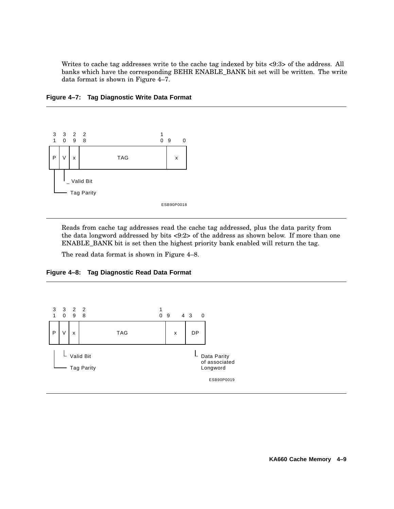Writes to cache tag addresses write to the cache tag indexed by bits <9:3> of the address. All banks which have the corresponding BEHR ENABLE\_BANK bit set will be written. The write data format is shown in Figure 4–7.



**Figure 4–7: Tag Diagnostic Write Data Format**

Reads from cache tag addresses read the cache tag addressed, plus the data parity from the data longword addressed by bits <9:2> of the address as shown below. If more than one ENABLE\_BANK bit is set then the highest priority bank enabled will return the tag.

The read data format is shown in Figure 4–8.



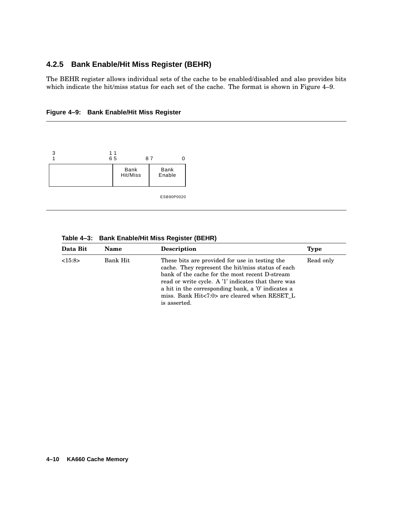## **4.2.5 Bank Enable/Hit Miss Register (BEHR)**

The BEHR register allows individual sets of the cache to be enabled/disabled and also provides bits which indicate the hit/miss status for each set of the cache. The format is shown in Figure 4–9.





| Table 4-3: Bank Enable/Hit Miss Register (BEHR) |
|-------------------------------------------------|

| Data Bit | <b>Name</b> | <b>Description</b>                                                                                                                                                                                                                                                                                                                 | <b>Type</b> |
|----------|-------------|------------------------------------------------------------------------------------------------------------------------------------------------------------------------------------------------------------------------------------------------------------------------------------------------------------------------------------|-------------|
| <15:8>   | Bank Hit    | These bits are provided for use in testing the<br>cache. They represent the hit/miss status of each<br>bank of the cache for the most recent D-stream<br>read or write cycle. A '1' indicates that there was<br>a hit in the corresponding bank, a '0' indicates a<br>miss. Bank Hit<7:0> are cleared when RESET L<br>is asserted. | Read only   |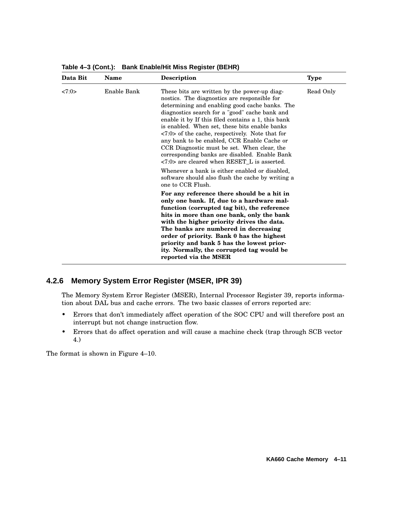| Data Bit | <b>Name</b> | Description                                                                                                                                                                                                                                                                                                                                                                                                                                                                                                                                                                              | <b>Type</b> |
|----------|-------------|------------------------------------------------------------------------------------------------------------------------------------------------------------------------------------------------------------------------------------------------------------------------------------------------------------------------------------------------------------------------------------------------------------------------------------------------------------------------------------------------------------------------------------------------------------------------------------------|-------------|
| <7:0>    | Enable Bank | These bits are written by the power-up diag-<br>nostics. The diagnostics are responsible for<br>determining and enabling good cache banks. The<br>diagnostics search for a "good" cache bank and<br>enable it by If this filed contains a 1, this bank<br>is enabled. When set, these bits enable banks<br>$\langle 7:0 \rangle$ of the cache, respectively. Note that for<br>any bank to be enabled, CCR Enable Cache or<br>CCR Diagnostic must be set. When clear, the<br>corresponding banks are disabled. Enable Bank<br>$\langle 7:0 \rangle$ are cleared when RESET L is asserted. | Read Only   |
|          |             | Whenever a bank is either enabled or disabled,<br>software should also flush the cache by writing a<br>one to CCR Flush.                                                                                                                                                                                                                                                                                                                                                                                                                                                                 |             |
|          |             | For any reference there should be a hit in<br>only one bank. If, due to a hardware mal-<br>function (corrupted tag bit), the reference<br>hits in more than one bank, only the bank<br>with the higher priority drives the data.<br>The banks are numbered in decreasing<br>order of priority. Bank 0 has the highest<br>priority and bank 5 has the lowest prior-<br>ity. Normally, the corrupted tag would be<br>reported via the MSER                                                                                                                                                 |             |

**Table 4–3 (Cont.): Bank Enable/Hit Miss Register (BEHR)**

# **4.2.6 Memory System Error Register (MSER, IPR 39)**

The Memory System Error Register (MSER), Internal Processor Register 39, reports information about DAL bus and cache errors. The two basic classes of errors reported are:

- Errors that don't immediately affect operation of the SOC CPU and will therefore post an interrupt but not change instruction flow.
- Errors that do affect operation and will cause a machine check (trap through SCB vector 4.)

The format is shown in Figure 4–10.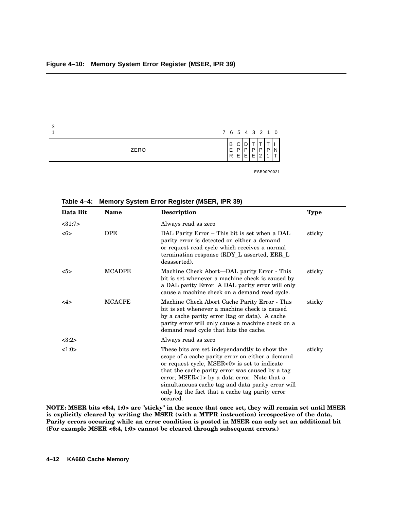| າ<br>u |      |             |                  |        |        | 7 6 5 4 3 2 1 0 |   |            |
|--------|------|-------------|------------------|--------|--------|-----------------|---|------------|
|        | ZERO | B<br>Е<br>R | ¬<br>◡<br>D<br>Е | ם<br>Е | P<br>Е | Р<br>っ          | P |            |
|        |      |             |                  |        |        |                 |   | ESB90P0021 |

| Table 4-4: Memory System Error Register (MSER, IPR 39) |  |  |  |  |  |  |  |
|--------------------------------------------------------|--|--|--|--|--|--|--|
|--------------------------------------------------------|--|--|--|--|--|--|--|

| Data Bit | <b>Name</b>   | Description                                                                                                                                                                                                                                                                                                                                                             | <b>Type</b> |
|----------|---------------|-------------------------------------------------------------------------------------------------------------------------------------------------------------------------------------------------------------------------------------------------------------------------------------------------------------------------------------------------------------------------|-------------|
| <31:7>   |               | Always read as zero                                                                                                                                                                                                                                                                                                                                                     |             |
| <6>      | <b>DPE</b>    | DAL Parity Error – This bit is set when a DAL<br>parity error is detected on either a demand<br>or request read cycle which receives a normal<br>termination response (RDY_L asserted, ERR_L<br>deasserted).                                                                                                                                                            | sticky      |
| 5>       | <b>MCADPE</b> | Machine Check Abort—DAL parity Error - This<br>bit is set whenever a machine check is caused by<br>a DAL parity Error. A DAL parity error will only<br>cause a machine check on a demand read cycle.                                                                                                                                                                    | sticky      |
| <4>      | <b>MCACPE</b> | Machine Check Abort Cache Parity Error - This<br>bit is set whenever a machine check is caused<br>by a cache parity error (tag or data). A cache<br>parity error will only cause a machine check on a<br>demand read cycle that hits the cache.                                                                                                                         | sticky      |
| <3:2>    |               | Always read as zero                                                                                                                                                                                                                                                                                                                                                     |             |
| 1:0>     |               | These bits are set independandtly to show the<br>scope of a cache parity error on either a demand<br>or request cycle, MSER<0> is set to indicate<br>that the cache parity error was caused by a tag<br>error; MSER<1> by a data error. Note that a<br>simultaneuos cache tag and data parity error will<br>only log the fact that a cache tag parity error<br>occured. | sticky      |

NOTE: MSER bits <6:4, 1:0> are "sticky" in the sence that once set, they will remain set until MSER **is explicitly cleared by writing the MSER (with a MTPR instruction) irrespective of the data, Parity errors occuring while an error condition is posted in MSER can only set an additional bit (For example MSER <6:4, 1:0> cannot be cleared through subsequent errors.)**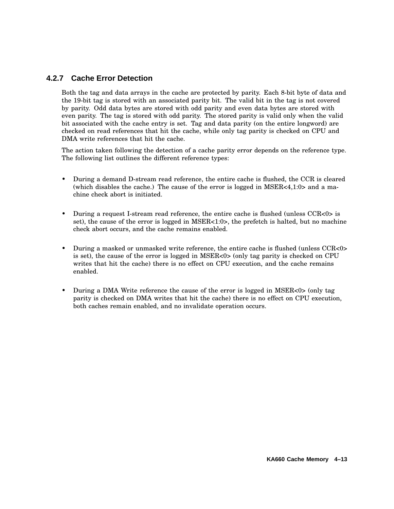## **4.2.7 Cache Error Detection**

Both the tag and data arrays in the cache are protected by parity. Each 8-bit byte of data and the 19-bit tag is stored with an associated parity bit. The valid bit in the tag is not covered by parity. Odd data bytes are stored with odd parity and even data bytes are stored with even parity. The tag is stored with odd parity. The stored parity is valid only when the valid bit associated with the cache entry is set. Tag and data parity (on the entire longword) are checked on read references that hit the cache, while only tag parity is checked on CPU and DMA write references that hit the cache.

The action taken following the detection of a cache parity error depends on the reference type. The following list outlines the different reference types:

- During a demand D-stream read reference, the entire cache is flushed, the CCR is cleared (which disables the cache.) The cause of the error is logged in  $MSER<4,1:0>$  and a machine check abort is initiated.
- During a request I-stream read reference, the entire cache is flushed (unless CCR<0> is set), the cause of the error is logged in  $MSER<1:0>$ , the prefetch is halted, but no machine check abort occurs, and the cache remains enabled.
- During a masked or unmasked write reference, the entire cache is flushed (unless CCR<0> is set), the cause of the error is logged in MSER<0> (only tag parity is checked on CPU writes that hit the cache) there is no effect on CPU execution, and the cache remains enabled.
- During a DMA Write reference the cause of the error is logged in  $MSER<0>$  (only tag parity is checked on DMA writes that hit the cache) there is no effect on CPU execution, both caches remain enabled, and no invalidate operation occurs.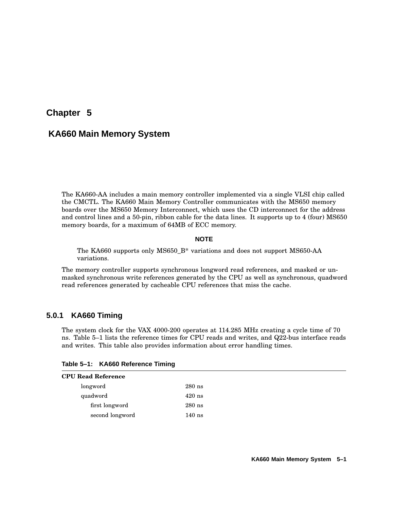# **Chapter 5**

# **KA660 Main Memory System**

The KA660-AA includes a main memory controller implemented via a single VLSI chip called the CMCTL. The KA660 Main Memory Controller communicates with the MS650 memory boards over the MS650 Memory Interconnect, which uses the CD interconnect for the address and control lines and a 50-pin, ribbon cable for the data lines. It supports up to 4 (four) MS650 memory boards, for a maximum of 64MB of ECC memory.

#### **NOTE**

The KA660 supports only MS650\_B\* variations and does not support MS650-AA variations.

The memory controller supports synchronous longword read references, and masked or unmasked synchronous write references generated by the CPU as well as synchronous, quadword read references generated by cacheable CPU references that miss the cache.

### **5.0.1 KA660 Timing**

The system clock for the VAX 4000-200 operates at 114.285 MHz creating a cycle time of 70 ns. Table 5–1 lists the reference times for CPU reads and writes, and Q22-bus interface reads and writes. This table also provides information about error handling times.

| Table 5-1: KA660 Reference Timing |  |
|-----------------------------------|--|
|-----------------------------------|--|

| $280$ ns |
|----------|
| $420$ ns |
| $280$ ns |
| $140$ ns |
|          |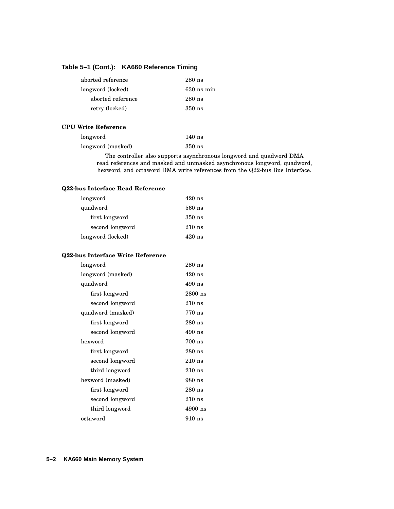### **Table 5–1 (Cont.): KA660 Reference Timing**

| aborted reference | $280$ ns     |
|-------------------|--------------|
| longword (locked) | $630$ ns min |
| aborted reference | $280$ ns     |
| retry (locked)    | $350$ ns     |

#### **CPU Write Reference**

| longword          | $140$ ns |
|-------------------|----------|
| longword (masked) | $350$ ns |

The controller also supports asynchronous longword and quadword DMA read references and masked and unmasked asynchronous longword, quadword, hexword, and octaword DMA write references from the Q22-bus Bus Interface.

#### **Q22-bus Interface Read Reference**

| longword          | $420$ ns |
|-------------------|----------|
| quadword          | $560$ ns |
| first longword    | $350$ ns |
| second longword   | $210$ ns |
| longword (locked) | 420 ns   |

#### **Q22-bus Interface Write Reference**

| longword          | $280$ ns  |
|-------------------|-----------|
| longword (masked) | $420$ ns  |
| quadword          | 490 ns    |
| first longword    | $2800$ ns |
| second longword   | $210$ ns  |
| quadword (masked) | 770 ns    |
| first longword    | $280$ ns  |
| second longword   | $490$ ns  |
| hexword           | $700$ ns  |
| first longword    | $280$ ns  |
| second longword   | $210$ ns  |
| third longword    | $210$ ns  |
| hexword (masked)  | 980 ns    |
| first longword    | $280$ ns  |
| second longword   | $210$ ns  |
| third longword    | $4900$ ns |
| octaword          | 910 ns    |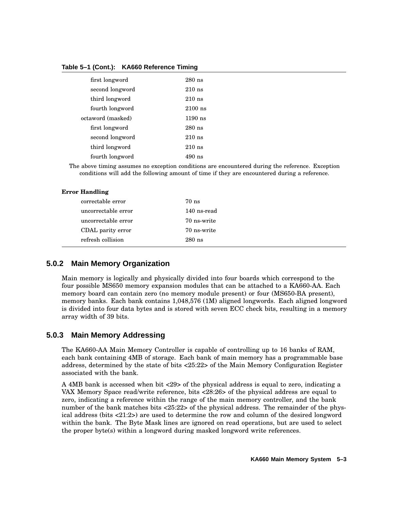#### **Table 5–1 (Cont.): KA660 Reference Timing**

| first longword    | $280$ ns  |
|-------------------|-----------|
| second longword   | $210$ ns  |
| third longword    | $210$ ns  |
| fourth longword   | $2100$ ns |
| octaword (masked) | $1190$ ns |
| first longword    | $280$ ns  |
| second longword   | $210$ ns  |
| third longword    | $210$ ns  |
| fourth longword   | 490 ns    |

The above timing assumes no exception conditions are encountered during the reference. Exception conditions will add the following amount of time if they are encountered during a reference.

#### **Error Handling**

| correctable error   | 70 ns       |
|---------------------|-------------|
| uncorrectable error | 140 ns-read |
| uncorrectable error | 70 ns-write |
| CDAL parity error   | 70 ns-write |
| refresh collision   | $280$ ns    |

### **5.0.2 Main Memory Organization**

Main memory is logically and physically divided into four boards which correspond to the four possible MS650 memory expansion modules that can be attached to a KA660-AA. Each memory board can contain zero (no memory module present) or four (MS650-BA present), memory banks. Each bank contains 1,048,576 (1M) aligned longwords. Each aligned longword is divided into four data bytes and is stored with seven ECC check bits, resulting in a memory array width of 39 bits.

### **5.0.3 Main Memory Addressing**

The KA660-AA Main Memory Controller is capable of controlling up to 16 banks of RAM, each bank containing 4MB of storage. Each bank of main memory has a programmable base address, determined by the state of bits <25:22> of the Main Memory Configuration Register associated with the bank.

A 4MB bank is accessed when bit <29> of the physical address is equal to zero, indicating a VAX Memory Space read/write reference, bits <28:26> of the physical address are equal to zero, indicating a reference within the range of the main memory controller, and the bank number of the bank matches bits <25:22> of the physical address. The remainder of the physical address (bits <21:2>) are used to determine the row and column of the desired longword within the bank. The Byte Mask lines are ignored on read operations, but are used to select the proper byte(s) within a longword during masked longword write references.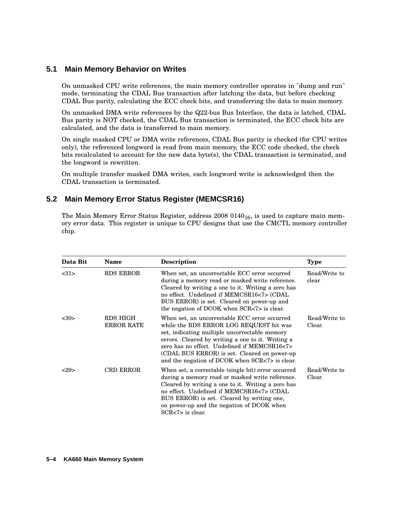### **5.1 Main Memory Behavior on Writes**

On unmasked CPU write references, the main memory controller operates in "dump and run" mode, terminating the CDAL Bus transaction after latching the data, but before checking CDAL Bus parity, calculating the ECC check bits, and transferring the data to main memory.

On unmasked DMA write references by the Q22-bus Bus Interface, the data is latched, CDAL Bus parity is NOT checked, the CDAL Bus transaction is terminated, the ECC check bits are calculated, and the data is transferred to main memory.

On single masked CPU or DMA write references, CDAL Bus parity is checked (for CPU writes only), the referenced longword is read from main memory, the ECC code checked, the check bits recalculated to account for the new data byte(s), the CDAL transaction is terminated, and the longword is rewritten.

On multiple transfer masked DMA writes, each longword write is acknowledged then the CDAL transaction is terminated.

## **5.2 Main Memory Error Status Register (MEMCSR16)**

The Main Memory Error Status Register, address  $20080140_{16}$ , is used to capture main memory error data. This register is unique to CPU designs that use the CMCTL memory controller chip.

| Data Bit | <b>Name</b>                   | <b>Description</b>                                                                                                                                                                                                                                                                                                                               | <b>Type</b>             |
|----------|-------------------------------|--------------------------------------------------------------------------------------------------------------------------------------------------------------------------------------------------------------------------------------------------------------------------------------------------------------------------------------------------|-------------------------|
| <31>     | RDS ERROR                     | When set, an uncorrectable ECC error occurred<br>during a memory read or masked write reference.<br>Cleared by writing a one to it. Writing a zero has<br>no effect. Undefined if MEMCSR16<7> (CDAL<br>BUS ERROR) is set. Cleared on power-up and<br>the negation of DCOK when SCR<7> is clear.                                                  | Read/Write to<br>clear  |
| <30>     | RDS HIGH<br><b>ERROR RATE</b> | When set, an uncorrectable ECC error occurred<br>while the RDS ERROR LOG REQUEST bit was<br>set, indicating multiple uncorrectable memory<br>errors. Cleared by writing a one to it. Writing a<br>zero has no effect. Undefined if MEMCSR16<7><br>(CDAL BUS ERROR) is set. Cleared on power-up<br>and the negation of DCOK when SCR<7> is clear. | Read/Write to<br>Clear. |
| 29       | <b>CRD ERROR</b>              | When set, a correctable (single bit) error occurred<br>during a memory read or masked write reference.<br>Cleared by writing a one to it. Writing a zero has<br>no effect. Undefined if MEMCSR16<7> (CDAL<br>BUS ERROR) is set. Cleared by writing one,<br>on power-up and the negation of DCOK when<br>$SCR < 7$ is clear.                      | Read/Write to<br>Clear. |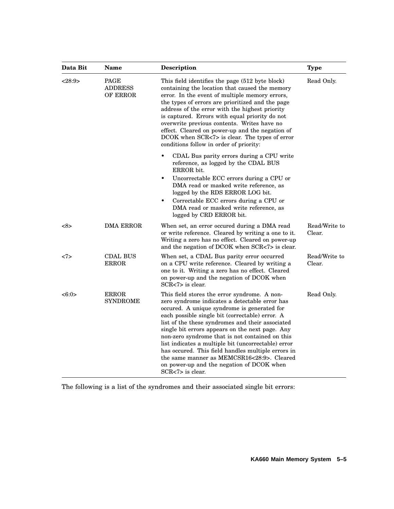| Data Bit                                     | Name                                                                                                                                                                                                                                                                                                                                                                                                                                                                                                      | Description                                                                                                                                                                                                                                                                                                                                                                                                                                                                                                                                                                            | <b>Type</b>             |
|----------------------------------------------|-----------------------------------------------------------------------------------------------------------------------------------------------------------------------------------------------------------------------------------------------------------------------------------------------------------------------------------------------------------------------------------------------------------------------------------------------------------------------------------------------------------|----------------------------------------------------------------------------------------------------------------------------------------------------------------------------------------------------------------------------------------------------------------------------------------------------------------------------------------------------------------------------------------------------------------------------------------------------------------------------------------------------------------------------------------------------------------------------------------|-------------------------|
| <28:9><br>PAGE<br><b>ADDRESS</b><br>OF ERROR | This field identifies the page (512 byte block)<br>containing the location that caused the memory<br>error. In the event of multiple memory errors,<br>the types of errors are prioritized and the page<br>address of the error with the highest priority<br>is captured. Errors with equal priority do not<br>overwrite previous contents. Writes have no<br>effect. Cleared on power-up and the negation of<br>DCOK when SCR<7> is clear. The types of error<br>conditions follow in order of priority: | Read Only.                                                                                                                                                                                                                                                                                                                                                                                                                                                                                                                                                                             |                         |
|                                              |                                                                                                                                                                                                                                                                                                                                                                                                                                                                                                           | CDAL Bus parity errors during a CPU write<br>reference, as logged by the CDAL BUS<br>ERROR bit.                                                                                                                                                                                                                                                                                                                                                                                                                                                                                        |                         |
|                                              |                                                                                                                                                                                                                                                                                                                                                                                                                                                                                                           | Uncorrectable ECC errors during a CPU or<br>٠<br>DMA read or masked write reference, as<br>logged by the RDS ERROR LOG bit.<br>Correctable ECC errors during a CPU or<br>$\bullet$<br>DMA read or masked write reference, as<br>logged by CRD ERROR bit.                                                                                                                                                                                                                                                                                                                               |                         |
| <8>                                          | <b>DMA ERROR</b>                                                                                                                                                                                                                                                                                                                                                                                                                                                                                          | When set, an error occured during a DMA read<br>or write reference. Cleared by writing a one to it.<br>Writing a zero has no effect. Cleared on power-up<br>and the negation of DCOK when SCR<7> is clear.                                                                                                                                                                                                                                                                                                                                                                             | Read/Write to<br>Clear. |
| <7>                                          | <b>CDAL BUS</b><br><b>ERROR</b>                                                                                                                                                                                                                                                                                                                                                                                                                                                                           | When set, a CDAL Bus parity error occurred<br>on a CPU write reference. Cleared by writing a<br>one to it. Writing a zero has no effect. Cleared<br>on power-up and the negation of DCOK when<br>$SCR < 7$ is clear.                                                                                                                                                                                                                                                                                                                                                                   | Read/Write to<br>Clear. |
| <6:0>                                        | <b>ERROR</b><br><b>SYNDROME</b>                                                                                                                                                                                                                                                                                                                                                                                                                                                                           | This field stores the error syndrome. A non-<br>zero syndrome indicates a detectable error has<br>occured. A unique syndrome is generated for<br>each possible single bit (correctable) error. A<br>list of the these syndromes and their associated<br>single bit errors appears on the next page. Any<br>non-zero syndrome that is not contained on this<br>list indicates a multiple bit (uncorrectable) error<br>has occured. This field handles multiple errors in<br>the same manner as MEMCSR16<28:9>. Cleared<br>on power-up and the negation of DCOK when<br>SCR<7> is clear. | Read Only.              |

The following is a list of the syndromes and their associated single bit errors: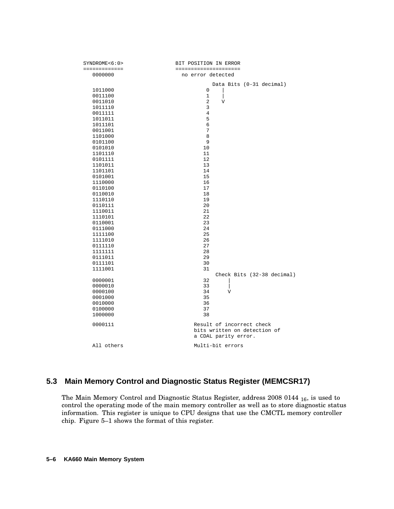| SYNDROME<6:0>      | BIT POSITION IN ERROR                                |
|--------------------|------------------------------------------------------|
| =============      | =====================                                |
| 0000000            | no error detected                                    |
|                    | Data Bits (0-31 decimal)                             |
| 1011000            | $\mathbf 0$                                          |
| 0011100            | 1<br>I                                               |
| 0011010            | 2<br>V                                               |
| 1011110            | 3                                                    |
| 0011111            | 4                                                    |
| 1011011            | 5                                                    |
| 1011101            | 6                                                    |
| 0011001            | 7                                                    |
| 1101000            | 8                                                    |
| 0101100            | 9                                                    |
| 0101010            | 10                                                   |
| 1101110            | 11                                                   |
| 0101111            | 12                                                   |
| 1101011            | 13                                                   |
| 1101101            | 14                                                   |
| 0101001            | 15                                                   |
| 1110000            | 16<br>17                                             |
| 0110100<br>0110010 | 18                                                   |
| 1110110            | 19                                                   |
| 0110111            | 20                                                   |
| 1110011            | 21                                                   |
| 1110101            | 22                                                   |
| 0110001            | 23                                                   |
| 0111000            | 24                                                   |
| 1111100            | 25                                                   |
| 1111010            | 26                                                   |
| 0111110            | 27                                                   |
| 1111111            | 28                                                   |
| 0111011            | 29                                                   |
| 0111101            | 30                                                   |
| 1111001            | 31                                                   |
|                    | Check Bits (32-38 decimal)                           |
| 0000001            | 32                                                   |
| 0000010            | 33                                                   |
| 0000100            | 34<br>V                                              |
| 0001000            | 35                                                   |
| 0010000            | 36                                                   |
| 0100000            | 37                                                   |
| 1000000            | 38                                                   |
| 0000111            | Result of incorrect check                            |
|                    | bits written on detection of<br>a CDAL parity error. |
| All others         | Multi-bit errors                                     |

## **5.3 Main Memory Control and Diagnostic Status Register (MEMCSR17)**

The Main Memory Control and Diagnostic Status Register, address 2008 0144 <sub>16</sub>, is used to control the operating mode of the main memory controller as well as to store diagnostic status information. This register is unique to CPU designs that use the CMCTL memory controller chip. Figure 5–1 shows the format of this register.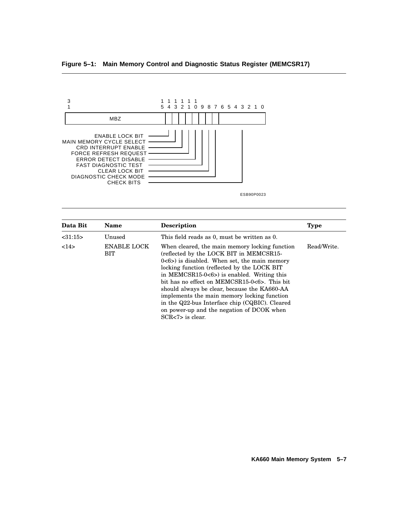### **Figure 5–1: Main Memory Control and Diagnostic Status Register (MEMCSR17)**



| Data Bit | <b>Name</b>               | Description                                                                                                                                                                                                                                                                                                                                                                                                                                                                                                       | <b>Type</b> |
|----------|---------------------------|-------------------------------------------------------------------------------------------------------------------------------------------------------------------------------------------------------------------------------------------------------------------------------------------------------------------------------------------------------------------------------------------------------------------------------------------------------------------------------------------------------------------|-------------|
| <31:15>  | Unused                    | This field reads as 0, must be written as 0.                                                                                                                                                                                                                                                                                                                                                                                                                                                                      |             |
| 14>      | <b>ENABLE LOCK</b><br>BIT | When cleared, the main memory locking function<br>(reflected by the LOCK BIT in MEMCSR15-<br>$0<6$ ) is disabled. When set, the main memory<br>locking function (reflected by the LOCK BIT<br>in MEMCSR15-0 $< 6$ ) is enabled. Writing this<br>bit has no effect on MEMCSR15-0<6>. This bit<br>should always be clear, because the KA660-AA<br>implements the main memory locking function<br>in the Q22-bus Interface chip (CQBIC). Cleared<br>on power-up and the negation of DCOK when<br>$SCR < 7$ is clear. | Read/Write. |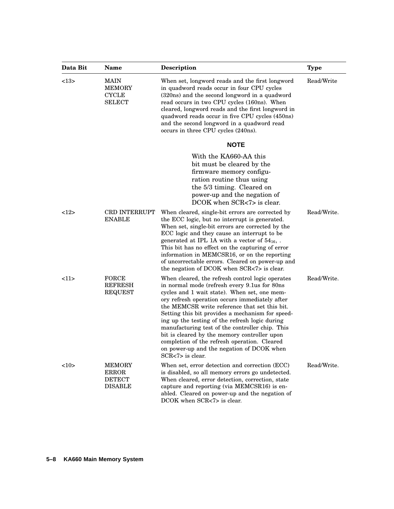| Data Bit                                                              | Name                                                             | <b>Description</b>                                                                                                                                                                                                                                                                                                                                                                                                                                                                                                                                                                 | <b>Type</b> |
|-----------------------------------------------------------------------|------------------------------------------------------------------|------------------------------------------------------------------------------------------------------------------------------------------------------------------------------------------------------------------------------------------------------------------------------------------------------------------------------------------------------------------------------------------------------------------------------------------------------------------------------------------------------------------------------------------------------------------------------------|-------------|
| <13><br><b>MAIN</b><br><b>MEMORY</b><br><b>CYCLE</b><br><b>SELECT</b> |                                                                  | When set, longword reads and the first longword<br>in quadword reads occur in four CPU cycles<br>(320ns) and the second longword in a quadword<br>read occurs in two CPU cycles (160ns). When<br>cleared, longword reads and the first longword in<br>quadword reads occur in five CPU cycles (450ns)<br>and the second longword in a quadword read<br>occurs in three CPU cycles (240ns).                                                                                                                                                                                         | Read/Write  |
|                                                                       |                                                                  | <b>NOTE</b>                                                                                                                                                                                                                                                                                                                                                                                                                                                                                                                                                                        |             |
|                                                                       |                                                                  | With the KA660-AA this<br>bit must be cleared by the<br>firmware memory configu-<br>ration routine thus using<br>the 5/3 timing. Cleared on<br>power-up and the negation of<br>DCOK when SCR<7> is clear.                                                                                                                                                                                                                                                                                                                                                                          |             |
| 12                                                                    | <b>CRD INTERRUPT</b><br><b>ENABLE</b>                            | When cleared, single-bit errors are corrected by<br>the ECC logic, but no interrupt is generated.<br>When set, single-bit errors are corrected by the<br>ECC logic and they cause an interrupt to be<br>generated at IPL 1A with a vector of $54_{16}$ ,.<br>This bit has no effect on the capturing of error<br>information in MEMCSR16, or on the reporting<br>of uncorrectable errors. Cleared on power-up and<br>the negation of DCOK when SCR<7> is clear.                                                                                                                    | Read/Write. |
| <11>                                                                  | <b>FORCE</b><br><b>REFRESH</b><br><b>REQUEST</b>                 | When cleared, the refresh control logic operates<br>in normal mode (refresh every 9.1 us for 80 ns<br>cycles and 1 wait state). When set, one mem-<br>ory refresh operation occurs immediately after<br>the MEMCSR write reference that set this bit.<br>Setting this bit provides a mechanism for speed-<br>ing up the testing of the refresh logic during<br>manufacturing test of the controller chip. This<br>bit is cleared by the memory controller upon<br>completion of the refresh operation. Cleared<br>on power-up and the negation of DCOK when<br>$SCR < 7$ is clear. | Read/Write. |
| <10>                                                                  | <b>MEMORY</b><br><b>ERROR</b><br><b>DETECT</b><br><b>DISABLE</b> | When set, error detection and correction (ECC)<br>is disabled, so all memory errors go undetected.<br>When cleared, error detection, correction, state<br>capture and reporting (via MEMCSR16) is en-<br>abled. Cleared on power-up and the negation of<br>DCOK when SCR<7> is clear.                                                                                                                                                                                                                                                                                              | Read/Write. |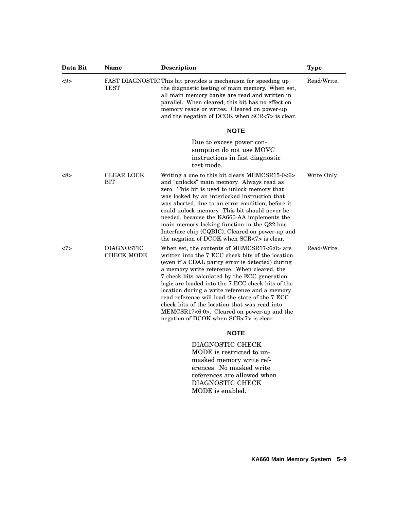| Data Bit | <b>Name</b>                            | <b>Description</b>                                                                                                                                                                                                                                                                                                                                                                                                                                                                                                                                      | <b>Type</b> |
|----------|----------------------------------------|---------------------------------------------------------------------------------------------------------------------------------------------------------------------------------------------------------------------------------------------------------------------------------------------------------------------------------------------------------------------------------------------------------------------------------------------------------------------------------------------------------------------------------------------------------|-------------|
| <9>      | <b>TEST</b>                            | FAST DIAGNOSTIC This bit provides a mechanism for speeding up<br>the diagnostic testing of main memory. When set,<br>all main memory banks are read and written in<br>parallel. When cleared, this bit has no effect on<br>memory reads or writes. Cleared on power-up<br>and the negation of DCOK when SCR<7> is clear.                                                                                                                                                                                                                                | Read/Write. |
|          |                                        | <b>NOTE</b>                                                                                                                                                                                                                                                                                                                                                                                                                                                                                                                                             |             |
|          |                                        | Due to excess power con-<br>sumption do not use MOVC<br>instructions in fast diagnostic<br>test mode.                                                                                                                                                                                                                                                                                                                                                                                                                                                   |             |
| <8>      | CLEAR LOCK<br><b>BIT</b>               | Writing a one to this bit clears MEMCSR15-0<6><br>and "unlocks" main memory. Always read as<br>zero. This bit is used to unlock memory that<br>was locked by an interlocked instruction that<br>was aborted, due to an error condition, before it<br>could unlock memory. This bit should never be<br>needed, because the KA660-AA implements the<br>main memory locking function in the Q22-bus<br>Interface chip (CQBIC). Cleared on power-up and<br>the negation of DCOK when SCR<7> is clear.                                                       | Write Only. |
| <7>      | <b>DIAGNOSTIC</b><br><b>CHECK MODE</b> | When set, the contents of MEMCSR17<6:0> are<br>written into the 7 ECC check bits of the location<br>(even if a CDAL parity error is detected) during<br>a memory write reference. When cleared, the<br>7 check bits calculated by the ECC generation<br>logic are loaded into the 7 ECC check bits of the<br>location during a write reference and a memory<br>read reference will load the state of the 7 ECC<br>check bits of the location that was read into<br>MEMCSR17<6:0>. Cleared on power-up and the<br>negation of DCOK when SCR<7> is clear. | Read/Write. |
|          |                                        | <b>NOTE</b>                                                                                                                                                                                                                                                                                                                                                                                                                                                                                                                                             |             |
|          |                                        | DIAGNOSTIC CHECK<br>MODE is restricted to un-<br>masked memory write ref-<br>erences. No masked write                                                                                                                                                                                                                                                                                                                                                                                                                                                   |             |

references are allowed when DIAGNOSTIC CHECK MODE is enabled.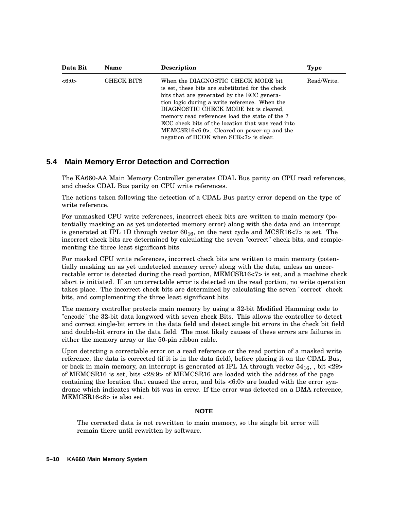| Data Bit | <b>Name</b> | <b>Description</b>                                                                                                                                                                                                                                                                                                                                                                                                            | <b>Type</b> |
|----------|-------------|-------------------------------------------------------------------------------------------------------------------------------------------------------------------------------------------------------------------------------------------------------------------------------------------------------------------------------------------------------------------------------------------------------------------------------|-------------|
| <6:0>    | CHECK BITS  | When the DIAGNOSTIC CHECK MODE bit<br>is set, these bits are substituted for the check<br>bits that are generated by the ECC genera-<br>tion logic during a write reference. When the<br>DIAGNOSTIC CHECK MODE bit is cleared,<br>memory read references load the state of the 7<br>ECC check bits of the location that was read into<br>MEMCSR16<6:0>. Cleared on power-up and the<br>negation of DCOK when SCR<7> is clear. | Read/Write. |

## **5.4 Main Memory Error Detection and Correction**

The KA660-AA Main Memory Controller generates CDAL Bus parity on CPU read references, and checks CDAL Bus parity on CPU write references.

The actions taken following the detection of a CDAL Bus parity error depend on the type of write reference.

For unmasked CPU write references, incorrect check bits are written to main memory (potentially masking an as yet undetected memory error) along with the data and an interrupt is generated at IPL 1D through vector  $60_{16}$ , on the next cycle and MCSR16 $<$ 7> is set. The incorrect check bits are determined by calculating the seven "correct" check bits, and complementing the three least significant bits.

For masked CPU write references, incorrect check bits are written to main memory (potentially masking an as yet undetected memory error) along with the data, unless an uncorrectable error is detected during the read portion, MEMCSR16<7> is set, and a machine check abort is initiated. If an uncorrectable error is detected on the read portion, no write operation takes place. The incorrect check bits are determined by calculating the seven "correct" check bits, and complementing the three least significant bits.

The memory controller protects main memory by using a 32-bit Modified Hamming code to "encode" the 32-bit data longword with seven check Bits. This allows the controller to detect and correct single-bit errors in the data field and detect single bit errors in the check bit field and double-bit errors in the data field. The most likely causes of these errors are failures in either the memory array or the 50-pin ribbon cable.

Upon detecting a correctable error on a read reference or the read portion of a masked write reference, the data is corrected (if it is in the data field), before placing it on the CDAL Bus, or back in main memory, an interrupt is generated at IPL 1A through vector  $54_{16}$ , , bit <29> of MEMCSR16 is set, bits <28:9> of MEMCSR16 are loaded with the address of the page containing the location that caused the error, and bits  $\langle 6:0 \rangle$  are loaded with the error syndrome which indicates which bit was in error. If the error was detected on a DMA reference, MEMCSR16<8> is also set.

#### **NOTE**

The corrected data is not rewritten to main memory, so the single bit error will remain there until rewritten by software.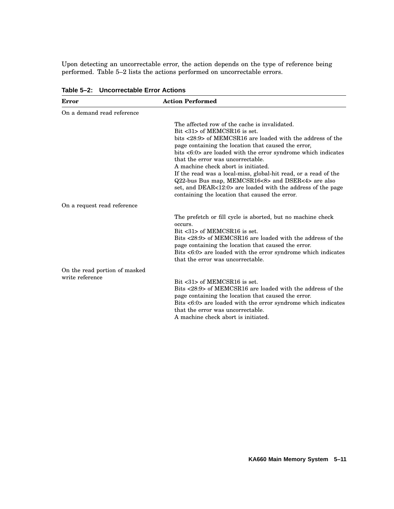Upon detecting an uncorrectable error, the action depends on the type of reference being performed. Table 5–2 lists the actions performed on uncorrectable errors.

| Error                                            | <b>Action Performed</b>                                                                                                                                                                                                                                                                                                                                                                                                                                                                                                                                                                  |
|--------------------------------------------------|------------------------------------------------------------------------------------------------------------------------------------------------------------------------------------------------------------------------------------------------------------------------------------------------------------------------------------------------------------------------------------------------------------------------------------------------------------------------------------------------------------------------------------------------------------------------------------------|
| On a demand read reference                       |                                                                                                                                                                                                                                                                                                                                                                                                                                                                                                                                                                                          |
|                                                  | The affected row of the cache is invalidated.<br>Bit <31> of MEMCSR16 is set.<br>bits <28:9> of MEMCSR16 are loaded with the address of the<br>page containing the location that caused the error,<br>bits <6:0> are loaded with the error syndrome which indicates<br>that the error was uncorrectable.<br>A machine check abort is initiated.<br>If the read was a local-miss, global-hit read, or a read of the<br>Q22-bus Bus map, MEMCSR16<8> and DSER<4> are also<br>set, and DEAR<12:0> are loaded with the address of the page<br>containing the location that caused the error. |
| On a request read reference                      |                                                                                                                                                                                                                                                                                                                                                                                                                                                                                                                                                                                          |
|                                                  | The prefetch or fill cycle is aborted, but no machine check<br>occurs.<br>$Bit < 31$ of MEMCSR16 is set.<br>Bits <28:9> of MEMCSR16 are loaded with the address of the<br>page containing the location that caused the error.<br>Bits <6:0> are loaded with the error syndrome which indicates<br>that the error was uncorrectable.                                                                                                                                                                                                                                                      |
| On the read portion of masked<br>write reference | Bit <31> of MEMCSR16 is set.<br>Bits <28:9> of MEMCSR16 are loaded with the address of the<br>page containing the location that caused the error.<br>Bits <6:0> are loaded with the error syndrome which indicates<br>that the error was uncorrectable.<br>A machine check abort is initiated.                                                                                                                                                                                                                                                                                           |

**Table 5–2: Uncorrectable Error Actions**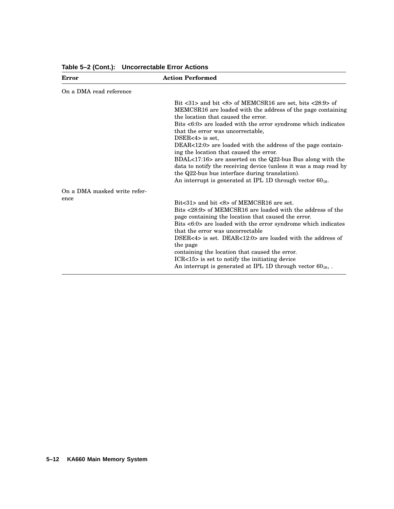| <b>Error</b>                         | <b>Action Performed</b>                                                                                                                                                                                                                                                                                                                                                                                                                                                                                                                                                                                                                                                                                    |
|--------------------------------------|------------------------------------------------------------------------------------------------------------------------------------------------------------------------------------------------------------------------------------------------------------------------------------------------------------------------------------------------------------------------------------------------------------------------------------------------------------------------------------------------------------------------------------------------------------------------------------------------------------------------------------------------------------------------------------------------------------|
| On a DMA read reference              |                                                                                                                                                                                                                                                                                                                                                                                                                                                                                                                                                                                                                                                                                                            |
|                                      | Bit $\langle 31 \rangle$ and bit $\langle 8 \rangle$ of MEMCSR16 are set, bits $\langle 28:9 \rangle$ of<br>MEMCSR16 are loaded with the address of the page containing<br>the location that caused the error.<br>Bits <6:0> are loaded with the error syndrome which indicates<br>that the error was uncorrectable.<br>DSER $<4>$ is set.<br>DEAR<12:0> are loaded with the address of the page contain-<br>ing the location that caused the error.<br>BDAL<17:16> are asserted on the Q22-bus Bus along with the<br>data to notify the receiving device (unless it was a map read by<br>the Q22-bus bus interface during translation).<br>An interrupt is generated at IPL 1D through vector $60_{16}$ . |
| On a DMA masked write refer-<br>ence | Bit $<31>$ and bit $<8>$ of MEMCSR16 are set.<br>Bits <28:9> of MEMCSR16 are loaded with the address of the<br>page containing the location that caused the error.<br>Bits <6:0> are loaded with the error syndrome which indicates<br>that the error was uncorrectable<br>DSER<4> is set. DEAR<12:0> are loaded with the address of<br>the page<br>containing the location that caused the error.<br>ICR<15> is set to notify the initiating device<br>An interrupt is generated at IPL 1D through vector $60_{16}$ ,.                                                                                                                                                                                    |

**Table 5–2 (Cont.): Uncorrectable Error Actions**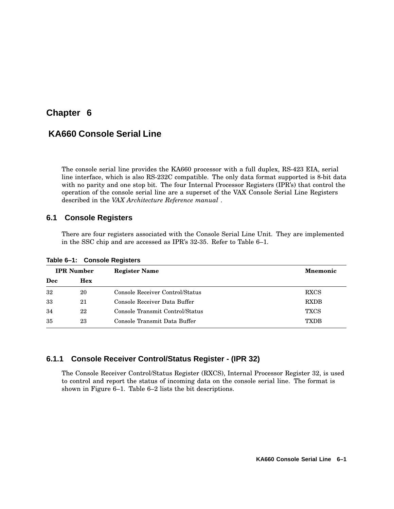# **Chapter 6**

# **KA660 Console Serial Line**

The console serial line provides the KA660 processor with a full duplex, RS-423 EIA, serial line interface, which is also RS-232C compatible. The only data format supported is 8-bit data with no parity and one stop bit. The four Internal Processor Registers (IPR's) that control the operation of the console serial line are a superset of the VAX Console Serial Line Registers described in the *VAX Architecture Reference manual* .

## **6.1 Console Registers**

There are four registers associated with the Console Serial Line Unit. They are implemented in the SSC chip and are accessed as IPR's 32-35. Refer to Table 6–1.

|     | <b>IPR</b> Number | <b>Register Name</b>            | <b>Mnemonic</b> |
|-----|-------------------|---------------------------------|-----------------|
| Dec | <b>Hex</b>        |                                 |                 |
| 32  | 20                | Console Receiver Control/Status | <b>RXCS</b>     |
| 33  | 21                | Console Receiver Data Buffer    | <b>RXDB</b>     |
| 34  | 22                | Console Transmit Control/Status | <b>TXCS</b>     |
| 35  | 23                | Console Transmit Data Buffer    | <b>TXDB</b>     |

**Table 6–1: Console Registers**

## **6.1.1 Console Receiver Control/Status Register - (IPR 32)**

The Console Receiver Control/Status Register (RXCS), Internal Processor Register 32, is used to control and report the status of incoming data on the console serial line. The format is shown in Figure 6–1. Table 6–2 lists the bit descriptions.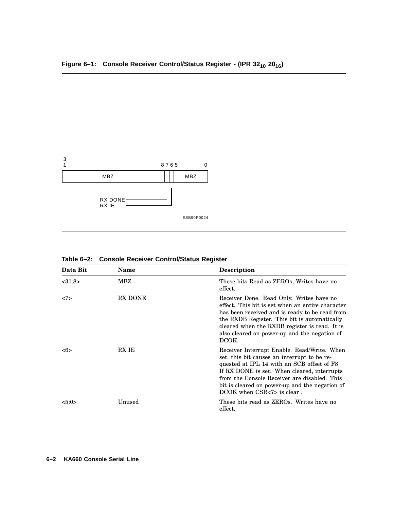

| Data Bit      | Name    | <b>Description</b>                                                                                                                                                                                                                                                                                                          |
|---------------|---------|-----------------------------------------------------------------------------------------------------------------------------------------------------------------------------------------------------------------------------------------------------------------------------------------------------------------------------|
| <31:8>        | MBZ     | These bits Read as ZEROs, Writes have no<br>effect.                                                                                                                                                                                                                                                                         |
| <7>           | RX DONE | Receiver Done. Read Only. Writes have no<br>effect. This bit is set when an entire character<br>has been received and is ready to be read from<br>the RXDB Register. This bit is automatically<br>cleared when the RXDB register is read. It is<br>also cleared on power-up and the negation of<br>DCOK.                    |
| $<\!\!6\!\!>$ | RX IE   | Receiver Interrupt Enable. Read/Write. When<br>set, this bit causes an interrupt to be re-<br>quested at IPL 14 with an SCB offset of F8<br>If RX DONE is set. When cleared, interrupts<br>from the Console Receiver are disabled. This<br>bit is cleared on power-up and the negation of<br>$DCOK$ when $CSR<7>$ is clear. |
| < 5:0>        | Unused  | These bits read as ZEROs. Writes have no<br>effect.                                                                                                                                                                                                                                                                         |

**Table 6–2: Console Receiver Control/Status Register**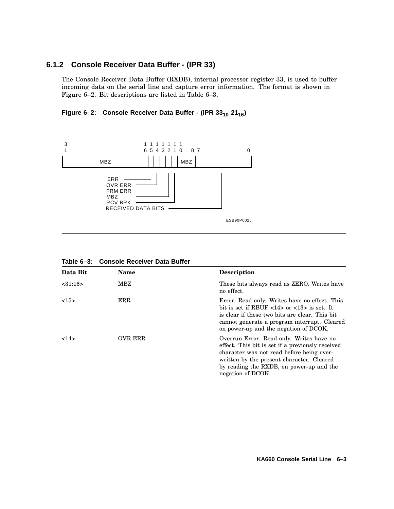## **6.1.2 Console Receiver Data Buffer - (IPR 33)**

The Console Receiver Data Buffer (RXDB), internal processor register 33, is used to buffer incoming data on the serial line and capture error information. The format is shown in Figure 6–2. Bit descriptions are listed in Table 6–3.

**Figure 6–2: Console Receiver Data Buffer - (IPR 33<sup>10</sup> 2116)**



| Data Bit | Name                                                                                                                                                                                                                                                                                 | <b>Description</b>                                                                                                                                                                                                                                      |
|----------|--------------------------------------------------------------------------------------------------------------------------------------------------------------------------------------------------------------------------------------------------------------------------------------|---------------------------------------------------------------------------------------------------------------------------------------------------------------------------------------------------------------------------------------------------------|
| < 31:16  | MBZ                                                                                                                                                                                                                                                                                  | These bits always read as ZERO. Writes have<br>no effect.                                                                                                                                                                                               |
| <15>     | <b>ERR</b><br>Error. Read only. Writes have no effect. This<br>bit is set if RBUF $\langle 14 \rangle$ or $\langle 13 \rangle$ is set. It<br>is clear if these two bits are clear. This bit<br>cannot generate a program interrupt. Cleared<br>on power-up and the negation of DCOK. |                                                                                                                                                                                                                                                         |
| 14>      | <b>OVR ERR</b>                                                                                                                                                                                                                                                                       | Overrun Error. Read only. Writes have no<br>effect. This bit is set if a previously received<br>character was not read before being over-<br>written by the present character. Cleared<br>by reading the RXDB, on power-up and the<br>negation of DCOK. |

**Table 6–3: Console Receiver Data Buffer**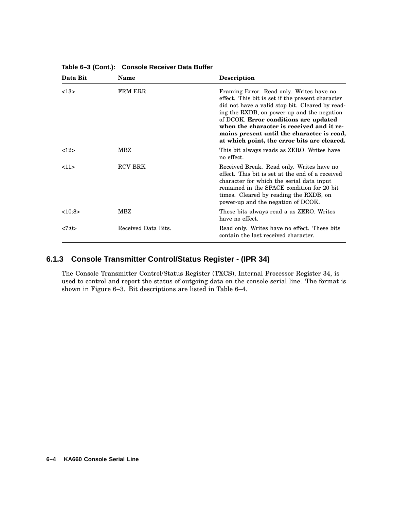| Data Bit | Name                | <b>Description</b>                                                                                                                                                                                                                                                                                                                                                               |
|----------|---------------------|----------------------------------------------------------------------------------------------------------------------------------------------------------------------------------------------------------------------------------------------------------------------------------------------------------------------------------------------------------------------------------|
| <13>     | <b>FRM ERR</b>      | Framing Error. Read only. Writes have no<br>effect. This bit is set if the present character<br>did not have a valid stop bit. Cleared by read-<br>ing the RXDB, on power-up and the negation<br>of DCOK. Error conditions are updated<br>when the character is received and it re-<br>mains present until the character is read,<br>at which point, the error bits are cleared. |
| 12       | MBZ                 | This bit always reads as ZERO. Writes have<br>no effect.                                                                                                                                                                                                                                                                                                                         |
| <11>     | <b>RCV BRK</b>      | Received Break. Read only. Writes have no<br>effect. This bit is set at the end of a received<br>character for which the serial data input<br>remained in the SPACE condition for 20 bit<br>times. Cleared by reading the RXDB, on<br>power-up and the negation of DCOK.                                                                                                         |
| <10:8>   | MBZ                 | These bits always read a as ZERO. Writes<br>have no effect.                                                                                                                                                                                                                                                                                                                      |
| <7:0>    | Received Data Bits. | Read only. Writes have no effect. These bits<br>contain the last received character.                                                                                                                                                                                                                                                                                             |

**Table 6–3 (Cont.): Console Receiver Data Buffer**

## **6.1.3 Console Transmitter Control/Status Register - (IPR 34)**

The Console Transmitter Control/Status Register (TXCS), Internal Processor Register 34, is used to control and report the status of outgoing data on the console serial line. The format is shown in Figure 6–3. Bit descriptions are listed in Table 6–4.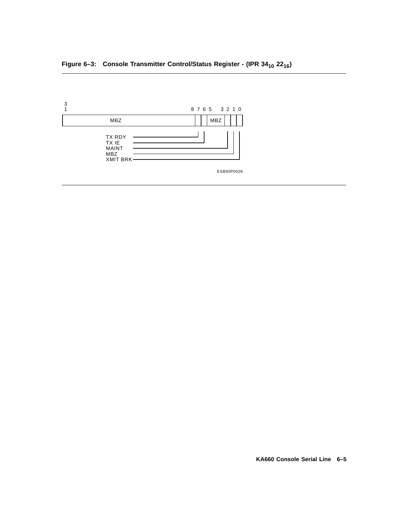# **Figure 6–3: Console Transmitter Control/Status Register - (IPR 34<sup>10</sup> 2216)**

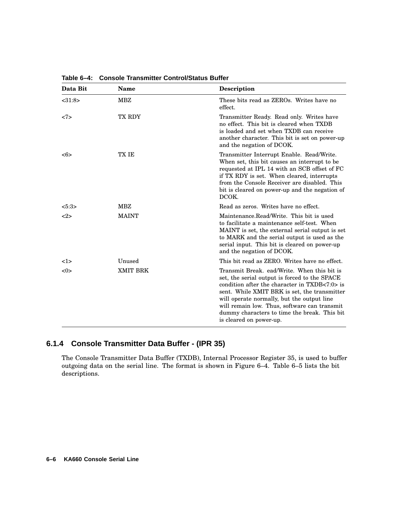| Data Bit  | <b>Name</b>     | <b>Description</b>                                                                                                                                                                                                                                                                                                                                                         |
|-----------|-----------------|----------------------------------------------------------------------------------------------------------------------------------------------------------------------------------------------------------------------------------------------------------------------------------------------------------------------------------------------------------------------------|
| $<$ 31:8> | <b>MBZ</b>      | These bits read as ZEROs. Writes have no<br>effect.                                                                                                                                                                                                                                                                                                                        |
| <7>       | TX RDY          | Transmitter Ready. Read only. Writes have<br>no effect. This bit is cleared when TXDB<br>is loaded and set when TXDB can receive<br>another character. This bit is set on power-up<br>and the negation of DCOK.                                                                                                                                                            |
| <6>       | TX IE           | Transmitter Interrupt Enable. Read/Write.<br>When set, this bit causes an interrupt to be<br>requested at IPL 14 with an SCB offset of FC<br>if TX RDY is set. When cleared, interrupts<br>from the Console Receiver are disabled. This<br>bit is cleared on power-up and the negation of<br>DCOK.                                                                         |
| 5:3>      | <b>MBZ</b>      | Read as zeros. Writes have no effect.                                                                                                                                                                                                                                                                                                                                      |
| <2>       | <b>MAINT</b>    | Maintenance.Read/Write. This bit is used<br>to facilitate a maintenance self-test. When<br>MAINT is set, the external serial output is set<br>to MARK and the serial output is used as the<br>serial input. This bit is cleared on power-up<br>and the negation of DCOK.                                                                                                   |
| 1>        | Unused          | This bit read as ZERO. Writes have no effect.                                                                                                                                                                                                                                                                                                                              |
| <0>       | <b>XMIT BRK</b> | Transmit Break. ead/Write. When this bit is<br>set, the serial output is forced to the SPACE<br>condition after the character in $TXDB < 7:0>$ is<br>sent. While XMIT BRK is set, the transmitter<br>will operate normally, but the output line<br>will remain low. Thus, software can transmit<br>dummy characters to time the break. This bit<br>is cleared on power-up. |

**Table 6–4: Console Transmitter Control/Status Buffer**

## **6.1.4 Console Transmitter Data Buffer - (IPR 35)**

The Console Transmitter Data Buffer (TXDB), Internal Processor Register 35, is used to buffer outgoing data on the serial line. The format is shown in Figure 6–4. Table 6–5 lists the bit descriptions.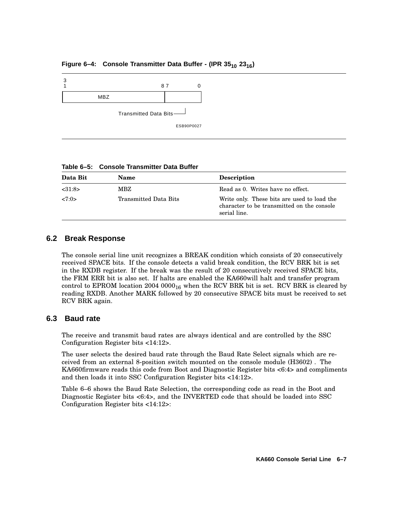## **Figure 6–4: Console Transmitter Data Buffer - (IPR 35<sup>10</sup> 2316)**



**Table 6–5: Console Transmitter Data Buffer**

| Data Bit | <b>Name</b>           | <b>Description</b>                                                                                        |
|----------|-----------------------|-----------------------------------------------------------------------------------------------------------|
| < 31:8>  | MBZ                   | Read as 0. Writes have no effect.                                                                         |
| 27:0>    | Transmitted Data Bits | Write only. These bits are used to load the<br>character to be transmitted on the console<br>serial line. |

### **6.2 Break Response**

The console serial line unit recognizes a BREAK condition which consists of 20 consecutively received SPACE bits. If the console detects a valid break condition, the RCV BRK bit is set in the RXDB register. If the break was the result of 20 consecutively received SPACE bits, the FRM ERR bit is also set. If halts are enabled the KA660will halt and transfer program control to EPROM location 2004 0000 $_{16}$  when the RCV BRK bit is set. RCV BRK is cleared by reading RXDB. Another MARK followed by 20 consecutive SPACE bits must be received to set RCV BRK again.

### **6.3 Baud rate**

The receive and transmit baud rates are always identical and are controlled by the SSC Configuration Register bits <14:12>.

The user selects the desired baud rate through the Baud Rate Select signals which are received from an external 8-position switch mounted on the console module (H3602) . The KA660firmware reads this code from Boot and Diagnostic Register bits <6:4> and compliments and then loads it into SSC Configuration Register bits <14:12>.

Table 6–6 shows the Baud Rate Selection, the corresponding code as read in the Boot and Diagnostic Register bits <6:4>, and the INVERTED code that should be loaded into SSC Configuration Register bits <14:12>: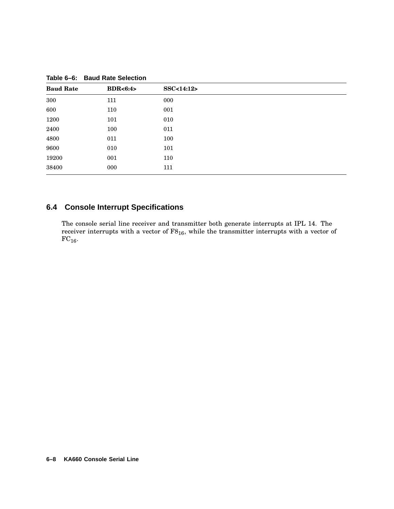| <b>Baud Rate</b> | BDR<6:4> | SSC<14:12> |  |
|------------------|----------|------------|--|
| 300              | 111      | 000        |  |
| 600              | 110      | 001        |  |
| 1200             | 101      | 010        |  |
| 2400             | 100      | 011        |  |
| 4800             | 011      | 100        |  |
| 9600             | 010      | 101        |  |
| 19200            | 001      | 110        |  |
| 38400            | 000      | 111        |  |
|                  |          |            |  |

**Table 6–6: Baud Rate Selection**

# **6.4 Console Interrupt Specifications**

The console serial line receiver and transmitter both generate interrupts at IPL 14. The receiver interrupts with a vector of  $F8_{16}$ , while the transmitter interrupts with a vector of  $FC_{16}$ .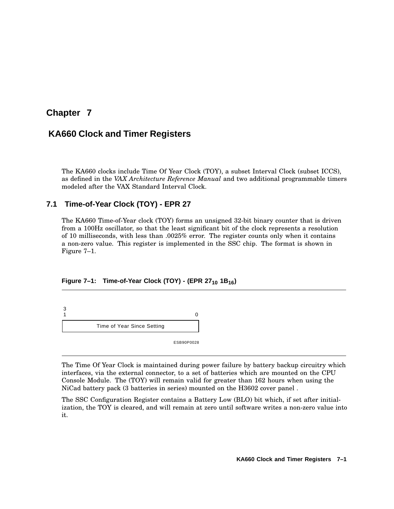# **Chapter 7**

# **KA660 Clock and Timer Registers**

The KA660 clocks include Time Of Year Clock (TOY), a subset Interval Clock (subset ICCS), as defined in the *VAX Architecture Reference Manual* and two additional programmable timers modeled after the VAX Standard Interval Clock.

## **7.1 Time-of-Year Clock (TOY) - EPR 27**

The KA660 Time-of-Year clock (TOY) forms an unsigned 32-bit binary counter that is driven from a 100Hz oscillator, so that the least significant bit of the clock represents a resolution of 10 milliseconds, with less than .0025% error. The register counts only when it contains a non-zero value. This register is implemented in the SSC chip. The format is shown in Figure 7–1.

### **Figure 7–1: Time-of-Year Clock (TOY) - (EPR 27<sup>10</sup> 1B16)**

3  $1$  0 Time of Year Since Setting

ESB90P0028

The Time Of Year Clock is maintained during power failure by battery backup circuitry which interfaces, via the external connector, to a set of batteries which are mounted on the CPU Console Module. The (TOY) will remain valid for greater than 162 hours when using the NiCad battery pack (3 batteries in series) mounted on the H3602 cover panel .

The SSC Configuration Register contains a Battery Low (BLO) bit which, if set after initialization, the TOY is cleared, and will remain at zero until software writes a non-zero value into it.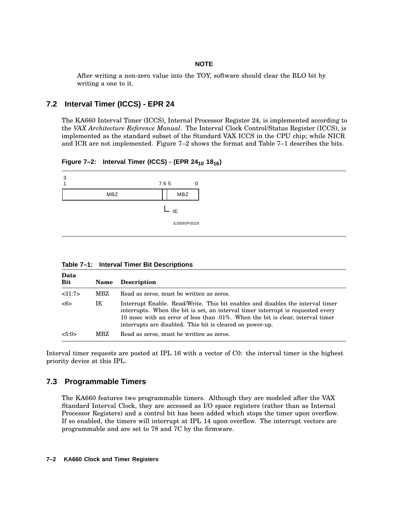#### **NOTE**

After writing a non-zero value into the TOY, software should clear the BLO bit by writing a one to it.

### **7.2 Interval Timer (ICCS) - EPR 24**

The KA660 Interval Timer (ICCS), Internal Processor Register 24, is implemented according to the *VAX Architecture Reference Manual*. The Interval Clock Control/Status Register (ICCS), is implemented as the standard subset of the Standard VAX ICCS in the CPU chip; while NICR and ICR are not implemented. Figure 7–2 shows the format and Table 7–1 describes the bits.

**Figure 7–2: Interval Timer (ICCS) - (EPR 24<sup>10</sup> 1816)**



**Table 7–1: Interval Timer Bit Descriptions**

| Data<br>Bit | <b>Name</b> | <b>Description</b>                                                                                                                                                                                                                                                                                               |
|-------------|-------------|------------------------------------------------------------------------------------------------------------------------------------------------------------------------------------------------------------------------------------------------------------------------------------------------------------------|
| <31:7>      | MBZ         | Read as zeros, must be written as zeros.                                                                                                                                                                                                                                                                         |
| <6>         | IΕ          | Interrupt Enable. Read/Write. This bit enables and disables the interval timer<br>interrupts. When the bit is set, an interval timer interrupt is requested every<br>10 msec with an error of less than .01%. When the bit is clear, interval timer<br>interrupts are disabled. This bit is cleared on power-up. |
| < 5:0>      | MBZ         | Read as zeros, must be written as zeros.                                                                                                                                                                                                                                                                         |

Interval timer requests are posted at IPL 16 with a vector of C0: the interval timer is the highest priority device at this IPL.

## **7.3 Programmable Timers**

The KA660 features two programmable timers. Although they are modeled after the VAX Standard Interval Clock, they are accessed as I/O space registers (rather than as Internal Processor Registers) and a control bit has been added which stops the timer upon overflow. If so enabled, the timers will interrupt at IPL 14 upon overflow. The interrupt vectors are programmable and are set to 78 and 7C by the firmware.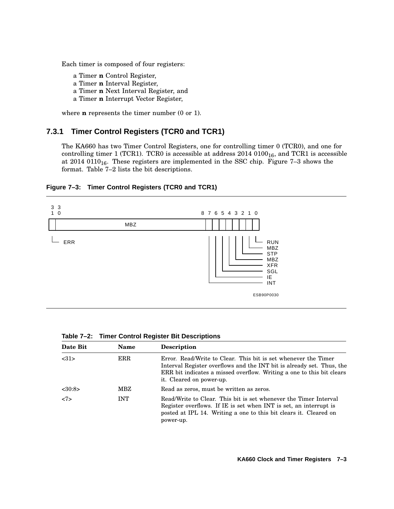Each timer is composed of four registers:

- a Timer **n** Control Register,
- a Timer **n** Interval Register,
- a Timer **n** Next Interval Register, and
- a Timer **n** Interrupt Vector Register,

where **n** represents the timer number (0 or 1).

### **7.3.1 Timer Control Registers (TCR0 and TCR1)**

The KA660 has two Timer Control Registers, one for controlling timer 0 (TCR0), and one for controlling timer 1 (TCR1). TCR0 is accessible at address  $2014\ 0100_{16}$ , and TCR1 is accessible at  $2014\ 0110_{16}$ . These registers are implemented in the SSC chip. Figure 7-3 shows the format. Table 7–2 lists the bit descriptions.

### **Figure 7–3: Timer Control Registers (TCR0 and TCR1)**



| Date Bit  | Name       | <b>Description</b>                                                                                                                                                                                                                           |
|-----------|------------|----------------------------------------------------------------------------------------------------------------------------------------------------------------------------------------------------------------------------------------------|
| <31>      | <b>ERR</b> | Error. Read/Write to Clear. This bit is set whenever the Timer<br>Interval Register overflows and the INT bit is already set. Thus, the<br>ERR bit indicates a missed overflow. Writing a one to this bit clears<br>it. Cleared on power-up. |
| $<$ 30:8> | MBZ        | Read as zeros, must be written as zeros.                                                                                                                                                                                                     |
| <7>       | <b>INT</b> | Read/Write to Clear. This bit is set whenever the Timer Interval<br>Register overflows. If IE is set when INT is set, an interrupt is<br>posted at IPL 14. Writing a one to this bit clears it. Cleared on<br>power-up.                      |

**Table 7–2: Timer Control Register Bit Descriptions**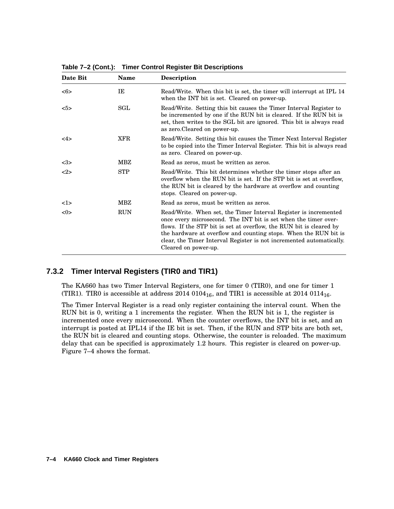| Date Bit | <b>Name</b>          | <b>Description</b>                                                                                                                                                                                                                                                                                                                                                             |
|----------|----------------------|--------------------------------------------------------------------------------------------------------------------------------------------------------------------------------------------------------------------------------------------------------------------------------------------------------------------------------------------------------------------------------|
| <6>      | IE                   | Read/Write. When this bit is set, the timer will interrupt at IPL 14<br>when the INT bit is set. Cleared on power-up.                                                                                                                                                                                                                                                          |
| 5>       | $\operatorname{SGL}$ | Read/Write. Setting this bit causes the Timer Interval Register to<br>be incremented by one if the RUN bit is cleared. If the RUN bit is<br>set, then writes to the SGL bit are ignored. This bit is always read<br>as zero. Cleared on power-up.                                                                                                                              |
| 4>       | XFR                  | Read/Write. Setting this bit causes the Timer Next Interval Register<br>to be copied into the Timer Interval Register. This bit is always read<br>as zero. Cleared on power-up.                                                                                                                                                                                                |
| $3>$     | MBZ                  | Read as zeros, must be written as zeros.                                                                                                                                                                                                                                                                                                                                       |
| 2        | <b>STP</b>           | Read/Write. This bit determines whether the timer stops after an<br>overflow when the RUN bit is set. If the STP bit is set at overflow,<br>the RUN bit is cleared by the hardware at overflow and counting<br>stops. Cleared on power-up.                                                                                                                                     |
| 1>       | MBZ                  | Read as zeros, must be written as zeros.                                                                                                                                                                                                                                                                                                                                       |
| <0>      | <b>RUN</b>           | Read/Write. When set, the Timer Interval Register is incremented<br>once every microsecond. The INT bit is set when the timer over-<br>flows. If the STP bit is set at overflow, the RUN bit is cleared by<br>the hardware at overflow and counting stops. When the RUN bit is<br>clear, the Timer Interval Register is not incremented automatically.<br>Cleared on power-up. |

**Table 7–2 (Cont.): Timer Control Register Bit Descriptions**

## **7.3.2 Timer Interval Registers (TIR0 and TIR1)**

The KA660 has two Timer Interval Registers, one for timer 0 (TIR0), and one for timer 1 (TIR1). TIR0 is accessible at address 2014 0104<sub>16</sub>, and TIR1 is accessible at 2014 0114<sub>16</sub>.

The Timer Interval Register is a read only register containing the interval count. When the RUN bit is 0, writing a 1 increments the register. When the RUN bit is 1, the register is incremented once every microsecond. When the counter overflows, the INT bit is set, and an interrupt is posted at IPL14 if the IE bit is set. Then, if the RUN and STP bits are both set, the RUN bit is cleared and counting stops. Otherwise, the counter is reloaded. The maximum delay that can be specified is approximately 1.2 hours. This register is cleared on power-up. Figure 7–4 shows the format.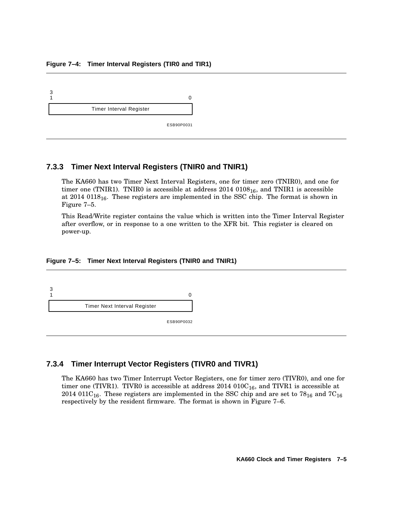#### **Figure 7–4: Timer Interval Registers (TIR0 and TIR1)**



### **7.3.3 Timer Next Interval Registers (TNIR0 and TNIR1)**

The KA660 has two Timer Next Interval Registers, one for timer zero (TNIR0), and one for timer one (TNIR1). TNIR0 is accessible at address  $2014\ 0108_{16}$ , and TNIR1 is accessible at  $2014\;0118_{16}$ . These registers are implemented in the SSC chip. The format is shown in Figure 7–5.

This Read/Write register contains the value which is written into the Timer Interval Register after overflow, or in response to a one written to the XFR bit. This register is cleared on power-up.

#### **Figure 7–5: Timer Next Interval Registers (TNIR0 and TNIR1)**



### **7.3.4 Timer Interrupt Vector Registers (TIVR0 and TIVR1)**

The KA660 has two Timer Interrupt Vector Registers, one for timer zero (TIVR0), and one for timer one (TIVR1). TIVR0 is accessible at address  $2014\ 010C_{16}$ , and TIVR1 is accessible at 2014 011 $C_{16}$ . These registers are implemented in the SSC chip and are set to  $78_{16}$  and  $7C_{16}$ respectively by the resident firmware. The format is shown in Figure 7–6.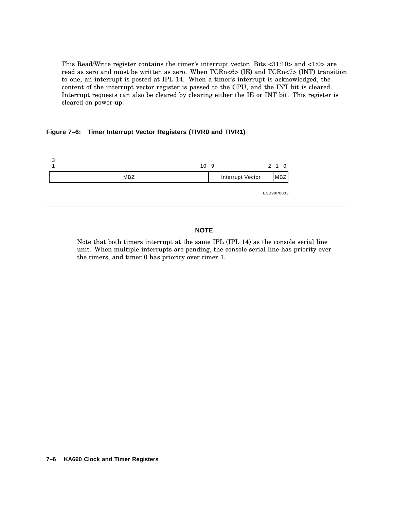This Read/Write register contains the timer's interrupt vector. Bits <31:10> and <1:0> are read as zero and must be written as zero. When TCRn<6> (IE) and TCRn<7> (INT) transition to one, an interrupt is posted at IPL 14. When a timer's interrupt is acknowledged, the content of the interrupt vector register is passed to the CPU, and the INT bit is cleared. Interrupt requests can also be cleared by clearing either the IE or INT bit. This register is cleared on power-up.

#### **Figure 7–6: Timer Interrupt Vector Registers (TIVR0 and TIVR1)**



### **NOTE**

Note that both timers interrupt at the same IPL (IPL 14) as the console serial line unit. When multiple interrupts are pending, the console serial line has priority over the timers, and timer 0 has priority over timer 1.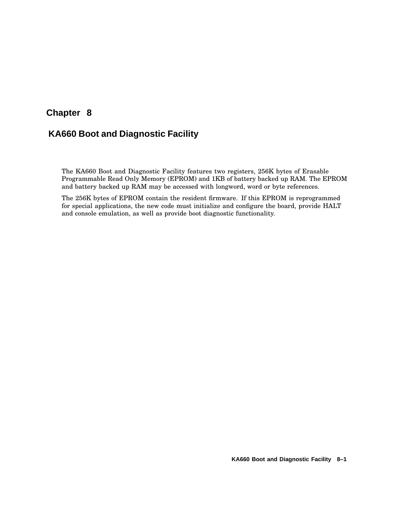# **Chapter 8**

# **KA660 Boot and Diagnostic Facility**

The KA660 Boot and Diagnostic Facility features two registers, 256K bytes of Erasable Programmable Read Only Memory (EPROM) and 1KB of battery backed up RAM. The EPROM and battery backed up RAM may be accessed with longword, word or byte references.

The 256K bytes of EPROM contain the resident firmware. If this EPROM is reprogrammed for special applications, the new code must initialize and configure the board, provide HALT and console emulation, as well as provide boot diagnostic functionality.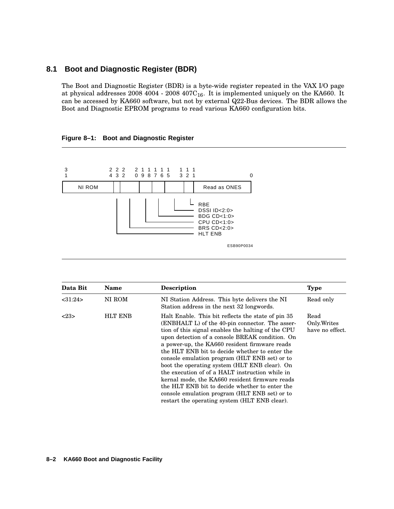### **8.1 Boot and Diagnostic Register (BDR)**

The Boot and Diagnostic Register (BDR) is a byte-wide register repeated in the VAX I/O page at physical addresses  $2008$  4004 -  $2008$  407 $C_{16}$ . It is implemented uniquely on the KA660. It can be accessed by KA660 software, but not by external Q22-Bus devices. The BDR allows the Boot and Diagnostic EPROM programs to read various KA660 configuration bits.

3 1 2 2 2 4 3 2 2 1 1 1 1 1 0 9 8 7 6 5 1 1 1 3 2 1 0 NI ROM Read as ONES  $L_{RBE}$ DSSI ID<2:0> BDG CD<1:0> CPU CD<1:0> BRS CD<2:0> HLT ENB ESB90P0034

| Figure 8-1: Boot and Diagnostic Register |  |  |  |
|------------------------------------------|--|--|--|
|------------------------------------------|--|--|--|

| Data Bit             | Name   | <b>Description</b>                                                                                                                                                                                                                                                                                                                                                                                                                                                                                                                                                                                                                                                     | <b>Type</b> |  |
|----------------------|--------|------------------------------------------------------------------------------------------------------------------------------------------------------------------------------------------------------------------------------------------------------------------------------------------------------------------------------------------------------------------------------------------------------------------------------------------------------------------------------------------------------------------------------------------------------------------------------------------------------------------------------------------------------------------------|-------------|--|
| <31:24>              | NI ROM | NI Station Address. This byte delivers the NI<br>Station address in the next 32 longwords.                                                                                                                                                                                                                                                                                                                                                                                                                                                                                                                                                                             | Read only   |  |
| <b>HLT ENB</b><br>23 |        | Halt Enable. This bit reflects the state of pin 35<br>Read<br>(ENBHALT L) of the 40-pin connector. The asser-<br>Only. Writes<br>have no effect.<br>tion of this signal enables the halting of the CPU<br>upon detection of a console BREAK condition. On<br>a power-up, the KA660 resident firmware reads<br>the HLT ENB bit to decide whether to enter the<br>console emulation program (HLT ENB set) or to<br>boot the operating system (HLT ENB clear). On<br>the execution of of a HALT instruction while in<br>kernal mode, the KA660 resident firmware reads<br>the HLT ENB bit to decide whether to enter the<br>console emulation program (HLT ENB set) or to |             |  |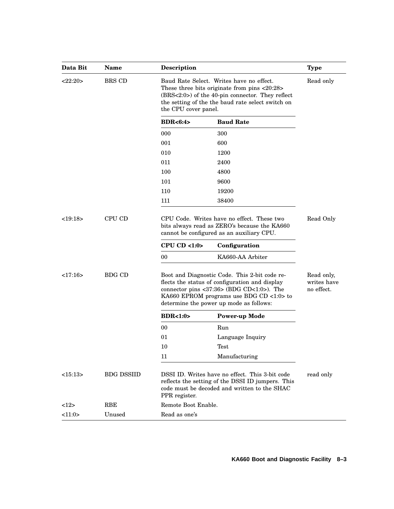| Data Bit | <b>Name</b>       | <b>Description</b>                                                                                                                                                                                                                  |                                   | <b>Type</b>                             |
|----------|-------------------|-------------------------------------------------------------------------------------------------------------------------------------------------------------------------------------------------------------------------------------|-----------------------------------|-----------------------------------------|
| <22:20>  | BRS CD            | Baud Rate Select. Writes have no effect.<br>These three bits originate from pins <20:28><br>$(BRS<2:0)$ of the 40-pin connector. They reflect<br>the setting of the the baud rate select switch on<br>the CPU cover panel.          |                                   | Read only                               |
|          |                   | BDR<6:4>                                                                                                                                                                                                                            | <b>Baud Rate</b>                  |                                         |
|          |                   | 000                                                                                                                                                                                                                                 | 300                               |                                         |
|          |                   | 001                                                                                                                                                                                                                                 | 600                               |                                         |
|          |                   | 010                                                                                                                                                                                                                                 | 1200                              |                                         |
|          |                   | 011                                                                                                                                                                                                                                 | 2400                              |                                         |
|          |                   | 100                                                                                                                                                                                                                                 | 4800                              |                                         |
|          |                   | 101                                                                                                                                                                                                                                 | 9600                              |                                         |
|          |                   | 110                                                                                                                                                                                                                                 | 19200                             |                                         |
|          |                   | 111                                                                                                                                                                                                                                 | 38400                             |                                         |
| <19:18>  | CPU CD            | CPU Code. Writes have no effect. These two<br>bits always read as ZERO's because the KA660<br>cannot be configured as an auxiliary CPU.<br>CPU CD < $1:0>$                                                                          | Read Only                         |                                         |
|          |                   | 00                                                                                                                                                                                                                                  | Configuration<br>KA660-AA Arbiter |                                         |
| <17:16>  | <b>BDG CD</b>     | Boot and Diagnostic Code. This 2-bit code re-<br>flects the status of configuration and display<br>connector pins <37:36> (BDG CD<1:0>). The<br>KA660 EPROM programs use BDG CD <1:0> to<br>determine the power up mode as follows: |                                   | Read only,<br>writes have<br>no effect. |
|          |                   | BDR<1:0>                                                                                                                                                                                                                            | <b>Power-up Mode</b>              |                                         |
|          |                   | 00                                                                                                                                                                                                                                  | Run                               |                                         |
|          |                   | 01                                                                                                                                                                                                                                  | Language Inquiry                  |                                         |
|          |                   | 10                                                                                                                                                                                                                                  | Test                              |                                         |
|          |                   | 11                                                                                                                                                                                                                                  | Manufacturing                     |                                         |
| <15:13>  | <b>BDG DSSIID</b> | DSSI ID. Writes have no effect. This 3-bit code<br>reflects the setting of the DSSI ID jumpers. This<br>code must be decoded and written to the SHAC<br>PPR register.                                                               |                                   | read only                               |
| <12>     | <b>RBE</b>        | Remote Boot Enable.                                                                                                                                                                                                                 |                                   |                                         |
| <11:0>   | Unused            | Read as one's                                                                                                                                                                                                                       |                                   |                                         |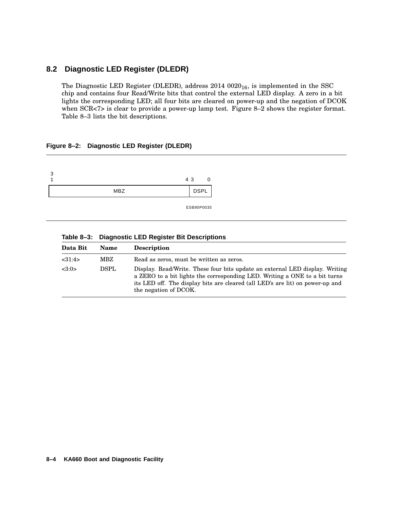# **8.2 Diagnostic LED Register (DLEDR)**

The Diagnostic LED Register (DLEDR), address  $2014\ 0020_{16}$ , is implemented in the SSC chip and contains four Read/Write bits that control the external LED display. A zero in a bit lights the corresponding LED; all four bits are cleared on power-up and the negation of DCOK when SCR<7> is clear to provide a power-up lamp test. Figure 8–2 shows the register format. Table 8–3 lists the bit descriptions.

### **Figure 8–2: Diagnostic LED Register (DLEDR)**



|  | Table 8–3: Diagnostic LED Register Bit Descriptions |
|--|-----------------------------------------------------|
|  |                                                     |

| Data Bit | <b>Name</b> | <b>Description</b>                                                                                                                                                                                                                                                   |
|----------|-------------|----------------------------------------------------------------------------------------------------------------------------------------------------------------------------------------------------------------------------------------------------------------------|
| <31:4>   | MBZ         | Read as zeros, must be written as zeros.                                                                                                                                                                                                                             |
| <3:0>    | <b>DSPL</b> | Display. Read/Write. These four bits update an external LED display. Writing<br>a ZERO to a bit lights the corresponding LED. Writing a ONE to a bit turns<br>its LED off. The display bits are cleared (all LED's are lit) on power-up and<br>the negation of DCOK. |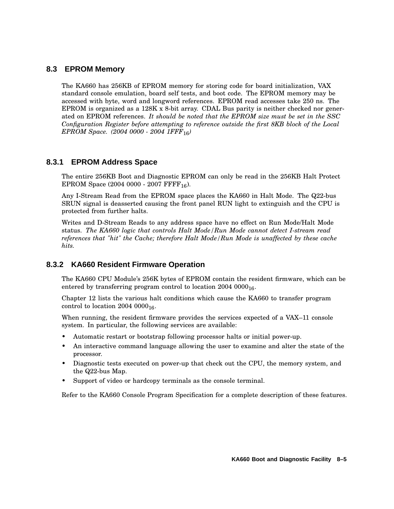# **8.3 EPROM Memory**

The KA660 has 256KB of EPROM memory for storing code for board initialization, VAX standard console emulation, board self tests, and boot code. The EPROM memory may be accessed with byte, word and longword references. EPROM read accesses take 250 ns. The EPROM is organized as a 128K x 8-bit array. CDAL Bus parity is neither checked nor generated on EPROM references. *It should be noted that the EPROM size must be set in the SSC Configuration Register before attempting to reference outside the first 8KB block of the Local EPROM Space. (2004 0000 - 2004 1FFF*16*)*

### **8.3.1 EPROM Address Space**

The entire 256KB Boot and Diagnostic EPROM can only be read in the 256KB Halt Protect EPROM Space  $(2004 0000 - 2007$  FFFF<sub>16</sub>).

Any I-Stream Read from the EPROM space places the KA660 in Halt Mode. The Q22-bus SRUN signal is deasserted causing the front panel RUN light to extinguish and the CPU is protected from further halts.

Writes and D-Stream Reads to any address space have no effect on Run Mode/Halt Mode status. *The KA660 logic that controls Halt Mode/Run Mode cannot detect I-stream read references that "hit" the Cache; therefore Halt Mode/Run Mode is unaffected by these cache hits.*

# **8.3.2 KA660 Resident Firmware Operation**

The KA660 CPU Module's 256K bytes of EPROM contain the resident firmware, which can be entered by transferring program control to location  $2004~0000_{16}$ .

Chapter 12 lists the various halt conditions which cause the KA660 to transfer program control to location  $2004~0000_{16}$ .

When running, the resident firmware provides the services expected of a VAX–11 console system. In particular, the following services are available:

- Automatic restart or bootstrap following processor halts or initial power-up.
- An interactive command language allowing the user to examine and alter the state of the processor.
- Diagnostic tests executed on power-up that check out the CPU, the memory system, and the Q22-bus Map.
- Support of video or hardcopy terminals as the console terminal.

Refer to the KA660 Console Program Specification for a complete description of these features.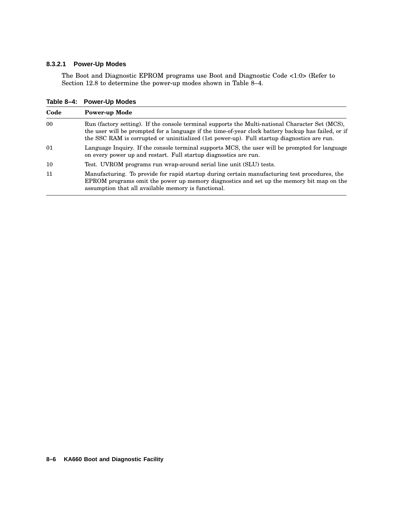#### **8.3.2.1 Power-Up Modes**

The Boot and Diagnostic EPROM programs use Boot and Diagnostic Code <1:0> (Refer to Section 12.8 to determine the power-up modes shown in Table 8–4.

**Code Power-up Mode** 00 Run (factory setting). If the console terminal supports the Multi-national Character Set (MCS), the user will be prompted for a language if the time-of-year clock battery backup has failed, or if the SSC RAM is corrupted or uninitialized (1st power-up). Full startup diagnostics are run. 01 Language Inquiry. If the console terminal supports MCS, the user will be prompted for language on every power up and restart. Full startup diagnostics are run. 10 Test. UVROM programs run wrap-around serial line unit (SLU) tests. 11 Manufacturing. To provide for rapid startup during certain manufacturing test procedures, the EPROM programs omit the power up memory diagnostics and set up the memory bit map on the assumption that all available memory is functional.

**Table 8–4: Power-Up Modes**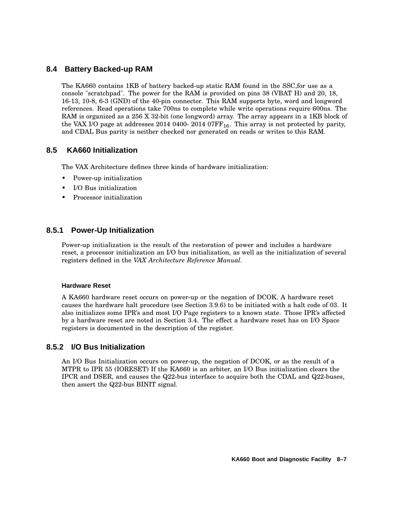## **8.4 Battery Backed-up RAM**

The KA660 contains 1KB of battery backed-up static RAM found in the SSC,for use as a console "scratchpad". The power for the RAM is provided on pins 38 (VBAT H) and 20, 18, 16-13, 10-8, 6-3 (GND) of the 40-pin connector. This RAM supports byte, word and longword references. Read operations take 700ns to complete while write operations require 600ns. The RAM is organized as a 256 X 32-bit (one longword) array. The array appears in a 1KB block of the VAX I/O page at addresses 2014 0400- 2014 07 $FF_{16}$ . This array is not protected by parity, and CDAL Bus parity is neither checked nor generated on reads or writes to this RAM.

### **8.5 KA660 Initialization**

The VAX Architecture defines three kinds of hardware initialization:

- Power-up initialization
- I/O Bus initialization
- Processor initialization

### **8.5.1 Power-Up Initialization**

Power-up initialization is the result of the restoration of power and includes a hardware reset, a processor initialization an I/O bus initialization, as well as the initialization of several registers defined in the *VAX Architecture Reference Manual.*

### **Hardware Reset**

A KA660 hardware reset occurs on power-up or the negation of DCOK. A hardware reset causes the hardware halt procedure (see Section 3.9.6) to be initiated with a halt code of 03. It also initializes some IPR's and most I/O Page registers to a known state. Those IPR's affected by a hardware reset are noted in Section 3.4. The effect a hardware reset has on I/O Space registers is documented in the description of the register.

### **8.5.2 I/O Bus Initialization**

An I/O Bus Initialization occurs on power-up, the negation of DCOK, or as the result of a MTPR to IPR 55 (IORESET) If the KA660 is an arbiter, an I/O Bus initialization clears the IPCR and DSER, and causes the Q22-bus interface to acquire both the CDAL and Q22-buses, then assert the Q22-bus BINIT signal.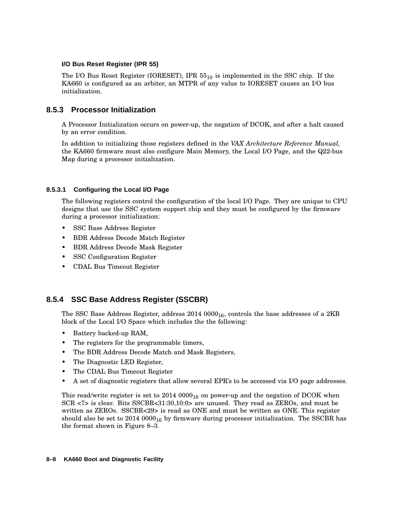### **I/O Bus Reset Register (IPR 55)**

The I/O Bus Reset Register (IORESET), IPR 55<sup>10</sup> is implemented in the SSC chip. If the KA660 is configured as an arbiter, an MTPR of any value to IORESET causes an I/O bus initialization.

### **8.5.3 Processor Initialization**

A Processor Initialization occurs on power-up, the negation of DCOK, and after a halt caused by an error condition.

In addition to initializing those registers defined in the *VAX Architecture Reference Manual,* the KA660 firmware must also configure Main Memory, the Local I/O Page, and the Q22-bus Map during a processor initialization.

### **8.5.3.1 Configuring the Local I/O Page**

The following registers control the configuration of the local I/O Page. They are unique to CPU designs that use the SSC system support chip and they must be configured by the firmware during a processor initialization:

- SSC Base Address Register
- BDR Address Decode Match Register
- BDR Address Decode Mask Register
- SSC Configuration Register
- CDAL Bus Timeout Register

# **8.5.4 SSC Base Address Register (SSCBR)**

The SSC Base Address Register, address  $2014\ 0000_{16}$ , controls the base addresses of a 2KB block of the Local I/O Space which includes the the following:

- Battery backed-up RAM,
- The registers for the programmable timers,
- The BDR Address Decode Match and Mask Registers,
- The Diagnostic LED Register,
- The CDAL Bus Timeout Register
- A set of diagnostic registers that allow several EPR's to be accessed via I/O page addresses.

This read/write register is set to  $2014~0000_{16}$  on power-up and the negation of DCOK when SCR <7> is clear. Bits SSCBR<31:30,10:0> are unused. They read as ZEROs, and must be written as ZEROs. SSCBR<29> is read as ONE and must be written as ONE. This register should also be set to  $2014\ 0000_{16}$  by firmware during processor initialization. The SSCBR has the format shown in Figure 8–3.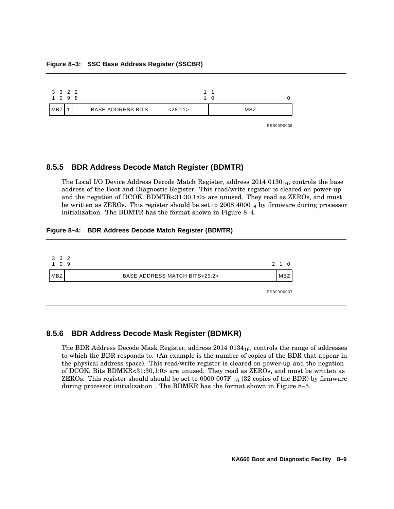#### **Figure 8–3: SSC Base Address Register (SSCBR)**



### **8.5.5 BDR Address Decode Match Register (BDMTR)**

The Local I/O Device Address Decode Match Register, address  $2014\ 0130_{16}$ , controls the base address of the Boot and Diagnostic Register. This read/write register is cleared on power-up and the negation of DCOK. BDMTR<31:30,1:0> are unused. They read as ZEROs, and must be written as ZEROs. This register should be set to  $2008\,4000_{16}$  by firmware during processor initialization. The BDMTR has the format shown in Figure 8–4.

#### **Figure 8–4: BDR Address Decode Match Register (BDMTR)**

| 3 3 2<br>- 9<br>$^{\circ}$ 0 $^{\circ}$<br>1 |                                            | 2 1 0      |
|----------------------------------------------|--------------------------------------------|------------|
| <b>MBZ</b>                                   | <b>BASE ADDRESS MATCH BITS&lt;29:2&gt;</b> | <b>MBZ</b> |
|                                              |                                            | ESB90P0037 |

### **8.5.6 BDR Address Decode Mask Register (BDMKR)**

The BDR Address Decode Mask Register, address  $2014\ 0134_{16}$ , controls the range of addresses to which the BDR responds to. (An example is the number of copies of the BDR that appear in the physical address space). This read/write register is cleared on power-up and the negation of DCOK. Bits BDMKR<31:30,1:0> are unused. They read as ZEROs, and must be written as ZEROs. This register should should be set to 0000 007F  $_{16}$  (32 copies of the BDR) by firmware during processor initialization . The BDMKR has the format shown in Figure 8–5.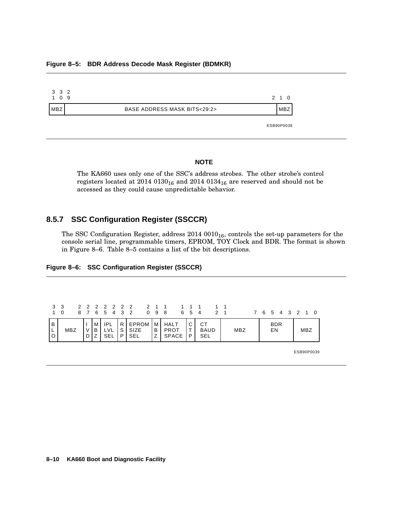#### **Figure 8–5: BDR Address Decode Mask Register (BDMKR)**

| 3 3 2<br>1 0<br>-9 |                                           | 2 1 0      |
|--------------------|-------------------------------------------|------------|
| 'MBZ               | <b>BASE ADDRESS MASK BITS&lt;29:2&gt;</b> | <b>MBZ</b> |
|                    |                                           | ESB90P0038 |

#### **NOTE**

The KA660 uses only one of the SSC's address strobes. The other strobe's control registers located at  $2014~0130_{16}$  and  $2014~0134_{16}$  are reserved and should not be accessed as they could cause unpredictable behavior.

# **8.5.7 SSC Configuration Register (SSCCR)**

The SSC Configuration Register, address  $2014~0010_{16}$ , controls the set-up parameters for the console serial line, programmable timers, EPROM, TOY Clock and BDR. The format is shown in Figure 8–6. Table 8–5 contains a list of the bit descriptions.

|  | Figure 8-6: SSC Configuration Register (SSCCR) |  |
|--|------------------------------------------------|--|
|--|------------------------------------------------|--|

| $1 \quad \Omega$ | 3 3 |       |            |     | 2 2 2 2 2 2 2 2 1 1 1 1 1 1 1 1<br>8 7 6 5 4 3 2 0 9 8 6 5 4 2 1 |                     |            |                                 |     | 7 6 5 4 3 2 1 0         |  |            |  |
|------------------|-----|-------|------------|-----|------------------------------------------------------------------|---------------------|------------|---------------------------------|-----|-------------------------|--|------------|--|
| $\overline{B}$   | MBZ | I M I | IPL<br>SEL | IP. | $ R $ EPROM $ M $ HALT<br>S SIZE<br><b>SEL</b>                   | B I PROT<br>Z SPACE | l C I<br>P | <b>CT</b><br><b>BAUD</b><br>SEL | MBZ | <b>BDR</b><br><b>EN</b> |  | <b>MBZ</b> |  |

ESB90P0039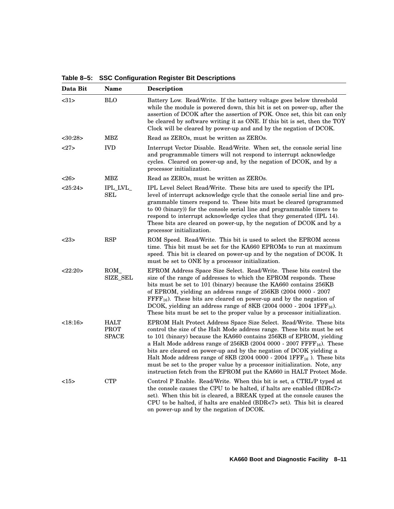**Table 8–5: SSC Configuration Register Bit Descriptions**

| Data Bit      | <b>Name</b>                                | Description                                                                                                                                                                                                                                                                                                                                                                                                                                                                                                                                                                                                                     |
|---------------|--------------------------------------------|---------------------------------------------------------------------------------------------------------------------------------------------------------------------------------------------------------------------------------------------------------------------------------------------------------------------------------------------------------------------------------------------------------------------------------------------------------------------------------------------------------------------------------------------------------------------------------------------------------------------------------|
| <31>          | <b>BLO</b>                                 | Battery Low. Read/Write. If the battery voltage goes below threshold<br>while the module is powered down, this bit is set on power-up, after the<br>assertion of DCOK after the assertion of POK. Once set, this bit can only<br>be cleared by software writing it as ONE. If this bit is set, then the TOY<br>Clock will be cleared by power-up and and by the negation of DCOK.                                                                                                                                                                                                                                               |
| $<$ 30:28 $>$ | MBZ                                        | Read as ZEROs, must be written as ZEROs.                                                                                                                                                                                                                                                                                                                                                                                                                                                                                                                                                                                        |
| <27>          | <b>IVD</b>                                 | Interrupt Vector Disable. Read/Write. When set, the console serial line<br>and programmable timers will not respond to interrupt acknowledge<br>cycles. Cleared on power-up and, by the negation of DCOK, and by a<br>processor initialization.                                                                                                                                                                                                                                                                                                                                                                                 |
| <26           | MBZ                                        | Read as ZEROs, must be written as ZEROs.                                                                                                                                                                                                                                                                                                                                                                                                                                                                                                                                                                                        |
| <25:24>       | IPL LVL<br>$\operatorname{SEL}$            | IPL Level Select Read/Write. These bits are used to specify the IPL<br>level of interrupt acknowledge cycle that the console serial line and pro-<br>grammable timers respond to. These bits must be cleared (programmed<br>to 00 (binary) for the console serial line and programmable timers to<br>respond to interrupt acknowledge cycles that they generated (IPL 14).<br>These bits are cleared on power-up, by the negation of DCOK and by a<br>processor initialization.                                                                                                                                                 |
| <23>          | <b>RSP</b>                                 | ROM Speed. Read/Write. This bit is used to select the EPROM access<br>time. This bit must be set for the KA660 EPROMs to run at maximum<br>speed. This bit is cleared on power-up and by the negation of DCOK. It<br>must be set to ONE by a processor initialization.                                                                                                                                                                                                                                                                                                                                                          |
| <22:20>       | ROM<br><b>SIZE_SEL</b>                     | <b>EPROM</b> Address Space Size Select. Read/Write. These bits control the<br>size of the range of addresses to which the EPROM responds. These<br>bits must be set to 101 (binary) because the KA660 contains 256KB<br>of EPROM, yielding an address range of 256KB (2004 0000 - 2007<br>$\text{FFFF}_{16}$ ). These bits are cleared on power-up and by the negation of<br>DCOK, yielding an address range of 8KB (2004 0000 - 2004 $1$ FFF <sub>16</sub> ).<br>These bits must be set to the proper value by a processor initialization.                                                                                     |
| <18:16>       | <b>HALT</b><br><b>PROT</b><br><b>SPACE</b> | EPROM Halt Protect Address Space Size Select. Read/Write. These bits<br>control the size of the Halt Mode address range. These bits must be set<br>to 101 (binary) because the KA660 contains 256KB of EPROM, yielding<br>a Halt Mode address range of $256KB$ (2004 0000 - 2007 $\text{FFFF}_{16}$ ). These<br>bits are cleared on power-up and by the negation of DCOK yielding a<br>Halt Mode address range of 8KB (2004 0000 - 2004 $1$ FFF <sub>16</sub> ). These bits<br>must be set to the proper value by a processor initialization. Note, any<br>instruction fetch from the EPROM put the KA660 in HALT Protect Mode. |
| <15>          | <b>CTP</b>                                 | Control P Enable. Read/Write. When this bit is set, a CTRL/P typed at<br>the console causes the CPU to be halted, if halts are enabled (BDR<7><br>set). When this bit is cleared, a BREAK typed at the console causes the<br>CPU to be halted, if halts are enabled (BDR<7> set). This bit is cleared<br>on power-up and by the negation of DCOK.                                                                                                                                                                                                                                                                               |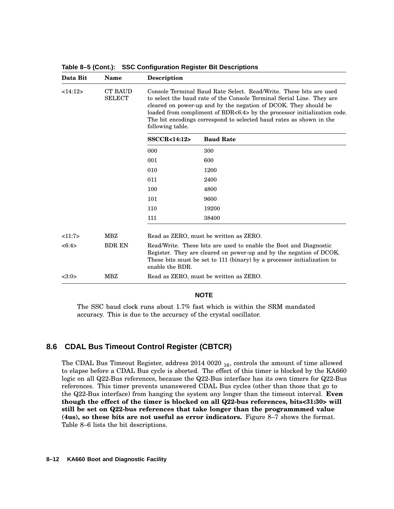| <b>CT BAUD</b><br><b>SELECT</b> | Console Terminal Baud Rate Select. Read/Write. These bits are used<br>to select the baud rate of the Console Terminal Serial Line. They are<br>cleared on power-up and by the negation of DCOK. They should be<br>loaded from compliment of BDR<6:4> by the processor initialization code.<br>The bit encodings correspond to selected baud rates as shown in the<br>following table. |                                        |  |  |  |  |
|---------------------------------|---------------------------------------------------------------------------------------------------------------------------------------------------------------------------------------------------------------------------------------------------------------------------------------------------------------------------------------------------------------------------------------|----------------------------------------|--|--|--|--|
|                                 | <b>SSCCR&lt;14:12&gt;</b>                                                                                                                                                                                                                                                                                                                                                             | <b>Baud Rate</b>                       |  |  |  |  |
|                                 | 000                                                                                                                                                                                                                                                                                                                                                                                   | 300                                    |  |  |  |  |
|                                 | 001                                                                                                                                                                                                                                                                                                                                                                                   | 600                                    |  |  |  |  |
|                                 | 010                                                                                                                                                                                                                                                                                                                                                                                   | 1200                                   |  |  |  |  |
|                                 | 011                                                                                                                                                                                                                                                                                                                                                                                   | 2400                                   |  |  |  |  |
|                                 | 100                                                                                                                                                                                                                                                                                                                                                                                   | 4800                                   |  |  |  |  |
|                                 | 101                                                                                                                                                                                                                                                                                                                                                                                   | 9600                                   |  |  |  |  |
|                                 | 110                                                                                                                                                                                                                                                                                                                                                                                   | 19200                                  |  |  |  |  |
|                                 | 111                                                                                                                                                                                                                                                                                                                                                                                   | 38400                                  |  |  |  |  |
| MBZ                             | Read as ZERO, must be written as ZERO.                                                                                                                                                                                                                                                                                                                                                |                                        |  |  |  |  |
| <b>BDR EN</b>                   | Read/Write. These bits are used to enable the Boot and Diagnostic<br>Register. They are cleared on power-up and by the negation of DCOK.<br>These bits must be set to 111 (binary) by a processor initialization to<br>enable the BDR.                                                                                                                                                |                                        |  |  |  |  |
| MBZ                             |                                                                                                                                                                                                                                                                                                                                                                                       | Read as ZERO, must be written as ZERO. |  |  |  |  |
|                                 |                                                                                                                                                                                                                                                                                                                                                                                       |                                        |  |  |  |  |

**Table 8–5 (Cont.): SSC Configuration Register Bit Descriptions**

#### **NOTE**

The SSC baud clock runs about 1.7% fast which is within the SRM mandated accuracy. This is due to the accuracy of the crystal oscillator.

### **8.6 CDAL Bus Timeout Control Register (CBTCR)**

The CDAL Bus Timeout Register, address  $2014\ 0020\ _{16}$ , controls the amount of time allowed to elapse before a CDAL Bus cycle is aborted. The effect of this timer is blocked by the KA660 logic on all Q22-Bus references, because the Q22-Bus interface has its own timers for Q22-Bus references. This timer prevents unanswered CDAL Bus cycles (other than those that go to the Q22-Bus interface) from hanging the system any longer than the timeout interval. **Even though the effect of the timer is blocked on all Q22-bus references, bits<31:30> will still be set on Q22-bus references that take longer than the programmmed value (4us), so these bits are not useful as error indicators.** Figure 8–7 shows the format. Table 8–6 lists the bit descriptions.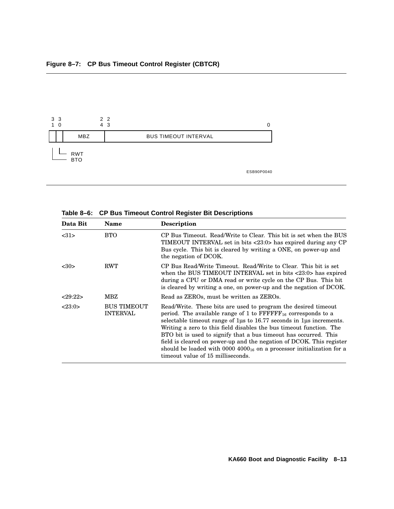

**Table 8–6: CP Bus Timeout Control Register Bit Descriptions**

| Data Bit | <b>Name</b>                           | <b>Description</b>                                                                                                                                                                                                                                                                                                                                                                                                                                                                                                                                                  |
|----------|---------------------------------------|---------------------------------------------------------------------------------------------------------------------------------------------------------------------------------------------------------------------------------------------------------------------------------------------------------------------------------------------------------------------------------------------------------------------------------------------------------------------------------------------------------------------------------------------------------------------|
| <31>     | <b>BTO</b>                            | CP Bus Timeout. Read/Write to Clear. This bit is set when the BUS<br>TIMEOUT INTERVAL set in bits <23:0> has expired during any CP<br>Bus cycle. This bit is cleared by writing a ONE, on power-up and<br>the negation of DCOK.                                                                                                                                                                                                                                                                                                                                     |
| <30>     | <b>RWT</b>                            | CP Bus Read/Write Timeout. Read/Write to Clear. This bit is set<br>when the BUS TIMEOUT INTERVAL set in bits <23:0> has expired<br>during a CPU or DMA read or write cycle on the CP Bus. This bit<br>is cleared by writing a one, on power-up and the negation of DCOK.                                                                                                                                                                                                                                                                                            |
| 29:22    | MBZ                                   | Read as ZEROs, must be written as ZEROs.                                                                                                                                                                                                                                                                                                                                                                                                                                                                                                                            |
| <23:0>   | <b>BUS TIMEOUT</b><br><b>INTERVAL</b> | Read/Write. These bits are used to program the desired timeout<br>period. The available range of 1 to $\text{FFFFF}_{16}$ corresponds to a<br>selectable time out range of $1\mu$ s to 16.77 seconds in $1\mu$ s increments.<br>Writing a zero to this field disables the bus timeout function. The<br>BTO bit is used to signify that a bus time out has occurred. This<br>field is cleared on power-up and the negation of DCOK. This register<br>should be loaded with 0000 $4000_{16}$ on a processor initialization for a<br>timeout value of 15 milliseconds. |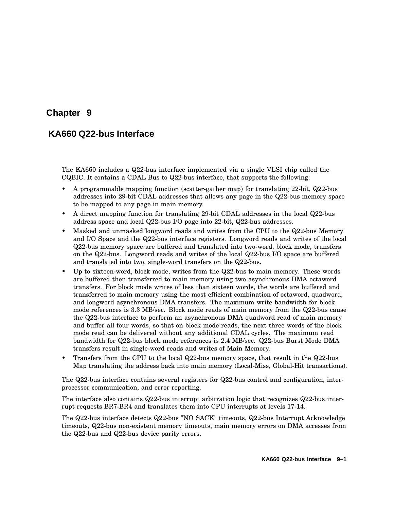# **Chapter 9**

# **KA660 Q22-bus Interface**

The KA660 includes a Q22-bus interface implemented via a single VLSI chip called the CQBIC. It contains a CDAL Bus to Q22-bus interface, that supports the following:

- A programmable mapping function (scatter-gather map) for translating 22-bit, Q22-bus addresses into 29-bit CDAL addresses that allows any page in the Q22-bus memory space to be mapped to any page in main memory.
- A direct mapping function for translating 29-bit CDAL addresses in the local Q22-bus address space and local Q22-bus I/O page into 22-bit, Q22-bus addresses.
- Masked and unmasked longword reads and writes from the CPU to the Q22-bus Memory and I/O Space and the Q22-bus interface registers. Longword reads and writes of the local Q22-bus memory space are buffered and translated into two-word, block mode, transfers on the Q22-bus. Longword reads and writes of the local Q22-bus I/O space are buffered and translated into two, single-word transfers on the Q22-bus.
- Up to sixteen-word, block mode, writes from the Q22-bus to main memory. These words are buffered then transferred to main memory using two asynchronous DMA octaword transfers. For block mode writes of less than sixteen words, the words are buffered and transferred to main memory using the most efficient combination of octaword, quadword, and longword asynchronous DMA transfers. The maximum write bandwidth for block mode references is 3.3 MB/sec. Block mode reads of main memory from the Q22-bus cause the Q22-bus interface to perform an asynchronous DMA quadword read of main memory and buffer all four words, so that on block mode reads, the next three words of the block mode read can be delivered without any additional CDAL cycles. The maximum read bandwidth for Q22-bus block mode references is 2.4 MB/sec. Q22-bus Burst Mode DMA transfers result in single-word reads and writes of Main Memory.
- Transfers from the CPU to the local Q22-bus memory space, that result in the Q22-bus Map translating the address back into main memory (Local-Miss, Global-Hit transactions).

The Q22-bus interface contains several registers for Q22-bus control and configuration, interprocessor communication, and error reporting.

The interface also contains Q22-bus interrupt arbitration logic that recognizes Q22-bus interrupt requests BR7-BR4 and translates them into CPU interrupts at levels 17-14.

The Q22-bus interface detects Q22-bus "NO SACK" timeouts, Q22-bus Interrupt Acknowledge timeouts, Q22-bus non-existent memory timeouts, main memory errors on DMA accesses from the Q22-bus and Q22-bus device parity errors.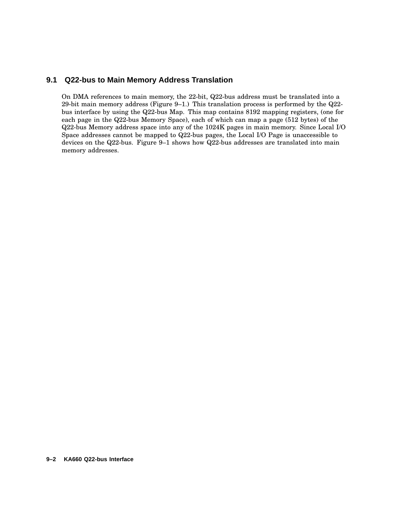### **9.1 Q22-bus to Main Memory Address Translation**

On DMA references to main memory, the 22-bit, Q22-bus address must be translated into a 29-bit main memory address (Figure 9–1.) This translation process is performed by the Q22 bus interface by using the Q22-bus Map. This map contains 8192 mapping registers, (one for each page in the Q22-bus Memory Space), each of which can map a page (512 bytes) of the Q22-bus Memory address space into any of the 1024K pages in main memory. Since Local I/O Space addresses cannot be mapped to Q22-bus pages, the Local I/O Page is unaccessible to devices on the Q22-bus. Figure 9–1 shows how Q22-bus addresses are translated into main memory addresses.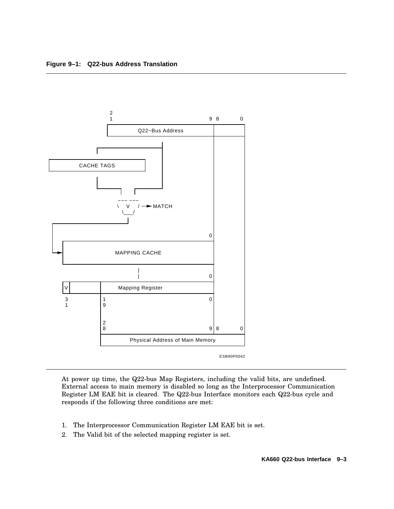

At power up time, the Q22-bus Map Registers, including the valid bits, are undefined. External access to main memory is disabled so long as the Interprocessor Communication Register LM EAE bit is cleared. The Q22-bus Interface monitors each Q22-bus cycle and responds if the following three conditions are met:

- 1. The Interprocessor Communication Register LM EAE bit is set.
- 2. The Valid bit of the selected mapping register is set.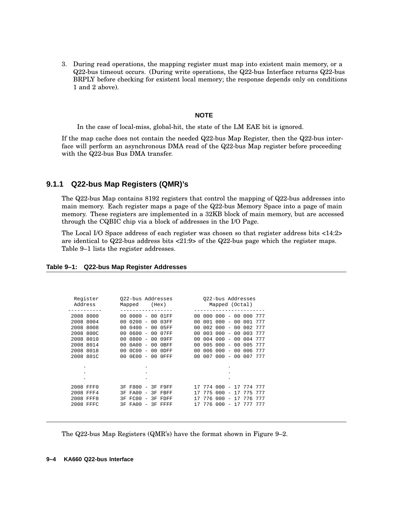3. During read operations, the mapping register must map into existent main memory, or a Q22-bus timeout occurs. (During write operations, the Q22-bus Interface returns Q22-bus BRPLY before checking for existent local memory; the response depends only on conditions 1 and 2 above).

#### **NOTE**

In the case of local-miss, global-hit, the state of the LM EAE bit is ignored.

If the map cache does not contain the needed Q22-bus Map Register, then the Q22-bus interface will perform an asynchronous DMA read of the Q22-bus Map register before proceeding with the Q22-bus Bus DMA transfer.

### **9.1.1 Q22-bus Map Registers (QMR)'s**

The Q22-bus Map contains 8192 registers that control the mapping of Q22-bus addresses into main memory. Each register maps a page of the Q22-bus Memory Space into a page of main memory. These registers are implemented in a 32KB block of main memory, but are accessed through the CQBIC chip via a block of addresses in the I/O Page.

The Local I/O Space address of each register was chosen so that register address bits <14:2> are identical to Q22-bus address bits <21:9> of the Q22-bus page which the register maps. Table 9–1 lists the register addresses.

| Register<br>Address       | 022-bus Addresses<br>(Hex)<br>Mapped                                                                              | 022-bus Addresses<br>Mapped (Octal)                                                                                      |
|---------------------------|-------------------------------------------------------------------------------------------------------------------|--------------------------------------------------------------------------------------------------------------------------|
| 2008 8000<br>2008<br>8004 | $0000 -$<br>01FF<br>00<br>n n<br>00<br>0200<br>$0.3$ FF<br>00<br>0 <sub>0</sub><br>00<br>$\overline{\phantom{m}}$ | 00<br>000<br>000<br>000<br>777<br>$\overline{\phantom{a}}$<br>000<br>00<br>001<br>001<br>777<br>$\overline{\phantom{m}}$ |
| 2008 8008                 | 0400<br>00<br>05FF<br>00<br>00<br>$\overline{\phantom{0}}$                                                        | 002<br>002<br>777<br>000<br>00<br>$\overline{\phantom{m}}$                                                               |
| 2008 800C<br>2008 8010    | 0600<br>00<br>07FF<br>00<br>00<br>$\overline{\phantom{a}}$<br>0800<br>00<br>00<br>09FF<br>00<br>$\equiv$          | 003<br>000<br>00<br>003<br>777<br>$\overline{\phantom{a}}$<br>777<br>004<br>000<br>00<br>004<br>$\overline{\phantom{a}}$ |
| 8014<br>2008              | 0A00<br>00<br>0 <sub>0</sub><br>0BFF<br>00<br>$\overline{\phantom{m}}$                                            | 005<br>000<br>005<br>777<br>00<br>$\overline{\phantom{m}}$                                                               |
| 2008 8018                 | 0000<br>0 <sub>0</sub><br>00<br>00<br>0DFF<br>$\overline{\phantom{m}}$                                            | 006<br>000<br>0 <sub>0</sub><br>006<br>777<br>$\overline{\phantom{0}}$                                                   |
| 2008 801C                 | 0E00<br>00<br>OFFF<br>00<br>00<br>$\overline{\phantom{a}}$                                                        | 007<br>000<br>0 <sup>0</sup><br>007<br>777<br>$\overline{\phantom{a}}$                                                   |
| ٠                         | ٠                                                                                                                 |                                                                                                                          |
| ٠                         | ٠                                                                                                                 | ٠                                                                                                                        |
| ٠                         | ٠                                                                                                                 | ۰                                                                                                                        |
| 2008 FFF0                 | F800<br>3F<br>F9FF<br>ЗF                                                                                          | nnn<br>774<br>17<br>774<br>777                                                                                           |
| 2008 FFF4                 | 3F<br>FA00<br>FBFF<br>국도                                                                                          | 775<br>000<br>777<br>17<br>775                                                                                           |
| 2008 FFF8                 | FC00<br>3F<br>3F<br>FDFF<br>17<br>$\overline{\phantom{0}}$<br>3F<br>FA00<br>17<br>$\equiv$                        | 000<br>777<br>776<br>17<br>776<br>$\overline{\phantom{0}}$<br>776<br>000<br>777<br>17<br>$\overline{\phantom{m}}$        |
| 2008 FFFC                 | 3F<br>FFFF                                                                                                        | 777                                                                                                                      |

#### **Table 9–1: Q22-bus Map Register Addresses**

The Q22-bus Map Registers (QMR's) have the format shown in Figure 9–2.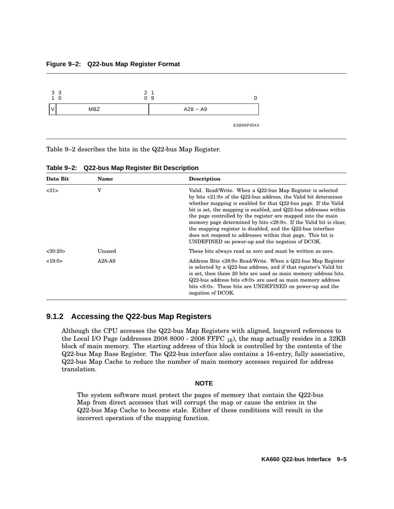#### **Figure 9–2: Q22-bus Map Register Format**



Table 9–2 describes the bits in the Q22-bus Map Register.

| Data Bit      | Name   | Description                                                                                                                                                                                                                                                                                                                                                                                                                                                                                                                                                                                               |  |  |  |  |
|---------------|--------|-----------------------------------------------------------------------------------------------------------------------------------------------------------------------------------------------------------------------------------------------------------------------------------------------------------------------------------------------------------------------------------------------------------------------------------------------------------------------------------------------------------------------------------------------------------------------------------------------------------|--|--|--|--|
| <31>          | v      | Valid. Read/Write. When a Q22-bus Map Register is selected<br>by bits $\langle 21:9 \rangle$ of the Q22-bus address, the Valid bit determines<br>whether mapping is enabled for that Q22-bus page. If the Valid<br>bit is set, the mapping is enabled, and Q22-bus addresses within<br>the page controlled by the register are mapped into the main<br>memory page determined by bits <28:9>. If the Valid bit is clear,<br>the mapping register is disabled, and the Q22-bus interface<br>does not respond to addresses within that page. This bit is<br>UNDEFINED on power-up and the negation of DCOK. |  |  |  |  |
| $<$ 30:20 $>$ | Unused | These bits always read as zero and must be written as zero.                                                                                                                                                                                                                                                                                                                                                                                                                                                                                                                                               |  |  |  |  |
| <19:0>        | A28-A9 | Address Bits <28:9> Read/Write. When a Q22-bus Map Register<br>is selected by a Q22-bus address, and if that register's Valid bit<br>is set, then these 20 bits are used as main memory address bits.<br>$Q22$ -bus address bits <8:0> are used as main memory address<br>bits <8.0>. These bits are UNDEFINED on power-up and the<br>negation of DCOK.                                                                                                                                                                                                                                                   |  |  |  |  |

| Table 9-2: Q22-bus Map Register Bit Description |  |  |
|-------------------------------------------------|--|--|
|                                                 |  |  |

# **9.1.2 Accessing the Q22-bus Map Registers**

Although the CPU accesses the Q22-bus Map Registers with aligned, longword references to the Local I/O Page (addresses 2008 8000 - 2008 FFFC  $_{16}$ ), the map actually resides in a 32KB block of main memory. The starting address of this block is controlled by the contents of the Q22-bus Map Base Register. The Q22-bus interface also contains a 16-entry, fully associative, Q22-bus Map Cache to reduce the number of main memory accesses required for address translation.

### **NOTE**

The system software must protect the pages of memory that contain the Q22-bus Map from direct accesses that will corrupt the map or cause the entries in the Q22-bus Map Cache to become stale. Either of these conditions will result in the incorrect operation of the mapping function.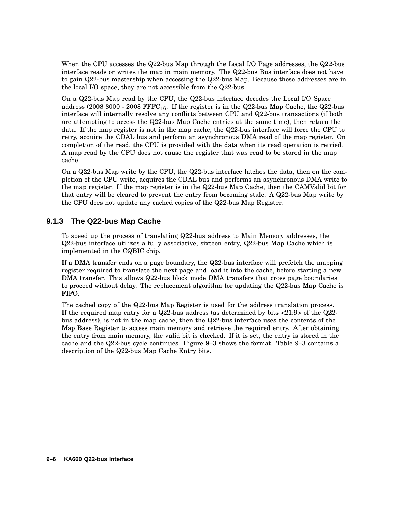When the CPU accesses the Q22-bus Map through the Local I/O Page addresses, the Q22-bus interface reads or writes the map in main memory. The Q22-bus Bus interface does not have to gain Q22-bus mastership when accessing the Q22-bus Map. Because these addresses are in the local I/O space, they are not accessible from the Q22-bus.

On a Q22-bus Map read by the CPU, the Q22-bus interface decodes the Local I/O Space address (2008 8000 - 2008  $\text{FFFC}_{16}$ . If the register is in the Q22-bus Map Cache, the Q22-bus interface will internally resolve any conflicts between CPU and Q22-bus transactions (if both are attempting to access the Q22-bus Map Cache entries at the same time), then return the data. If the map register is not in the map cache, the Q22-bus interface will force the CPU to retry, acquire the CDAL bus and perform an asynchronous DMA read of the map register. On completion of the read, the CPU is provided with the data when its read operation is retried. A map read by the CPU does not cause the register that was read to be stored in the map cache.

On a Q22-bus Map write by the CPU, the Q22-bus interface latches the data, then on the completion of the CPU write, acquires the CDAL bus and performs an asynchronous DMA write to the map register. If the map register is in the Q22-bus Map Cache, then the CAMValid bit for that entry will be cleared to prevent the entry from becoming stale. A Q22-bus Map write by the CPU does not update any cached copies of the Q22-bus Map Register.

### **9.1.3 The Q22-bus Map Cache**

To speed up the process of translating Q22-bus address to Main Memory addresses, the Q22-bus interface utilizes a fully associative, sixteen entry, Q22-bus Map Cache which is implemented in the CQBIC chip.

If a DMA transfer ends on a page boundary, the Q22-bus interface will prefetch the mapping register required to translate the next page and load it into the cache, before starting a new DMA transfer. This allows Q22-bus block mode DMA transfers that cross page boundaries to proceed without delay. The replacement algorithm for updating the Q22-bus Map Cache is FIFO.

The cached copy of the Q22-bus Map Register is used for the address translation process. If the required map entry for a Q22-bus address (as determined by bits <21:9> of the Q22 bus address), is not in the map cache, then the Q22-bus interface uses the contents of the Map Base Register to access main memory and retrieve the required entry. After obtaining the entry from main memory, the valid bit is checked. If it is set, the entry is stored in the cache and the Q22-bus cycle continues. Figure 9–3 shows the format. Table 9–3 contains a description of the Q22-bus Map Cache Entry bits.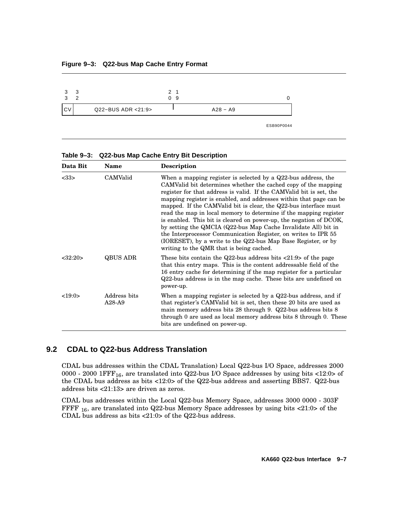#### **Figure 9–3: Q22-bus Map Cache Entry Format**



| Table 9-3: Q22-bus Map Cache Entry Bit Description |
|----------------------------------------------------|
|----------------------------------------------------|

| Data Bit | Name                     | Description                                                                                                                                                                                                                                                                                                                                                                                                                                                                                                                                                                                                                                                                                                                                     |
|----------|--------------------------|-------------------------------------------------------------------------------------------------------------------------------------------------------------------------------------------------------------------------------------------------------------------------------------------------------------------------------------------------------------------------------------------------------------------------------------------------------------------------------------------------------------------------------------------------------------------------------------------------------------------------------------------------------------------------------------------------------------------------------------------------|
| <33>     | CAMValid                 | When a mapping register is selected by a $Q22$ -bus address, the<br>CAMValid bit determines whether the cached copy of the mapping<br>register for that address is valid. If the CAMValid bit is set, the<br>mapping register is enabled, and addresses within that page can be<br>mapped. If the CAMValid bit is clear, the Q22-bus interface must<br>read the map in local memory to determine if the mapping register<br>is enabled. This bit is cleared on power-up, the negation of DCOK,<br>by setting the QMCIA (Q22-bus Map Cache Invalidate All) bit in<br>the Interprocessor Communication Register, on writes to IPR 55<br>(IORESET), by a write to the Q22-bus Map Base Register, or by<br>writing to the QMR that is being cached. |
| <32:20>  | QBUS ADR                 | These bits contain the Q22-bus address bits $\langle 21:9 \rangle$ of the page<br>that this entry maps. This is the content addressable field of the<br>16 entry cache for determining if the map register for a particular<br>Q22-bus address is in the map cache. These bits are undefined on<br>power-up.                                                                                                                                                                                                                                                                                                                                                                                                                                    |
| <19:0>   | Address bits<br>$A28-A9$ | When a mapping register is selected by a $Q22$ -bus address, and if<br>that register's CAMValid bit is set, then these 20 bits are used as<br>main memory address bits 28 through 9. Q22-bus address bits 8<br>through 0 are used as local memory address bits 8 through 0. These<br>bits are undefined on power-up.                                                                                                                                                                                                                                                                                                                                                                                                                            |

# **9.2 CDAL to Q22-bus Address Translation**

CDAL bus addresses within the CDAL Translation) Local Q22-bus I/O Space, addresses 2000 0000 - 2000 1FFF<sub>16</sub>, are translated into Q22-bus I/O Space addresses by using bits <12:0> of the CDAL bus address as bits <12:0> of the Q22-bus address and asserting BBS7. Q22-bus address bits <21:13> are driven as zeros.

CDAL bus addresses within the Local Q22-bus Memory Space, addresses 3000 0000 - 303F FFFF  $_{16}$ , are translated into Q22-bus Memory Space addresses by using bits <21:0> of the CDAL bus address as bits <21:0> of the Q22-bus address.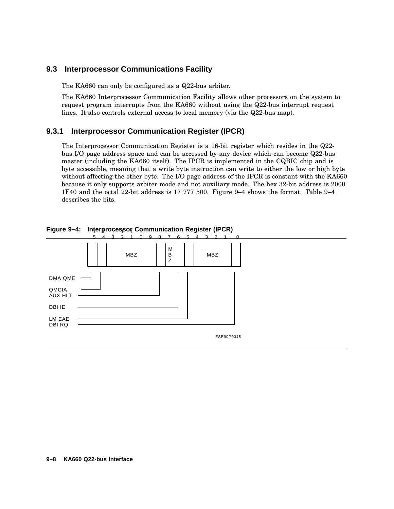## **9.3 Interprocessor Communications Facility**

The KA660 can only be configured as a Q22-bus arbiter.

The KA660 Interprocessor Communication Facility allows other processors on the system to request program interrupts from the KA660 without using the Q22-bus interrupt request lines. It also controls external access to local memory (via the Q22-bus map).

### **9.3.1 Interprocessor Communication Register (IPCR)**

The Interprocessor Communication Register is a 16-bit register which resides in the Q22 bus I/O page address space and can be accessed by any device which can become Q22-bus master (including the KA660 itself). The IPCR is implemented in the CQBIC chip and is byte accessible, meaning that a write byte instruction can write to either the low or high byte without affecting the other byte. The I/O page address of the IPCR is constant with the KA660 because it only supports arbiter mode and not auxiliary mode. The hex 32-bit address is 2000 1F40 and the octal 22-bit address is 17 777 500. Figure 9–4 shows the format. Table 9–4 describes the bits.



**Figure 9–4: Interprocessor Communication Register (IPCR)**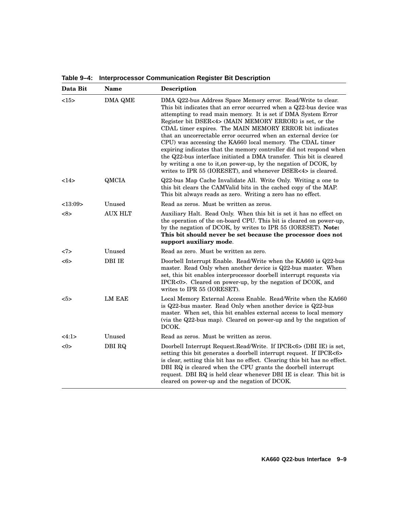|  | Table 9-4: Interprocessor Communication Register Bit Description |  |
|--|------------------------------------------------------------------|--|
|  |                                                                  |  |

| Data Bit               | <b>Description</b> |                                                                                                                                                                                                                                                                                                                                                                                                                                                                                                                                                                                                                                                                                                                                              |  |
|------------------------|--------------------|----------------------------------------------------------------------------------------------------------------------------------------------------------------------------------------------------------------------------------------------------------------------------------------------------------------------------------------------------------------------------------------------------------------------------------------------------------------------------------------------------------------------------------------------------------------------------------------------------------------------------------------------------------------------------------------------------------------------------------------------|--|
| <15><br><b>DMA QME</b> |                    | DMA Q22-bus Address Space Memory error. Read/Write to clear.<br>This bit indicates that an error occurred when a Q22-bus device was<br>attempting to read main memory. It is set if DMA System Error<br>Register bit DSER<4> (MAIN MEMORY ERROR) is set, or the<br>CDAL timer expires. The MAIN MEMORY ERROR bit indicates<br>that an uncorrectable error occurred when an external device (or<br>CPU) was accessing the KA660 local memory. The CDAL timer<br>expiring indicates that the memory controller did not respond when<br>the Q22-bus interface initiated a DMA transfer. This bit is cleared<br>by writing a one to it, on power-up, by the negation of DCOK, by<br>writes to IPR 55 (IORESET), and whenever DSER<4> is cleared. |  |
| <14>                   | QMCIA              | Q22-bus Map Cache Invalidate All. Write Only. Writing a one to<br>this bit clears the CAMValid bits in the cached copy of the MAP.<br>This bit always reads as zero. Writing a zero has no effect.                                                                                                                                                                                                                                                                                                                                                                                                                                                                                                                                           |  |
| <13:09>                | Unused             | Read as zeros. Must be written as zeros.                                                                                                                                                                                                                                                                                                                                                                                                                                                                                                                                                                                                                                                                                                     |  |
| <8>                    | <b>AUX HLT</b>     | Auxiliary Halt. Read Only. When this bit is set it has no effect on<br>the operation of the on-board CPU. This bit is cleared on power-up,<br>by the negation of DCOK, by writes to IPR 55 (IORESET). Note:<br>This bit should never be set because the processor does not<br>support auxiliary mode.                                                                                                                                                                                                                                                                                                                                                                                                                                        |  |
| <7>                    | Unused             | Read as zero. Must be written as zero.                                                                                                                                                                                                                                                                                                                                                                                                                                                                                                                                                                                                                                                                                                       |  |
| $<\!\!6\!\!>$          | <b>DBI IE</b>      | Doorbell Interrupt Enable. Read/Write when the KA660 is Q22-bus<br>master. Read Only when another device is Q22-bus master. When<br>set, this bit enables interprocessor doorbell interrupt requests via<br>IPCR<0>. Cleared on power-up, by the negation of DCOK, and<br>writes to IPR 55 (IORESET).                                                                                                                                                                                                                                                                                                                                                                                                                                        |  |
| $5>$                   | <b>LM EAE</b>      | Local Memory External Access Enable. Read/Write when the KA660<br>is Q22-bus master. Read Only when another device is Q22-bus<br>master. When set, this bit enables external access to local memory<br>(via the Q22-bus map). Cleared on power-up and by the negation of<br>DCOK.                                                                                                                                                                                                                                                                                                                                                                                                                                                            |  |
| <4:1>                  | Unused             | Read as zeros. Must be written as zeros.                                                                                                                                                                                                                                                                                                                                                                                                                                                                                                                                                                                                                                                                                                     |  |
| <0>                    | <b>DBI RQ</b>      | Doorbell Interrupt Request. Read/Write. If IPCR<6> (DBI IE) is set,<br>setting this bit generates a doorbell interrupt request. If IPCR<6><br>is clear, setting this bit has no effect. Clearing this bit has no effect.<br>DBI RQ is cleared when the CPU grants the doorbell interrupt<br>request. DBI RQ is held clear whenever DBI IE is clear. This bit is<br>cleared on power-up and the negation of DCOK.                                                                                                                                                                                                                                                                                                                             |  |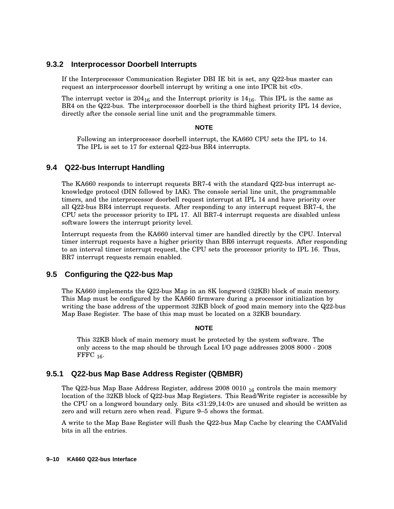### **9.3.2 Interprocessor Doorbell Interrupts**

If the Interprocessor Communication Register DBI IE bit is set, any Q22-bus master can request an interprocessor doorbell interrupt by writing a one into IPCR bit <0>.

The interrupt vector is  $204_{16}$  and the Interrupt priority is  $14_{16}$ . This IPL is the same as BR4 on the Q22-bus. The interprocessor doorbell is the third highest priority IPL 14 device, directly after the console serial line unit and the programmable timers.

### **NOTE**

Following an interprocessor doorbell interrupt, the KA660 CPU sets the IPL to 14. The IPL is set to 17 for external Q22-bus BR4 interrupts.

### **9.4 Q22-bus Interrupt Handling**

The KA660 responds to interrupt requests BR7-4 with the standard Q22-bus interrupt acknowledge protocol (DIN followed by IAK). The console serial line unit, the programmable timers, and the interprocessor doorbell request interrupt at IPL 14 and have priority over all Q22-bus BR4 interrupt requests. After responding to any interrupt request BR7-4, the CPU sets the processor priority to IPL 17. All BR7-4 interrupt requests are disabled unless software lowers the interrupt priority level.

Interrupt requests from the KA660 interval timer are handled directly by the CPU. Interval timer interrupt requests have a higher priority than BR6 interrupt requests. After responding to an interval timer interrupt request, the CPU sets the processor priority to IPL 16. Thus, BR7 interrupt requests remain enabled.

# **9.5 Configuring the Q22-bus Map**

The KA660 implements the Q22-bus Map in an 8K longword (32KB) block of main memory. This Map must be configured by the KA660 firmware during a processor initialization by writing the base address of the uppermost 32KB block of good main memory into the Q22-bus Map Base Register. The base of this map must be located on a 32KB boundary.

### **NOTE**

This 32KB block of main memory must be protected by the system software. The only access to the map should be through Local I/O page addresses 2008 8000 - 2008 FFFC  $16$ .

# **9.5.1 Q22-bus Map Base Address Register (QBMBR)**

The Q22-bus Map Base Address Register, address  $20080010_{16}$  controls the main memory location of the 32KB block of Q22-bus Map Registers. This Read/Write register is accessible by the CPU on a longword boundary only. Bits <31:29,14:0> are unused and should be written as zero and will return zero when read. Figure 9–5 shows the format.

A write to the Map Base Register will flush the Q22-bus Map Cache by clearing the CAMValid bits in all the entries.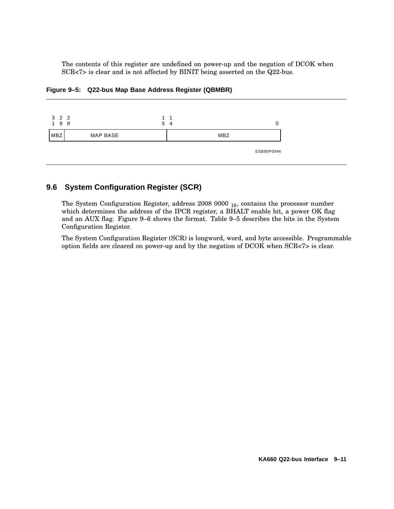The contents of this register are undefined on power-up and the negation of DCOK when SCR<7> is clear and is not affected by BINIT being asserted on the Q22-bus.



**Figure 9–5: Q22-bus Map Base Address Register (QBMBR)**

# **9.6 System Configuration Register (SCR)**

The System Configuration Register, address 2008 0000 <sub>16</sub>, contains the processor number which determines the address of the IPCR register, a BHALT enable bit, a power OK flag and an AUX flag. Figure 9–6 shows the format. Table 9–5 describes the bits in the System Configuration Register.

The System Configuration Register (SCR) is longword, word, and byte accessible. Programmable option fields are cleared on power-up and by the negation of DCOK when SCR<7> is clear.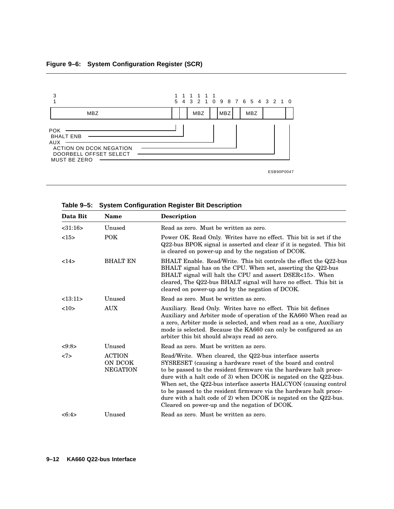

| Data Bit | <b>Name</b>                                 | <b>Description</b>                                                                                                                                                                                                                                                                                                                                                                                                                                                                                                                      |  |
|----------|---------------------------------------------|-----------------------------------------------------------------------------------------------------------------------------------------------------------------------------------------------------------------------------------------------------------------------------------------------------------------------------------------------------------------------------------------------------------------------------------------------------------------------------------------------------------------------------------------|--|
| < 31:16  | Unused                                      | Read as zero. Must be written as zero.                                                                                                                                                                                                                                                                                                                                                                                                                                                                                                  |  |
| <15>     | <b>POK</b>                                  | Power OK. Read Only. Writes have no effect. This bit is set if the<br>Q22-bus BPOK signal is asserted and clear if it is negated. This bit<br>is cleared on power-up and by the negation of DCOK.                                                                                                                                                                                                                                                                                                                                       |  |
| 14>      | <b>BHALT EN</b>                             | BHALT Enable. Read/Write. This bit controls the effect the Q22-bus<br>BHALT signal has on the CPU. When set, asserting the Q22-bus<br>BHALT signal will halt the CPU and assert DSER<15>. When<br>cleared, The Q22-bus BHALT signal will have no effect. This bit is<br>cleared on power-up and by the negation of DCOK.                                                                                                                                                                                                                |  |
| <13:11>  | Unused                                      | Read as zero. Must be written as zero.                                                                                                                                                                                                                                                                                                                                                                                                                                                                                                  |  |
| <10>     | <b>AUX</b>                                  | Auxiliary. Read Only. Writes have no effect. This bit defines<br>Auxiliary and Arbiter mode of operation of the KA660 When read as<br>a zero, Arbiter mode is selected, and when read as a one, Auxiliary<br>mode is selected. Because the KA660 can only be configured as an<br>arbiter this bit should always read as zero.                                                                                                                                                                                                           |  |
| <9:8>    | Unused                                      | Read as zero. Must be written as zero.                                                                                                                                                                                                                                                                                                                                                                                                                                                                                                  |  |
| <7>      | <b>ACTION</b><br>ON DCOK<br><b>NEGATION</b> | Read/Write. When cleared, the Q22-bus interface asserts<br>SYSRESET (causing a hardware reset of the board and control<br>to be passed to the resident firmware via the hardware halt proce-<br>dure with a halt code of 3) when $DCOK$ is negated on the $Q22$ -bus.<br>When set, the Q22-bus interface asserts HALCYON (causing control<br>to be passed to the resident firmware via the hardware halt proce-<br>dure with a halt code of 2) when DCOK is negated on the $Q22$ -bus.<br>Cleared on power-up and the negation of DCOK. |  |
| <6:4>    | Unused                                      | Read as zero. Must be written as zero.                                                                                                                                                                                                                                                                                                                                                                                                                                                                                                  |  |

**Table 9–5: System Configuration Register Bit Description**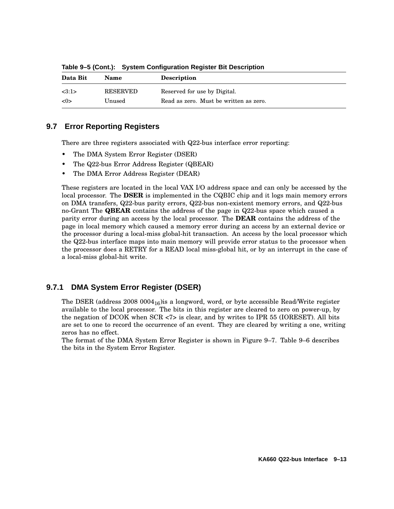| Data Bit | <b>Name</b> | <b>Description</b>                     |
|----------|-------------|----------------------------------------|
| <3:1>    | RESERVED    | Reserved for use by Digital.           |
| <0>      | Unused      | Read as zero. Must be written as zero. |

**Table 9–5 (Cont.): System Configuration Register Bit Description**

# **9.7 Error Reporting Registers**

There are three registers associated with Q22-bus interface error reporting:

- The DMA System Error Register (DSER)
- The Q22-bus Error Address Register (QBEAR)
- The DMA Error Address Register (DEAR)

These registers are located in the local VAX I/O address space and can only be accessed by the local processor. The **DSER** is implemented in the CQBIC chip and it logs main memory errors on DMA transfers, Q22-bus parity errors, Q22-bus non-existent memory errors, and Q22-bus no-Grant The **QBEAR** contains the address of the page in Q22-bus space which caused a parity error during an access by the local processor. The **DEAR** contains the address of the page in local memory which caused a memory error during an access by an external device or the processor during a local-miss global-hit transaction. An access by the local processor which the Q22-bus interface maps into main memory will provide error status to the processor when the processor does a RETRY for a READ local miss-global hit, or by an interrupt in the case of a local-miss global-hit write.

# **9.7.1 DMA System Error Register (DSER)**

The DSER (address 2008 0004<sub>16</sub>) is a longword, word, or byte accessible Read/Write register available to the local processor. The bits in this register are cleared to zero on power-up, by the negation of DCOK when SCR <7> is clear, and by writes to IPR 55 (IORESET). All bits are set to one to record the occurrence of an event. They are cleared by writing a one, writing zeros has no effect.

The format of the DMA System Error Register is shown in Figure 9–7. Table 9–6 describes the bits in the System Error Register.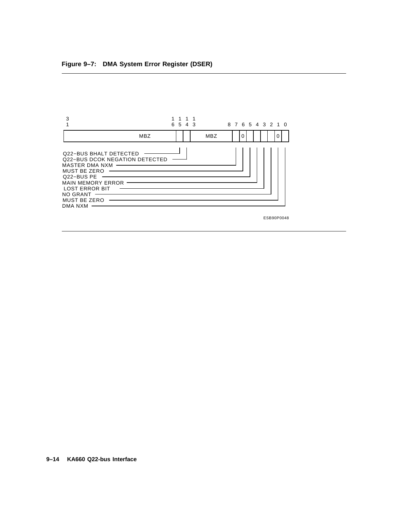

ESB90P0048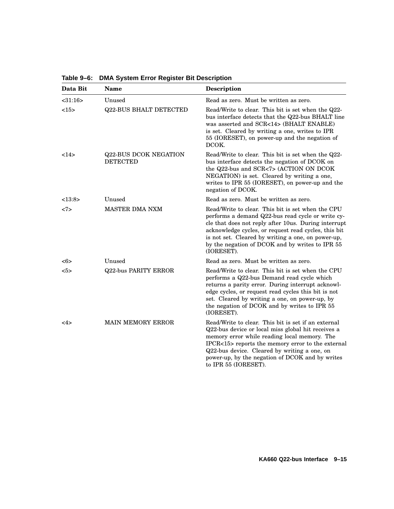| Data Bit      | <b>Name</b>                                     | <b>Description</b>                                                                                                                                                                                                                                                                                                                            |  |
|---------------|-------------------------------------------------|-----------------------------------------------------------------------------------------------------------------------------------------------------------------------------------------------------------------------------------------------------------------------------------------------------------------------------------------------|--|
| $<$ 31:16 $>$ | Unused                                          | Read as zero. Must be written as zero.                                                                                                                                                                                                                                                                                                        |  |
| <15>          | <b>Q22-BUS BHALT DETECTED</b>                   | Read/Write to clear. This bit is set when the Q22-<br>bus interface detects that the Q22-bus BHALT line<br>was asserted and SCR<14> (BHALT ENABLE)<br>is set. Cleared by writing a one, writes to IPR<br>55 (IORESET), on power-up and the negation of<br>DCOK.                                                                               |  |
| <14>          | <b>Q22-BUS DCOK NEGATION</b><br><b>DETECTED</b> | Read/Write to clear. This bit is set when the Q22-<br>bus interface detects the negation of DCOK on<br>the Q22-bus and SCR<7> (ACTION ON DCOK<br>NEGATION) is set. Cleared by writing a one,<br>writes to IPR 55 (IORESET), on power-up and the<br>negation of DCOK.                                                                          |  |
| <13:8>        | Unused                                          | Read as zero. Must be written as zero.                                                                                                                                                                                                                                                                                                        |  |
| <7>           | <b>MASTER DMA NXM</b>                           | Read/Write to clear. This bit is set when the CPU<br>performs a demand Q22-bus read cycle or write cy-<br>cle that does not reply after 10us. During interrupt<br>acknowledge cycles, or request read cycles, this bit<br>is not set. Cleared by writing a one, on power-up,<br>by the negation of DCOK and by writes to IPR 55<br>(IORESET). |  |
| <6>           | Unused                                          | Read as zero. Must be written as zero.                                                                                                                                                                                                                                                                                                        |  |
| 5>            | <b>Q22-bus PARITY ERROR</b>                     | Read/Write to clear. This bit is set when the CPU<br>performs a Q22-bus Demand read cycle which<br>returns a parity error. During interrupt acknowl-<br>edge cycles, or request read cycles this bit is not<br>set. Cleared by writing a one, on power-up, by<br>the negation of DCOK and by writes to IPR 55<br>(IORESET).                   |  |
| 4>            | <b>MAIN MEMORY ERROR</b>                        | Read/Write to clear. This bit is set if an external<br>Q22-bus device or local miss global hit receives a<br>memory error while reading local memory. The<br>IPCR<15> reports the memory error to the external<br>Q22-bus device. Cleared by writing a one, on<br>power-up, by the negation of DCOK and by writes<br>to IPR 55 (IORESET).     |  |

**Table 9–6: DMA System Error Register Bit Description**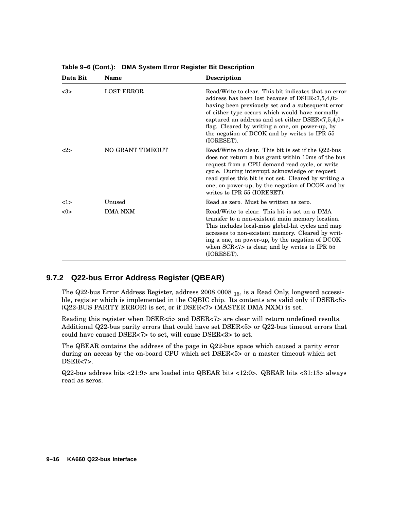| Data Bit | <b>Name</b>       | <b>Description</b>                                                                                                                                                                                                                                                                                                                                                                   |
|----------|-------------------|--------------------------------------------------------------------------------------------------------------------------------------------------------------------------------------------------------------------------------------------------------------------------------------------------------------------------------------------------------------------------------------|
| <3>      | <b>LOST ERROR</b> | Read/Write to clear. This bit indicates that an error<br>address has been lost because of DSER<7,5,4,0><br>having been previously set and a subsequent error<br>of either type occurs which would have normally<br>captured an address and set either DSER<7,5,4,0><br>flag. Cleared by writing a one, on power-up, by<br>the negation of DCOK and by writes to IPR 55<br>(IORESET). |
| <2>      | NO GRANT TIMEOUT  | Read/Write to clear. This bit is set if the Q22-bus<br>does not return a bus grant within 10ms of the bus<br>request from a CPU demand read cycle, or write<br>cycle. During interrupt acknowledge or request<br>read cycles this bit is not set. Cleared by writing a<br>one, on power-up, by the negation of DCOK and by<br>writes to IPR 55 (IORESET).                            |
| 1>       | Unused            | Read as zero. Must be written as zero.                                                                                                                                                                                                                                                                                                                                               |
| < 0>     | <b>DMA NXM</b>    | Read/Write to clear. This bit is set on a DMA<br>transfer to a non-existent main memory location.<br>This includes local-miss global-hit cycles and map<br>accesses to non-existent memory. Cleared by writ-<br>ing a one, on power-up, by the negation of DCOK<br>when $SCR < 7$ is clear, and by writes to IPR 55<br>(IORESET).                                                    |

**Table 9–6 (Cont.): DMA System Error Register Bit Description**

# **9.7.2 Q22-bus Error Address Register (QBEAR)**

The Q22-bus Error Address Register, address 2008 0008 <sup>16</sup>, is a Read Only, longword accessible, register which is implemented in the CQBIC chip. Its contents are valid only if DSER<5> (Q22-BUS PARITY ERROR) is set, or if DSER<7> (MASTER DMA NXM) is set.

Reading this register when DSER<5> and DSER<7> are clear will return undefined results. Additional Q22-bus parity errors that could have set DSER<5> or Q22-bus timeout errors that could have caused DSER<7> to set, will cause DSER<3> to set.

The QBEAR contains the address of the page in Q22-bus space which caused a parity error during an access by the on-board CPU which set DSER<5> or a master timeout which set DSER<7>.

Q22-bus address bits <21:9> are loaded into QBEAR bits <12:0>. QBEAR bits <31:13> always read as zeros.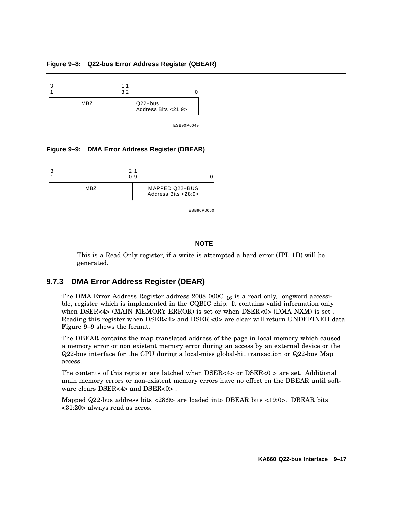#### **Figure 9–8: Q22-bus Error Address Register (QBEAR)**



ESB90P0049

#### **Figure 9–9: DMA Error Address Register (DBEAR)**

| 21  | 09                                    |  |
|-----|---------------------------------------|--|
| MBZ | MAPPED Q22-BUS<br>Address Bits <28:9> |  |

ESB90P0050

### **NOTE**

This is a Read Only register, if a write is attempted a hard error (IPL 1D) will be generated.

### **9.7.3 DMA Error Address Register (DEAR)**

The DMA Error Address Register address  $2008~000C_{16}$  is a read only, longword accessible, register which is implemented in the CQBIC chip. It contains valid information only when DSER<4> (MAIN MEMORY ERROR) is set or when DSER<0> (DMA NXM) is set. Reading this register when DSER<4> and DSER <0> are clear will return UNDEFINED data. Figure 9–9 shows the format.

The DBEAR contains the map translated address of the page in local memory which caused a memory error or non existent memory error during an access by an external device or the Q22-bus interface for the CPU during a local-miss global-hit transaction or Q22-bus Map access.

The contents of this register are latched when  $DSER<4>$  or  $DSER<0>$  are set. Additional main memory errors or non-existent memory errors have no effect on the DBEAR until software clears DSER<4> and DSER<0> .

Mapped Q22-bus address bits <28:9> are loaded into DBEAR bits <19:0>. DBEAR bits <31:20> always read as zeros.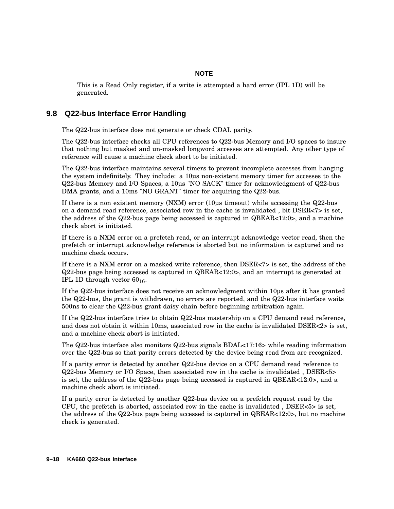### **NOTE**

This is a Read Only register, if a write is attempted a hard error (IPL 1D) will be generated.

## **9.8 Q22-bus Interface Error Handling**

The Q22-bus interface does not generate or check CDAL parity.

The Q22-bus interface checks all CPU references to Q22-bus Memory and I/O spaces to insure that nothing but masked and un-masked longword accesses are attempted. Any other type of reference will cause a machine check abort to be initiated.

The Q22-bus interface maintains several timers to prevent incomplete accesses from hanging the system indefinitely. They include: a 10µs non-existent memory timer for accesses to the Q22-bus Memory and I/O Spaces, a 10µs "NO SACK" timer for acknowledgment of Q22-bus DMA grants, and a 10ms "NO GRANT" timer for acquiring the Q22-bus.

If there is a non existent memory (NXM) error (10µs timeout) while accessing the Q22-bus on a demand read reference, associated row in the cache is invalidated, bit  $DSER < 7$  is set, the address of the  $Q22$ -bus page being accessed is captured in  $QBEAR < 12:0$ , and a machine check abort is initiated.

If there is a NXM error on a prefetch read, or an interrupt acknowledge vector read, then the prefetch or interrupt acknowledge reference is aborted but no information is captured and no machine check occurs.

If there is a NXM error on a masked write reference, then DSER<7> is set, the address of the Q22-bus page being accessed is captured in QBEAR<12:0>, and an interrupt is generated at IPL 1D through vector  $60_{16}$ .

If the Q22-bus interface does not receive an acknowledgment within 10µs after it has granted the Q22-bus, the grant is withdrawn, no errors are reported, and the Q22-bus interface waits 500ns to clear the Q22-bus grant daisy chain before beginning arbitration again.

If the Q22-bus interface tries to obtain Q22-bus mastership on a CPU demand read reference, and does not obtain it within 10ms, associated row in the cache is invalidated DSER<2> is set, and a machine check abort is initiated.

The Q22-bus interface also monitors Q22-bus signals BDAL<17:16> while reading information over the Q22-bus so that parity errors detected by the device being read from are recognized.

If a parity error is detected by another Q22-bus device on a CPU demand read reference to Q22-bus Memory or I/O Space, then associated row in the cache is invalidated , DSER<5> is set, the address of the Q22-bus page being accessed is captured in QBEAR<12:0>, and a machine check abort is initiated.

If a parity error is detected by another Q22-bus device on a prefetch request read by the CPU, the prefetch is aborted, associated row in the cache is invalidated,  $DSER<5>$  is set, the address of the Q22-bus page being accessed is captured in QBEAR<12:0>, but no machine check is generated.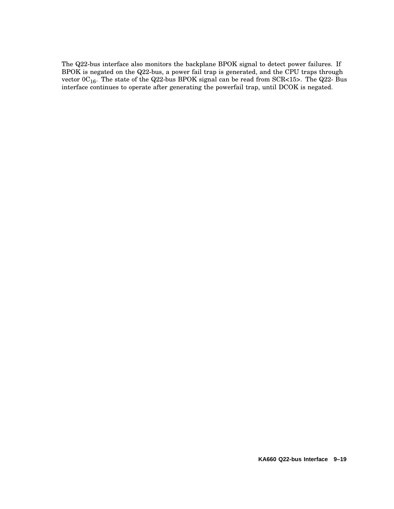The Q22-bus interface also monitors the backplane BPOK signal to detect power failures. If BPOK is negated on the Q22-bus, a power fail trap is generated, and the CPU traps through vector  $0C_{16}$ . The state of the Q22-bus BPOK signal can be read from SCR<15>. The Q22-Bus interface continues to operate after generating the powerfail trap, until DCOK is negated.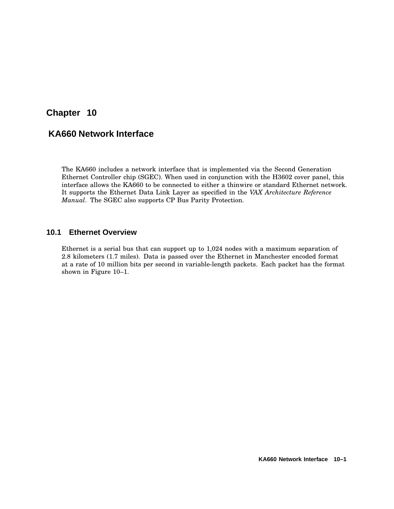# **Chapter 10**

# **KA660 Network Interface**

The KA660 includes a network interface that is implemented via the Second Generation Ethernet Controller chip (SGEC). When used in conjunction with the H3602 cover panel, this interface allows the KA660 to be connected to either a thinwire or standard Ethernet network. It supports the Ethernet Data Link Layer as specified in the *VAX Architecture Reference Manual*. The SGEC also supports CP Bus Parity Protection.

### **10.1 Ethernet Overview**

Ethernet is a serial bus that can support up to 1,024 nodes with a maximum separation of 2.8 kilometers (1.7 miles). Data is passed over the Ethernet in Manchester encoded format at a rate of 10 million bits per second in variable-length packets. Each packet has the format shown in Figure 10–1.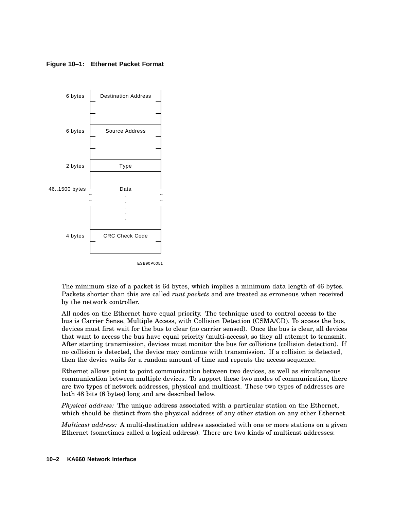

The minimum size of a packet is 64 bytes, which implies a minimum data length of 46 bytes. Packets shorter than this are called *runt packets* and are treated as erroneous when received by the network controller.

All nodes on the Ethernet have equal priority. The technique used to control access to the bus is Carrier Sense, Multiple Access, with Collision Detection (CSMA/CD). To access the bus, devices must first wait for the bus to clear (no carrier sensed). Once the bus is clear, all devices that want to access the bus have equal priority (multi-access), so they all attempt to transmit. After starting transmission, devices must monitor the bus for collisions (collision detection). If no collision is detected, the device may continue with transmission. If a collision is detected, then the device waits for a random amount of time and repeats the access sequence.

Ethernet allows point to point communication between two devices, as well as simultaneous communication between multiple devices. To support these two modes of communication, there are two types of network addresses, physical and multicast. These two types of addresses are both 48 bits (6 bytes) long and are described below.

*Physical address:* The unique address associated with a particular station on the Ethernet, which should be distinct from the physical address of any other station on any other Ethernet.

*Multicast address:* A multi-destination address associated with one or more stations on a given Ethernet (sometimes called a logical address). There are two kinds of multicast addresses: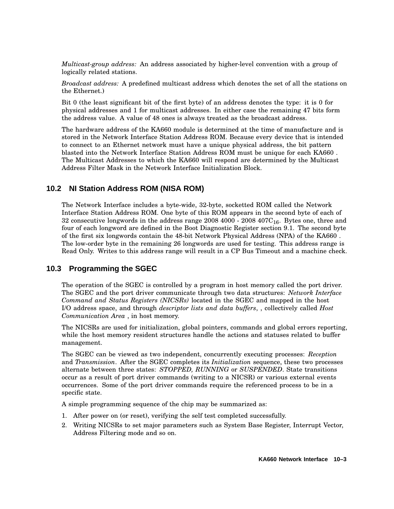*Multicast-group address:* An address associated by higher-level convention with a group of logically related stations.

*Broadcast address:* A predefined multicast address which denotes the set of all the stations on the Ethernet.)

Bit 0 (the least significant bit of the first byte) of an address denotes the type: it is 0 for physical addresses and 1 for multicast addresses. In either case the remaining 47 bits form the address value. A value of 48 ones is always treated as the broadcast address.

The hardware address of the KA660 module is determined at the time of manufacture and is stored in the Network Interface Station Address ROM. Because every device that is intended to connect to an Ethernet network must have a unique physical address, the bit pattern blasted into the Network Interface Station Address ROM must be unique for each KA660 . The Multicast Addresses to which the KA660 will respond are determined by the Multicast Address Filter Mask in the Network Interface Initialization Block.

# **10.2 NI Station Address ROM (NISA ROM)**

The Network Interface includes a byte-wide, 32-byte, socketted ROM called the Network Interface Station Address ROM. One byte of this ROM appears in the second byte of each of 32 consecutive longwords in the address range  $2008\,4000$  -  $2008\,407C_{16}$ . Bytes one, three and four of each longword are defined in the Boot Diagnostic Register section 9.1. The second byte of the first six longwords contain the 48-bit Network Physical Address (NPA) of the KA660 . The low-order byte in the remaining 26 longwords are used for testing. This address range is Read Only. Writes to this address range will result in a CP Bus Timeout and a machine check.

# **10.3 Programming the SGEC**

The operation of the SGEC is controlled by a program in host memory called the port driver. The SGEC and the port driver communicate through two data structures: *Network Interface Command and Status Registers (NICSRs)* located in the SGEC and mapped in the host I/O address space, and through *descriptor lists and data buffers*, , collectively called *Host Communication Area* , in host memory.

The NICSRs are used for initialization, global pointers, commands and global errors reporting, while the host memory resident structures handle the actions and statuses related to buffer management.

The SGEC can be viewed as two independent, concurrently executing processes: *Reception* and *Transmission*. After the SGEC completes its *Initialization* sequence, these two processes alternate between three states: *STOPPED, RUNNING* or *SUSPENDED*. State transitions occur as a result of port driver commands (writing to a NICSR) or various external events occurrences. Some of the port driver commands require the referenced process to be in a specific state.

A simple programming sequence of the chip may be summarized as:

- 1. After power on (or reset), verifying the self test completed successfully.
- 2. Writing NICSRs to set major parameters such as System Base Register, Interrupt Vector, Address Filtering mode and so on.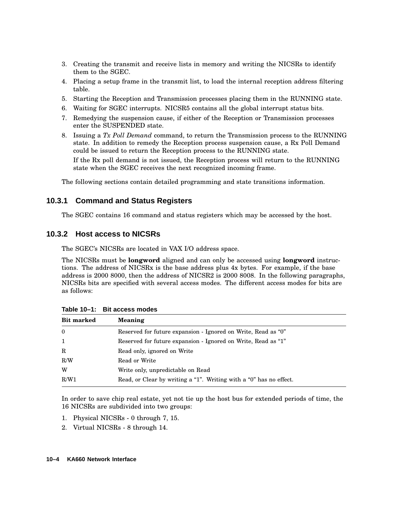- 3. Creating the transmit and receive lists in memory and writing the NICSRs to identify them to the SGEC.
- 4. Placing a setup frame in the transmit list, to load the internal reception address filtering table.
- 5. Starting the Reception and Transmission processes placing them in the RUNNING state.
- 6. Waiting for SGEC interrupts. NICSR5 contains all the global interrupt status bits.
- 7. Remedying the suspension cause, if either of the Reception or Transmission processes enter the SUSPENDED state.
- 8. Issuing a *Tx Poll Demand* command, to return the Transmission process to the RUNNING state. In addition to remedy the Reception process suspension cause, a Rx Poll Demand could be issued to return the Reception process to the RUNNING state. If the Rx poll demand is not issued, the Reception process will return to the RUNNING state when the SGEC receives the next recognized incoming frame.

The following sections contain detailed programming and state transitions information.

# **10.3.1 Command and Status Registers**

The SGEC contains 16 command and status registers which may be accessed by the host.

# **10.3.2 Host access to NICSRs**

The SGEC's NICSRs are located in VAX I/O address space.

The NICSRs must be **longword** aligned and can only be accessed using **longword** instructions. The address of NICSRx is the base address plus 4x bytes. For example, if the base address is 2000 8000, then the address of NICSR2 is 2000 8008. In the following paragraphs, NICSRs bits are specified with several access modes. The different access modes for bits are as follows:

| <b>Bit marked</b> | Meaning                                                            |
|-------------------|--------------------------------------------------------------------|
| $\theta$          | Reserved for future expansion - Ignored on Write, Read as "0"      |
| 1                 | Reserved for future expansion - Ignored on Write, Read as "1"      |
| R                 | Read only, ignored on Write                                        |
| R/W               | Read or Write                                                      |
| W                 | Write only, unpredictable on Read                                  |
| R/W1              | Read, or Clear by writing a "1". Writing with a "0" has no effect. |

**Table 10–1: Bit access modes**

In order to save chip real estate, yet not tie up the host bus for extended periods of time, the 16 NICSRs are subdivided into two groups:

- 1. Physical NICSRs 0 through 7, 15.
- 2. Virtual NICSRs 8 through 14.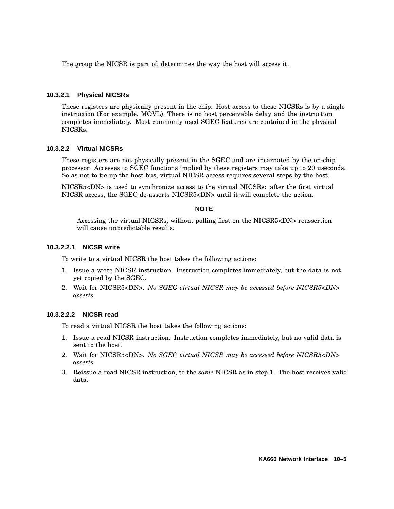The group the NICSR is part of, determines the way the host will access it.

#### **10.3.2.1 Physical NICSRs**

These registers are physically present in the chip. Host access to these NICSRs is by a single instruction (For example, MOVL). There is no host perceivable delay and the instruction completes immediately. Most commonly used SGEC features are contained in the physical NICSRs.

### **10.3.2.2 Virtual NICSRs**

These registers are not physically present in the SGEC and are incarnated by the on-chip processor. Accesses to SGEC functions implied by these registers may take up to 20 µseconds. So as not to tie up the host bus, virtual NICSR access requires several steps by the host.

NICSR5<DN> is used to synchronize access to the virtual NICSRs: after the first virtual NICSR access, the SGEC de-asserts NICSR5<DN> until it will complete the action.

### **NOTE**

Accessing the virtual NICSRs, without polling first on the NICSR5<DN> reassertion will cause unpredictable results.

### **10.3.2.2.1 NICSR write**

To write to a virtual NICSR the host takes the following actions:

- 1. Issue a write NICSR instruction. Instruction completes immediately, but the data is not yet copied by the SGEC.
- 2. Wait for NICSR5<DN>. *No SGEC virtual NICSR may be accessed before NICSR5<DN> asserts.*

### **10.3.2.2.2 NICSR read**

To read a virtual NICSR the host takes the following actions:

- 1. Issue a read NICSR instruction. Instruction completes immediately, but no valid data is sent to the host.
- 2. Wait for NICSR5<DN>. *No SGEC virtual NICSR may be accessed before NICSR5<DN> asserts.*
- 3. Reissue a read NICSR instruction, to the *same* NICSR as in step 1. The host receives valid data.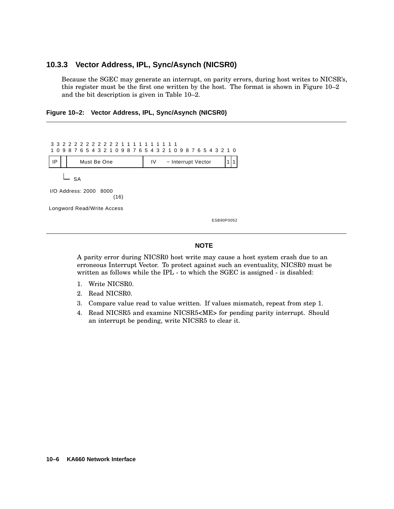# **10.3.3 Vector Address, IPL, Sync/Asynch (NICSR0)**

Because the SGEC may generate an interrupt, on parity errors, during host writes to NICSR's, this register must be the first one written by the host. The format is shown in Figure 10–2 and the bit description is given in Table 10–2.

**Figure 10–2: Vector Address, IPL, Sync/Asynch (NICSR0)**



#### **NOTE**

A parity error during NICSR0 host write may cause a host system crash due to an erroneous Interrupt Vector. To protect against such an eventuality, NICSR0 must be written as follows while the IPL - to which the SGEC is assigned - is disabled:

- 1. Write NICSR0.
- 2. Read NICSR0.
- 3. Compare value read to value written. If values mismatch, repeat from step 1.
- 4. Read NICSR5 and examine NICSR5<ME> for pending parity interrupt. Should an interrupt be pending, write NICSR5 to clear it.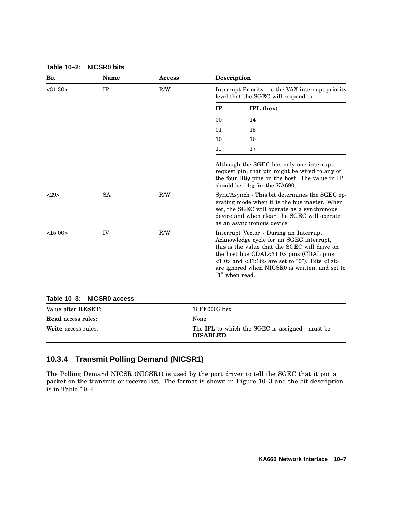| <b>Bit</b>                 | <b>Name</b>          | Access | <b>Description</b>                                                                                                                                                                                                                                                                                                                                  |                                                                                                                                                                                                                             |  |
|----------------------------|----------------------|--------|-----------------------------------------------------------------------------------------------------------------------------------------------------------------------------------------------------------------------------------------------------------------------------------------------------------------------------------------------------|-----------------------------------------------------------------------------------------------------------------------------------------------------------------------------------------------------------------------------|--|
| $<$ 31:30 $>$              | IP                   | R/W    | Interrupt Priority - is the VAX interrupt priority<br>level that the SGEC will respond to.                                                                                                                                                                                                                                                          |                                                                                                                                                                                                                             |  |
|                            |                      |        | IP                                                                                                                                                                                                                                                                                                                                                  | <b>IPL</b> (hex)                                                                                                                                                                                                            |  |
|                            |                      |        | 0 <sub>0</sub>                                                                                                                                                                                                                                                                                                                                      | 14                                                                                                                                                                                                                          |  |
|                            |                      |        | 01                                                                                                                                                                                                                                                                                                                                                  | 15                                                                                                                                                                                                                          |  |
|                            |                      |        | 10                                                                                                                                                                                                                                                                                                                                                  | 16                                                                                                                                                                                                                          |  |
|                            |                      |        | 11                                                                                                                                                                                                                                                                                                                                                  | 17                                                                                                                                                                                                                          |  |
|                            |                      |        |                                                                                                                                                                                                                                                                                                                                                     | Although the SGEC has only one interrupt<br>request pin, that pin might be wired to any of<br>the four IRQ pins on the host. The value in IP<br>should be $14_{16}$ for the KA690.                                          |  |
| <29                        | <b>SA</b>            | R/W    |                                                                                                                                                                                                                                                                                                                                                     | Sync/Asynch - This bit determines the SGEC op-<br>erating mode when it is the bus master. When<br>set, the SGEC will operate as a synchronous<br>device and when clear, the SGEC will operate<br>as an asynchronous device. |  |
| <15:00>                    | IV                   | R/W    | Interrupt Vector - During an Interrupt<br>Acknowledge cycle for an SGEC interrupt,<br>this is the value that the SGEC will drive on<br>the host bus CDAL<31:0> pins (CDAL pins<br>$\langle 1:0 \rangle$ and $\langle 31:16 \rangle$ are set to "0"). Bits $\langle 1:0 \rangle$<br>are ignored when NICSR0 is written, and set to<br>"1" when read. |                                                                                                                                                                                                                             |  |
| Table 10-3:                | <b>NICSRO</b> access |        |                                                                                                                                                                                                                                                                                                                                                     |                                                                                                                                                                                                                             |  |
| Value after <b>RESET</b> : |                      |        | 1FFF0003 hex                                                                                                                                                                                                                                                                                                                                        |                                                                                                                                                                                                                             |  |
| <b>Read</b> access rules:  |                      |        | None                                                                                                                                                                                                                                                                                                                                                |                                                                                                                                                                                                                             |  |
| <b>Write</b> access rules: |                      |        | The IPL to which the SGEC is assigned - must be<br><b>DISABLED</b>                                                                                                                                                                                                                                                                                  |                                                                                                                                                                                                                             |  |

#### **Table 10–2: NICSR0 bits**

# **10.3.4 Transmit Polling Demand (NICSR1)**

The Polling Demand NICSR (NICSR1) is used by the port driver to tell the SGEC that it put a packet on the transmit or receive list. The format is shown in Figure 10–3 and the bit description is in Table 10–4.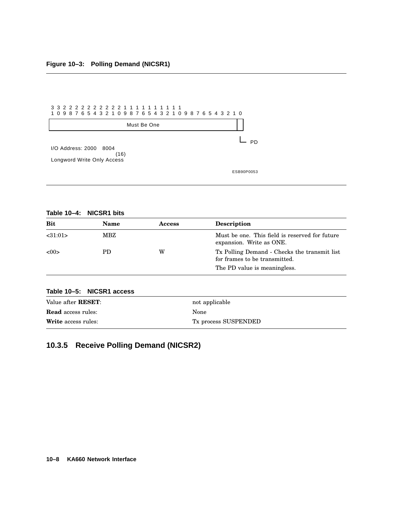

### **Table 10–4: NICSR1 bits**

| Bit                        | Name                      | Access | <b>Description</b>                                                            |  |
|----------------------------|---------------------------|--------|-------------------------------------------------------------------------------|--|
| < 31:01>                   | MBZ                       |        | Must be one. This field is reserved for future<br>expansion. Write as ONE.    |  |
| <00                        | PD.                       | w      | Tx Polling Demand - Checks the transmit list<br>for frames to be transmitted. |  |
|                            |                           |        | The PD value is meaningless.                                                  |  |
|                            | Table 10-5: NICSR1 access |        |                                                                               |  |
| Value after <b>RESET</b> : |                           |        | not applicable                                                                |  |
| <b>Read</b> access rules:  |                           |        | None                                                                          |  |
| <b>Write</b> access rules: |                           |        | Tx process SUSPENDED                                                          |  |

# **10.3.5 Receive Polling Demand (NICSR2)**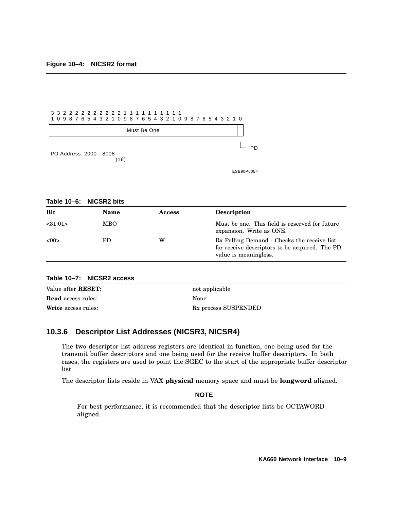|                        | 1 0 9 8 7 6 5 4 3 2 1 0 9 8 7 6 5 4 3 2 1 0 9 8 7 6 5 4 3 2 1 0 |            |
|------------------------|-----------------------------------------------------------------|------------|
|                        | Must Be One                                                     |            |
| I/O Address: 2000 8008 | (16)                                                            | PD         |
|                        |                                                                 | ESB90P0054 |

**Table 10–6: NICSR2 bits**

| <b>Bit</b>                        | Name                      | <b>Access</b> | <b>Description</b>                                                                                                     |
|-----------------------------------|---------------------------|---------------|------------------------------------------------------------------------------------------------------------------------|
| < 31:01>                          | <b>MBO</b>                |               | Must be one. This field is reserved for future<br>expansion. Write as ONE.                                             |
| < 00                              | PD.                       | W             | Rx Polling Demand - Checks the receive list<br>for receive descriptors to be acquired. The PD<br>value is meaningless. |
|                                   | Table 10–7: NICSR2 access |               |                                                                                                                        |
| $V_0$ $\ldots$ of $\ldots$ DECET. |                           |               | not applicable                                                                                                         |

| Value after <b>RESET</b> : | not applicable                   |
|----------------------------|----------------------------------|
| <b>Read</b> access rules:  | None                             |
| <b>Write</b> access rules: | R <sub>x</sub> process SUSPENDED |

## **10.3.6 Descriptor List Addresses (NICSR3, NICSR4)**

The two descriptor list address registers are identical in function, one being used for the transmit buffer descriptors and one being used for the receive buffer descriptors. In both cases, the registers are used to point the SGEC to the start of the appropriate buffer descriptor list.

The descriptor lists reside in VAX **physical** memory space and must be **longword** aligned.

**NOTE**

For best performance, it is recommended that the descriptor lists be OCTAWORD aligned.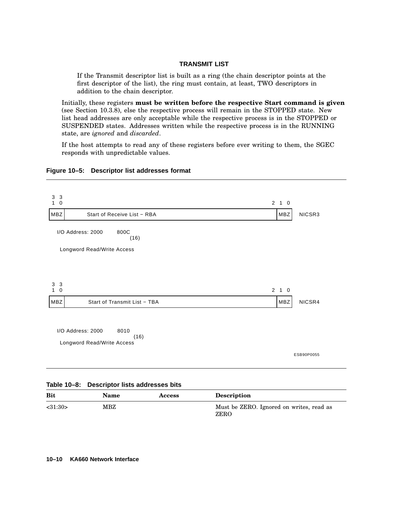#### **TRANSMIT LIST**

If the Transmit descriptor list is built as a ring (the chain descriptor points at the first descriptor of the list), the ring must contain, at least, TWO descriptors in addition to the chain descriptor.

Initially, these registers **must be written before the respective Start command is given** (see Section 10.3.8), else the respective process will remain in the STOPPED state. New list head addresses are only acceptable while the respective process is in the STOPPED or SUSPENDED states. Addresses written while the respective process is in the RUNNING state, are *ignored* and *discarded*.

If the host attempts to read any of these registers before ever writing to them, the SGEC responds with unpredictable values.

### **Figure 10–5: Descriptor list addresses format**

| 3<br>3<br>$\mathbf 0$<br>1 |                                    | $2 \quad 1 \quad 0$ |            |
|----------------------------|------------------------------------|---------------------|------------|
| <b>MBZ</b>                 | Start of Receive List - RBA        | MBZ                 | NICSR3     |
|                            | I/O Address: 2000<br>800C<br>(16)  |                     |            |
|                            | Longword Read/Write Access         |                     |            |
|                            |                                    |                     |            |
|                            |                                    |                     |            |
| 3<br>3<br>$\mathbf 0$<br>1 |                                    | $2 \t1 \t0$         |            |
| MBZ                        | Start of Transmit List - TBA       | MBZ                 | NICSR4     |
|                            |                                    |                     |            |
|                            | I/O Address: 2000<br>8010          |                     |            |
|                            | (16)<br>Longword Read/Write Access |                     |            |
|                            |                                    |                     | ESB90P0055 |
|                            |                                    |                     |            |

|  | Table 10-8: Descriptor lists addresses bits |  |  |  |
|--|---------------------------------------------|--|--|--|
|--|---------------------------------------------|--|--|--|

| <b>Bit</b>    | <b>Name</b>  | <b>Access</b> | <b>Description</b>                               |
|---------------|--------------|---------------|--------------------------------------------------|
| $<$ 31:30 $>$ | $_{\rm MBZ}$ |               | Must be ZERO. Ignored on writes, read as<br>ZERO |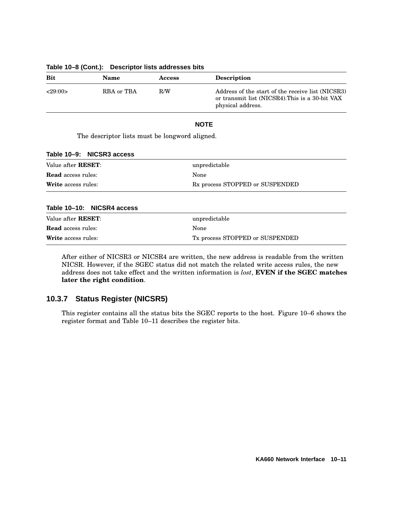| <b>Bit</b> | <b>Name</b> | <b>Access</b> | <b>Description</b>                                                                                                        |
|------------|-------------|---------------|---------------------------------------------------------------------------------------------------------------------------|
| <29:00>    | RBA or TBA  | R/W           | Address of the start of the receive list (NICSR3)<br>or transmit list (NICSR4). This is a 30-bit VAX<br>physical address. |

#### **Table 10–8 (Cont.): Descriptor lists addresses bits**

### **NOTE**

The descriptor lists must be longword aligned.

|  | Table 10–9: NICSR3 access |  |
|--|---------------------------|--|
|  |                           |  |

| Value after <b>RESET</b> : | unpredictable                   |
|----------------------------|---------------------------------|
| <b>Read</b> access rules:  | None                            |
| <b>Write</b> access rules: | Rx process STOPPED or SUSPENDED |

#### **Table 10–10: NICSR4 access**

| Value after <b>RESET</b> : | unpredictable                   |
|----------------------------|---------------------------------|
| <b>Read</b> access rules:  | None                            |
| <b>Write</b> access rules: | Tx process STOPPED or SUSPENDED |

After either of NICSR3 or NICSR4 are written, the new address is readable from the written NICSR. However, if the SGEC status did not match the related write access rules, the new address does not take effect and the written information is *lost*, **EVEN if the SGEC matches later the right condition**.

## **10.3.7 Status Register (NICSR5)**

This register contains all the status bits the SGEC reports to the host. Figure 10–6 shows the register format and Table 10–11 describes the register bits.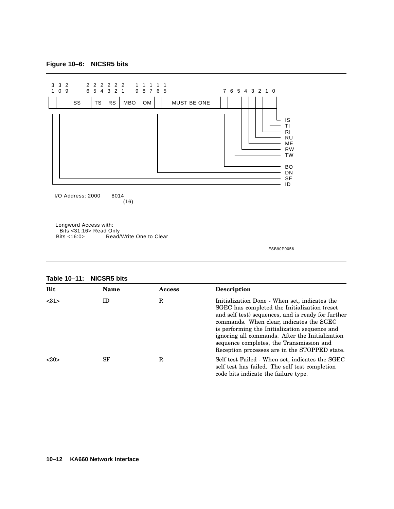## **Figure 10–6: NICSR5 bits**



ESB90P0056

#### **Table 10–11: NICSR5 bits**

| <b>Bit</b> | <b>Name</b> | Access | Description                                                                                                                                                                                                                                                                                                                                                                                      |
|------------|-------------|--------|--------------------------------------------------------------------------------------------------------------------------------------------------------------------------------------------------------------------------------------------------------------------------------------------------------------------------------------------------------------------------------------------------|
| <31>       | ID          | R      | Initialization Done - When set, indicates the<br>SGEC has completed the Initialization (reset<br>and self test) sequences, and is ready for further<br>commands. When clear, indicates the SGEC<br>is performing the Initialization sequence and<br>ignoring all commands. After the Initialization<br>sequence completes, the Transmission and<br>Reception processes are in the STOPPED state. |
| <30>       | SF          | R      | Self test Failed - When set, indicates the SGEC<br>self test has failed. The self test completion<br>code bits indicate the failure type.                                                                                                                                                                                                                                                        |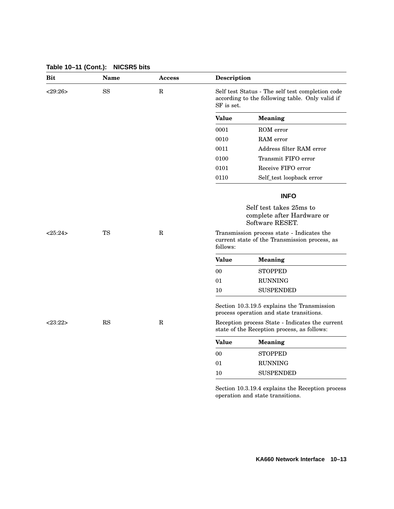| <b>Bit</b> | Name          | <b>Access</b> | Description                                                                                                       |                                                                                                |  |  |  |  |
|------------|---------------|---------------|-------------------------------------------------------------------------------------------------------------------|------------------------------------------------------------------------------------------------|--|--|--|--|
| <29:26>    | $_{\rm SS}$   | $\mathbf R$   | Self test Status - The self test completion code<br>according to the following table. Only valid if<br>SF is set. |                                                                                                |  |  |  |  |
|            |               |               | <b>Value</b>                                                                                                      | <b>Meaning</b>                                                                                 |  |  |  |  |
|            |               |               | 0001                                                                                                              | ROM error                                                                                      |  |  |  |  |
|            |               |               | 0010                                                                                                              | RAM error                                                                                      |  |  |  |  |
|            |               |               | 0011                                                                                                              | Address filter RAM error                                                                       |  |  |  |  |
|            |               |               | 0100                                                                                                              | Transmit FIFO error                                                                            |  |  |  |  |
|            |               |               | 0101                                                                                                              | Receive FIFO error                                                                             |  |  |  |  |
|            |               |               | 0110                                                                                                              | Self_test loopback error                                                                       |  |  |  |  |
|            |               |               |                                                                                                                   | <b>INFO</b>                                                                                    |  |  |  |  |
|            |               |               |                                                                                                                   | Self test takes 25ms to<br>complete after Hardware or<br>Software RESET.                       |  |  |  |  |
| <25:24>    | <b>TS</b>     | $\mathbf R$   | Transmission process state - Indicates the<br>current state of the Transmission process, as<br>follows:           |                                                                                                |  |  |  |  |
|            |               |               | <b>Value</b>                                                                                                      | <b>Meaning</b>                                                                                 |  |  |  |  |
|            |               |               | 00                                                                                                                | <b>STOPPED</b>                                                                                 |  |  |  |  |
|            |               |               | 01                                                                                                                | <b>RUNNING</b>                                                                                 |  |  |  |  |
|            |               |               | 10                                                                                                                | <b>SUSPENDED</b>                                                                               |  |  |  |  |
|            |               |               |                                                                                                                   | Section 10.3.19.5 explains the Transmission<br>process operation and state transitions.        |  |  |  |  |
| $<$ 23:22> | $\mathbf{RS}$ | $\mathbb{R}$  |                                                                                                                   | Reception process State - Indicates the current<br>state of the Reception process, as follows: |  |  |  |  |
|            |               |               | <b>Value</b>                                                                                                      | <b>Meaning</b>                                                                                 |  |  |  |  |
|            |               |               | $00\,$                                                                                                            | STOPPED                                                                                        |  |  |  |  |
|            |               |               | 01                                                                                                                | <b>RUNNING</b>                                                                                 |  |  |  |  |
|            |               |               | 10                                                                                                                | <b>SUSPENDED</b>                                                                               |  |  |  |  |
|            |               |               |                                                                                                                   |                                                                                                |  |  |  |  |

**Table 10–11 (Cont.): NICSR5 bits**

Section 10.3.19.4 explains the Reception process operation and state transitions.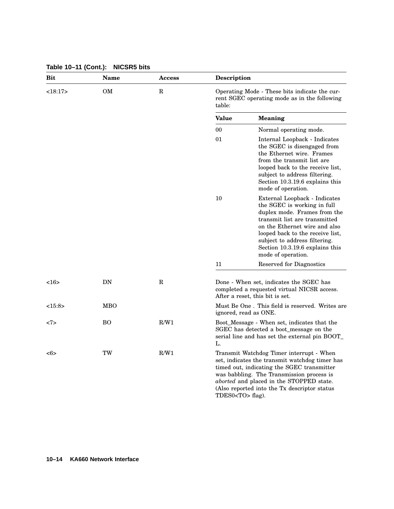| Bit           | Name           | <b>Access</b> | Description                                                                                             |                                                                                                                                                                                                                                                                                              |  |  |  |  |
|---------------|----------------|---------------|---------------------------------------------------------------------------------------------------------|----------------------------------------------------------------------------------------------------------------------------------------------------------------------------------------------------------------------------------------------------------------------------------------------|--|--|--|--|
| <18:17>       | OM             | R             | Operating Mode - These bits indicate the cur-<br>rent SGEC operating mode as in the following<br>table: |                                                                                                                                                                                                                                                                                              |  |  |  |  |
|               |                |               | <b>Value</b>                                                                                            | <b>Meaning</b>                                                                                                                                                                                                                                                                               |  |  |  |  |
|               |                |               | 00                                                                                                      | Normal operating mode.                                                                                                                                                                                                                                                                       |  |  |  |  |
|               |                |               | 01                                                                                                      | Internal Loopback - Indicates<br>the SGEC is disengaged from<br>the Ethernet wire. Frames<br>from the transmit list are.<br>looped back to the receive list,<br>subject to address filtering.<br>Section 10.3.19.6 explains this<br>mode of operation.                                       |  |  |  |  |
|               |                |               | 10                                                                                                      | External Loopback - Indicates<br>the SGEC is working in full<br>duplex mode. Frames from the<br>transmit list are transmitted<br>on the Ethernet wire and also<br>looped back to the receive list,<br>subject to address filtering.<br>Section 10.3.19.6 explains this<br>mode of operation. |  |  |  |  |
|               |                |               | 11                                                                                                      | <b>Reserved for Diagnostics</b>                                                                                                                                                                                                                                                              |  |  |  |  |
| <16>          | DN             | R             |                                                                                                         | Done - When set, indicates the SGEC has<br>completed a requested virtual NICSR access.<br>After a reset, this bit is set.                                                                                                                                                                    |  |  |  |  |
| <15:8>        | MBO            |               |                                                                                                         | Must Be One. This field is reserved. Writes are<br>ignored, read as ONE.                                                                                                                                                                                                                     |  |  |  |  |
| <7>           | B <sub>O</sub> | R/W1          | L.                                                                                                      | Boot_Message - When set, indicates that the<br>SGEC has detected a boot message on the<br>serial line and has set the external pin BOOT_                                                                                                                                                     |  |  |  |  |
| $<\!\!6\!\!>$ | TW             | R/W1          | TDES0 <to> flag).</to>                                                                                  | Transmit Watchdog Timer interrupt - When<br>set, indicates the transmit watchdog timer has<br>timed out, indicating the SGEC transmitter<br>was babbling. The Transmission process is<br>aborted and placed in the STOPPED state.<br>(Also reported into the Tx descriptor status)           |  |  |  |  |

**Table 10–11 (Cont.): NICSR5 bits**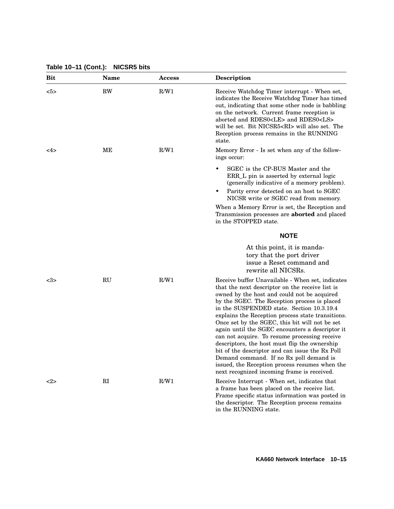**Table 10–11 (Cont.): NICSR5 bits**

| Bit  | <b>Name</b> | <b>Access</b> | <b>Description</b>                                                                                                                                                                                                                                                                                                                                                                                                                                                                                                                                                                                                                                                                                         |
|------|-------------|---------------|------------------------------------------------------------------------------------------------------------------------------------------------------------------------------------------------------------------------------------------------------------------------------------------------------------------------------------------------------------------------------------------------------------------------------------------------------------------------------------------------------------------------------------------------------------------------------------------------------------------------------------------------------------------------------------------------------------|
| $5>$ | <b>RW</b>   | R/W1          | Receive Watchdog Timer interrupt - When set,<br>indicates the Receive Watchdog Timer has timed<br>out, indicating that some other node is babbling<br>on the network. Current frame reception is<br>aborted and RDES0 <le> and RDES0<ls><br/>will be set. Bit NICSR5<ri> will also set. The<br/>Reception process remains in the RUNNING<br/>state.</ri></ls></le>                                                                                                                                                                                                                                                                                                                                         |
| <4>  | MЕ          | R/W1          | Memory Error - Is set when any of the follow-<br>ings occur:                                                                                                                                                                                                                                                                                                                                                                                                                                                                                                                                                                                                                                               |
|      |             |               | SGEC is the CP-BUS Master and the<br>ERR_L pin is asserted by external logic<br>(generally indicative of a memory problem).<br>Parity error detected on an host to SGEC<br>٠<br>NICSR write or SGEC read from memory.                                                                                                                                                                                                                                                                                                                                                                                                                                                                                      |
|      |             |               | When a Memory Error is set, the Reception and<br>Transmission processes are <b>aborted</b> and placed<br>in the STOPPED state.                                                                                                                                                                                                                                                                                                                                                                                                                                                                                                                                                                             |
|      |             |               | <b>NOTE</b>                                                                                                                                                                                                                                                                                                                                                                                                                                                                                                                                                                                                                                                                                                |
|      |             |               | At this point, it is manda-<br>tory that the port driver<br>issue a Reset command and<br>rewrite all NICSRs.                                                                                                                                                                                                                                                                                                                                                                                                                                                                                                                                                                                               |
| <3>  | RU          | R/W1          | Receive buffer Unavailable - When set, indicates<br>that the next descriptor on the receive list is<br>owned by the host and could not be acquired<br>by the SGEC. The Reception process is placed<br>in the SUSPENDED state. Section 10.3.19.4<br>explains the Reception process state transitions.<br>Once set by the SGEC, this bit will not be set<br>again until the SGEC encounters a descriptor it<br>can not acquire. To resume processing receive<br>descriptors, the host must flip the ownership<br>bit of the descriptor and can issue the Rx Poll<br>Demand command. If no Rx poll demand is<br>issued, the Reception process resumes when the<br>next recognized incoming frame is received. |
| <2>  | RI          | R/W1          | Receive Interrupt - When set, indicates that<br>a frame has been placed on the receive list.<br>Frame specific status information was posted in<br>the descriptor. The Reception process remains<br>in the RUNNING state.                                                                                                                                                                                                                                                                                                                                                                                                                                                                                  |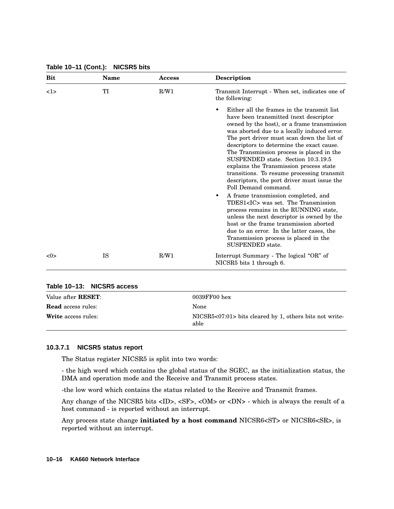| <b>Bit</b> | <b>Name</b> | Access | <b>Description</b>                                                                                                                                                                                                                                                                                                                                                                                                                                                                                                                                                                                                                                                                                                                                                                                          |
|------------|-------------|--------|-------------------------------------------------------------------------------------------------------------------------------------------------------------------------------------------------------------------------------------------------------------------------------------------------------------------------------------------------------------------------------------------------------------------------------------------------------------------------------------------------------------------------------------------------------------------------------------------------------------------------------------------------------------------------------------------------------------------------------------------------------------------------------------------------------------|
| 1>         | TI          | R/W1   | Transmit Interrupt - When set, indicates one of<br>the following:                                                                                                                                                                                                                                                                                                                                                                                                                                                                                                                                                                                                                                                                                                                                           |
|            |             |        | Either all the frames in the transmit list<br>have been transmitted (next descriptor<br>owned by the host), or a frame transmission<br>was aborted due to a locally induced error.<br>The port driver must scan down the list of<br>descriptors to determine the exact cause.<br>The Transmission process is placed in the<br>SUSPENDED state. Section 10.3.19.5<br>explains the Transmission process state<br>transitions. To resume processing transmit<br>descriptors, the port driver must issue the<br>Poll Demand command.<br>A frame transmission completed, and<br>٠<br>TDES1 <ic> was set. The Transmission<br/>process remains in the RUNNING state,<br/>unless the next descriptor is owned by the<br/>host or the frame transmission aborted<br/>due to an error. In the latter cases, the</ic> |
|            |             |        | Transmission process is placed in the<br>SUSPENDED state.                                                                                                                                                                                                                                                                                                                                                                                                                                                                                                                                                                                                                                                                                                                                                   |
| <0>        | <b>IS</b>   | R/W1   | Interrupt Summary - The logical "OR" of<br>NICSR5 bits 1 through 6.                                                                                                                                                                                                                                                                                                                                                                                                                                                                                                                                                                                                                                                                                                                                         |

**Table 10–11 (Cont.): NICSR5 bits**

#### **Table 10–13: NICSR5 access**

| Value after <b>RESET</b> : | $0039$ FF00 hex                                                 |
|----------------------------|-----------------------------------------------------------------|
| <b>Read</b> access rules:  | <b>None</b>                                                     |
| <b>Write</b> access rules: | NICSR5<07:01> bits cleared by 1, others bits not write-<br>able |

#### **10.3.7.1 NICSR5 status report**

The Status register NICSR5 is split into two words:

- the high word which contains the global status of the SGEC, as the initialization status, the DMA and operation mode and the Receive and Transmit process states.

-the low word which contains the status related to the Receive and Transmit frames.

Any change of the NICSR5 bits <ID>, <SF>, <OM> or <DN> - which is always the result of a host command - is reported without an interrupt.

Any process state change **initiated by a host command** NICSR6<ST> or NICSR6<SR>, is reported without an interrupt.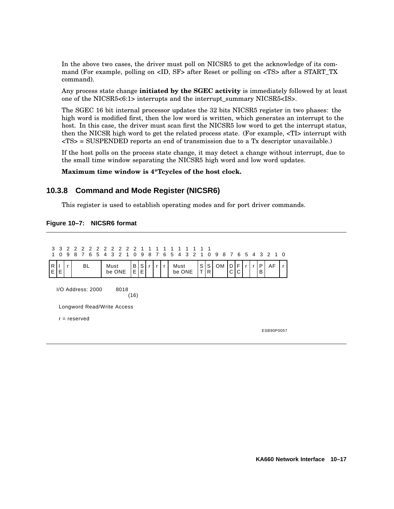In the above two cases, the driver must poll on NICSR5 to get the acknowledge of its command (For example, polling on <ID, SF> after Reset or polling on <TS> after a START\_TX command).

Any process state change **initiated by the SGEC activity** is immediately followed by at least one of the NICSR5<6:1> interrupts and the interrupt\_summary NICSR5<IS>.

The SGEC 16 bit internal processor updates the 32 bits NICSR5 register in two phases: the high word is modified first, then the low word is written, which generates an interrupt to the host. In this case, the driver must scan first the NICSR5 low word to get the interrupt status, then the NICSR high word to get the related process state. (For example, <TI> interrupt with <TS> = SUSPENDED reports an end of transmission due to a Tx descriptor unavailable.)

If the host polls on the process state change, it may detect a change without interrupt, due to the small time window separating the NICSR5 high word and low word updates.

**Maximum time window is 4\*Tcycles of the host clock.**

### **10.3.8 Command and Mode Register (NICSR6)**

This register is used to establish operating modes and for port driver commands.

#### **Figure 10–7: NICSR6 format**

| 3<br>1  | 3<br>$\Omega$                       | $\overline{2}$<br>9 | 2<br>8                     | $\overline{7}$ | 6 | 5 | 22222221<br>4 | 3    | $\overline{2}$ | $\overline{1}$ |          | 0 9    | 1   | 1<br>87      | $\overline{1}$ | 6 5 | $\overline{4}$ | 3 <sup>3</sup> |                   |        | 2 1 0 9   |        |        |              |        | 8 7 6 5 4 3 2 1 0 |  |
|---------|-------------------------------------|---------------------|----------------------------|----------------|---|---|---------------|------|----------------|----------------|----------|--------|-----|--------------|----------------|-----|----------------|----------------|-------------------|--------|-----------|--------|--------|--------------|--------|-------------------|--|
| R<br>ΕI | Е                                   |                     |                            | <b>BL</b>      |   |   |               | Must | be ONE         |                | В<br>E I | S<br>E | r I | $\mathsf{r}$ | ∣r             |     | Must<br>be ONE |                | S<br>$\mathsf{T}$ | S<br>R | <b>OM</b> | D<br>C | F<br>C | $\mathsf{r}$ | P<br>в | AF                |  |
|         | $I/O$ Address: 2000<br>8018<br>(16) |                     |                            |                |   |   |               |      |                |                |          |        |     |              |                |     |                |                |                   |        |           |        |        |              |        |                   |  |
|         |                                     |                     | Longword Read/Write Access |                |   |   |               |      |                |                |          |        |     |              |                |     |                |                |                   |        |           |        |        |              |        |                   |  |
|         |                                     | $r =$ reserved      |                            |                |   |   |               |      |                |                |          |        |     |              |                |     |                |                |                   |        |           |        |        |              |        |                   |  |
|         |                                     |                     |                            |                |   |   |               |      |                |                |          |        |     |              |                |     |                |                |                   |        |           |        |        |              |        | ESB90P0057        |  |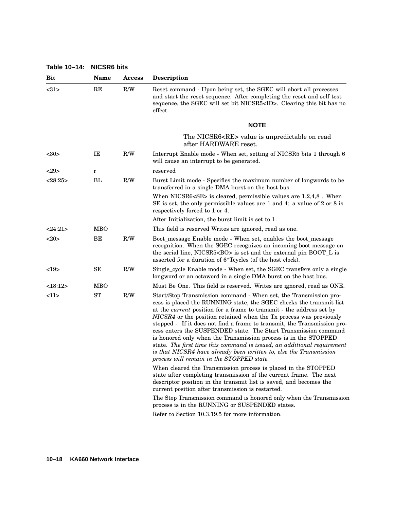|  | Table 10-14: | <b>NICSR6 bits</b> |  |
|--|--------------|--------------------|--|
|--|--------------|--------------------|--|

| Table 10-14: | <b>NICSR6 bits</b> |        |                                                                                                                                                                                                                                                                                                                                                                                                                                                                                                                                                                                                                                                                                                                |  |  |  |  |  |  |
|--------------|--------------------|--------|----------------------------------------------------------------------------------------------------------------------------------------------------------------------------------------------------------------------------------------------------------------------------------------------------------------------------------------------------------------------------------------------------------------------------------------------------------------------------------------------------------------------------------------------------------------------------------------------------------------------------------------------------------------------------------------------------------------|--|--|--|--|--|--|
| <b>Bit</b>   | Name               | Access | <b>Description</b>                                                                                                                                                                                                                                                                                                                                                                                                                                                                                                                                                                                                                                                                                             |  |  |  |  |  |  |
| <31>         | RE                 | R/W    | Reset command - Upon being set, the SGEC will abort all processes<br>and start the reset sequence. After completing the reset and self test<br>sequence, the SGEC will set bit NICSR5 <id>. Clearing this bit has no<br/>effect.</id>                                                                                                                                                                                                                                                                                                                                                                                                                                                                          |  |  |  |  |  |  |
|              |                    |        | <b>NOTE</b>                                                                                                                                                                                                                                                                                                                                                                                                                                                                                                                                                                                                                                                                                                    |  |  |  |  |  |  |
|              |                    |        | The NICSR6 <re> value is unpredictable on read<br/>after HARDWARE reset.</re>                                                                                                                                                                                                                                                                                                                                                                                                                                                                                                                                                                                                                                  |  |  |  |  |  |  |
| $30$         | IE                 | R/W    | Interrupt Enable mode - When set, setting of NICSR5 bits 1 through 6<br>will cause an interrupt to be generated.                                                                                                                                                                                                                                                                                                                                                                                                                                                                                                                                                                                               |  |  |  |  |  |  |
| 29           | r                  |        | reserved                                                                                                                                                                                                                                                                                                                                                                                                                                                                                                                                                                                                                                                                                                       |  |  |  |  |  |  |
| <28:25>      | BL                 | R/W    | Burst Limit mode - Specifies the maximum number of longwords to be<br>transferred in a single DMA burst on the host bus.                                                                                                                                                                                                                                                                                                                                                                                                                                                                                                                                                                                       |  |  |  |  |  |  |
|              |                    |        | When NICSR6 <se> is cleared, permissible values are <math>1,2,4,8</math>. When<br/>SE is set, the only permissible values are 1 and 4: a value of 2 or 8 is<br/>respectively forced to 1 or 4.</se>                                                                                                                                                                                                                                                                                                                                                                                                                                                                                                            |  |  |  |  |  |  |
|              |                    |        | After Initialization, the burst limit is set to 1.                                                                                                                                                                                                                                                                                                                                                                                                                                                                                                                                                                                                                                                             |  |  |  |  |  |  |
| <24:21>      | <b>MBO</b>         |        | This field is reserved Writes are ignored, read as one.                                                                                                                                                                                                                                                                                                                                                                                                                                                                                                                                                                                                                                                        |  |  |  |  |  |  |
| <20>         | BE                 | R/W    | Boot_message Enable mode - When set, enables the boot_message<br>recognition. When the SGEC recognizes an incoming boot message on<br>the serial line, NICSR5 <bo> is set and the external pin BOOT_L is<br/>asserted for a duration of 6<sup>*</sup>Tcycles (of the host clock).</bo>                                                                                                                                                                                                                                                                                                                                                                                                                         |  |  |  |  |  |  |
| <19>         | SE                 | R/W    | Single_cycle Enable mode - When set, the SGEC transfers only a single<br>longword or an octaword in a single DMA burst on the host bus.                                                                                                                                                                                                                                                                                                                                                                                                                                                                                                                                                                        |  |  |  |  |  |  |
| <18:12>      | <b>MBO</b>         |        | Must Be One. This field is reserved. Writes are ignored, read as ONE.                                                                                                                                                                                                                                                                                                                                                                                                                                                                                                                                                                                                                                          |  |  |  |  |  |  |
| <11>         | <b>ST</b>          | R/W    | Start/Stop Transmission command - When set, the Transmission pro-<br>cess is placed the RUNNING state, the SGEC checks the transmit list<br>at the <i>current</i> position for a frame to transmit - the address set by<br>NICSR4 or the position retained when the Tx process was previously<br>stopped -. If it does not find a frame to transmit, the Transmission pro-<br>cess enters the SUSPENDED state. The Start Transmission command<br>is honored only when the Transmission process is in the STOPPED<br>state. The first time this command is issued, an additional requirement<br>is that NICSR4 have already been written to, else the Transmission<br>process will remain in the STOPPED state. |  |  |  |  |  |  |
|              |                    |        | When cleared the Transmission process is placed in the STOPPED<br>state after completing transmission of the current frame. The next<br>descriptor position in the transmit list is saved, and becomes the<br>current position after transmission is restarted.                                                                                                                                                                                                                                                                                                                                                                                                                                                |  |  |  |  |  |  |
|              |                    |        | The Stop Transmission command is honored only when the Transmission<br>process is in the RUNNING or SUSPENDED states.                                                                                                                                                                                                                                                                                                                                                                                                                                                                                                                                                                                          |  |  |  |  |  |  |
|              |                    |        | Refer to Section 10.3.19.5 for more information.                                                                                                                                                                                                                                                                                                                                                                                                                                                                                                                                                                                                                                                               |  |  |  |  |  |  |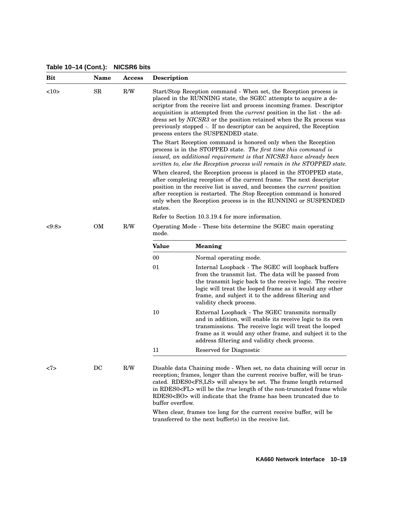**Bit Name Access Description** <10> SR R/W Start/Stop Reception command - When set, the Reception process is placed in the RUNNING state, the SGEC attempts to acquire a descriptor from the receive list and process incoming frames. Descriptor acquisition is attempted from the *current* position in the list - the address set by *NICSR3* or the position retained when the Rx process was previously stopped -. If no descriptor can be acquired, the Reception process enters the SUSPENDED state. The Start Reception command is honored only when the Reception process is in the STOPPED state. *The first time this command is issued, an additional requirement is that NICSR3 have already been written to, else the Reception process will remain in the STOPPED state.* When cleared, the Reception process is placed in the STOPPED state, after completing reception of the current frame. The next descriptor position in the receive list is saved, and becomes the *current* position after reception is restarted. The Stop Reception command is honored only when the Reception process is in the RUNNING or SUSPENDED states. Refer to Section 10.3.19.4 for more information. <9:8> OM R/W Operating Mode - These bits determine the SGEC main operating mode. **Value Meaning** 00 Normal operating mode. 01 Internal Loopback - The SGEC will loopback buffers from the transmit list. The data will be passed from the transmit logic back to the receive logic. The receive logic will treat the looped frame as it would any other frame, and subject it to the address filtering and validity check process. 10 External Loopback - The SGEC transmits normally and in addition, will enable its receive logic to its own transmissions. The receive logic will treat the looped frame as it would any other frame, and subject it to the address filtering and validity check process. 11 Reserved for Diagnostic <7> DC R/W Disable data Chaining mode - When set, no data chaining will occur in reception; frames, longer than the current receive buffer, will be truncated. RDES0<FS,LS> will always be set. The frame length returned in RDES0<FL> will be the *true* length of the non-truncated frame while RDES0<BO> will indicate that the frame has been truncated due to buffer overflow.

#### **Table 10–14 (Cont.): NICSR6 bits**

When clear, frames too long for the current receive buffer, will be transferred to the next buffer(s) in the receive list.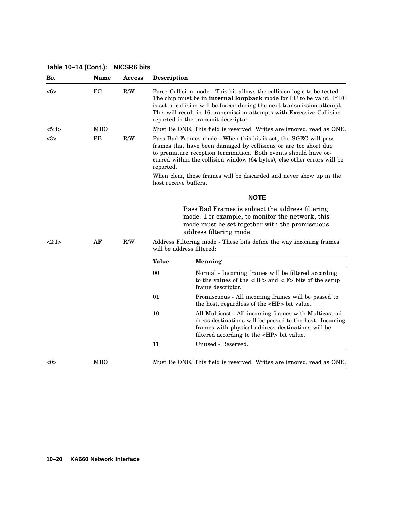| <b>Bit</b>      | <b>Name</b> | <b>Access</b> | Description           |                                                                                                                                                                                                                                                                                                                                                      |
|-----------------|-------------|---------------|-----------------------|------------------------------------------------------------------------------------------------------------------------------------------------------------------------------------------------------------------------------------------------------------------------------------------------------------------------------------------------------|
| <6>             | FC          | R/W           |                       | Force Collision mode - This bit allows the collision logic to be tested.<br>The chip must be in <b>internal loopback</b> mode for FC to be valid. If FC<br>is set, a collision will be forced during the next transmission attempt.<br>This will result in 16 transmission attempts with Excessive Collision<br>reported in the transmit descriptor. |
| 5:4>            | MBO         |               |                       | Must Be ONE. This field is reserved. Writes are ignored, read as ONE.                                                                                                                                                                                                                                                                                |
| $3$             | PB          | R/W           | reported.             | Pass Bad Frames mode - When this bit is set, the SGEC will pass<br>frames that have been damaged by collisions or are too short due<br>to premature reception termination. Both events should have oc-<br>curred within the collision window (64 bytes), else other errors will be                                                                   |
|                 |             |               | host receive buffers. | When clear, these frames will be discarded and never show up in the                                                                                                                                                                                                                                                                                  |
|                 |             |               |                       | <b>NOTE</b>                                                                                                                                                                                                                                                                                                                                          |
|                 |             |               |                       | Pass Bad Frames is subject the address filtering<br>mode. For example, to monitor the network, this<br>mode must be set together with the promiscuous<br>address filtering mode.                                                                                                                                                                     |
| 2:1>            | AF          | R/W           |                       | Address Filtering mode - These bits define the way incoming frames<br>will be address filtered:                                                                                                                                                                                                                                                      |
|                 |             |               | <b>Value</b>          | Meaning                                                                                                                                                                                                                                                                                                                                              |
|                 |             |               | 00                    | Normal - Incoming frames will be filtered according<br>to the values of the <hp> and <if> bits of the setup<br/>frame descriptor.</if></hp>                                                                                                                                                                                                          |
|                 |             |               | 01                    | Promiscuous - All incoming frames will be passed to<br>the host, regardless of the <hp> bit value.</hp>                                                                                                                                                                                                                                              |
|                 |             |               | 10                    | All Multicast - All incoming frames with Multicast ad-<br>dress destinations will be passed to the host. Incoming<br>frames with physical address destinations will be<br>filtered according to the <hp> bit value.</hp>                                                                                                                             |
|                 |             |               | 11                    | Unused - Reserved.                                                                                                                                                                                                                                                                                                                                   |
| $< \!\!0 \!\!>$ | MBO         |               |                       | Must Be ONE. This field is reserved. Writes are ignored, read as ONE.                                                                                                                                                                                                                                                                                |

**Table 10–14 (Cont.): NICSR6 bits**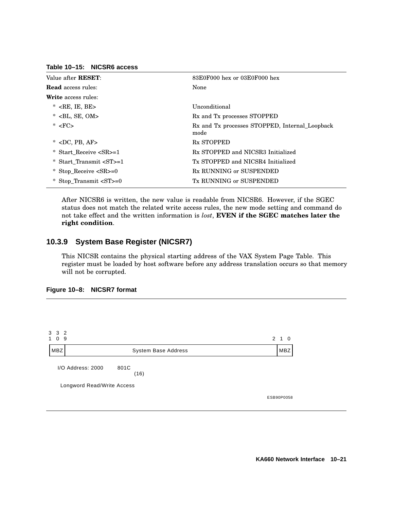| Value after <b>RESET</b> :                      | $83E0F000$ hex or $03E0F000$ hex                       |
|-------------------------------------------------|--------------------------------------------------------|
| <b>Read</b> access rules:                       | None                                                   |
| <b>Write</b> access rules:                      |                                                        |
| $\langle$ RE, IE, BE $>$<br>*                   | Unconditional                                          |
| $*$ <bl, om="" se,=""></bl,>                    | Rx and Tx processes STOPPED                            |
| $* FC$                                          | Rx and Tx processes STOPPED, Internal_Loopback<br>mode |
| $\langle$ DC, PB, AF $>$<br>*                   | <b>Rx STOPPED</b>                                      |
| Start Receive <sr>=1<br/><math>\ast</math></sr> | Rx STOPPED and NICSR3 Initialized                      |
| Start Transmit <st>=1<br/><math>*</math></st>   | Tx STOPPED and NICSR4 Initialized                      |
| Stop Receive $\langle$ SR $\rangle$ =0          | Rx RUNNING or SUSPENDED                                |
| Stop Transmit $ST>=0$                           | Tx RUNNING or SUSPENDED                                |

**Table 10–15: NICSR6 access**

After NICSR6 is written, the new value is readable from NICSR6. However, if the SGEC status does not match the related write access rules, the new mode setting and command do not take effect and the written information is *lost*, **EVEN if the SGEC matches later the right condition**.

## **10.3.9 System Base Register (NICSR7)**

This NICSR contains the physical starting address of the VAX System Page Table. This register must be loaded by host software before any address translation occurs so that memory will not be corrupted.



| 3 3 2<br>1 0 9 |                                   | 2 1 0      |
|----------------|-----------------------------------|------------|
| <b>MBZ</b>     | System Base Address               | <b>MBZ</b> |
|                | I/O Address: 2000<br>801C<br>(16) |            |
|                | Longword Read/Write Access        |            |
|                |                                   | ESB90P0058 |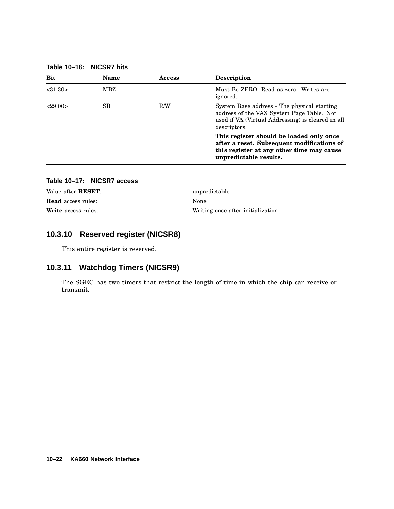**Table 10–16: NICSR7 bits**

| <b>Bit</b> | <b>Name</b> | Access | <b>Description</b>                                                                                                                                            |
|------------|-------------|--------|---------------------------------------------------------------------------------------------------------------------------------------------------------------|
| < 31:30>   | MBZ         |        | Must Be ZERO. Read as zero. Writes are<br>ignored.                                                                                                            |
| <29:00>    | SB          | R/W    | System Base address - The physical starting<br>address of the VAX System Page Table. Not<br>used if VA (Virtual Addressing) is cleared in all<br>descriptors. |
|            |             |        | This register should be loaded only once<br>after a reset. Subsequent modifications of<br>this register at any other time may cause<br>unpredictable results. |

| Writing once after initialization |
|-----------------------------------|
|                                   |

# **Table 10–17: NICSR7 access**

## **10.3.10 Reserved register (NICSR8)**

This entire register is reserved.

## **10.3.11 Watchdog Timers (NICSR9)**

The SGEC has two timers that restrict the length of time in which the chip can receive or transmit.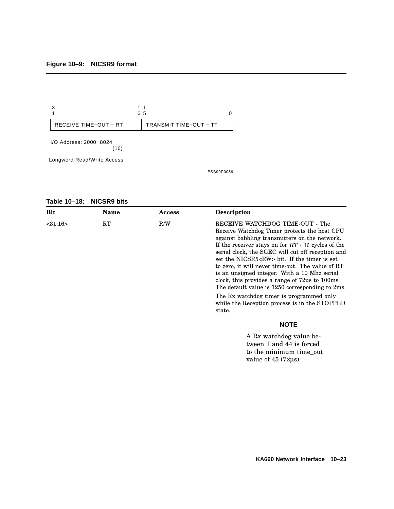

ESB90P0059

**Table 10–18: NICSR9 bits**

| Bit           | <b>Name</b> | Access | Description                                                                                                                                                                                                                                                                                                                                                                                                                                                                                                                                                                                      |
|---------------|-------------|--------|--------------------------------------------------------------------------------------------------------------------------------------------------------------------------------------------------------------------------------------------------------------------------------------------------------------------------------------------------------------------------------------------------------------------------------------------------------------------------------------------------------------------------------------------------------------------------------------------------|
| $<$ 31:16 $>$ | RT          | R/W    | RECEIVE WATCHDOG TIME-OUT - The<br>Receive Watchdog Timer protects the host CPU<br>against babbling transmitters on the network.<br>If the receiver stays on for $RT * 16$ cycles of the<br>serial clock, the SGEC will cut off reception and<br>set the NICSR5 <rw> bit. If the timer is set<br/>to zero, it will never time-out. The value of RT<br/>is an unsigned integer. With a 10 Mhz serial<br/>clock, this provides a range of <math>72\mu s</math> to <math>100\text{ms}</math>.<br/>The default value is 1250 corresponding to 2ms.<br/>The Rx watchdog timer is programmed only</rw> |
|               |             |        | while the Reception process is in the STOPPED<br>state.                                                                                                                                                                                                                                                                                                                                                                                                                                                                                                                                          |
|               |             |        | <b>NOTE</b>                                                                                                                                                                                                                                                                                                                                                                                                                                                                                                                                                                                      |
|               |             |        | A Rx watchdog value be-<br>twaan 1 and 11 is forced                                                                                                                                                                                                                                                                                                                                                                                                                                                                                                                                              |

tween 1 and 44 is forced to the minimum time\_out value of 45 (72µs).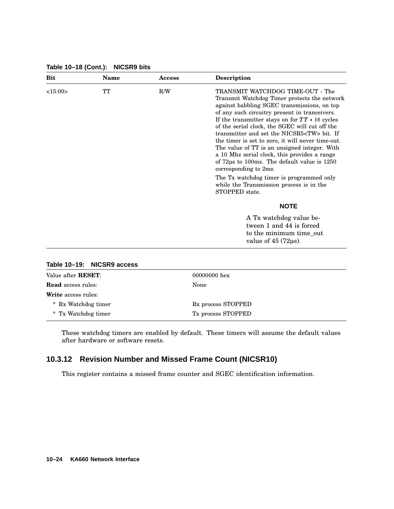| Bit     | Name | Access | <b>Description</b>                                                                                                                                                                                                                                                                                                                                                                                                                                                                                                                                                                                                                                                                                                     |
|---------|------|--------|------------------------------------------------------------------------------------------------------------------------------------------------------------------------------------------------------------------------------------------------------------------------------------------------------------------------------------------------------------------------------------------------------------------------------------------------------------------------------------------------------------------------------------------------------------------------------------------------------------------------------------------------------------------------------------------------------------------------|
| <15:00> | TT   | R/W    | TRANSMIT WATCHDOG TIME-OUT - The<br>Transmit Watchdog Timer protects the network<br>against babbling SGEC transmissions, on top<br>of any such circuitry present in tranceivers.<br>If the transmitter stays on for $TT * 16$ cycles<br>of the serial clock, the SGEC will cut off the<br>transmitter and set the NICSR5 <tw> bit. If<br/>the timer is set to zero, it will never time-out.<br/>The value of TT is an unsigned integer. With<br/>a 10 Mhz serial clock, this provides a range<br/>of <math>72\mu s</math> to 100ms. The default value is <math>1250</math><br/>corresponding to 2ms.<br/>The Tx watchdog timer is programmed only<br/>while the Transmission process is in the<br/>STOPPED state.</tw> |
|         |      |        | <b>NOTE</b>                                                                                                                                                                                                                                                                                                                                                                                                                                                                                                                                                                                                                                                                                                            |
|         |      |        | A Tx watchdog value be-<br>tween 1 and 44 is forced<br>to the minimum time_out<br>value of $45(72\mu s)$ .                                                                                                                                                                                                                                                                                                                                                                                                                                                                                                                                                                                                             |

**Table 10–18 (Cont.): NICSR9 bits**

| Value after <b>RESET</b> : | 00000000 hex                   |  |
|----------------------------|--------------------------------|--|
| <b>Read</b> access rules:  | <b>None</b>                    |  |
| <b>Write</b> access rules: |                                |  |
| * Rx Watchdog timer        | R <sub>x</sub> process STOPPED |  |
| * Tx Watchdog timer        | Tx process STOPPED             |  |
|                            |                                |  |

**Table 10–19: NICSR9 access**

These watchdog timers are enabled by default. These timers will assume the default values after hardware or software resets.

## **10.3.12 Revision Number and Missed Frame Count (NICSR10)**

This register contains a missed frame counter and SGEC identification information.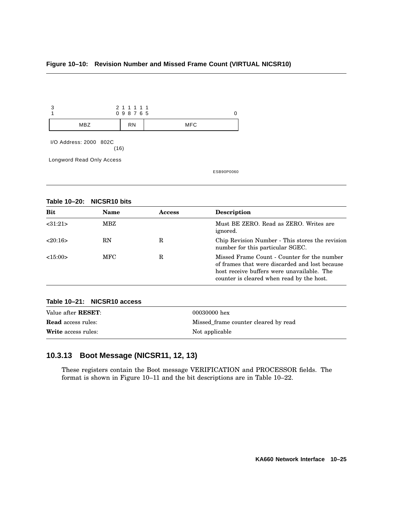#### **Figure 10–10: Revision Number and Missed Frame Count (VIRTUAL NICSR10)**



**Table 10–20: NICSR10 bits**

| <b>Bit</b> | <b>Name</b> | <b>Access</b> | <b>Description</b>                                                                                                                                                                       |
|------------|-------------|---------------|------------------------------------------------------------------------------------------------------------------------------------------------------------------------------------------|
| < 31:21>   | MBZ         |               | Must BE ZERO, Read as ZERO, Writes are<br>ignored.                                                                                                                                       |
| 20:16      | RN          | R             | Chip Revision Number - This stores the revision<br>number for this particular SGEC.                                                                                                      |
| <15:00>    | <b>MFC</b>  | R             | Missed Frame Count - Counter for the number<br>of frames that were discarded and lost because<br>host receive buffers were unavailable. The<br>counter is cleared when read by the host. |

### **Table 10–21: NICSR10 access**

| Value after <b>RESET</b> : | 00030000 hex                         |
|----------------------------|--------------------------------------|
| <b>Read</b> access rules:  | Missed frame counter cleared by read |
| <b>Write</b> access rules: | Not applicable                       |

## **10.3.13 Boot Message (NICSR11, 12, 13)**

These registers contain the Boot message VERIFICATION and PROCESSOR fields. The format is shown in Figure 10–11 and the bit descriptions are in Table 10–22.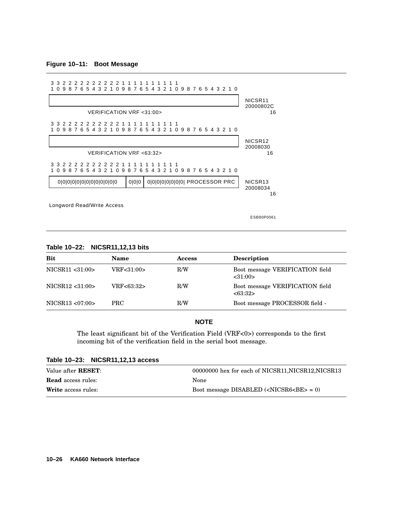**Figure 10–11: Boot Message**



ESB90P0061

#### **Table 10–22: NICSR11,12,13 bits**

| <b>Bit</b>        | Name       | <b>Access</b> | <b>Description</b>                          |
|-------------------|------------|---------------|---------------------------------------------|
| NICSR11 <31:00>   | VRF<31:00> | R/W           | Boot message VERIFICATION field<br>< 31:00> |
| NICSR12 <31:00>   | VRF<63:32> | R/W           | Boot message VERIFICATION field<br><63:32>  |
| NICSR13 < 07:00 > | PRC.       | R/W           | Boot message PROCESSOR field -              |

### **NOTE**

The least significant bit of the Verification Field (VRF<0>) corresponds to the first incoming bit of the verification field in the serial boot message.

| <b>ROUGE IV-LY.</b> INIGUITITITY ACCESS |                                                                 |
|-----------------------------------------|-----------------------------------------------------------------|
| Value after <b>RESET</b> :              | 00000000 hex for each of NICSR11, NICSR12, NICSR13              |
| <b>Read</b> access rules:               | None                                                            |
| <b>Write</b> access rules:              | Boot message DISABLED $(\langle NICSR6 \langle BE \rangle = 0)$ |

## **Table 10–23: NICSR11,12,13 access**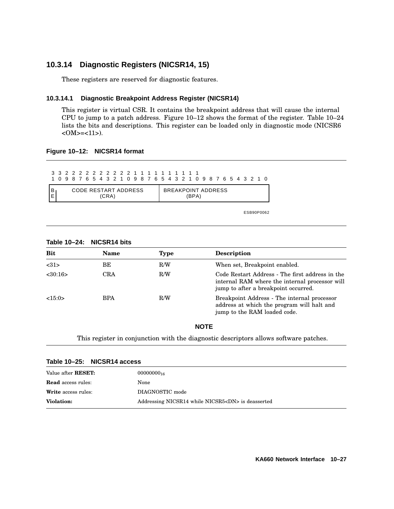## **10.3.14 Diagnostic Registers (NICSR14, 15)**

These registers are reserved for diagnostic features.

### **10.3.14.1 Diagnostic Breakpoint Address Register (NICSR14)**

This register is virtual CSR. It contains the breakpoint address that will cause the internal CPU to jump to a patch address. Figure 10–12 shows the format of the register. Table 10–24 lists the bits and descriptions. This register can be loaded only in diagnostic mode (NICSR6  $<$  OM $>$ = $<$  11 $>$ ).

#### **Figure 10–12: NICSR14 format**

|   | 332222222222211111111111<br>1 0 9 8 7 6 5 4 3 2 1 0 9 8 7 6 5 4 3 2 1 0 9 8 7 6 5 4 3 2 1 0 |  |  |  |  |  |  |  |  |                           |       |  |  |  |  |  |  |  |
|---|---------------------------------------------------------------------------------------------|--|--|--|--|--|--|--|--|---------------------------|-------|--|--|--|--|--|--|--|
| B | CODE RESTART ADDRESS<br>(CRA)                                                               |  |  |  |  |  |  |  |  | <b>BREAKPOINT ADDRESS</b> | (BPA) |  |  |  |  |  |  |  |

ESB90P0062

| <b>Bit</b> | Name | <b>Type</b> | <b>Description</b>                                                                                                                        |
|------------|------|-------------|-------------------------------------------------------------------------------------------------------------------------------------------|
| <31>       | BЕ   | R/W         | When set, Breakpoint enabled.                                                                                                             |
| <30:16>    | CRA  | R/W         | Code Restart Address - The first address in the<br>internal RAM where the internal processor will<br>jump to after a breakpoint occurred. |
| <15:0>     | BPA  | R/W         | Breakpoint Address - The internal processor<br>address at which the program will halt and<br>jump to the RAM loaded code.                 |

#### **Table 10–24: NICSR14 bits**

#### **NOTE**

This register in conjunction with the diagnostic descriptors allows software patches.

| Table 10–25: NICSR14 access |                                                         |
|-----------------------------|---------------------------------------------------------|
| Value after <b>RESET</b> :  | $00000000_{16}$                                         |
| <b>Read</b> access rules:   | None                                                    |
| <b>Write</b> access rules:  | DIAGNOSTIC mode                                         |
| <b>Violation:</b>           | Addressing NICSR14 while NICSR5 <dn> is deasserted</dn> |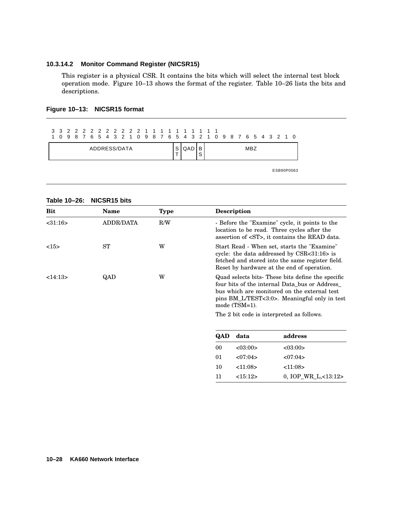#### **10.3.14.2 Monitor Command Register (NICSR15)**

This register is a physical CSR. It contains the bits which will select the internal test block operation mode. Figure 10–13 shows the format of the register. Table 10–26 lists the bits and descriptions.

|              |  |  |  |  |  |  |  |  |  |     |             |  |  |  | 1 0 9 8 7 6 5 4 3 2 1 0 9 8 7 6 5 4 3 2 1 0 9 8 7 6 5 4 3 2 1 0 |  |  |  |  |  |            |
|--------------|--|--|--|--|--|--|--|--|--|-----|-------------|--|--|--|-----------------------------------------------------------------|--|--|--|--|--|------------|
| ADDRESS/DATA |  |  |  |  |  |  |  |  |  | QAD | в<br>ິ<br>c |  |  |  | <b>MBZ</b>                                                      |  |  |  |  |  |            |
|              |  |  |  |  |  |  |  |  |  |     |             |  |  |  |                                                                 |  |  |  |  |  | ESB90P0063 |

#### **Figure 10–13: NICSR15 format**

| Table 10–26: |  | NICSR <sub>15</sub> bits |  |
|--------------|--|--------------------------|--|
|--------------|--|--------------------------|--|

| Bit           | <b>Name</b>      | <b>Type</b> |                                                                                                                                                                                                                                                                     | <b>Description</b> |                                                                                                                                                                                             |
|---------------|------------------|-------------|---------------------------------------------------------------------------------------------------------------------------------------------------------------------------------------------------------------------------------------------------------------------|--------------------|---------------------------------------------------------------------------------------------------------------------------------------------------------------------------------------------|
| $<$ 31:16 $>$ | <b>ADDR/DATA</b> | R/W         |                                                                                                                                                                                                                                                                     |                    | - Before the "Examine" cycle, it points to the<br>location to be read. Three cycles after the<br>assertion of <st>, it contains the READ data.</st>                                         |
| <15>          | ST               | W           |                                                                                                                                                                                                                                                                     |                    | Start Read - When set, starts the "Examine"<br>cycle: the data addressed by CSR<31:16> is<br>fetched and stored into the same register field.<br>Reset by hardware at the end of operation. |
| <14:13>       | QAD              | W           | Quad selects bits-These bits define the specific<br>four bits of the internal Data_bus or Address_<br>bus which are monitored on the external test<br>pins BM_L/TEST<3:0>. Meaningful only in test<br>mode $(TSM=1)$ .<br>The 2 bit code is interpreted as follows. |                    |                                                                                                                                                                                             |
|               |                  |             |                                                                                                                                                                                                                                                                     |                    |                                                                                                                                                                                             |
|               |                  |             | QAD                                                                                                                                                                                                                                                                 | data               | address                                                                                                                                                                                     |
|               |                  |             | 00                                                                                                                                                                                                                                                                  | <03:00>            | <03:00>                                                                                                                                                                                     |
|               |                  |             | 01                                                                                                                                                                                                                                                                  | <07:04>            | <07:04>                                                                                                                                                                                     |
|               |                  |             | 10                                                                                                                                                                                                                                                                  | <11:08>            | <11:08>                                                                                                                                                                                     |
|               |                  |             | 11                                                                                                                                                                                                                                                                  | <15:12>            | 0, $IOP_WR_L,<13:12>$                                                                                                                                                                       |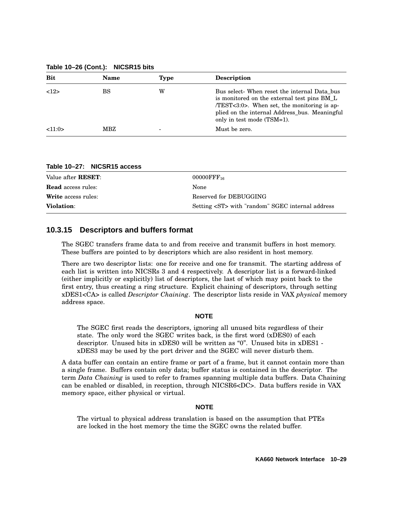**Table 10–26 (Cont.): NICSR15 bits**

| <b>Bit</b> | <b>Name</b> | <b>Type</b> | <b>Description</b>                                                                                                                                                                                                            |
|------------|-------------|-------------|-------------------------------------------------------------------------------------------------------------------------------------------------------------------------------------------------------------------------------|
| 12         | BS          | W           | Bus select- When reset the internal Data bus<br>is monitored on the external test pins BM_L<br>$/TEST < 3:0$ . When set, the monitoring is ap-<br>plied on the internal Address_bus. Meaningful<br>only in test mode (TSM=1). |
| <11:0>     | MBZ         | ۰           | Must be zero.                                                                                                                                                                                                                 |

**Table 10–27: NICSR15 access**

| Value after <b>RESET</b> : | $00000$ FFF <sub>16</sub>                             |
|----------------------------|-------------------------------------------------------|
| <b>Read</b> access rules:  | None                                                  |
| <b>Write</b> access rules: | Reserved for DEBUGGING                                |
| <b>Violation:</b>          | Setting <st> with "random" SGEC internal address</st> |

### **10.3.15 Descriptors and buffers format**

The SGEC transfers frame data to and from receive and transmit buffers in host memory. These buffers are pointed to by descriptors which are also resident in host memory.

There are two descriptor lists: one for receive and one for transmit. The starting address of each list is written into NICSRs 3 and 4 respectively. A descriptor list is a forward-linked (either implicitly or explicitly) list of descriptors, the last of which may point back to the first entry, thus creating a ring structure. Explicit chaining of descriptors, through setting xDES1<CA> is called *Descriptor Chaining*. The descriptor lists reside in VAX *physical* memory address space.

#### **NOTE**

The SGEC first reads the descriptors, ignoring all unused bits regardless of their state. The only word the SGEC writes back, is the first word (xDES0) of each descriptor. Unused bits in xDES0 will be written as "0". Unused bits in xDES1 xDES3 may be used by the port driver and the SGEC will never disturb them.

A data buffer can contain an entire frame or part of a frame, but it cannot contain more than a single frame. Buffers contain only data; buffer status is contained in the descriptor. The term *Data Chaining* is used to refer to frames spanning multiple data buffers. Data Chaining can be enabled or disabled, in reception, through NICSR6<DC>. Data buffers reside in VAX memory space, either physical or virtual.

#### **NOTE**

The virtual to physical address translation is based on the assumption that PTEs are locked in the host memory the time the SGEC owns the related buffer.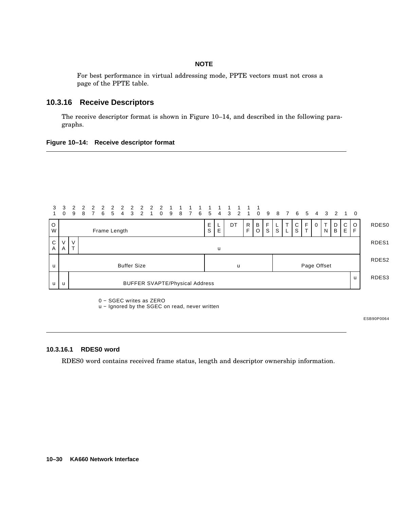### **NOTE**

For best performance in virtual addressing mode, PPTE vectors must not cross a page of the PPTE table.

### **10.3.16 Receive Descriptors**

The receive descriptor format is shown in Figure 10–14, and described in the following paragraphs.

#### **Figure 10–14: Receive descriptor format**



0 − SGEC writes as ZERO

u - Ignored by the SGEC on read, never written

ESB90P0064

### **10.3.16.1 RDES0 word**

RDES0 word contains received frame status, length and descriptor ownership information.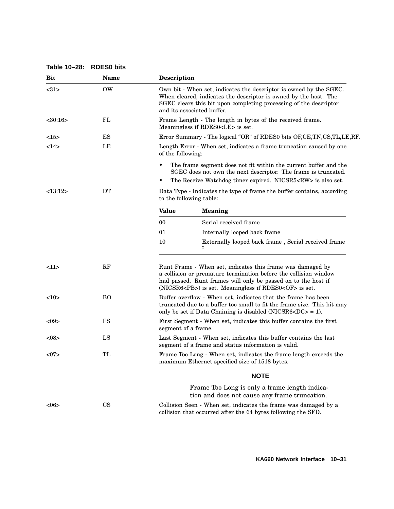| Table 10-28: RDES0 bits |  |  |
|-------------------------|--|--|
|-------------------------|--|--|

| Bit           | <b>Name</b>   | Description                                                                                                                                                                                                                                                         |  |
|---------------|---------------|---------------------------------------------------------------------------------------------------------------------------------------------------------------------------------------------------------------------------------------------------------------------|--|
| <31>          | <b>OW</b>     | Own bit - When set, indicates the descriptor is owned by the SGEC.<br>When cleared, indicates the descriptor is owned by the host. The<br>SGEC clears this bit upon completing processing of the descriptor<br>and its associated buffer.                           |  |
| $<$ 30:16 $>$ | FL            | Frame Length - The length in bytes of the received frame.<br>Meaningless if RDES0 <le> is set.</le>                                                                                                                                                                 |  |
| <15>          | ES            | Error Summary - The logical "OR" of RDES0 bits OF,CE,TN,CS,TL,LE,RF.                                                                                                                                                                                                |  |
| <14>          | LE            | Length Error - When set, indicates a frame truncation caused by one<br>of the following:                                                                                                                                                                            |  |
|               |               | The frame segment does not fit within the current buffer and the<br>$\bullet$<br>SGEC does not own the next descriptor. The frame is truncated.<br>The Receive Watchdog timer expired. NICSR5 <rw> is also set.<br/>٠</rw>                                          |  |
| <13:12>       | DT            | Data Type - Indicates the type of frame the buffer contains, according<br>to the following table:                                                                                                                                                                   |  |
|               |               | <b>Value</b><br><b>Meaning</b>                                                                                                                                                                                                                                      |  |
|               |               | Serial received frame<br>00                                                                                                                                                                                                                                         |  |
|               |               | 01<br>Internally looped back frame                                                                                                                                                                                                                                  |  |
|               |               | 10<br>Externally looped back frame, Serial received frame                                                                                                                                                                                                           |  |
| <11>          | RF            | Runt Frame - When set, indicates this frame was damaged by<br>a collision or premature termination before the collision window<br>had passed. Runt frames will only be passed on to the host if<br>(NICSR6 <pb>) is set. Meaningless if RDES0<of> is set.</of></pb> |  |
| 10            | <b>BO</b>     | Buffer overflow - When set, indicates that the frame has been<br>truncated due to a buffer too small to fit the frame size. This bit may<br>only be set if Data Chaining is disabled (NICSR6 $\text{CDC}$ ) = 1).                                                   |  |
| < 09          | $_{\rm FS}$   | First Segment - When set, indicates this buffer contains the first<br>segment of a frame.                                                                                                                                                                           |  |
| < 08          | LS            | Last Segment - When set, indicates this buffer contains the last<br>segment of a frame and status information is valid.                                                                                                                                             |  |
| <07           | TL            | Frame Too Long - When set, indicates the frame length exceeds the<br>maximum Ethernet specified size of 1518 bytes.                                                                                                                                                 |  |
|               |               | <b>NOTE</b>                                                                                                                                                                                                                                                         |  |
|               |               | Frame Too Long is only a frame length indica-<br>tion and does not cause any frame truncation.                                                                                                                                                                      |  |
| <06           | $\mathbf{CS}$ | Collision Seen - When set, indicates the frame was damaged by a<br>collision that occurred after the 64 bytes following the SFD.                                                                                                                                    |  |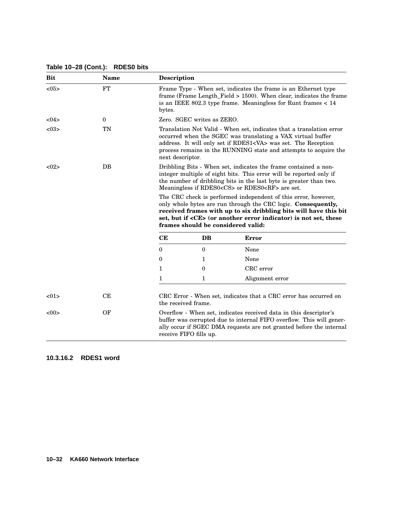| <b>Bit</b> | <b>Name</b> | <b>Description</b>                                                                                                                                                                                                                                                                                   |                                    |                                                                                                                                                                                                                                                                             |
|------------|-------------|------------------------------------------------------------------------------------------------------------------------------------------------------------------------------------------------------------------------------------------------------------------------------------------------------|------------------------------------|-----------------------------------------------------------------------------------------------------------------------------------------------------------------------------------------------------------------------------------------------------------------------------|
| <05>       | <b>FT</b>   | bytes.                                                                                                                                                                                                                                                                                               |                                    | Frame Type - When set, indicates the frame is an Ethernet type<br>frame (Frame Length_Field $> 1500$ ). When clear, indicates the frame<br>is an IEEE 802.3 type frame. Meaningless for Runt frames $< 14$                                                                  |
| <04>       | $\bf{0}$    | Zero. SGEC writes as ZERO.                                                                                                                                                                                                                                                                           |                                    |                                                                                                                                                                                                                                                                             |
| < 03       | TN          | Translation Not Valid - When set, indicates that a translation error<br>occurred when the SGEC was translating a VAX virtual buffer<br>address. It will only set if RDES1 <va> was set. The Reception<br/>process remains in the RUNNING state and attempts to acquire the<br/>next descriptor.</va> |                                    |                                                                                                                                                                                                                                                                             |
| <02>       | $DB$        |                                                                                                                                                                                                                                                                                                      |                                    | Dribbling Bits - When set, indicates the frame contained a non-<br>integer multiple of eight bits. This error will be reported only if<br>the number of dribbling bits in the last byte is greater than two.<br>Meaningless if RDES0 <cs> or RDES0<rf> are set.</rf></cs>   |
|            |             |                                                                                                                                                                                                                                                                                                      | frames should be considered valid: | The CRC check is performed independent of this error, however,<br>only whole bytes are run through the CRC logic. Consequently,<br>received frames with up to six dribbling bits will have this bit<br>set, but if <ce> (or another error indicator) is not set, these</ce> |
|            |             | CE                                                                                                                                                                                                                                                                                                   | <b>DB</b>                          | <b>Error</b>                                                                                                                                                                                                                                                                |
|            |             | $\Omega$                                                                                                                                                                                                                                                                                             | $\Omega$                           | None                                                                                                                                                                                                                                                                        |
|            |             | $\theta$                                                                                                                                                                                                                                                                                             | 1                                  | None                                                                                                                                                                                                                                                                        |
|            |             | $\mathbf{1}$                                                                                                                                                                                                                                                                                         | $\theta$                           | CRC error                                                                                                                                                                                                                                                                   |
|            |             | $\mathbf{1}$                                                                                                                                                                                                                                                                                         | 1                                  | Alignment error                                                                                                                                                                                                                                                             |
| <01        | CE          |                                                                                                                                                                                                                                                                                                      | the received frame.                | CRC Error - When set, indicates that a CRC error has occurred on                                                                                                                                                                                                            |
| <00>       | OF          |                                                                                                                                                                                                                                                                                                      | receive FIFO fills up.             | Overflow - When set, indicates received data in this descriptor's<br>buffer was corrupted due to internal FIFO overflow. This will gener-<br>ally occur if SGEC DMA requests are not granted before the internal                                                            |

### **Table 10–28 (Cont.): RDES0 bits**

**10.3.16.2 RDES1 word**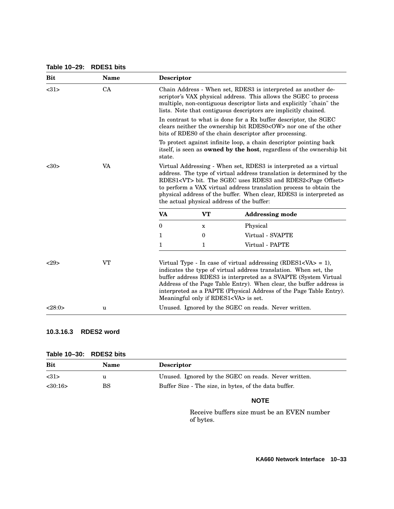#### **Table 10–29: RDES1 bits**

| <b>Bit</b> | <b>Name</b> | <b>Descriptor</b> |                                            |                                                                                                                                                                                                                                                                                                                                                                                                                      |
|------------|-------------|-------------------|--------------------------------------------|----------------------------------------------------------------------------------------------------------------------------------------------------------------------------------------------------------------------------------------------------------------------------------------------------------------------------------------------------------------------------------------------------------------------|
| <31>       | CA          |                   |                                            | Chain Address - When set, RDES3 is interpreted as another de-<br>scriptor's VAX physical address. This allows the SGEC to process<br>multiple, non-contiguous descriptor lists and explicitly "chain" the<br>lists. Note that contiguous descriptors are implicitly chained.                                                                                                                                         |
|            |             |                   |                                            | In contrast to what is done for a Rx buffer descriptor, the SGEC<br>clears neither the ownership bit RDES0 <ow> nor one of the other<br/>bits of RDES0 of the chain descriptor after processing.</ow>                                                                                                                                                                                                                |
|            |             | state.            |                                            | To protect against infinite loop, a chain descriptor pointing back<br>itself, is seen as <b>owned by the host</b> , regardless of the ownership bit                                                                                                                                                                                                                                                                  |
| $30$       | VA          |                   |                                            | Virtual Addressing - When set, RDES3 is interpreted as a virtual<br>address. The type of virtual address translation is determined by the<br>RDES1 <vt> bit. The SGEC uses RDES3 and RDES2<page offset=""><br/>to perform a VAX virtual address translation process to obtain the<br/>physical address of the buffer. When clear, RDES3 is interpreted as<br/>the actual physical address of the buffer:</page></vt> |
|            |             | <b>VA</b>         | <b>VT</b>                                  | <b>Addressing mode</b>                                                                                                                                                                                                                                                                                                                                                                                               |
|            |             | $\theta$          | x                                          | Physical                                                                                                                                                                                                                                                                                                                                                                                                             |
|            |             | $\mathbf{1}$      | $\mathbf{0}$                               | Virtual - SVAPTE                                                                                                                                                                                                                                                                                                                                                                                                     |
|            |             | $\mathbf{1}$      | 1                                          | Virtual - PAPTE                                                                                                                                                                                                                                                                                                                                                                                                      |
| 29         | <b>VT</b>   |                   | Meaningful only if RDES1 <va> is set.</va> | Virtual Type - In case of virtual addressing $(RDES1 = 1)$ ,<br>indicates the type of virtual address translation. When set, the<br>buffer address RDES3 is interpreted as a SVAPTE (System Virtual<br>Address of the Page Table Entry). When clear, the buffer address is<br>interpreted as a PAPTE (Physical Address of the Page Table Entry).                                                                     |
| <28:0>     | u           |                   |                                            | Unused. Ignored by the SGEC on reads. Never written.                                                                                                                                                                                                                                                                                                                                                                 |

## **10.3.16.3 RDES2 word**

| Table 10–30: RDES2 bits |  |  |
|-------------------------|--|--|
|-------------------------|--|--|

| 1401010100000111000010100 |             |                                                       |  |
|---------------------------|-------------|-------------------------------------------------------|--|
| Bit                       | <b>Name</b> | <b>Descriptor</b>                                     |  |
| <31>                      | u           | Unused. Ignored by the SGEC on reads. Never written.  |  |
| <30:16>                   | BS          | Buffer Size - The size, in bytes, of the data buffer. |  |
|                           |             |                                                       |  |

## **NOTE**

Receive buffers size must be an EVEN number of bytes.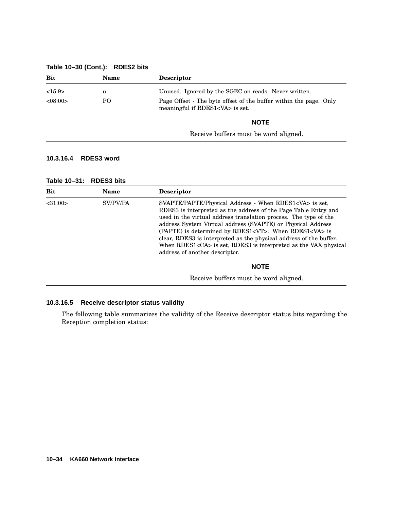### **Table 10–30 (Cont.): RDES2 bits**

| <b>Bit</b> | <b>Name</b> | <b>Descriptor</b>                                                                                          |
|------------|-------------|------------------------------------------------------------------------------------------------------------|
| <15:9>     | u           | Unused. Ignored by the SGEC on reads. Never written.                                                       |
| <08:00>    | PO          | Page Offset - The byte offset of the buffer within the page. Only<br>meaningful if RDES1 <va> is set.</va> |
|            |             | <b>NOTE</b>                                                                                                |
|            |             | Receive buffers must be word aligned.                                                                      |

### **10.3.16.4 RDES3 word**

| Table 10–31: RDES3 bits |  |
|-------------------------|--|
|-------------------------|--|

| <b>Bit</b> | Name     | <b>Descriptor</b>                                                                                                                                                                                                                                                                                                                                                                                                                                                                                                            |
|------------|----------|------------------------------------------------------------------------------------------------------------------------------------------------------------------------------------------------------------------------------------------------------------------------------------------------------------------------------------------------------------------------------------------------------------------------------------------------------------------------------------------------------------------------------|
| < 31:00>   | SV/PV/PA | SVAPTE/PAPTE/Physical Address - When RDES1 <va> is set,<br/>RDES3 is interpreted as the address of the Page Table Entry and<br/>used in the virtual address translation process. The type of the<br/>address System Virtual address (SVAPTE) or Physical Address<br/>(PAPTE) is determined by RDES1<vt>. When RDES1<va> is<br/>clear, RDES3 is interpreted as the physical address of the buffer.<br/>When RDES1<ca> is set, RDES3 is interpreted as the VAX physical<br/>address of another descriptor.</ca></va></vt></va> |
|            |          | <b>NOTE</b>                                                                                                                                                                                                                                                                                                                                                                                                                                                                                                                  |
|            |          | Receive buffers must be word aligned.                                                                                                                                                                                                                                                                                                                                                                                                                                                                                        |

#### **10.3.16.5 Receive descriptor status validity**

The following table summarizes the validity of the Receive descriptor status bits regarding the Reception completion status: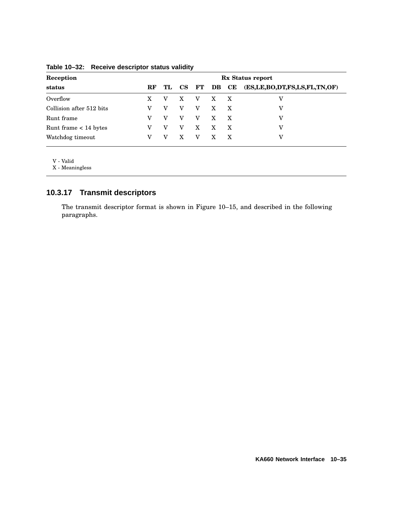| Reception                |          | Rx Status report |                 |               |              |              |                              |
|--------------------------|----------|------------------|-----------------|---------------|--------------|--------------|------------------------------|
| status                   | $\bf RF$ | TL               | $\mathbf{CS}^-$ | $\mathbf{FT}$ | DB           | CE           | (ES,LE,BO,DT,FS,LS,FL,TN,OF) |
| Overflow                 |          |                  | X               | $\mathbf{V}$  | X X          |              | v                            |
| Collision after 512 bits |          |                  | V               | v             | $\mathbf{X}$ | $\mathbf{X}$ | v                            |
| Runt frame               |          |                  | v               | V             | $\mathbf{X}$ | X            | v                            |
| Runt frame $< 14$ bytes  |          |                  | V               | X             | $\mathbf{X}$ | $\mathbf{X}$ | v                            |
| Watchdog timeout         |          | v                | X               | v             | $\mathbf{X}$ | X            | v                            |

### **Table 10–32: Receive descriptor status validity**

V - Valid

X - Meaningless

# **10.3.17 Transmit descriptors**

The transmit descriptor format is shown in Figure 10–15, and described in the following paragraphs.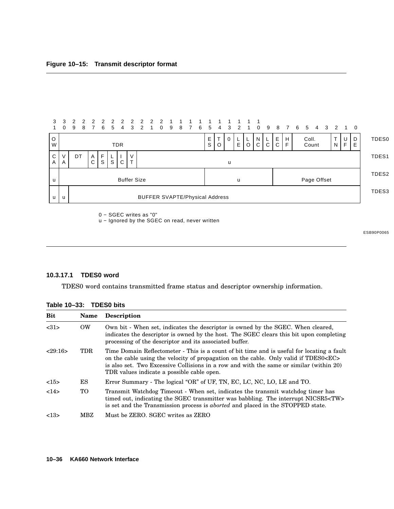

0 − SGEC writes as "0"

u - Ignored by the SGEC on read, never written

ESB90P0065

#### **10.3.17.1 TDES0 word**

TDES0 word contains transmitted frame status and descriptor ownership information.

| <b>Bit</b> | <b>Name</b> | <b>Description</b>                                                                                                                                                                                                                                                                                                                  |
|------------|-------------|-------------------------------------------------------------------------------------------------------------------------------------------------------------------------------------------------------------------------------------------------------------------------------------------------------------------------------------|
| <31>       | OW.         | Own bit - When set, indicates the descriptor is owned by the SGEC. When cleared,<br>indicates the descriptor is owned by the host. The SGEC clears this bit upon completing<br>processing of the descriptor and its associated buffer.                                                                                              |
| 29:16      | TDR         | Time Domain Reflectometer - This is a count of bit time and is useful for locating a fault<br>on the cable using the velocity of propagation on the cable. Only valid if TDES0 <ec><br/>is also set. Two Excessive Collisions in a row and with the same or similar (within 20)<br/>TDR values indicate a possible cable open.</ec> |
| <15>       | ES          | Error Summary - The logical "OR" of UF, TN, EC, LC, NC, LO, LE and TO.                                                                                                                                                                                                                                                              |
| 14>        | TO.         | Transmit Watchdog Timeout - When set, indicates the transmit watchdog timer has<br>timed out, indicating the SGEC transmitter was babbling. The interrupt NICSR5 <tw><br/>is set and the Transmission process is <i>aborted</i> and placed in the STOPPED state.</tw>                                                               |
| <13>       | MBZ         | Must be ZERO. SGEC writes as ZERO                                                                                                                                                                                                                                                                                                   |

|  | Table 10-33: | <b>TDES0 bits</b> |  |
|--|--------------|-------------------|--|
|--|--------------|-------------------|--|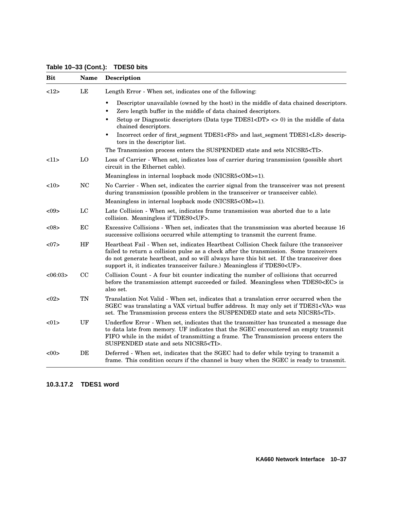**Table 10–33 (Cont.): TDES0 bits**

| <b>Bit</b> | <b>Name</b> | <b>Description</b>                                                                                                                                                                                                                                                                                                                                              |
|------------|-------------|-----------------------------------------------------------------------------------------------------------------------------------------------------------------------------------------------------------------------------------------------------------------------------------------------------------------------------------------------------------------|
| 12         | LE          | Length Error - When set, indicates one of the following:                                                                                                                                                                                                                                                                                                        |
|            |             | Descriptor unavailable (owned by the host) in the middle of data chained descriptors.<br>Zero length buffer in the middle of data chained descriptors.<br>$\bullet$<br>Setup or Diagnostic descriptors (Data type TDES1 <dt><math>\langle</math> &gt; <math>\langle</math> &gt; 0) in the middle of data<br/>٠<br/>chained descriptors.</dt>                    |
|            |             | Incorrect order of first_segment TDES1 <fs> and last_segment TDES1<ls> descrip-<br/>٠<br/>tors in the descriptor list.</ls></fs>                                                                                                                                                                                                                                |
|            |             | The Transmission process enters the SUSPENDED state and sets NICSR5 <ti>.</ti>                                                                                                                                                                                                                                                                                  |
| <11>       | LO          | Loss of Carrier - When set, indicates loss of carrier during transmission (possible short<br>circuit in the Ethernet cable).                                                                                                                                                                                                                                    |
|            |             | Meaningless in internal loopback mode (NICSR5 <om>=1).</om>                                                                                                                                                                                                                                                                                                     |
| <10>       | <b>NC</b>   | No Carrier - When set, indicates the carrier signal from the transceiver was not present<br>during transmission (possible problem in the transceiver or transceiver cable).                                                                                                                                                                                     |
|            |             | Meaningless in internal loopback mode (NICSR5 <om>=1).</om>                                                                                                                                                                                                                                                                                                     |
| $< \!\!09$ | LC          | Late Collision - When set, indicates frame transmission was aborted due to a late<br>collision. Meaningless if TDES0 <uf>.</uf>                                                                                                                                                                                                                                 |
| < 08       | EC          | Excessive Collisions - When set, indicates that the transmission was aborted because 16<br>successive collisions occurred while attempting to transmit the current frame.                                                                                                                                                                                       |
| <07        | HF          | Heartbeat Fail - When set, indicates Heartbeat Collision Check failure (the transceiver<br>failed to return a collision pulse as a check after the transmission. Some tranceivers<br>do not generate heartbeat, and so will always have this bit set. If the transceiver does<br>support it, it indicates transceiver failure.) Meaningless if TDES0 <uf>.</uf> |
| <06:03>    | CC          | Collision Count - A four bit counter indicating the number of collisions that occurred<br>before the transmission attempt succeeded or failed. Meaningless when TDES0 <ec> is<br/>also set.</ec>                                                                                                                                                                |
| <02>       | <b>TN</b>   | Translation Not Valid - When set, indicates that a translation error occurred when the<br>SGEC was translating a VAX virtual buffer address. It may only set if TDES1 <va> was<br/>set. The Transmission process enters the SUSPENDED state and sets NICSR5<ti>.</ti></va>                                                                                      |
| <01        | UF          | Underflow Error - When set, indicates that the transmitter has truncated a message due<br>to data late from memory. UF indicates that the SGEC encountered an empty transmit<br>FIFO while in the midst of transmitting a frame. The Transmission process enters the<br>SUSPENDED state and sets NICSR5 <ti>.</ti>                                              |
| $< \!\!00$ | DE          | Deferred - When set, indicates that the SGEC had to defer while trying to transmit a<br>frame. This condition occurs if the channel is busy when the SGEC is ready to transmit.                                                                                                                                                                                 |

### **10.3.17.2 TDES1 word**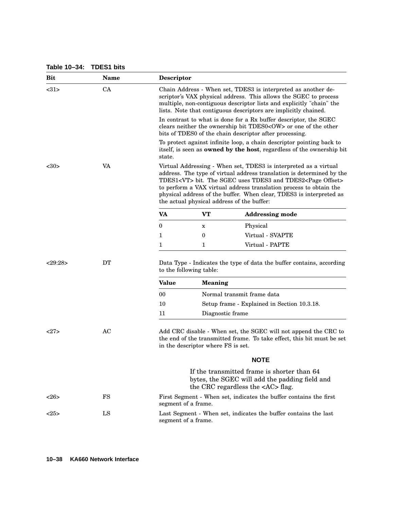#### **Table 10–34: TDES1 bits**

| <b>Bit</b> | <b>Name</b> | Descriptor                                                                                                                                                                                                                                                                                                                                                                                                           |                                    |                                                                                                                                                                                                      |  |  |
|------------|-------------|----------------------------------------------------------------------------------------------------------------------------------------------------------------------------------------------------------------------------------------------------------------------------------------------------------------------------------------------------------------------------------------------------------------------|------------------------------------|------------------------------------------------------------------------------------------------------------------------------------------------------------------------------------------------------|--|--|
| <31>       | CA          | Chain Address - When set, TDES3 is interpreted as another de-<br>scriptor's VAX physical address. This allows the SGEC to process<br>multiple, non-contiguous descriptor lists and explicitly "chain" the<br>lists. Note that contiguous descriptors are implicitly chained.                                                                                                                                         |                                    |                                                                                                                                                                                                      |  |  |
|            |             |                                                                                                                                                                                                                                                                                                                                                                                                                      |                                    | In contrast to what is done for a Rx buffer descriptor, the SGEC<br>clears neither the ownership bit TDES0 <ow> or one of the other<br/>bits of TDES0 of the chain descriptor after processing.</ow> |  |  |
|            |             | state.                                                                                                                                                                                                                                                                                                                                                                                                               |                                    | To protect against infinite loop, a chain descriptor pointing back to<br>itself, is seen as <b>owned by the host</b> , regardless of the ownership bit                                               |  |  |
| $30$       | VA          | Virtual Addressing - When set, TDES3 is interpreted as a virtual<br>address. The type of virtual address translation is determined by the<br>TDES1 <vt> bit. The SGEC uses TDES3 and TDES2<page offset=""><br/>to perform a VAX virtual address translation process to obtain the<br/>physical address of the buffer. When clear, TDES3 is interpreted as<br/>the actual physical address of the buffer:</page></vt> |                                    |                                                                                                                                                                                                      |  |  |
|            |             | VA                                                                                                                                                                                                                                                                                                                                                                                                                   | <b>VT</b>                          | <b>Addressing mode</b>                                                                                                                                                                               |  |  |
|            |             | $\bf{0}$                                                                                                                                                                                                                                                                                                                                                                                                             | X                                  | Physical                                                                                                                                                                                             |  |  |
|            |             | 1                                                                                                                                                                                                                                                                                                                                                                                                                    | 0                                  | Virtual - SVAPTE                                                                                                                                                                                     |  |  |
|            |             | 1                                                                                                                                                                                                                                                                                                                                                                                                                    | 1                                  | Virtual - PAPTE                                                                                                                                                                                      |  |  |
| <29:28>    | <b>DT</b>   |                                                                                                                                                                                                                                                                                                                                                                                                                      | to the following table:            | Data Type - Indicates the type of data the buffer contains, according                                                                                                                                |  |  |
|            |             | <b>Value</b>                                                                                                                                                                                                                                                                                                                                                                                                         | <b>Meaning</b>                     |                                                                                                                                                                                                      |  |  |
|            |             | 00                                                                                                                                                                                                                                                                                                                                                                                                                   |                                    | Normal transmit frame data                                                                                                                                                                           |  |  |
|            |             | 10                                                                                                                                                                                                                                                                                                                                                                                                                   |                                    | Setup frame - Explained in Section 10.3.18.                                                                                                                                                          |  |  |
|            |             | 11                                                                                                                                                                                                                                                                                                                                                                                                                   | Diagnostic frame                   |                                                                                                                                                                                                      |  |  |
| <27>       | AC          |                                                                                                                                                                                                                                                                                                                                                                                                                      | in the descriptor where FS is set. | Add CRC disable - When set, the SGEC will not append the CRC to<br>the end of the transmitted frame. To take effect, this bit must be set                                                            |  |  |
|            |             |                                                                                                                                                                                                                                                                                                                                                                                                                      |                                    | <b>NOTE</b>                                                                                                                                                                                          |  |  |
|            |             |                                                                                                                                                                                                                                                                                                                                                                                                                      |                                    | If the transmitted frame is shorter than 64<br>bytes, the SGEC will add the padding field and<br>the CRC regardless the $\langle AC \rangle$ flag.                                                   |  |  |
| <26        | FS          | segment of a frame.                                                                                                                                                                                                                                                                                                                                                                                                  |                                    | First Segment - When set, indicates the buffer contains the first                                                                                                                                    |  |  |
| <25>       | LS          | segment of a frame.                                                                                                                                                                                                                                                                                                                                                                                                  |                                    | Last Segment - When set, indicates the buffer contains the last                                                                                                                                      |  |  |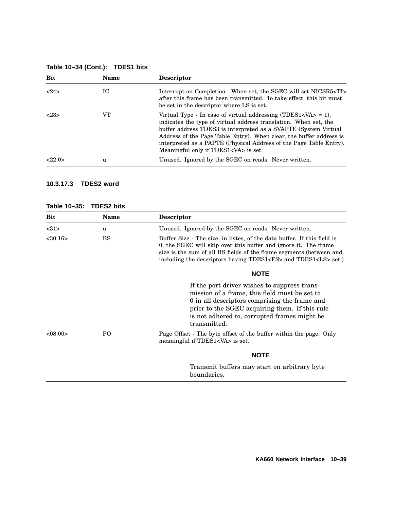| <b>Bit</b> | <b>Name</b> | <b>Descriptor</b>                                                                                                                                                                                                                                                                                                                                                                                                        |
|------------|-------------|--------------------------------------------------------------------------------------------------------------------------------------------------------------------------------------------------------------------------------------------------------------------------------------------------------------------------------------------------------------------------------------------------------------------------|
| 24>        | IC          | Interrupt on Completion - When set, the SGEC will set NICSR5 <ti><br/>after this frame has been transmitted. To take effect, this bit must<br/>be set in the descriptor where LS is set.</ti>                                                                                                                                                                                                                            |
| 23         | VT          | Virtual Type - In case of virtual addressing (TDES1 <va<math>&gt; = 1),<br/>indicates the type of virtual address translation. When set, the<br/>buffer address TDES3 is interpreted as a SVAPTE (System Virtual)<br/>Address of the Page Table Entry). When clear, the buffer address is<br/>interpreted as a PAPTE (Physical Address of the Page Table Entry).<br/>Meaningful only if TDES1<va> is set.</va></va<math> |
| <22:0>     | u           | Unused. Ignored by the SGEC on reads. Never written.                                                                                                                                                                                                                                                                                                                                                                     |

## **Table 10–34 (Cont.): TDES1 bits**

#### **10.3.17.3 TDES2 word**

#### **Table 10–35: TDES2 bits**

| Bit           | Name           | <b>Descriptor</b>                                                                                                                                                                                                                                                                             |
|---------------|----------------|-----------------------------------------------------------------------------------------------------------------------------------------------------------------------------------------------------------------------------------------------------------------------------------------------|
| <31>          | u              | Unused. Ignored by the SGEC on reads. Never written.                                                                                                                                                                                                                                          |
| $<$ 30:16 $>$ | <b>BS</b>      | Buffer Size - The size, in bytes, of the data buffer. If this field is<br>0, the SGEC will skip over this buffer and ignore it. The frame<br>size is the sum of all BS fields of the frame segments (between and<br>including the descriptors having TDES1 <fs> and TDES1<ls> set.)</ls></fs> |
|               |                | <b>NOTE</b>                                                                                                                                                                                                                                                                                   |
|               |                | If the port driver wishes to suppress trans-<br>mission of a frame, this field must be set to<br>0 in all descriptors comprising the frame and<br>prior to the SGEC acquiring them. If this rule<br>is not adhered to, corrupted frames might be<br>transmitted.                              |
| <08:00>       | P <sub>O</sub> | Page Offset - The byte offset of the buffer within the page. Only<br>meaningful if TDES1 <va> is set.</va>                                                                                                                                                                                    |
|               |                | <b>NOTE</b>                                                                                                                                                                                                                                                                                   |
|               |                | Transmit buffers may start on arbitrary byte<br>boundaries.                                                                                                                                                                                                                                   |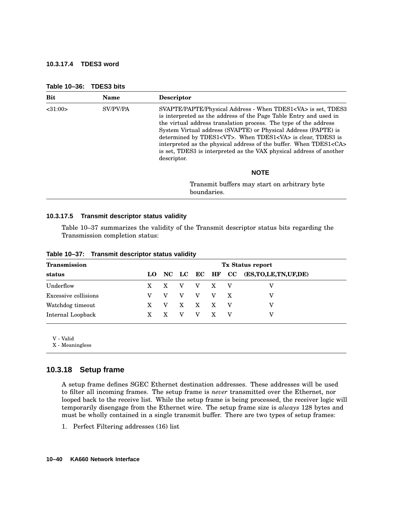#### **10.3.17.4 TDES3 word**

| <b>Name</b> | <b>Descriptor</b>                                                                                                                                                                                                                                                                                                                                                                                                                                                                                                            |
|-------------|------------------------------------------------------------------------------------------------------------------------------------------------------------------------------------------------------------------------------------------------------------------------------------------------------------------------------------------------------------------------------------------------------------------------------------------------------------------------------------------------------------------------------|
| SV/PV/PA    | SVAPTE/PAPTE/Physical Address - When TDES1 <va> is set, TDES3<br/>is interpreted as the address of the Page Table Entry and used in<br/>the virtual address translation process. The type of the address<br/>System Virtual address (SVAPTE) or Physical Address (PAPTE) is<br/>determined by TDES1<vt>. When TDES1<va> is clear, TDES3 is<br/>interpreted as the physical address of the buffer. When TDES1<ca><br/>is set, TDES3 is interpreted as the VAX physical address of another<br/>descriptor.</ca></va></vt></va> |
|             | <b>NOTE</b>                                                                                                                                                                                                                                                                                                                                                                                                                                                                                                                  |
|             | Transmit buffers may start on arbitrary byte<br>boundaries.                                                                                                                                                                                                                                                                                                                                                                                                                                                                  |
|             |                                                                                                                                                                                                                                                                                                                                                                                                                                                                                                                              |

## **Table 10–36: TDES3 bits**

#### **10.3.17.5 Transmit descriptor status validity**

Table 10–37 summarizes the validity of the Transmit descriptor status bits regarding the Transmission completion status:

| Transmission         |      | <b>Tx Status report</b> |              |                |              |              |                     |
|----------------------|------|-------------------------|--------------|----------------|--------------|--------------|---------------------|
| status               | LO – |                         |              | NC LC EC HF CC |              |              | (ES,TO,LE,TN,UF,DE) |
| Underflow            | X.   | $\mathbf{X}$            | V            | $V$ X          |              | $\mathbf{V}$ | v                   |
| Excessive collisions |      |                         | v            | V              | V            | $\mathbf{X}$ | V                   |
| Watchdog timeout     | X.   | v                       | $\mathbf{X}$ | X              | $\mathbf{X}$ | $\mathbf{V}$ | v                   |
| Internal Loopback    | X    | X                       | v            | v              | X            | v            | v                   |

**Table 10–37: Transmit descriptor status validity**

V - Valid

X - Meaningless

### **10.3.18 Setup frame**

A setup frame defines SGEC Ethernet destination addresses. These addresses will be used to filter all incoming frames. The setup frame is *never* transmitted over the Ethernet, nor looped back to the receive list. While the setup frame is being processed, the receiver logic will temporarily disengage from the Ethernet wire. The setup frame size is *always* 128 bytes and must be wholly contained in a single transmit buffer. There are two types of setup frames:

1. Perfect Filtering addresses (16) list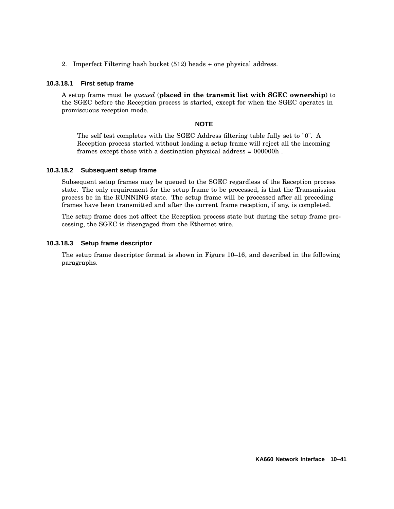2. Imperfect Filtering hash bucket (512) heads + one physical address.

#### **10.3.18.1 First setup frame**

A setup frame must be *queued* (**placed in the transmit list with SGEC ownership**) to the SGEC before the Reception process is started, except for when the SGEC operates in promiscuous reception mode.

#### **NOTE**

The self test completes with the SGEC Address filtering table fully set to "0". A Reception process started without loading a setup frame will reject all the incoming frames except those with a destination physical address = 000000h .

#### **10.3.18.2 Subsequent setup frame**

Subsequent setup frames may be queued to the SGEC regardless of the Reception process state. The only requirement for the setup frame to be processed, is that the Transmission process be in the RUNNING state. The setup frame will be processed after all preceding frames have been transmitted and after the current frame reception, if any, is completed.

The setup frame does not affect the Reception process state but during the setup frame processing, the SGEC is disengaged from the Ethernet wire.

#### **10.3.18.3 Setup frame descriptor**

The setup frame descriptor format is shown in Figure 10–16, and described in the following paragraphs.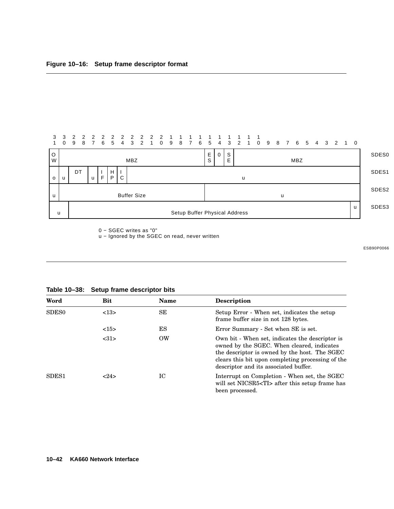

0 − SGEC writes as "0"

u - Ignored by the SGEC on read, never written

ESB90P0066

| Word              | Bit  | <b>Name</b> | <b>Description</b>                                                                                                                                                                                                                           |
|-------------------|------|-------------|----------------------------------------------------------------------------------------------------------------------------------------------------------------------------------------------------------------------------------------------|
| SDES <sub>0</sub> | <13> | SE          | Setup Error - When set, indicates the setup<br>frame buffer size in not 128 bytes.                                                                                                                                                           |
|                   | <15> | ES          | Error Summary - Set when SE is set.                                                                                                                                                                                                          |
|                   | <31> | <b>OW</b>   | Own bit - When set, indicates the descriptor is<br>owned by the SGEC. When cleared, indicates<br>the descriptor is owned by the host. The SGEC<br>clears this bit upon completing processing of the<br>descriptor and its associated buffer. |
| SDES <sub>1</sub> | 24>  | IC          | Interrupt on Completion - When set, the SGEC<br>will set NICSR5 <ti> after this setup frame has<br/>been processed.</ti>                                                                                                                     |

**Table 10–38: Setup frame descriptor bits**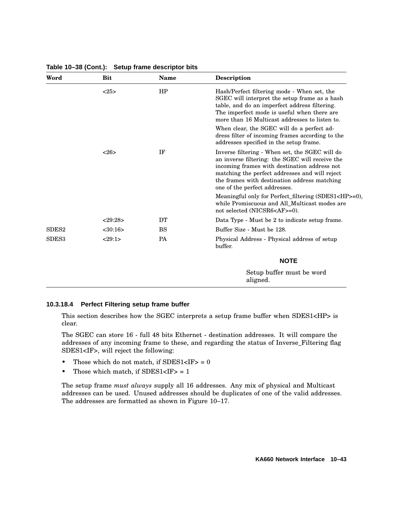| Word              | <b>Bit</b>    | <b>Name</b> | <b>Description</b>                                                                                                                                                                                                                                                                   |
|-------------------|---------------|-------------|--------------------------------------------------------------------------------------------------------------------------------------------------------------------------------------------------------------------------------------------------------------------------------------|
|                   | <25>          | HP          | Hash/Perfect filtering mode - When set, the<br>SGEC will interpret the setup frame as a hash<br>table, and do an imperfect address filtering.<br>The imperfect mode is useful when there are<br>more than 16 Multicast addresses to listen to.                                       |
|                   |               |             | When clear, the SGEC will do a perfect ad-<br>dress filter of incoming frames according to the<br>addresses specified in the setup frame.                                                                                                                                            |
|                   | <26>          | IF          | Inverse filtering - When set, the SGEC will do<br>an inverse filtering: the SGEC will receive the<br>incoming frames with destination address not<br>matching the perfect addresses and will reject<br>the frames with destination address matching<br>one of the perfect addresses. |
|                   |               |             | Meaningful only for Perfect_filtering (SDES1 <hp>=0),<br/>while Promiscuous and All Multicast modes are<br/>not selected (NICSR6<af>=0).</af></hp>                                                                                                                                   |
|                   | <29:28>       | DT          | Data Type - Must be 2 to indicate setup frame.                                                                                                                                                                                                                                       |
| SDES <sub>2</sub> | $<$ 30:16 $>$ | <b>BS</b>   | Buffer Size - Must be 128.                                                                                                                                                                                                                                                           |
| SDES <sub>3</sub> | <29:1>        | PA          | Physical Address - Physical address of setup<br>buffer.                                                                                                                                                                                                                              |
|                   |               |             | <b>NOTE</b>                                                                                                                                                                                                                                                                          |
|                   |               |             | Setup buffer must be word<br>aligned.                                                                                                                                                                                                                                                |

#### **Table 10–38 (Cont.): Setup frame descriptor bits**

#### **10.3.18.4 Perfect Filtering setup frame buffer**

This section describes how the SGEC interprets a setup frame buffer when SDES1<HP> is clear.

The SGEC can store 16 - full 48 bits Ethernet - destination addresses. It will compare the addresses of any incoming frame to these, and regarding the status of Inverse\_Filtering flag SDES1<IF>, will reject the following:

- Those which do not match, if  $SDES1 < IF > = 0$
- Those which match, if  $SDES1 < IF > = 1$

The setup frame *must always* supply all 16 addresses. Any mix of physical and Multicast addresses can be used. Unused addresses should be duplicates of one of the valid addresses. The addresses are formatted as shown in Figure 10–17.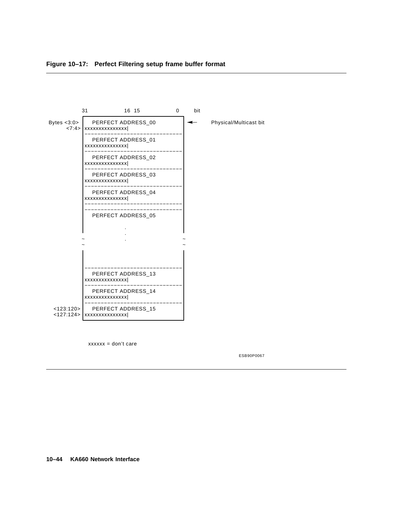



 $xxxxx = don't care$ 

ESB90P0067

**10–44 KA660 Network Interface**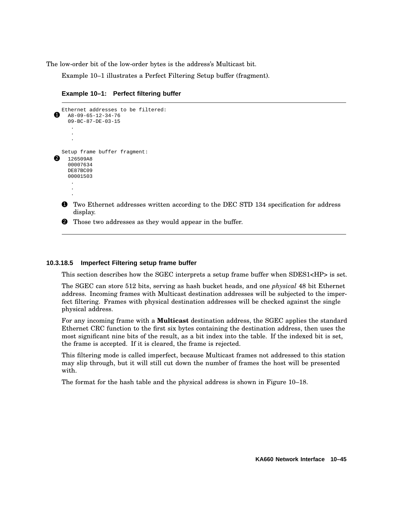The low-order bit of the low-order bytes is the address's Multicast bit.

Example 10–1 illustrates a Perfect Filtering Setup buffer (fragment).

**Example 10–1: Perfect filtering buffer**

```
Ethernet addresses to be filtered:
A8-09-65-12-34-7609-BC-87-DE-03-15
     .
     .
     .
  Setup frame buffer fragment:
2 126509AB00007634
    DE87BC09
    00001503
     .
     .
```
.

1 Two Ethernet addresses written according to the DEC STD 134 specification for address display.

**2** Those two addresses as they would appear in the buffer.

### **10.3.18.5 Imperfect Filtering setup frame buffer**

This section describes how the SGEC interprets a setup frame buffer when SDES1<HP> is set.

The SGEC can store 512 bits, serving as hash bucket heads, and one *physical* 48 bit Ethernet address. Incoming frames with Multicast destination addresses will be subjected to the imperfect filtering. Frames with physical destination addresses will be checked against the single physical address.

For any incoming frame with a **Multicast** destination address, the SGEC applies the standard Ethernet CRC function to the first six bytes containing the destination address, then uses the most significant nine bits of the result, as a bit index into the table. If the indexed bit is set, the frame is accepted. If it is cleared, the frame is rejected.

This filtering mode is called imperfect, because Multicast frames not addressed to this station may slip through, but it will still cut down the number of frames the host will be presented with.

The format for the hash table and the physical address is shown in Figure 10–18.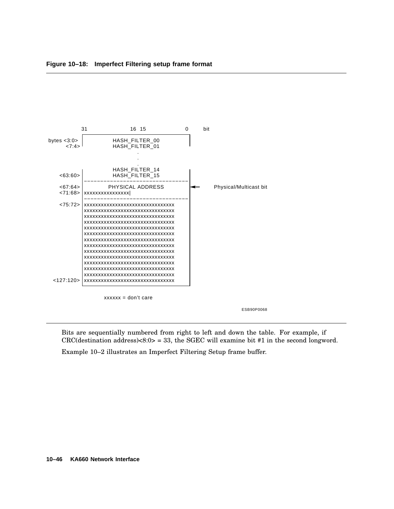

Bits are sequentially numbered from right to left and down the table. For example, if CRC(destination address) $<8:0>=33$ , the SGEC will examine bit #1 in the second longword.

Example 10–2 illustrates an Imperfect Filtering Setup frame buffer.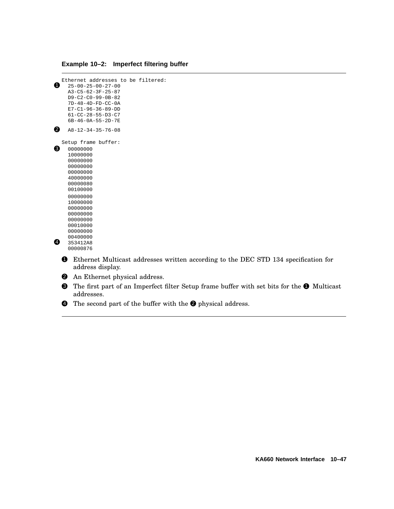### **Example 10–2: Imperfect filtering buffer**

```
Ethernet addresses to be filtered:
\bullet 25-00-25-00-27-00
    A3-C5-62-3F-25-87
    D9-C2-C0-99-0B-82
    7D-48-4D-FD-CC-0A
    E7-C1-96-36-89-DD
    61-CC-28-55-D3-C7
    6B-46-0A-55-2D-7E
2 A8-12-34-35-76-08Setup frame buffer:<br>
\bullet 00000000
   00000000
    10000000
    00000000
    00000000
    00000000
    40000000
    00000080
    00100000
    00000000
    10000000
    00000000
    00000000
    00000000
    00010000
    00000000
    00400000
4 353412A8
    00000876
```
1 Ethernet Multicast addresses written according to the DEC STD 134 specification for address display.

- **2** An Ethernet physical address.
- <sup>3</sup> The first part of an Imperfect filter Setup frame buffer with set bits for the <sup>1</sup> Multicast addresses.
- $\bullet$  The second part of the buffer with the  $\bullet$  physical address.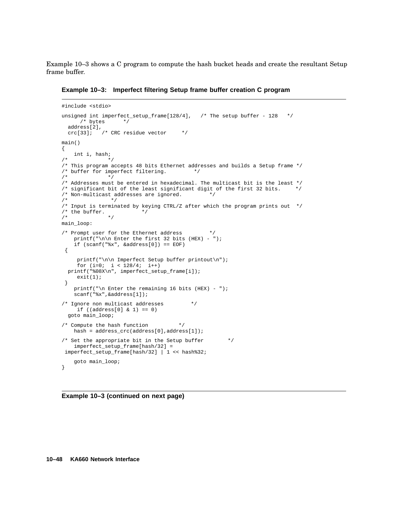Example 10–3 shows a C program to compute the hash bucket heads and create the resultant Setup frame buffer.

**Example 10–3: Imperfect filtering Setup frame buffer creation C program**

```
#include <stdio>
unsigned int imperfect_setup_frame[128/4], \prime* The setup buffer - 128 */
     /* bytes */
  address[2],
 crc[33]; \frac{1}{x} CRC residue vector */
main()
{
   int i, hash;
/ * * /
/* This program accepts 48 bits Ethernet addresses and builds a Setup frame */
/* buffer for imperfect filtering. \star /
              * /
/* Addresses must be entered in hexadecimal. The multicast bit is the least */<br>/* significant bit of the least significant digit of the first 32 bits. *//* significant bit of the least significant digit of the first 32 bits.
/* Non-multicast addresses are ignored. */<br>/* ** /
/* Input is terminated by keying CTRL/Z after which the program prints out */<br>/* the buffer. */
/* the buffer.
/*
main_loop:
/* Prompt user for the Ethernet address
   printf("\n\n Enter the first 32 bits (HEX) - ");
    if (scanf("%x", &address[0]) == EOF)
 {
    printf("\n\n Imperfect Setup buffer printout\n");
     for (i=0; i < 128/4; i++)
  printf("%08X\n", imperfect_setup_frame[i]);
     exit(1);}
    printf("\n Enter the remaining 16 bits (HEX) - ");
    scanf("%x",&address[1]);
/* Ignore non multicast addresses */
     if ((address[0] & 1) == 0)goto main_loop;
/* Compute the hash function */
   hash = address\_crc (address[0],address[1]);
/* Set the appropriate bit in the Setup buffer *imperfect_setup_frame[hash/32] =
imperfect_setup_frame[hash/32] | 1 << hash%32;
    goto main_loop;
}
```
**Example 10–3 (continued on next page)**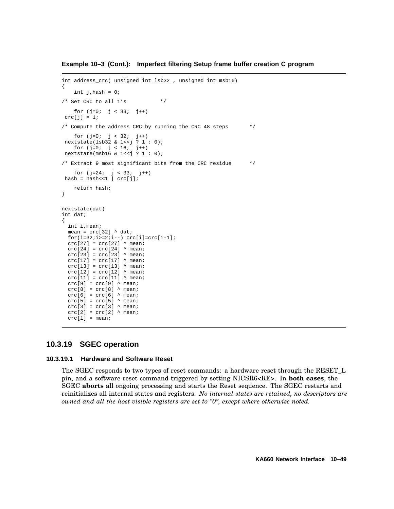**Example 10–3 (Cont.): Imperfect filtering Setup frame buffer creation C program**

```
int address_crc( unsigned int lsb32 , unsigned int msb16)
{
     int j,hash = 0;
/* Set CRC to all 1's *for (j=0; j < 33; j++)crc[j] = 1;/* Compute the address CRC by running the CRC 48 steps */
    for (i=0; j < 32; j++)nextstate(lsb32 & 1<<j ? 1 : 0);
    for (i=0; j < 16; j++)nextstate(msb16 & 1<<j ? 1 : 0);
/* Extract 9 most significant bits from the CRC residue */
     for (j=24; j < 33; j++)hash = hash<<1 | crc[j];
    return hash;
}
nextstate(dat)
int dat;
{
  int i,mean;
  mean = \text{crc}[32] ^ dat;
  for(i=32;i>=2;i--) <math>crc[i]=crc[i-1];\text{crc}[27] = \text{crc}[27] \wedge mean;
  \text{crc}[24] = \text{crc}[24] ^ mean;
  \text{crc}[23] = \text{crc}[23] ^ mean;
  \text{crc}[17] = \text{crc}[17] \wedge mean;
  \text{crc}[13] = \text{crc}[13] ^ mean;
  \text{crc}[12] = \text{crc}[12] ^ mean;
  \text{crc}[11] = \text{crc}[11] ^ mean;
  crc[9] = crc[9] \land mean;
  crc[8] = crc[8] ^ mean;
  \text{crc}[6] = \text{crc}[6] \land \text{mean};crc[5] = crc[5] \land mean;
  \text{crc}[3] = \text{crc}[3] \land \text{mean};\text{crc}[2] = \text{crc}[2] ^ mean;
  \text{crc}[1] = \text{mean};
```
### **10.3.19 SGEC operation**

#### **10.3.19.1 Hardware and Software Reset**

The SGEC responds to two types of reset commands: a hardware reset through the RESET\_L pin, and a software reset command triggered by setting NICSR6<RE>. In **both cases**, the SGEC **aborts** all ongoing processing and starts the Reset sequence. The SGEC restarts and reinitializes all internal states and registers. *No internal states are retained, no descriptors are owned and all the host visible registers are set to ''0'', except where otherwise noted.*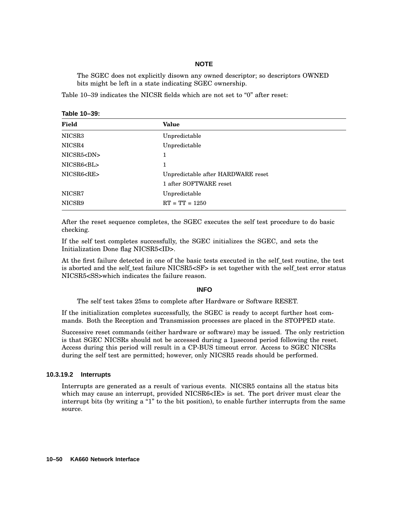### **NOTE**

The SGEC does not explicitly disown any owned descriptor; so descriptors OWNED bits might be left in a state indicating SGEC ownership.

Table  $10-39$  indicates the NICSR fields which are not set to " $0$ " after reset:

| Table 10-39: |  |
|--------------|--|
|--------------|--|

| Field              | <b>Value</b>                       |
|--------------------|------------------------------------|
| NICSR <sub>3</sub> | Unpredictable                      |
| NICSR4             | Unpredictable                      |
| NICSR5 <dn></dn>   |                                    |
| NICSR6 <bl></bl>   |                                    |
| NICSR6 <re></re>   | Unpredictable after HARDWARE reset |
|                    | 1 after SOFTWARE reset             |
| NICSR7             | Unpredictable                      |
| NICSR9             | $RT = TT = 1250$                   |

After the reset sequence completes, the SGEC executes the self test procedure to do basic checking.

If the self test completes successfully, the SGEC initializes the SGEC, and sets the Initialization Done flag NICSR5<ID>.

At the first failure detected in one of the basic tests executed in the self\_test routine, the test is aborted and the self\_test failure NICSR5<SF> is set together with the self\_test error status NICSR5<SS>which indicates the failure reason.

### **INFO**

The self test takes 25ms to complete after Hardware or Software RESET.

If the initialization completes successfully, the SGEC is ready to accept further host commands. Both the Reception and Transmission processes are placed in the STOPPED state.

Successive reset commands (either hardware or software) may be issued. The only restriction is that SGEC NICSRs should not be accessed during a 1µsecond period following the reset. Access during this period will result in a CP-BUS timeout error. Access to SGEC NICSRs during the self test are permitted; however, only NICSR5 reads should be performed.

#### **10.3.19.2 Interrupts**

Interrupts are generated as a result of various events. NICSR5 contains all the status bits which may cause an interrupt, provided NICSR6<IE> is set. The port driver must clear the interrupt bits (by writing a "1" to the bit position), to enable further interrupts from the same source.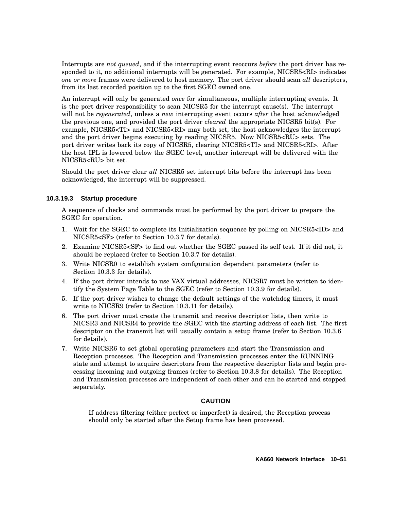Interrupts are *not queued*, and if the interrupting event reoccurs *before* the port driver has responded to it, no additional interrupts will be generated. For example, NICSR5<RI> indicates *one or more* frames were delivered to host memory. The port driver should scan *all* descriptors, from its last recorded position up to the first SGEC owned one.

An interrupt will only be generated *once* for simultaneous, multiple interrupting events. It is the port driver responsibility to scan NICSR5 for the interrupt cause(s). The interrupt will not be *regenerated*, unless a *new* interrupting event occurs *after* the host acknowledged the previous one, and provided the port driver *cleared* the appropriate NICSR5 bit(s). For example, NICSR5<TI> and NICSR5<RI> may both set, the host acknowledges the interrupt and the port driver begins executing by reading NICSR5. Now NICSR5<RU> sets. The port driver writes back its copy of NICSR5, clearing NICSR5<TI> and NICSR5<RI>. After the host IPL is lowered below the SGEC level, another interrupt will be delivered with the NICSR5<RU> bit set.

Should the port driver clear *all* NICSR5 set interrupt bits before the interrupt has been acknowledged, the interrupt will be suppressed.

### **10.3.19.3 Startup procedure**

A sequence of checks and commands must be performed by the port driver to prepare the SGEC for operation.

- 1. Wait for the SGEC to complete its Initialization sequence by polling on NICSR5<ID> and NICSR5<SF> (refer to Section 10.3.7 for details).
- 2. Examine NICSR5<SF> to find out whether the SGEC passed its self test. If it did not, it should be replaced (refer to Section 10.3.7 for details).
- 3. Write NICSR0 to establish system configuration dependent parameters (refer to Section 10.3.3 for details).
- 4. If the port driver intends to use VAX virtual addresses, NICSR7 must be written to identify the System Page Table to the SGEC (refer to Section 10.3.9 for details).
- 5. If the port driver wishes to change the default settings of the watchdog timers, it must write to NICSR9 (refer to Section 10.3.11 for details).
- 6. The port driver must create the transmit and receive descriptor lists, then write to NICSR3 and NICSR4 to provide the SGEC with the starting address of each list. The first descriptor on the transmit list will usually contain a setup frame (refer to Section 10.3.6 for details).
- 7. Write NICSR6 to set global operating parameters and start the Transmission and Reception processes. The Reception and Transmission processes enter the RUNNING state and attempt to acquire descriptors from the respective descriptor lists and begin processing incoming and outgoing frames (refer to Section 10.3.8 for details). The Reception and Transmission processes are independent of each other and can be started and stopped separately.

### **CAUTION**

If address filtering (either perfect or imperfect) is desired, the Reception process should only be started after the Setup frame has been processed.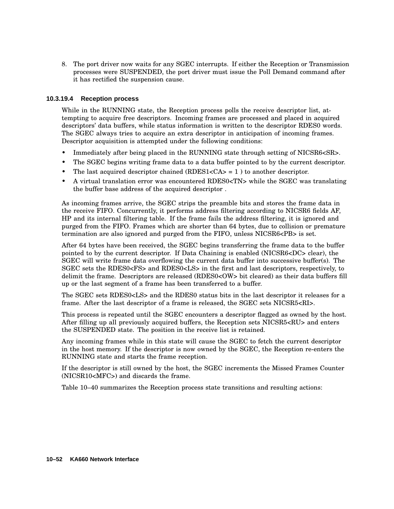8. The port driver now waits for any SGEC interrupts. If either the Reception or Transmission processes were SUSPENDED, the port driver must issue the Poll Demand command after it has rectified the suspension cause.

### **10.3.19.4 Reception process**

While in the RUNNING state, the Reception process polls the receive descriptor list, attempting to acquire free descriptors. Incoming frames are processed and placed in acquired descriptors' data buffers, while status information is written to the descriptor RDES0 words. The SGEC always tries to acquire an extra descriptor in anticipation of incoming frames. Descriptor acquisition is attempted under the following conditions:

- Immediately after being placed in the RUNNING state through setting of NICSR6<SR>.
- The SGEC begins writing frame data to a data buffer pointed to by the current descriptor.
- The last acquired descriptor chained  $(RDES1 = 1)$  to another descriptor.
- A virtual translation error was encountered RDES0<TN> while the SGEC was translating the buffer base address of the acquired descriptor .

As incoming frames arrive, the SGEC strips the preamble bits and stores the frame data in the receive FIFO. Concurrently, it performs address filtering according to NICSR6 fields AF, HP and its internal filtering table. If the frame fails the address filtering, it is ignored and purged from the FIFO. Frames which are shorter than 64 bytes, due to collision or premature termination are also ignored and purged from the FIFO, unless NICSR6<PB> is set.

After 64 bytes have been received, the SGEC begins transferring the frame data to the buffer pointed to by the current descriptor. If Data Chaining is enabled (NICSR6<DC> clear), the SGEC will write frame data overflowing the current data buffer into successive buffer(s). The SGEC sets the RDES0<FS> and RDES0<LS> in the first and last descriptors, respectively, to delimit the frame. Descriptors are released (RDES0<OW> bit cleared) as their data buffers fill up or the last segment of a frame has been transferred to a buffer.

The SGEC sets RDES0<LS> and the RDES0 status bits in the last descriptor it releases for a frame. After the last descriptor of a frame is released, the SGEC sets NICSR5<RI>.

This process is repeated until the SGEC encounters a descriptor flagged as owned by the host. After filling up all previously acquired buffers, the Reception sets NICSR5<RU> and enters the SUSPENDED state. The position in the receive list is retained.

Any incoming frames while in this state will cause the SGEC to fetch the current descriptor in the host memory. If the descriptor is now owned by the SGEC, the Reception re-enters the RUNNING state and starts the frame reception.

If the descriptor is still owned by the host, the SGEC increments the Missed Frames Counter (NICSR10<MFC>) and discards the frame.

Table 10–40 summarizes the Reception process state transitions and resulting actions: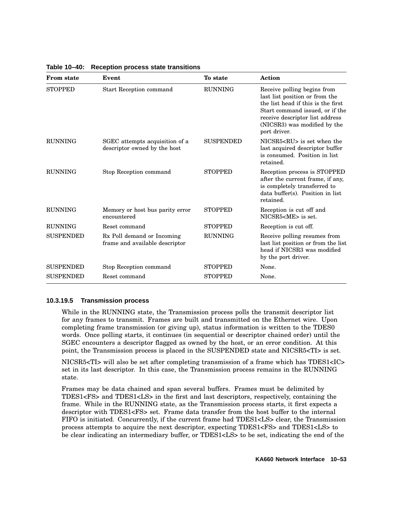| <b>From state</b> | Event                                                          | To state         | <b>Action</b>                                                                                                                                                                                                             |
|-------------------|----------------------------------------------------------------|------------------|---------------------------------------------------------------------------------------------------------------------------------------------------------------------------------------------------------------------------|
| <b>STOPPED</b>    | <b>Start Reception command</b>                                 | <b>RUNNING</b>   | Receive polling begins from<br>last list position or from the<br>the list head if this is the first<br>Start command issued, or if the<br>receive descriptor list address<br>(NICSR3) was modified by the<br>port driver. |
| <b>RUNNING</b>    | SGEC attempts acquisition of a<br>descriptor owned by the host | <b>SUSPENDED</b> | $NICSR5 < RU$ is set when the<br>last acquired descriptor buffer<br>is consumed. Position in list<br>retained.                                                                                                            |
| <b>RUNNING</b>    | Stop Reception command                                         | <b>STOPPED</b>   | Reception process is STOPPED<br>after the current frame, if any,<br>is completely transferred to<br>data buffer(s). Position in list<br>retained.                                                                         |
| <b>RUNNING</b>    | Memory or host bus parity error<br>encountered                 | <b>STOPPED</b>   | Reception is cut off and<br>NICSR5 <me> is set.</me>                                                                                                                                                                      |
| <b>RUNNING</b>    | Reset command                                                  | <b>STOPPED</b>   | Reception is cut off.                                                                                                                                                                                                     |
| <b>SUSPENDED</b>  | Rx Poll demand or Incoming<br>frame and available descriptor   | <b>RUNNING</b>   | Receive polling resumes from<br>last list position or from the list<br>head if NICSR3 was modified<br>by the port driver.                                                                                                 |
| <b>SUSPENDED</b>  | Stop Reception command                                         | <b>STOPPED</b>   | None.                                                                                                                                                                                                                     |
| <b>SUSPENDED</b>  | Reset command                                                  | <b>STOPPED</b>   | None.                                                                                                                                                                                                                     |

**Table 10–40: Reception process state transitions**

### **10.3.19.5 Transmission process**

While in the RUNNING state, the Transmission process polls the transmit descriptor list for any frames to transmit. Frames are built and transmitted on the Ethernet wire. Upon completing frame transmission (or giving up), status information is written to the TDES0 words. Once polling starts, it continues (in sequential or descriptor chained order) until the SGEC encounters a descriptor flagged as owned by the host, or an error condition. At this point, the Transmission process is placed in the SUSPENDED state and NICSR5<TI> is set.

NICSR5<TI> will also be set after completing transmission of a frame which has TDES1<IC> set in its last descriptor. In this case, the Transmission process remains in the RUNNING state.

Frames may be data chained and span several buffers. Frames must be delimited by TDES1<FS> and TDES1<LS> in the first and last descriptors, respectively, containing the frame. While in the RUNNING state, as the Transmission process starts, it first expects a descriptor with TDES1<FS> set. Frame data transfer from the host buffer to the internal FIFO is initiated. Concurrently, if the current frame had TDES1<LS> clear, the Transmission process attempts to acquire the next descriptor, expecting TDES1<FS> and TDES1<LS> to be clear indicating an intermediary buffer, or TDES1<LS> to be set, indicating the end of the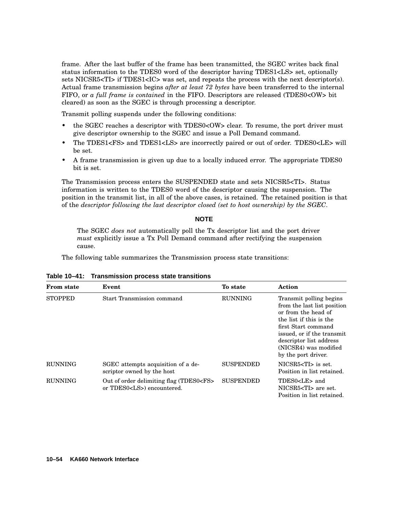frame. After the last buffer of the frame has been transmitted, the SGEC writes back final status information to the TDES0 word of the descriptor having TDES1<LS> set, optionally sets NICSR5<TI> if TDES1<IC> was set, and repeats the process with the next descriptor(s). Actual frame transmission begins *after at least 72 bytes* have been transferred to the internal FIFO, or *a full frame is contained* in the FIFO. Descriptors are released (TDES0<OW> bit cleared) as soon as the SGEC is through processing a descriptor.

Transmit polling suspends under the following conditions:

- the SGEC reaches a descriptor with TDES0<OW> clear. To resume, the port driver must give descriptor ownership to the SGEC and issue a Poll Demand command.
- The TDES1<FS> and TDES1<LS> are incorrectly paired or out of order. TDES0<LE> will be set.
- A frame transmission is given up due to a locally induced error. The appropriate TDES0 bit is set.

The Transmission process enters the SUSPENDED state and sets NICSR5<TI>. Status information is written to the TDES0 word of the descriptor causing the suspension. The position in the transmit list, in all of the above cases, is retained. The retained position is that of the *descriptor following the last descriptor closed (set to host ownership) by the SGEC*.

### **NOTE**

The SGEC *does not* automatically poll the Tx descriptor list and the port driver *must* explicitly issue a Tx Poll Demand command after rectifying the suspension cause.

The following table summarizes the Transmission process state transitions:

| <b>From state</b> | Event                                                                             | To state         | Action                                                                                                                                                                                                                                   |
|-------------------|-----------------------------------------------------------------------------------|------------------|------------------------------------------------------------------------------------------------------------------------------------------------------------------------------------------------------------------------------------------|
| <b>STOPPED</b>    | <b>Start Transmission command</b>                                                 | <b>RUNNING</b>   | Transmit polling begins<br>from the last list position<br>or from the head of<br>the list if this is the<br>first Start command<br>issued, or if the transmit<br>descriptor list address<br>(NICSR4) was modified<br>by the port driver. |
| <b>RUNNING</b>    | SGEC attempts acquisition of a de-<br>scriptor owned by the host                  | <b>SUSPENDED</b> | NICSR5 <ti> is set.<br/>Position in list retained.</ti>                                                                                                                                                                                  |
| <b>RUNNING</b>    | Out of order delimiting flag (TDES0 <fs><br/>or TDES0<ls>) encountered.</ls></fs> | <b>SUSPENDED</b> | TDES0 <le> and<br/>NICSR5<ti> are set.<br/>Position in list retained.</ti></le>                                                                                                                                                          |

**Table 10–41: Transmission process state transitions**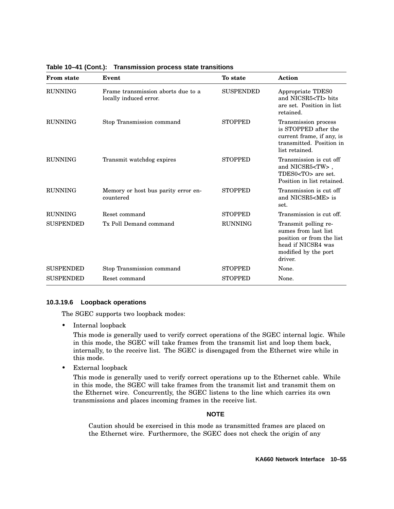| <b>From state</b> | Event                                                        | To state         | Action                                                                                                                             |
|-------------------|--------------------------------------------------------------|------------------|------------------------------------------------------------------------------------------------------------------------------------|
| <b>RUNNING</b>    | Frame transmission aborts due to a<br>locally induced error. | <b>SUSPENDED</b> | Appropriate TDES0<br>and NICSR5 <ti> bits<br/>are set. Position in list<br/>retained.</ti>                                         |
| <b>RUNNING</b>    | Stop Transmission command                                    | <b>STOPPED</b>   | Transmission process<br>is STOPPED after the<br>current frame, if any, is<br>transmitted. Position in<br>list retained.            |
| <b>RUNNING</b>    | Transmit watchdog expires                                    | <b>STOPPED</b>   | Transmission is cut off<br>and NICSR5 <tw>,<br/>TDES0<to> are set.<br/>Position in list retained.</to></tw>                        |
| <b>RUNNING</b>    | Memory or host bus parity error en-<br>countered             | <b>STOPPED</b>   | Transmission is cut off<br>and NICSR5 <me> is<br/>set.</me>                                                                        |
| <b>RUNNING</b>    | Reset command                                                | <b>STOPPED</b>   | Transmission is cut off.                                                                                                           |
| <b>SUSPENDED</b>  | Tx Poll Demand command                                       | <b>RUNNING</b>   | Transmit polling re-<br>sumes from last list<br>position or from the list<br>head if NICSR4 was<br>modified by the port<br>driver. |
| <b>SUSPENDED</b>  | Stop Transmission command                                    | <b>STOPPED</b>   | None.                                                                                                                              |
| <b>SUSPENDED</b>  | Reset command                                                | <b>STOPPED</b>   | None.                                                                                                                              |

**Table 10–41 (Cont.): Transmission process state transitions**

### **10.3.19.6 Loopback operations**

The SGEC supports two loopback modes:

• Internal loopback

This mode is generally used to verify correct operations of the SGEC internal logic. While in this mode, the SGEC will take frames from the transmit list and loop them back, internally, to the receive list. The SGEC is disengaged from the Ethernet wire while in this mode.

• External loopback

This mode is generally used to verify correct operations up to the Ethernet cable. While in this mode, the SGEC will take frames from the transmit list and transmit them on the Ethernet wire. Concurrently, the SGEC listens to the line which carries its own transmissions and places incoming frames in the receive list.

#### **NOTE**

Caution should be exercised in this mode as transmitted frames are placed on the Ethernet wire. Furthermore, the SGEC does not check the origin of any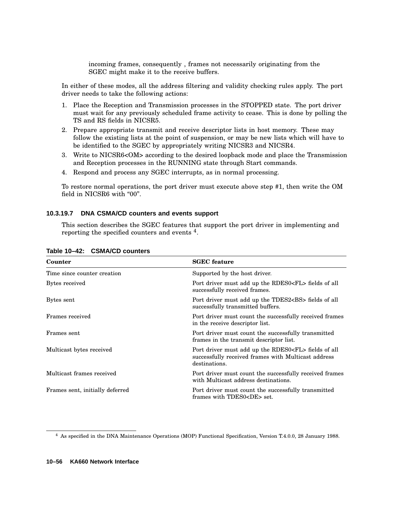incoming frames, consequently , frames not necessarily originating from the SGEC might make it to the receive buffers.

In either of these modes, all the address filtering and validity checking rules apply. The port driver needs to take the following actions:

- 1. Place the Reception and Transmission processes in the STOPPED state. The port driver must wait for any previously scheduled frame activity to cease. This is done by polling the TS and RS fields in NICSR5.
- 2. Prepare appropriate transmit and receive descriptor lists in host memory. These may follow the existing lists at the point of suspension, or may be new lists which will have to be identified to the SGEC by appropriately writing NICSR3 and NICSR4.
- 3. Write to NICSR6<OM> according to the desired loopback mode and place the Transmission and Reception processes in the RUNNING state through Start commands.
- 4. Respond and process any SGEC interrupts, as in normal processing.

To restore normal operations, the port driver must execute above step #1, then write the OM field in NICSR6 with "00".

### **10.3.19.7 DNA CSMA/CD counters and events support**

This section describes the SGEC features that support the port driver in implementing and reporting the specified counters and events <sup>4</sup>.

| Counter                         | <b>SGEC</b> feature                                                                                                                 |
|---------------------------------|-------------------------------------------------------------------------------------------------------------------------------------|
| Time since counter creation     | Supported by the host driver.                                                                                                       |
| Bytes received                  | Port driver must add up the RDES0 <fl> fields of all<br/>successfully received frames.</fl>                                         |
| Bytes sent                      | Port driver must add up the TDES2 <bs> fields of all<br/>successfully transmitted buffers.</bs>                                     |
| Frames received                 | Port driver must count the successfully received frames<br>in the receive descriptor list.                                          |
| Frames sent                     | Port driver must count the successfully transmitted<br>frames in the transmit descriptor list.                                      |
| Multicast bytes received        | Port driver must add up the RDES0 <fl> fields of all<br/>successfully received frames with Multicast address<br/>destinations.</fl> |
| Multicast frames received       | Port driver must count the successfully received frames<br>with Multicast address destinations.                                     |
| Frames sent, initially deferred | Port driver must count the successfully transmitted<br>frames with TDES0 <de> set.</de>                                             |

### **Table 10–42: CSMA/CD counters**

<sup>4</sup> As specified in the DNA Maintenance Operations (MOP) Functional Specification, Version T.4.0.0, 28 January 1988.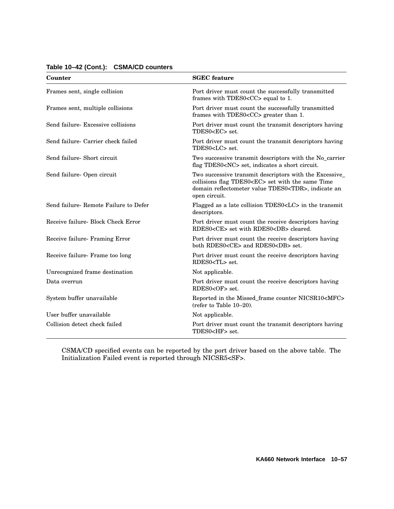| Counter                               | <b>SGEC</b> feature                                                                                                                                                                              |
|---------------------------------------|--------------------------------------------------------------------------------------------------------------------------------------------------------------------------------------------------|
| Frames sent, single collision         | Port driver must count the successfully transmitted<br>frames with TDES0 <cc> equal to 1.</cc>                                                                                                   |
| Frames sent, multiple collisions      | Port driver must count the successfully transmitted<br>frames with TDES0 <cc> greater than 1.</cc>                                                                                               |
| Send failure- Excessive collisions    | Port driver must count the transmit descriptors having<br>TDES0 <ec> set.</ec>                                                                                                                   |
| Send failure- Carrier check failed    | Port driver must count the transmit descriptors having<br>TDES0 <lc> set.</lc>                                                                                                                   |
| Send failure- Short circuit           | Two successive transmit descriptors with the No_carrier<br>flag TDES0 <nc> set, indicates a short circuit.</nc>                                                                                  |
| Send failure- Open circuit            | Two successive transmit descriptors with the Excessive_<br>collisions flag TDES0 <ec> set with the same Time<br/>domain reflectometer value TDES0<tdr>, indicate an<br/>open circuit.</tdr></ec> |
| Send failure- Remote Failure to Defer | Flagged as a late collision TDES0 <lc> in the transmit<br/>descriptors.</lc>                                                                                                                     |
| Receive failure- Block Check Error    | Port driver must count the receive descriptors having<br>RDES0 <ce> set with RDES0<db> cleared.</db></ce>                                                                                        |
| Receive failure- Framing Error        | Port driver must count the receive descriptors having<br>both RDES0 <ce> and RDES0<db> set.</db></ce>                                                                                            |
| Receive failure- Frame too long       | Port driver must count the receive descriptors having<br>RDES0 <tl> set.</tl>                                                                                                                    |
| Unrecognized frame destination        | Not applicable.                                                                                                                                                                                  |
| Data overrun                          | Port driver must count the receive descriptors having<br>RDES0 <of> set.</of>                                                                                                                    |
| System buffer unavailable             | Reported in the Missed_frame counter NICSR10 <mfc><br/>(refer to Table 10-20).</mfc>                                                                                                             |
| User buffer unavailable               | Not applicable.                                                                                                                                                                                  |
| Collision detect check failed         | Port driver must count the transmit descriptors having<br>TDES0 <hf> set.</hf>                                                                                                                   |

### **Table 10–42 (Cont.): CSMA/CD counters**

CSMA/CD specified events can be reported by the port driver based on the above table. The Initialization Failed event is reported through NICSR5<SF>.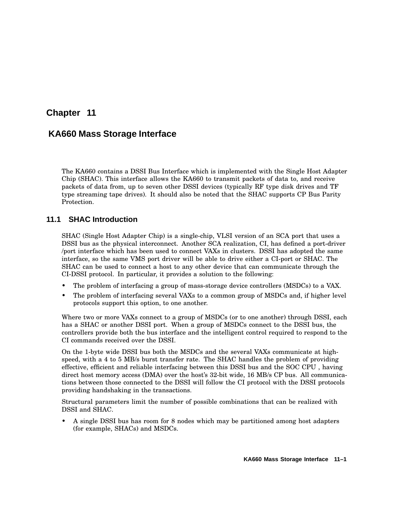# **Chapter 11**

# **KA660 Mass Storage Interface**

The KA660 contains a DSSI Bus Interface which is implemented with the Single Host Adapter Chip (SHAC). This interface allows the KA660 to transmit packets of data to, and receive packets of data from, up to seven other DSSI devices (typically RF type disk drives and TF type streaming tape drives). It should also be noted that the SHAC supports CP Bus Parity Protection.

# **11.1 SHAC Introduction**

SHAC (Single Host Adapter Chip) is a single-chip, VLSI version of an SCA port that uses a DSSI bus as the physical interconnect. Another SCA realization, CI, has defined a port-driver /port interface which has been used to connect VAXs in clusters. DSSI has adopted the same interface, so the same VMS port driver will be able to drive either a CI-port or SHAC. The SHAC can be used to connect a host to any other device that can communicate through the CI-DSSI protocol. In particular, it provides a solution to the following:

- The problem of interfacing a group of mass-storage device controllers (MSDCs) to a VAX.
- The problem of interfacing several VAXs to a common group of MSDCs and, if higher level protocols support this option, to one another.

Where two or more VAXs connect to a group of MSDCs (or to one another) through DSSI, each has a SHAC or another DSSI port. When a group of MSDCs connect to the DSSI bus, the controllers provide both the bus interface and the intelligent control required to respond to the CI commands received over the DSSI.

On the 1-byte wide DSSI bus both the MSDCs and the several VAXs communicate at highspeed, with a 4 to 5 MB/s burst transfer rate. The SHAC handles the problem of providing effective, efficient and reliable interfacing between this DSSI bus and the SOC CPU , having direct host memory access (DMA) over the host's 32-bit wide, 16 MB/s CP bus. All communications between those connected to the DSSI will follow the CI protocol with the DSSI protocols providing handshaking in the transactions.

Structural parameters limit the number of possible combinations that can be realized with DSSI and SHAC.

• A single DSSI bus has room for 8 nodes which may be partitioned among host adapters (for example, SHACs) and MSDCs.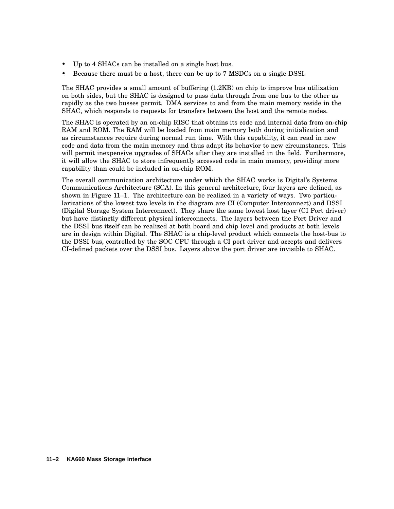- Up to 4 SHACs can be installed on a single host bus.
- Because there must be a host, there can be up to 7 MSDCs on a single DSSI.

The SHAC provides a small amount of buffering (1.2KB) on chip to improve bus utilization on both sides, but the SHAC is designed to pass data through from one bus to the other as rapidly as the two busses permit. DMA services to and from the main memory reside in the SHAC, which responds to requests for transfers between the host and the remote nodes.

The SHAC is operated by an on-chip RISC that obtains its code and internal data from on-chip RAM and ROM. The RAM will be loaded from main memory both during initialization and as circumstances require during normal run time. With this capability, it can read in new code and data from the main memory and thus adapt its behavior to new circumstances. This will permit inexpensive upgrades of SHACs after they are installed in the field. Furthermore, it will allow the SHAC to store infrequently accessed code in main memory, providing more capability than could be included in on-chip ROM.

The overall communication architecture under which the SHAC works is Digital's Systems Communications Architecture (SCA). In this general architecture, four layers are defined, as shown in Figure 11–1. The architecture can be realized in a variety of ways. Two particularizations of the lowest two levels in the diagram are CI (Computer Interconnect) and DSSI (Digital Storage System Interconnect). They share the same lowest host layer (CI Port driver) but have distinctly different physical interconnects. The layers between the Port Driver and the DSSI bus itself can be realized at both board and chip level and products at both levels are in design within Digital. The SHAC is a chip-level product which connects the host-bus to the DSSI bus, controlled by the SOC CPU through a CI port driver and accepts and delivers CI-defined packets over the DSSI bus. Layers above the port driver are invisible to SHAC.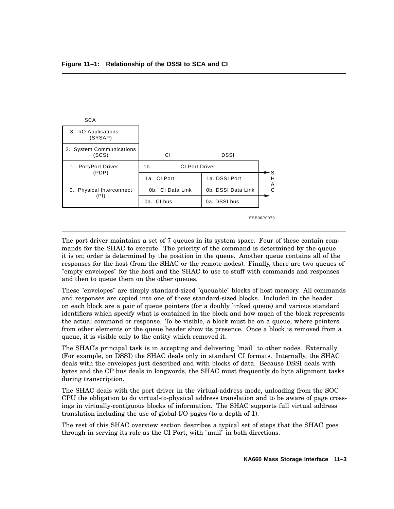| <b>SCA</b>                        |                                         |                    |        |
|-----------------------------------|-----------------------------------------|--------------------|--------|
| 3. I/O Applications<br>(SYSAP)    |                                         |                    |        |
| 2. System Communications<br>(SCS) | СI                                      | <b>DSSI</b>        |        |
| 1. Port/Port Driver               | <b>CI Port Driver</b><br>1 <sub>b</sub> |                    |        |
| (PDP)                             | 1a. CI Port                             | 1a. DSSI Port      | S<br>н |
| 0. Physical Interconnect          | 0b. CI Data Link                        | 0b. DSSI Data Link | A<br>С |
| (PI)                              | 0a. Cl bus                              | 0a. DSSI bus       |        |
|                                   |                                         |                    |        |

ESB90P0079

The port driver maintains a set of 7 queues in its system space. Four of these contain commands for the SHAC to execute. The priority of the command is determined by the queue it is on; order is determined by the position in the queue. Another queue contains all of the responses for the host (from the SHAC or the remote nodes). Finally, there are two queues of "empty envelopes" for the host and the SHAC to use to stuff with commands and responses and then to queue them on the other queues.

These "envelopes" are simply standard-sized "queuable" blocks of host memory. All commands and responses are copied into one of these standard-sized blocks. Included in the header on each block are a pair of queue pointers (for a doubly linked queue) and various standard identifiers which specify what is contained in the block and how much of the block represents the actual command or response. To be visible, a block must be on a queue, where pointers from other elements or the queue header show its presence. Once a block is removed from a queue, it is visible only to the entity which removed it.

The SHAC's principal task is in accepting and delivering "mail" to other nodes. Externally (For example, on DSSI) the SHAC deals only in standard CI formats. Internally, the SHAC deals with the envelopes just described and with blocks of data. Because DSSI deals with bytes and the CP bus deals in longwords, the SHAC must frequently do byte alignment tasks during transcription.

The SHAC deals with the port driver in the virtual-address mode, unloading from the SOC CPU the obligation to do virtual-to-physical address translation and to be aware of page crossings in virtually-contiguous blocks of information. The SHAC supports full virtual address translation including the use of global I/O pages (to a depth of 1).

The rest of this SHAC overview section describes a typical set of steps that the SHAC goes through in serving its role as the CI Port, with "mail" in both directions.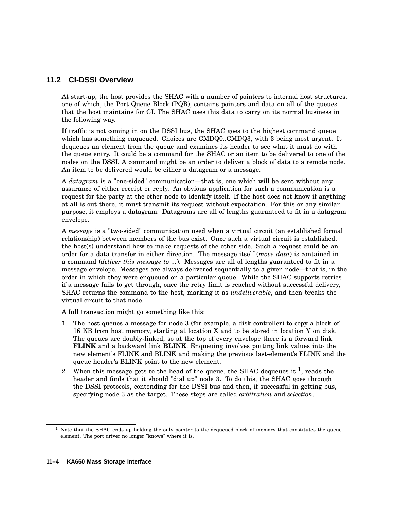## **11.2 CI-DSSI Overview**

At start-up, the host provides the SHAC with a number of pointers to internal host structures, one of which, the Port Queue Block (PQB), contains pointers and data on all of the queues that the host maintains for CI. The SHAC uses this data to carry on its normal business in the following way.

If traffic is not coming in on the DSSI bus, the SHAC goes to the highest command queue which has something enqueued. Choices are CMDQ0..CMDQ3, with 3 being most urgent. It dequeues an element from the queue and examines its header to see what it must do with the queue entry. It could be a command for the SHAC or an item to be delivered to one of the nodes on the DSSI. A command might be an order to deliver a block of data to a remote node. An item to be delivered would be either a datagram or a message.

A *datagram* is a "one-sided" communication—that is, one which will be sent without any assurance of either receipt or reply. An obvious application for such a communication is a request for the party at the other node to identify itself. If the host does not know if anything at all is out there, it must transmit its request without expectation. For this or any similar purpose, it employs a datagram. Datagrams are all of lengths guaranteed to fit in a datagram envelope.

A *message* is a "two-sided" communication used when a virtual circuit (an established formal relationship) between members of the bus exist. Once such a virtual circuit is established, the host(s) understand how to make requests of the other side. Such a request could be an order for a data transfer in either direction. The message itself (*move data*) is contained in a command (*deliver this message to ...*). Messages are all of lengths guaranteed to fit in a message envelope. Messages are always delivered sequentially to a given node—that is, in the order in which they were enqueued on a particular queue. While the SHAC supports retries if a message fails to get through, once the retry limit is reached without successful delivery, SHAC returns the command to the host, marking it as *undeliverable*, and then breaks the virtual circuit to that node.

A full transaction might go something like this:

- 1. The host queues a message for node 3 (for example, a disk controller) to copy a block of 16 KB from host memory, starting at location X and to be stored in location Y on disk. The queues are doubly-linked, so at the top of every envelope there is a forward link **FLINK** and a backward link **BLINK**. Enqueuing involves putting link values into the new element's FLINK and BLINK and making the previous last-element's FLINK and the queue header's BLINK point to the new element.
- 2. When this message gets to the head of the queue, the SHAC dequeues it  $^1$ , reads the header and finds that it should "dial up" node 3. To do this, the SHAC goes through the DSSI protocols, contending for the DSSI bus and then, if successful in getting bus, specifying node 3 as the target. These steps are called *arbitration* and *selection*.

 $1$  Note that the SHAC ends up holding the only pointer to the dequeued block of memory that constitutes the queue element. The port driver no longer "knows" where it is.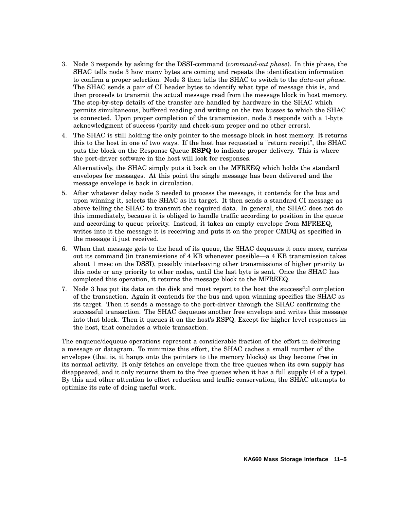- 3. Node 3 responds by asking for the DSSI-command (*command-out phase*). In this phase, the SHAC tells node 3 how many bytes are coming and repeats the identification information to confirm a proper selection. Node 3 then tells the SHAC to switch to the *data-out phase*. The SHAC sends a pair of CI header bytes to identify what type of message this is, and then proceeds to transmit the actual message read from the message block in host memory. The step-by-step details of the transfer are handled by hardware in the SHAC which permits simultaneous, buffered reading and writing on the two busses to which the SHAC is connected. Upon proper completion of the transmission, node 3 responds with a 1-byte acknowledgment of success (parity and check-sum proper and no other errors).
- 4. The SHAC is still holding the only pointer to the message block in host memory. It returns this to the host in one of two ways. If the host has requested a "return receipt", the SHAC puts the block on the Response Queue **RSPQ** to indicate proper delivery. This is where the port-driver software in the host will look for responses.

Alternatively, the SHAC simply puts it back on the MFREEQ which holds the standard envelopes for messages. At this point the single message has been delivered and the message envelope is back in circulation.

- 5. After whatever delay node 3 needed to process the message, it contends for the bus and upon winning it, selects the SHAC as its target. It then sends a standard CI message as above telling the SHAC to transmit the required data. In general, the SHAC does not do this immediately, because it is obliged to handle traffic according to position in the queue and according to queue priority. Instead, it takes an empty envelope from MFREEQ, writes into it the message it is receiving and puts it on the proper CMDQ as specified in the message it just received.
- 6. When that message gets to the head of its queue, the SHAC dequeues it once more, carries out its command (in transmissions of 4 KB whenever possible—a 4 KB transmission takes about 1 msec on the DSSI), possibly interleaving other transmissions of higher priority to this node or any priority to other nodes, until the last byte is sent. Once the SHAC has completed this operation, it returns the message block to the MFREEQ.
- 7. Node 3 has put its data on the disk and must report to the host the successful completion of the transaction. Again it contends for the bus and upon winning specifies the SHAC as its target. Then it sends a message to the port-driver through the SHAC confirming the successful transaction. The SHAC dequeues another free envelope and writes this message into that block. Then it queues it on the host's RSPQ. Except for higher level responses in the host, that concludes a whole transaction.

The enqueue/dequeue operations represent a considerable fraction of the effort in delivering a message or datagram. To minimize this effort, the SHAC caches a small number of the envelopes (that is, it hangs onto the pointers to the memory blocks) as they become free in its normal activity. It only fetches an envelope from the free queues when its own supply has disappeared, and it only returns them to the free queues when it has a full supply (4 of a type). By this and other attention to effort reduction and traffic conservation, the SHAC attempts to optimize its rate of doing useful work.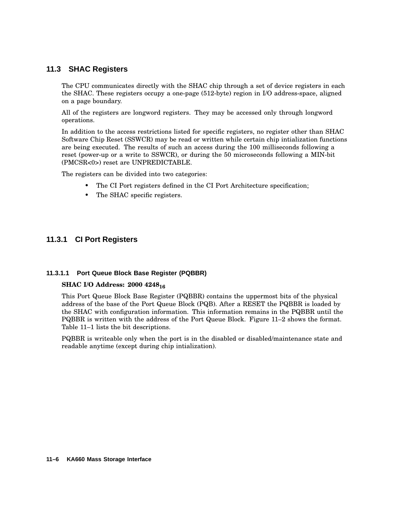## **11.3 SHAC Registers**

The CPU communicates directly with the SHAC chip through a set of device registers in each the SHAC. These registers occupy a one-page (512-byte) region in I/O address-space, aligned on a page boundary.

All of the registers are longword registers. They may be accessed only through longword operations.

In addition to the access restrictions listed for specific registers, no register other than SHAC Software Chip Reset (SSWCR) may be read or written while certain chip intialization functions are being executed. The results of such an access during the 100 milliseconds following a reset (power-up or a write to SSWCR), or during the 50 microseconds following a MIN-bit (PMCSR<0>) reset are UNPREDICTABLE.

The registers can be divided into two categories:

- The CI Port registers defined in the CI Port Architecture specification;
- The SHAC specific registers.

### **11.3.1 CI Port Registers**

### **11.3.1.1 Port Queue Block Base Register (PQBBR)**

### **SHAC I/O Address: 2000 4248<sup>16</sup>**

This Port Queue Block Base Register (PQBBR) contains the uppermost bits of the physical address of the base of the Port Queue Block (PQB). After a RESET the PQBBR is loaded by the SHAC with configuration information. This information remains in the PQBBR until the PQBBR is written with the address of the Port Queue Block. Figure 11–2 shows the format. Table 11–1 lists the bit descriptions.

PQBBR is writeable only when the port is in the disabled or disabled/maintenance state and readable anytime (except during chip intialization).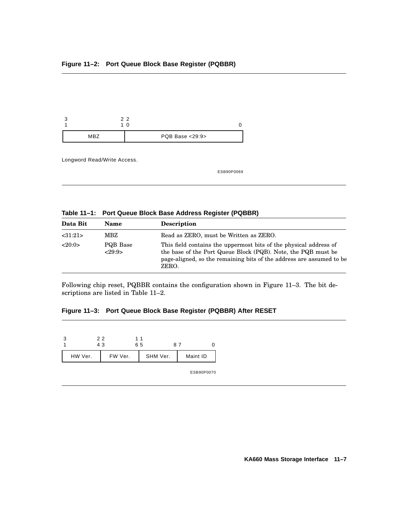

Longword Read/Write Access.

ESB90P0069

|  | Table 11-1: Port Queue Block Base Address Register (PQBBR) |  |  |  |
|--|------------------------------------------------------------|--|--|--|
|--|------------------------------------------------------------|--|--|--|

| Data Bit | <b>Name</b>        | <b>Description</b>                                                                                                                                                                                                  |
|----------|--------------------|---------------------------------------------------------------------------------------------------------------------------------------------------------------------------------------------------------------------|
| <31:21>  | MBZ                | Read as ZERO, must be Written as ZERO.                                                                                                                                                                              |
| <20:0>   | PQB Base<br><29:9> | This field contains the uppermost bits of the physical address of<br>the base of the Port Queue Block (PQB). Note, the PQB must be<br>page-aligned, so the remaining bits of the address are assumed to be<br>ZERO. |

Following chip reset, PQBBR contains the configuration shown in Figure 11–3. The bit descriptions are listed in Table 11–2.

# **Figure 11–3: Port Queue Block Base Register (PQBBR) After RESET**

|         | 22<br>43 | 11<br>65 | 87 |          |  |
|---------|----------|----------|----|----------|--|
| HW Ver. | FW Ver.  | SHM Ver. |    | Maint ID |  |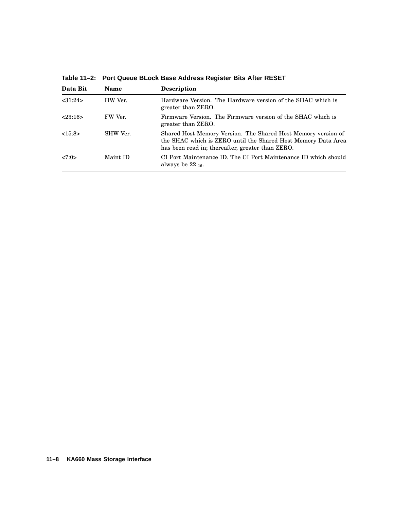| Data Bit | <b>Name</b> | <b>Description</b>                                                                                                                                                                 |
|----------|-------------|------------------------------------------------------------------------------------------------------------------------------------------------------------------------------------|
| < 31:24> | HW Ver.     | Hardware Version. The Hardware version of the SHAC which is<br>greater than ZERO.                                                                                                  |
| 23:16    | FW Ver.     | Firmware Version. The Firmware version of the SHAC which is<br>greater than ZERO.                                                                                                  |
| <15:8>   | SHW Ver.    | Shared Host Memory Version. The Shared Host Memory version of<br>the SHAC which is ZERO until the Shared Host Memory Data Area<br>has been read in; thereafter, greater than ZERO. |
| 27:0>    | Maint ID    | CI Port Maintenance ID. The CI Port Maintenance ID which should<br>always be $22_{16}$ .                                                                                           |

**Table 11–2: Port Queue BLock Base Address Register Bits After RESET**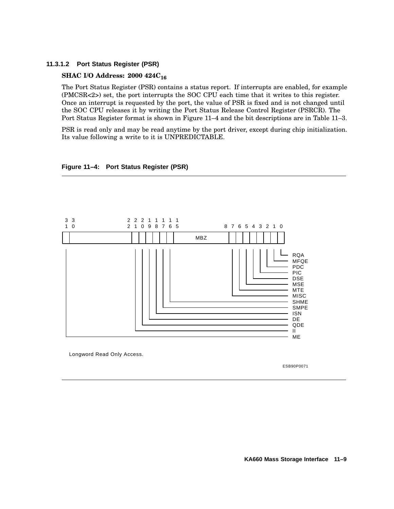### **11.3.1.2 Port Status Register (PSR)**

### **SHAC I/O Address: 2000 424C<sup>16</sup>**

The Port Status Register (PSR) contains a status report. If interrupts are enabled, for example (PMCSR<2>) set, the port interrupts the SOC CPU each time that it writes to this register. Once an interrupt is requested by the port, the value of PSR is fixed and is not changed until the SOC CPU releases it by writing the Port Status Release Control Register (PSRCR). The Port Status Register format is shown in Figure 11–4 and the bit descriptions are in Table 11–3.

PSR is read only and may be read anytime by the port driver, except during chip initialization. Its value following a write to it is UNPREDICTABLE.



### **Figure 11–4: Port Status Register (PSR)**

Longword Read Only Access.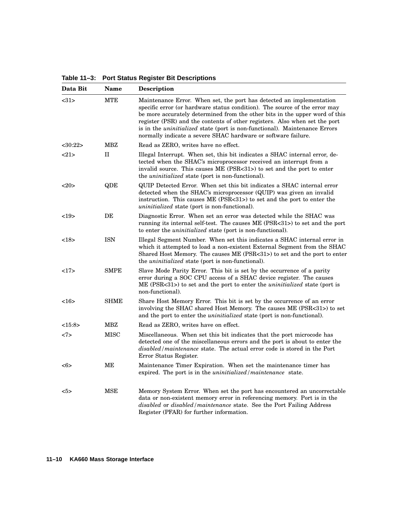**Table 11–3: Port Status Register Bit Descriptions**

| Data Bit      | Name        | Description                                                                                                                                                                                                                                                                                                                                                                                                                                                           |
|---------------|-------------|-----------------------------------------------------------------------------------------------------------------------------------------------------------------------------------------------------------------------------------------------------------------------------------------------------------------------------------------------------------------------------------------------------------------------------------------------------------------------|
| <31>          | MTE         | Maintenance Error. When set, the port has detected an implementation<br>specific error (or hardware status condition). The source of the error may<br>be more accurately determined from the other bits in the upper word of this<br>register (PSR) and the contents of other registers. Also when set the port<br>is in the <i>uninitialized</i> state (port is non-functional). Maintenance Errors<br>normally indicate a severe SHAC hardware or software failure. |
| $<$ 30:22 $>$ | MBZ         | Read as ZERO, writes have no effect.                                                                                                                                                                                                                                                                                                                                                                                                                                  |
| <21>          | $_{\rm II}$ | Illegal Interrupt. When set, this bit indicates a SHAC internal error, de-<br>tected when the SHAC's microprocessor received an interrupt from a<br>invalid source. This causes ME (PSR<31>) to set and the port to enter<br>the <i>uninitialized</i> state (port is non-functional).                                                                                                                                                                                 |
| <20>          | QDE         | QUIP Detected Error. When set this bit indicates a SHAC internal error<br>detected when the SHAC's microprocessor (QUIP) was given an invalid<br>instruction. This causes $ME$ (PSR $\lt 31$ ) to set and the port to enter the<br><i>uninitialized</i> state (port is non-functional).                                                                                                                                                                               |
| <19>          | DE          | Diagnostic Error. When set an error was detected while the SHAC was<br>running its internal self-test. The causes ME (PSR<31>) to set and the port<br>to enter the <i>uninitialized</i> state (port is non-functional).                                                                                                                                                                                                                                               |
| <18>          | <b>ISN</b>  | Illegal Segment Number. When set this indicates a SHAC internal error in<br>which it attempted to load a non-existent External Segment from the SHAC<br>Shared Host Memory. The causes ME (PSR<31>) to set and the port to enter<br>the <i>uninitialized</i> state (port is non-functional).                                                                                                                                                                          |
| 17            | <b>SMPE</b> | Slave Mode Parity Error. This bit is set by the occurrence of a parity<br>error during a SOC CPU access of a SHAC device register. The causes<br>ME (PSR<31>) to set and the port to enter the <i>uninitialized</i> state (port is<br>non-functional).                                                                                                                                                                                                                |
| <16           | SHME        | Share Host Memory Error. This bit is set by the occurrence of an error<br>involving the SHAC shared Host Memory. The causes ME (PSR<31>) to set<br>and the port to enter the <i>uninitialized</i> state (port is non-functional).                                                                                                                                                                                                                                     |
| <15:8>        | MBZ         | Read as ZERO, writes have on effect.                                                                                                                                                                                                                                                                                                                                                                                                                                  |
| <7>           | MISC        | Miscellaneous. When set this bit indicates that the port microcode has<br>detected one of the miscellaneous errors and the port is about to enter the<br><i>disabled/maintenance</i> state. The actual error code is stored in the Port<br>Error Status Register.                                                                                                                                                                                                     |
| <6>           | MЕ          | Maintenance Timer Expiration. When set the maintenance timer has<br>expired. The port is in the <i>uninitialized</i> / <i>maintenance</i> state.                                                                                                                                                                                                                                                                                                                      |
| $5>$          | <b>MSE</b>  | Memory System Error. When set the port has encountered an uncorrectable<br>data or non-existent memory error in referencing memory. Port is in the<br><i>disabled</i> or <i>disabled</i> / <i>maintenance</i> state. See the Port Failing Address<br>Register (PFAR) for further information.                                                                                                                                                                         |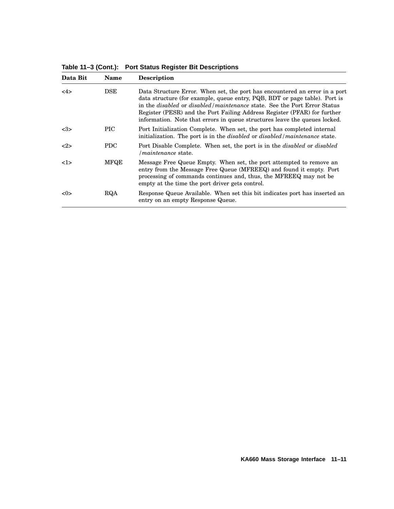**Table 11–3 (Cont.): Port Status Register Bit Descriptions**

| Data Bit | <b>Name</b>   | <b>Description</b>                                                                                                                                                                                                                                                                                                                                                                                                     |
|----------|---------------|------------------------------------------------------------------------------------------------------------------------------------------------------------------------------------------------------------------------------------------------------------------------------------------------------------------------------------------------------------------------------------------------------------------------|
| 4>       | $_{\rm{DSE}}$ | Data Structure Error. When set, the port has encountered an error in a port<br>data structure (for example, queue entry, PQB, BDT or page table). Port is<br>in the <i>disabled</i> or <i>disabled</i> / <i>maintenance</i> state. See the Port Error Status<br>Register (PESR) and the Port Failing Address Register (PFAR) for further<br>information. Note that errors in queue structures leave the queues locked. |
| <3>      | PIC.          | Port Initialization Complete. When set, the port has completed internal<br>initialization. The port is in the <i>disabled</i> or <i>disabled</i> / <i>maintenance</i> state.                                                                                                                                                                                                                                           |
| 2        | <b>PDC</b>    | Port Disable Complete. When set, the port is in the <i>disabled</i> or <i>disabled</i><br><i>Imaintenance</i> state.                                                                                                                                                                                                                                                                                                   |
| 1>       | <b>MFOE</b>   | Message Free Queue Empty. When set, the port attempted to remove an<br>entry from the Message Free Queue (MFREEQ) and found it empty. Port<br>processing of commands continues and, thus, the MFREEQ may not be<br>empty at the time the port driver gets control.                                                                                                                                                     |
| <0>      | RQA           | Response Queue Available. When set this bit indicates port has inserted an<br>entry on an empty Response Queue.                                                                                                                                                                                                                                                                                                        |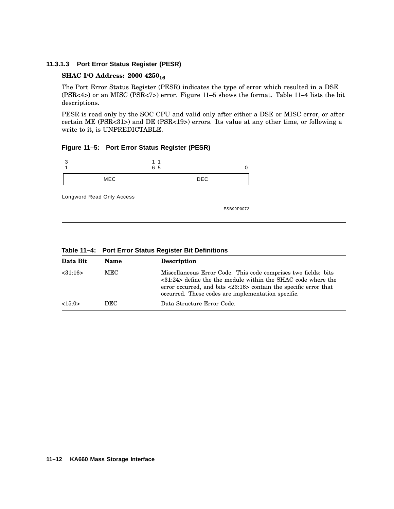### **11.3.1.3 Port Error Status Register (PESR)**

### **SHAC I/O Address: 2000 4250<sup>16</sup>**

The Port Error Status Register (PESR) indicates the type of error which resulted in a DSE (PSR<4>) or an MISC (PSR<7>) error. Figure 11–5 shows the format. Table 11–4 lists the bit descriptions.

PESR is read only by the SOC CPU and valid only after either a DSE or MISC error, or after certain ME (PSR<31>) and DE (PSR<19>) errors. Its value at any other time, or following a write to it, is UNPREDICTABLE.

**Figure 11–5: Port Error Status Register (PESR)**

|            | 65         |
|------------|------------|
| <b>MEC</b> | <b>DEC</b> |

Longword Read Only Access

| Data Bit | <b>Name</b> | <b>Description</b>                                                                                                                                                                                                                                                                       |
|----------|-------------|------------------------------------------------------------------------------------------------------------------------------------------------------------------------------------------------------------------------------------------------------------------------------------------|
| < 31:16> | MEC         | Miscellaneous Error Code. This code comprises two fields: bits<br>$\langle 31:24 \rangle$ define the the module within the SHAC code where the<br>error occurred, and bits $\langle 23:16 \rangle$ contain the specific error that<br>occurred. These codes are implementation specific. |
| <15:0>   | DEC         | Data Structure Error Code.                                                                                                                                                                                                                                                               |
|          |             |                                                                                                                                                                                                                                                                                          |

**Table 11–4: Port Error Status Register Bit Definitions**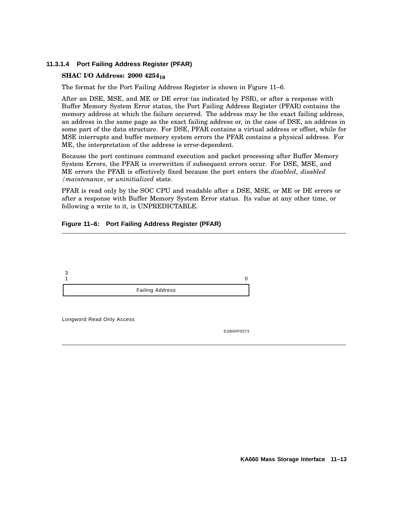### **11.3.1.4 Port Failing Address Register (PFAR)**

### **SHAC I/O Address: 2000 4254<sup>16</sup>**

The format for the Port Failing Address Register is shown in Figure 11–6.

After an DSE, MSE, and ME or DE error (as indicated by PSR), or after a response with Buffer Memory System Error status, the Port Failing Address Register (PFAR) contains the memory address at which the failure occurred. The address may be the exact failing address, an address in the same page as the exact failing address or, in the case of DSE, an address in some part of the data structure. For DSE, PFAR contains a virtual address or offset, while for MSE interrupts and buffer memory system errors the PFAR contains a physical address. For ME, the interpretation of the address is error-dependent.

Because the port continues command execution and packet processing after Buffer Memory System Errors, the PFAR is overwritten if subsequent errors occur. For DSE, MSE, and ME errors the PFAR is effectively fixed because the port enters the *disabled*, *disabled /maintenance*, or *uninitialized* state.

PFAR is read only by the SOC CPU and readable after a DSE, MSE, or ME or DE errors or after a response with Buffer Memory System Error status. Its value at any other time, or following a write to it, is UNPREDICTABLE.

### **Figure 11–6: Port Failing Address Register (PFAR)**

| <b>Failing Address</b> |  |
|------------------------|--|

Longword Read Only Access

ESB90P0073

**KA660 Mass Storage Interface 11–13**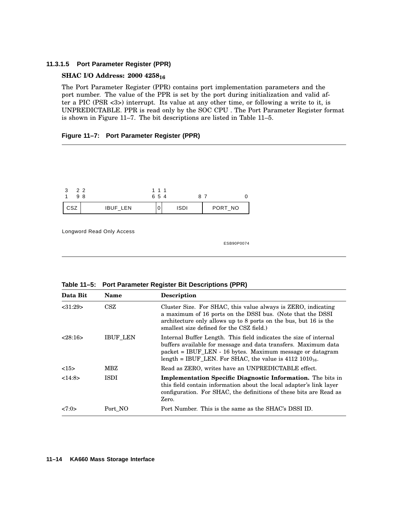### **11.3.1.5 Port Parameter Register (PPR)**

### **SHAC I/O Address: 2000 4258<sup>16</sup>**

The Port Parameter Register (PPR) contains port implementation parameters and the port number. The value of the PPR is set by the port during initialization and valid after a PIC (PSR <3>) interrupt. Its value at any other time, or following a write to it, is UNPREDICTABLE. PPR is read only by the SOC CPU . The Port Parameter Register format is shown in Figure 11–7. The bit descriptions are listed in Table 11–5.

#### **Figure 11–7: Port Parameter Register (PPR)**

| 22<br>98 |          | 1 1 1<br>654 | 87   |         |
|----------|----------|--------------|------|---------|
| CSZ      | IBUF_LEN | u            | ISDI | PORT_NO |

Longword Read Only Access

| Data Bit | <b>Name</b>     | <b>Description</b>                                                                                                                                                                                                                                               |
|----------|-----------------|------------------------------------------------------------------------------------------------------------------------------------------------------------------------------------------------------------------------------------------------------------------|
| < 31:29  | CSZ             | Cluster Size. For SHAC, this value always is ZERO, indicating<br>a maximum of 16 ports on the DSSI bus. (Note that the DSSI<br>architecture only allows up to 8 ports on the bus, but 16 is the<br>smallest size defined for the CSZ field.)                     |
| 28:16    | <b>IBUF LEN</b> | Internal Buffer Length. This field indicates the size of internal<br>buffers available for message and data transfers. Maximum data<br>packet = IBUF_LEN - 16 bytes. Maximum message or datagram<br>length = IBUF LEN. For SHAC, the value is $4112 1010_{16}$ . |
| <15>     | MBZ             | Read as ZERO, writes have an UNPREDICTABLE effect.                                                                                                                                                                                                               |
| <14:8>   | <b>ISDI</b>     | <b>Implementation Specific Diagnostic Information.</b> The bits in<br>this field contain information about the local adapter's link layer<br>configuration. For SHAC, the definitions of these bits are Read as<br>Zero.                                         |
| 27:0>    | Port NO         | Port Number. This is the same as the SHAC's DSSI ID.                                                                                                                                                                                                             |

**Table 11–5: Port Parameter Register Bit Descriptions (PPR)**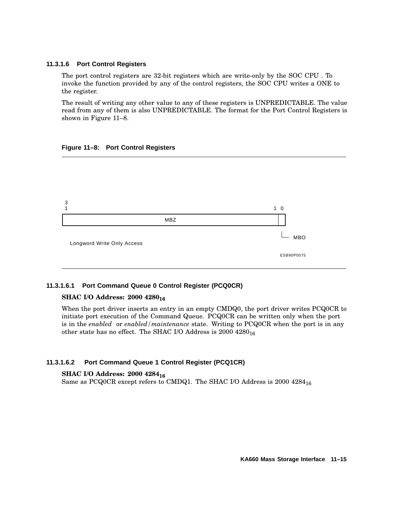### **11.3.1.6 Port Control Registers**

The port control registers are 32-bit registers which are write-only by the SOC CPU . To invoke the function provided by any of the control registers, the SOC CPU writes a ONE to the register.

The result of writing any other value to any of these registers is UNPREDICTABLE. The value read from any of them is also UNPREDICTABLE. The format for the Port Control Registers is shown in Figure 11–8.





### **11.3.1.6.1 Port Command Queue 0 Control Register (PCQ0CR)**

### **SHAC I/O Address: 2000 4280<sup>16</sup>**

When the port driver inserts an entry in an empty CMDQ0, the port driver writes PCQ0CR to initiate port execution of the Command Queue. PCQ0CR can be written only when the port is in the *enabled* or *enabled/maintenance* state. Writing to PCQ0CR when the port is in any other state has no effect. The SHAC I/O Address is 2000 4280<sub>16</sub>

### **11.3.1.6.2 Port Command Queue 1 Control Register (PCQ1CR)**

### **SHAC I/O Address: 2000 4284<sup>16</sup>**

Same as PCQ0CR except refers to CMDQ1. The SHAC I/O Address is 2000 4284<sub>16</sub>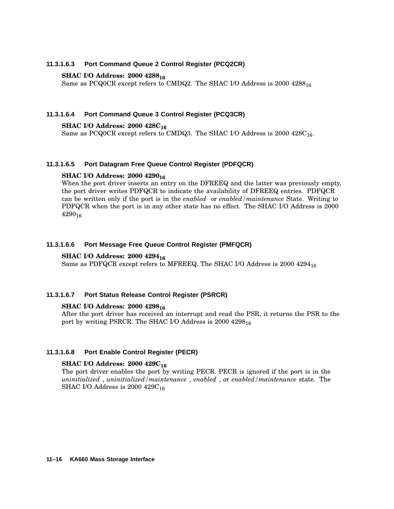### **11.3.1.6.3 Port Command Queue 2 Control Register (PCQ2CR)**

### **SHAC I/O Address: 2000 4288<sup>16</sup>**

Same as PCQ0CR except refers to CMDQ2. The SHAC I/O Address is 2000 4288<sub>16</sub>

### **11.3.1.6.4 Port Command Queue 3 Control Register (PCQ3CR)**

#### **SHAC I/O Address: 2000 428C<sup>16</sup>**

Same as PCQ0CR except refers to CMDQ3. The SHAC I/O Address is 2000 428C16.

#### **11.3.1.6.5 Port Datagram Free Queue Control Register (PDFQCR)**

### **SHAC I/O Address: 2000 4290<sup>16</sup>**

When the port driver inserts an entry on the DFREEQ and the latter was previously empty, the port driver writes PDFQCR to indicate the availability of DFREEQ entries. PDFQCR can be written only if the port is in the *enabled* or *enabled/maintenance* State. Writing to PDFQCR when the port is in any other state has no effect. The SHAC I/O Address is 2000  $4290_{16}$ 

### **11.3.1.6.6 Port Message Free Queue Control Register (PMFQCR)**

#### **SHAC I/O Address: 2000 4294<sup>16</sup>**

Same as PDFQCR except refers to MFREEQ. The SHAC I/O Address is 2000 4294<sub>16</sub>

#### **11.3.1.6.7 Port Status Release Control Register (PSRCR)**

#### **SHAC I/O Address: 2000 4298<sup>16</sup>**

After the port driver has received an interrupt and read the PSR, it returns the PSR to the port by writing PSRCR. The SHAC I/O Address is 2000 4298<sub>16</sub>

### **11.3.1.6.8 Port Enable Control Register (PECR)**

### **SHAC I/O Address: 2000 429C<sup>16</sup>**

The port driver enables the port by writing PECR. PECR is ignored if the port is in the *uninitialized* , *uninitialized/maintenance* , *enabled* , or *enabled/maintenance* state. The SHAC I/O Address is  $2000$  429 $C_{16}$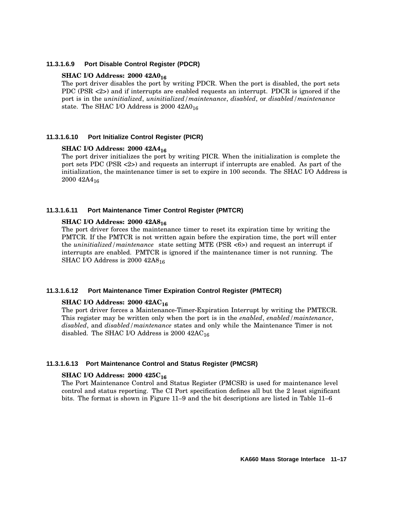#### **11.3.1.6.9 Port Disable Control Register (PDCR)**

### **SHAC I/O Address: 2000 42A0<sup>16</sup>**

The port driver disables the port by writing PDCR. When the port is disabled, the port sets PDC (PSR <2>) and if interrupts are enabled requests an interrupt. PDCR is ignored if the port is in the *uninitialized*, *uninitialized/maintenance*, *disabled*, or *disabled/maintenance* state. The SHAC I/O Address is  $2000$   $42A0_{16}$ 

### **11.3.1.6.10 Port Initialize Control Register (PICR)**

### **SHAC I/O Address: 2000 42A4<sup>16</sup>**

The port driver initializes the port by writing PICR. When the initialization is complete the port sets PDC (PSR <2>) and requests an interrupt if interrupts are enabled. As part of the initialization, the maintenance timer is set to expire in 100 seconds. The SHAC I/O Address is 2000 42A4<sub>16</sub>

### **11.3.1.6.11 Port Maintenance Timer Control Register (PMTCR)**

### **SHAC I/O Address: 2000 42A8<sup>16</sup>**

The port driver forces the maintenance timer to reset its expiration time by writing the PMTCR. If the PMTCR is not written again before the expiration time, the port will enter the *uninitialized/maintenance* state setting MTE (PSR <6>) and request an interrupt if interrupts are enabled. PMTCR is ignored if the maintenance timer is not running. The SHAC I/O Address is  $2000$   $42A8_{16}$ 

### **11.3.1.6.12 Port Maintenance Timer Expiration Control Register (PMTECR)**

### **SHAC I/O Address: 2000 42AC<sup>16</sup>**

The port driver forces a Maintenance-Timer-Expiration Interrupt by writing the PMTECR. This register may be written only when the port is in the *enabled*, *enabled/maintenance*, *disabled*, and *disabled/maintenance* states and only while the Maintenance Timer is not disabled. The SHAC I/O Address is  $2000$   $42AC_{16}$ 

### **11.3.1.6.13 Port Maintenance Control and Status Register (PMCSR)**

### **SHAC I/O Address: 2000 425C<sup>16</sup>**

The Port Maintenance Control and Status Register (PMCSR) is used for maintenance level control and status reporting. The CI Port specification defines all but the 2 least significant bits. The format is shown in Figure 11–9 and the bit descriptions are listed in Table 11–6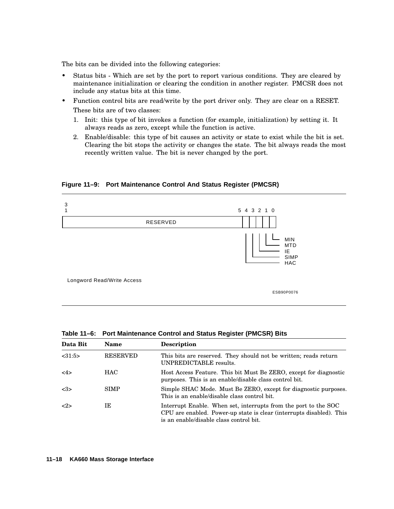The bits can be divided into the following categories:

- Status bits Which are set by the port to report various conditions. They are cleared by maintenance initialization or clearing the condition in another register. PMCSR does not include any status bits at this time.
- Function control bits are read/write by the port driver only. They are clear on a RESET. These bits are of two classes:
	- 1. Init: this type of bit invokes a function (for example, initialization) by setting it. It always reads as zero, except while the function is active.
	- 2. Enable/disable: this type of bit causes an activity or state to exist while the bit is set. Clearing the bit stops the activity or changes the state. The bit always reads the most recently written value. The bit is never changed by the port.

**Figure 11–9: Port Maintenance Control And Status Register (PMCSR)**



| Data Bit        | <b>Name</b>     | <b>Description</b>                                                                                                                                                                 |
|-----------------|-----------------|------------------------------------------------------------------------------------------------------------------------------------------------------------------------------------|
| < 31:5>         | <b>RESERVED</b> | This bits are reserved. They should not be written; reads return<br>UNPREDICTABLE results.                                                                                         |
| 4>              | <b>HAC</b>      | Host Access Feature. This bit Must Be ZERO, except for diagnostic<br>purposes. This is an enable/disable class control bit.                                                        |
| <3>             | <b>SIMP</b>     | Simple SHAC Mode. Must Be ZERO, except for diagnostic purposes.<br>This is an enable/disable class control bit.                                                                    |
| $< \!\!2 \!\!>$ | IΕ              | Interrupt Enable. When set, interrupts from the port to the SOC<br>CPU are enabled. Power-up state is clear (interrupts disabled). This<br>is an enable/disable class control bit. |

**Table 11–6: Port Maintenance Control and Status Register (PMCSR) Bits**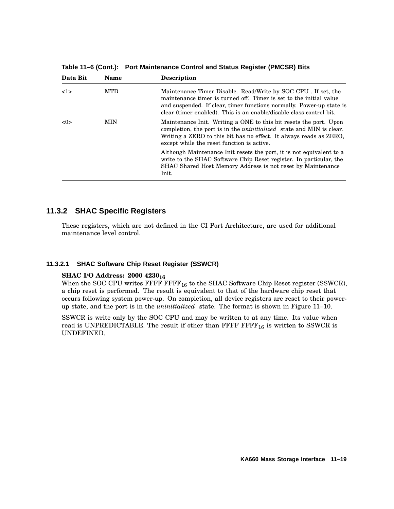**Data Bit Name Description** <1> MTD Maintenance Timer Disable. Read/Write by SOC CPU . If set, the maintenance timer is turned off. Timer is set to the initial value and suspended. If clear, timer functions normally. Power-up state is clear (timer enabled). This is an enable/disable class control bit. <0> MIN Maintenance Init. Writing a ONE to this bit resets the port. Upon completion, the port is in the *uninitialized* state and MIN is clear. Writing a ZERO to this bit has no effect. It always reads as ZERO, except while the reset function is active. Although Maintenance Init resets the port, it is not equivalent to a write to the SHAC Software Chip Reset register. In particular, the SHAC Shared Host Memory Address is not reset by Maintenance Init.

**Table 11–6 (Cont.): Port Maintenance Control and Status Register (PMCSR) Bits**

## **11.3.2 SHAC Specific Registers**

These registers, which are not defined in the CI Port Architecture, are used for additional maintenance level control.

### **11.3.2.1 SHAC Software Chip Reset Register (SSWCR)**

### **SHAC I/O Address: 2000 4230<sup>16</sup>**

When the SOC CPU writes  $\text{FFFF}\, \text{FFFF}_{16}$  to the SHAC Software Chip Reset register (SSWCR), a chip reset is performed. The result is equivalent to that of the hardware chip reset that occurs following system power-up. On completion, all device registers are reset to their powerup state, and the port is in the *uninitialized* state. The format is shown in Figure 11–10.

SSWCR is write only by the SOC CPU and may be written to at any time. Its value when read is UNPREDICTABLE. The result if other than FFFF  $\text{FFF}_{16}$  is written to SSWCR is UNDEFINED.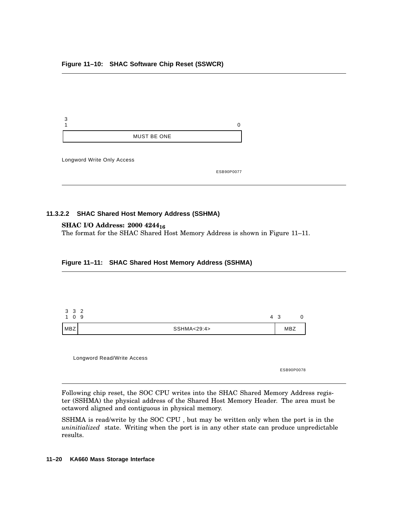| 3                          | 0          |
|----------------------------|------------|
| <b>MUST BE ONE</b>         |            |
| Longword Write Only Access | ESB90P0077 |

#### **11.3.2.2 SHAC Shared Host Memory Address (SSHMA)**

### **SHAC I/O Address: 2000 4244<sup>16</sup>**

The format for the SHAC Shared Host Memory Address is shown in Figure 11–11.

#### **Figure 11–11: SHAC Shared Host Memory Address (SSHMA)**



Longword Read/Write Access

ESB90P0078

Following chip reset, the SOC CPU writes into the SHAC Shared Memory Address register (SSHMA) the physical address of the Shared Host Memory Header. The area must be octaword aligned and contiguous in physical memory.

SSHMA is read/write by the SOC CPU , but may be written only when the port is in the *uninitialized* state. Writing when the port is in any other state can produce unpredictable results.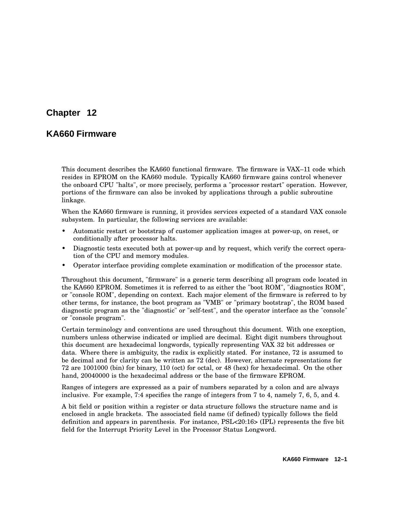# **Chapter 12**

# **KA660 Firmware**

This document describes the KA660 functional firmware. The firmware is VAX–11 code which resides in EPROM on the KA660 module. Typically KA660 firmware gains control whenever the onboard CPU "halts", or more precisely, performs a "processor restart" operation. However, portions of the firmware can also be invoked by applications through a public subroutine linkage.

When the KA660 firmware is running, it provides services expected of a standard VAX console subsystem. In particular, the following services are available:

- Automatic restart or bootstrap of customer application images at power-up, on reset, or conditionally after processor halts.
- Diagnostic tests executed both at power-up and by request, which verify the correct operation of the CPU and memory modules.
- Operator interface providing complete examination or modification of the processor state.

Throughout this document, "firmware" is a generic term describing all program code located in the KA660 EPROM. Sometimes it is referred to as either the "boot ROM", "diagnostics ROM", or "console ROM", depending on context. Each major element of the firmware is referred to by other terms, for instance, the boot program as "VMB" or "primary bootstrap", the ROM based diagnostic program as the "diagnostic" or "self-test", and the operator interface as the "console" or "console program".

Certain terminology and conventions are used throughout this document. With one exception, numbers unless otherwise indicated or implied are decimal. Eight digit numbers throughout this document are hexadecimal longwords, typically representing VAX 32 bit addresses or data. Where there is ambiguity, the radix is explicitly stated. For instance, 72 is assumed to be decimal and for clarity can be written as 72 (dec). However, alternate representations for 72 are 1001000 (bin) for binary, 110 (oct) for octal, or 48 (hex) for hexadecimal. On the other hand, 20040000 is the hexadecimal address or the base of the firmware EPROM.

Ranges of integers are expressed as a pair of numbers separated by a colon and are always inclusive. For example, 7:4 specifies the range of integers from 7 to 4, namely 7, 6, 5, and 4.

A bit field or position within a register or data structure follows the structure name and is enclosed in angle brackets. The associated field name (if defined) typically follows the field definition and appears in parenthesis. For instance, PSL<20:16> (IPL) represents the five bit field for the Interrupt Priority Level in the Processor Status Longword.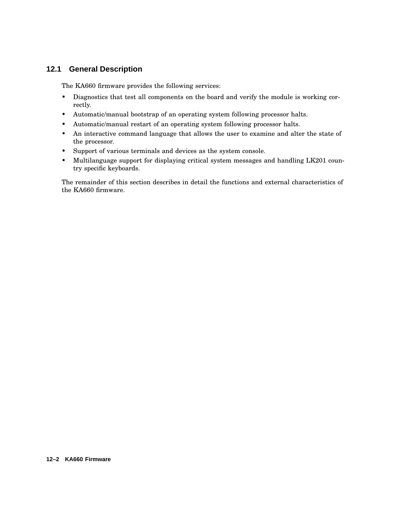# **12.1 General Description**

The KA660 firmware provides the following services:

- Diagnostics that test all components on the board and verify the module is working correctly.
- Automatic/manual bootstrap of an operating system following processor halts.
- Automatic/manual restart of an operating system following processor halts.
- An interactive command language that allows the user to examine and alter the state of the processor.
- Support of various terminals and devices as the system console.
- Multilanguage support for displaying critical system messages and handling LK201 country specific keyboards.

The remainder of this section describes in detail the functions and external characteristics of the KA660 firmware.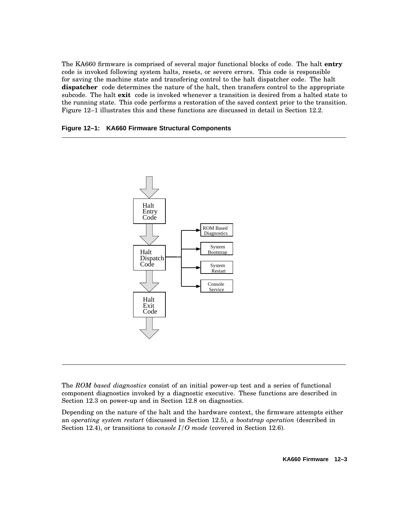The KA660 firmware is comprised of several major functional blocks of code. The halt **entry** code is invoked following system halts, resets, or severe errors. This code is responsible for saving the machine state and transfering control to the halt dispatcher code. The halt **dispatcher** code determines the nature of the halt, then transfers control to the appropriate subcode. The halt **exit** code is invoked whenever a transition is desired from a halted state to the running state. This code performs a restoration of the saved context prior to the transition. Figure 12–1 illustrates this and these functions are discussed in detail in Section 12.2.





The *ROM based diagnostics* consist of an initial power-up test and a series of functional component diagnostics invoked by a diagnostic executive. These functions are described in Section 12.3 on power-up and in Section 12.8 on diagnostics.

Depending on the nature of the halt and the hardware context, the firmware attempts either an *operating system restart* (discussed in Section 12.5), *a bootstrap operation* (described in Section 12.4), or transitions to *console I/O mode* (covered in Section 12.6).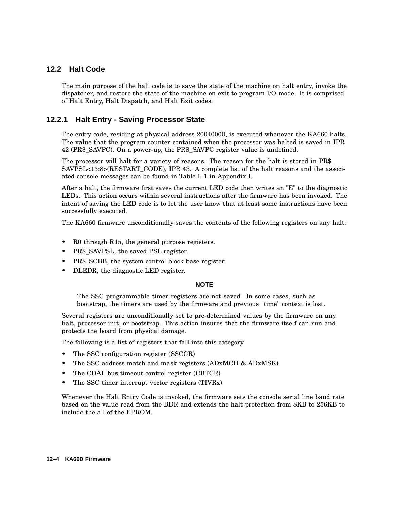## **12.2 Halt Code**

The main purpose of the halt code is to save the state of the machine on halt entry, invoke the dispatcher, and restore the state of the machine on exit to program I/O mode. It is comprised of Halt Entry, Halt Dispatch, and Halt Exit codes.

## **12.2.1 Halt Entry - Saving Processor State**

The entry code, residing at physical address 20040000, is executed whenever the KA660 halts. The value that the program counter contained when the processor was halted is saved in IPR 42 (PR\$\_SAVPC). On a power-up, the PR\$\_SAVPC register value is undefined.

The processor will halt for a variety of reasons. The reason for the halt is stored in PR\$\_ SAVPSL<13:8>(RESTART\_CODE), IPR 43. A complete list of the halt reasons and the associated console messages can be found in Table I–1 in Appendix I.

After a halt, the firmware first saves the current LED code then writes an "E" to the diagnostic LEDs. This action occurs within several instructions after the firmware has been invoked. The intent of saving the LED code is to let the user know that at least some instructions have been successfully executed.

The KA660 firmware unconditionally saves the contents of the following registers on any halt:

- R0 through R15, the general purpose registers.
- PR\$\_SAVPSL, the saved PSL register.
- PR\$ SCBB, the system control block base register.
- DLEDR, the diagnostic LED register.

#### **NOTE**

The SSC programmable timer registers are not saved. In some cases, such as bootstrap, the timers are used by the firmware and previous "time" context is lost.

Several registers are unconditionally set to pre-determined values by the firmware on any halt, processor init, or bootstrap. This action insures that the firmware itself can run and protects the board from physical damage.

The following is a list of registers that fall into this category.

- The SSC configuration register (SSCCR)
- The SSC address match and mask registers (ADxMCH & ADxMSK)
- The CDAL bus timeout control register (CBTCR)
- The SSC timer interrupt vector registers (TIVRx)

Whenever the Halt Entry Code is invoked, the firmware sets the console serial line baud rate based on the value read from the BDR and extends the halt protection from 8KB to 256KB to include the all of the EPROM.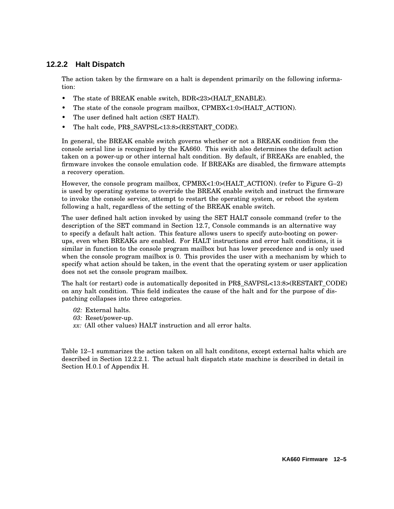# **12.2.2 Halt Dispatch**

The action taken by the firmware on a halt is dependent primarily on the following information:

- The state of BREAK enable switch, BDR<23>(HALT\_ENABLE).
- The state of the console program mailbox, CPMBX<1:0>(HALT\_ACTION).
- The user defined halt action (SET HALT).
- The halt code, PR\$ SAVPSL<13:8>(RESTART\_CODE).

In general, the BREAK enable switch governs whether or not a BREAK condition from the console serial line is recognized by the KA660. This swith also determines the default action taken on a power-up or other internal halt condition. By default, if BREAKs are enabled, the firmware invokes the console emulation code. If BREAKs are disabled, the firmware attempts a recovery operation.

However, the console program mailbox, CPMBX<1:0>(HALT\_ACTION). (refer to Figure G–2) is used by operating systems to override the BREAK enable switch and instruct the firmware to invoke the console service, attempt to restart the operating system, or reboot the system following a halt, regardless of the setting of the BREAK enable switch.

The user defined halt action invoked by using the SET HALT console command (refer to the description of the SET command in Section 12.7, Console commands is an alternative way to specify a default halt action. This feature allows users to specify auto-booting on powerups, even when BREAKs are enabled. For HALT instructions and error halt conditions, it is similar in function to the console program mailbox but has lower precedence and is only used when the console program mailbox is 0. This provides the user with a mechanism by which to specify what action should be taken, in the event that the operating system or user application does not set the console program mailbox.

The halt (or restart) code is automatically deposited in PR\$\_SAVPSL<13:8>(RESTART\_CODE) on any halt condition. This field indicates the cause of the halt and for the purpose of dispatching collapses into three categories.

- *02:* External halts.
- *03:* Reset/power-up.
- *xx:* (All other values) HALT instruction and all error halts.

Table 12–1 summarizes the action taken on all halt conditons, except external halts which are described in Section 12.2.2.1. The actual halt dispatch state machine is described in detail in Section H.0.1 of Appendix H.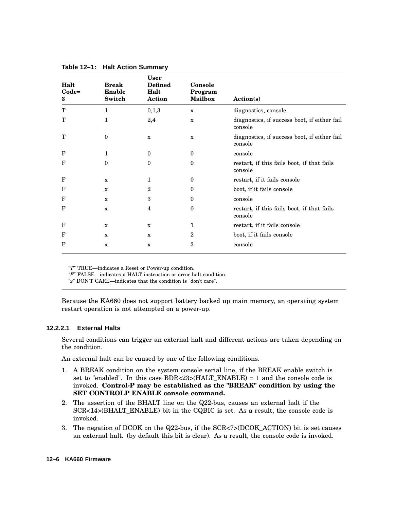| Halt<br>$Code=$<br>3 | <b>Break</b><br><b>Enable</b><br>Switch | <b>User</b><br><b>Defined</b><br>Halt<br>Action | Console<br>Program<br><b>Mailbox</b> | Action(s)                                               |
|----------------------|-----------------------------------------|-------------------------------------------------|--------------------------------------|---------------------------------------------------------|
| T                    | 1                                       | 0,1,3                                           | $\mathbf x$                          | diagnostics, console                                    |
| Т                    | 1                                       | 2,4                                             | $\mathbf x$                          | diagnostics, if success boot, if either fail<br>console |
| T                    | 0                                       | $\mathbf x$                                     | $\mathbf x$                          | diagnostics, if success boot, if either fail<br>console |
| $\mathbf F$          | 1                                       | $\bf{0}$                                        | $\boldsymbol{0}$                     | console                                                 |
| $_{\rm F}$           | $\bf{0}$                                | $\boldsymbol{0}$                                | $\mathbf{0}$                         | restart, if this fails boot, if that fails<br>console   |
| $\mathbf F$          | x                                       | 1                                               | $\bf{0}$                             | restart, if it fails console                            |
| F                    | x                                       | $\overline{2}$                                  | $\bf{0}$                             | boot, if it fails console                               |
| $_{\rm F}$           | $\mathbf x$                             | 3                                               | $\bf{0}$                             | console                                                 |
| $\mathbf{F}$         | $\mathbf x$                             | 4                                               | $\boldsymbol{0}$                     | restart, if this fails boot, if that fails<br>console   |
| F                    | x                                       | $\mathbf x$                                     | 1                                    | restart, if it fails console                            |
| F                    | X                                       | $\mathbf x$                                     | $\mathbf{2}$                         | boot, if it fails console                               |
| F                    | $\mathbf x$                             | $\mathbf x$                                     | 3                                    | console                                                 |

**Table 12–1: Halt Action Summary**

*"T"* TRUE—indicates a Reset or Power-up condition.

*"F"* FALSE—indicates a HALT instruction or error halt condition.

*"x"* DON'T CARE—indicates that the condition is "don't care".

Because the KA660 does not support battery backed up main memory, an operating system restart operation is not attempted on a power-up.

#### **12.2.2.1 External Halts**

Several conditions can trigger an external halt and different actions are taken depending on the condition.

An external halt can be caused by one of the following conditions.

- 1. A BREAK condition on the system console serial line, if the BREAK enable switch is set to "enabled". In this case BDR<23>(HALT\_ENABLE) = 1 and the console code is invoked. **Control-P may be established as the "BREAK" condition by using the SET CONTROLP ENABLE console command.**
- 2. The assertion of the BHALT line on the Q22-bus, causes an external halt if the SCR<14>(BHALT\_ENABLE) bit in the CQBIC is set. As a result, the console code is invoked.
- 3. The negation of DCOK on the Q22-bus, if the SCR<7>(DCOK\_ACTION) bit is set causes an external halt. (by default this bit is clear). As a result, the console code is invoked.